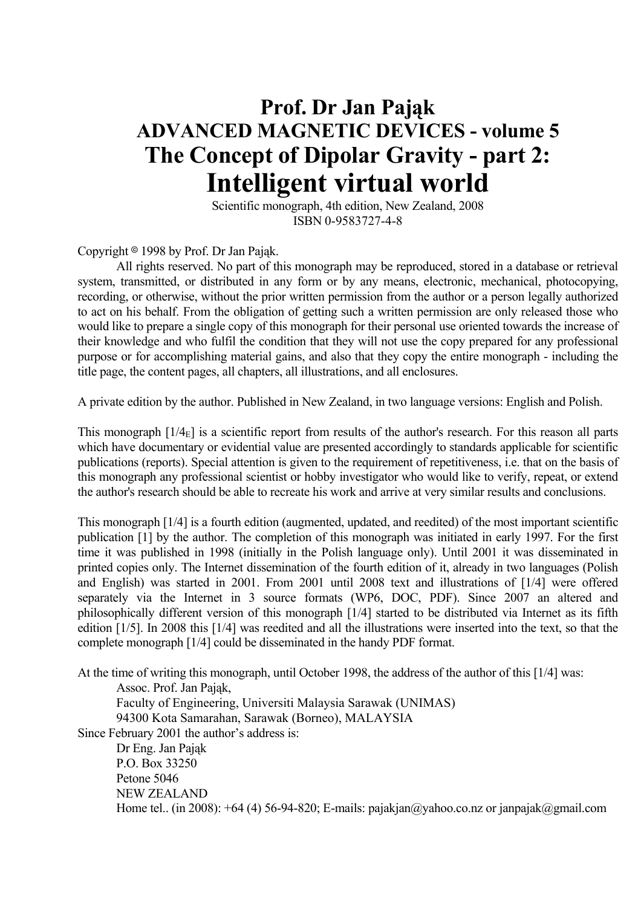# **Prof. Dr Jan Pająk ADVANCED MAGNETIC DEVICES - volume 5 The Concept of Dipolar Gravity - part 2: Intelligent virtual world**

 Scientific monograph, 4th edition, New Zealand, 2008 ISBN 0-9583727-4-8

Copyright  $\circ$  1998 by Prof. Dr Jan Pająk.

Petone 5046

 All rights reserved. No part of this monograph may be reproduced, stored in a database or retrieval system, transmitted, or distributed in any form or by any means, electronic, mechanical, photocopying, recording, or otherwise, without the prior written permission from the author or a person legally authorized to act on his behalf. From the obligation of getting such a written permission are only released those who would like to prepare a single copy of this monograph for their personal use oriented towards the increase of their knowledge and who fulfil the condition that they will not use the copy prepared for any professional purpose or for accomplishing material gains, and also that they copy the entire monograph - including the title page, the content pages, all chapters, all illustrations, and all enclosures.

A private edition by the author. Published in New Zealand, in two language versions: English and Polish.

This monograph  $[1/4<sub>E</sub>]$  is a scientific report from results of the author's research. For this reason all parts which have documentary or evidential value are presented accordingly to standards applicable for scientific publications (reports). Special attention is given to the requirement of repetitiveness, i.e. that on the basis of this monograph any professional scientist or hobby investigator who would like to verify, repeat, or extend the author's research should be able to recreate his work and arrive at very similar results and conclusions.

This monograph [1/4] is a fourth edition (augmented, updated, and reedited) of the most important scientific publication [1] by the author. The completion of this monograph was initiated in early 1997. For the first time it was published in 1998 (initially in the Polish language only). Until 2001 it was disseminated in printed copies only. The Internet dissemination of the fourth edition of it, already in two languages (Polish and English) was started in 2001. From 2001 until 2008 text and illustrations of [1/4] were offered separately via the Internet in 3 source formats (WP6, DOC, PDF). Since 2007 an altered and philosophically different version of this monograph [1/4] started to be distributed via Internet as its fifth edition [1/5]. In 2008 this [1/4] was reedited and all the illustrations were inserted into the text, so that the complete monograph [1/4] could be disseminated in the handy PDF format.

At the time of writing this monograph, until October 1998, the address of the author of this [1/4] was:

 Assoc. Prof. Jan Pająk, Faculty of Engineering, Universiti Malaysia Sarawak (UNIMAS) 94300 Kota Samarahan, Sarawak (Borneo), MALAYSIA Since February 2001 the author's address is: Dr Eng. Jan Pająk P.O. Box 33250

 NEW ZEALAND Home tel.. (in 2008):  $+64$  (4) 56-94-820; E-mails: pajakjan@yahoo.co.nz or janpajak@gmail.com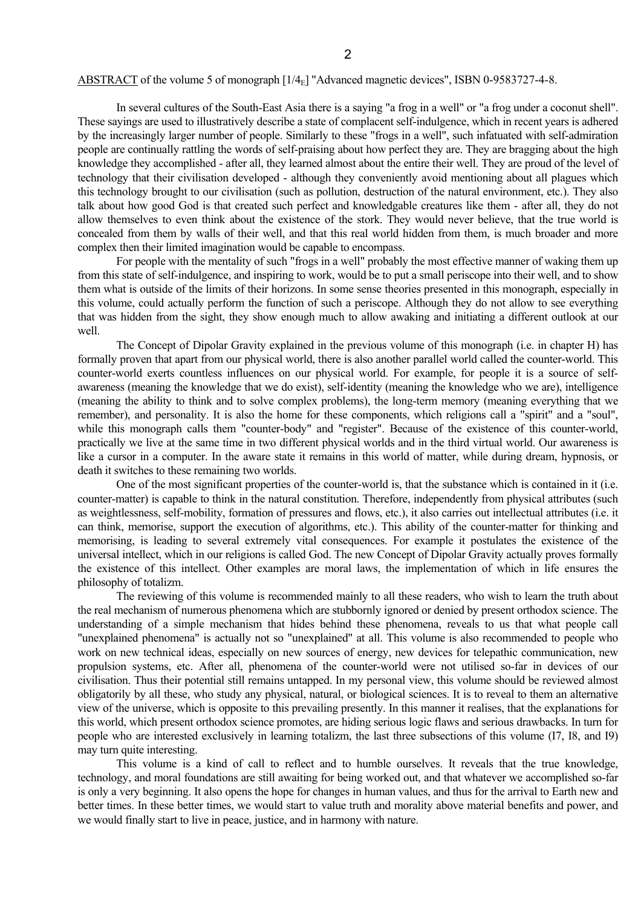#### ABSTRACT of the volume 5 of monograph [1/4<sub>E</sub>] "Advanced magnetic devices", ISBN 0-9583727-4-8.

 In several cultures of the South-East Asia there is a saying "a frog in a well" or "a frog under a coconut shell". These sayings are used to illustratively describe a state of complacent self-indulgence, which in recent years is adhered by the increasingly larger number of people. Similarly to these "frogs in a well", such infatuated with self-admiration people are continually rattling the words of self-praising about how perfect they are. They are bragging about the high knowledge they accomplished - after all, they learned almost about the entire their well. They are proud of the level of technology that their civilisation developed - although they conveniently avoid mentioning about all plagues which this technology brought to our civilisation (such as pollution, destruction of the natural environment, etc.). They also talk about how good God is that created such perfect and knowledgable creatures like them - after all, they do not allow themselves to even think about the existence of the stork. They would never believe, that the true world is concealed from them by walls of their well, and that this real world hidden from them, is much broader and more complex then their limited imagination would be capable to encompass.

 For people with the mentality of such "frogs in a well" probably the most effective manner of waking them up from this state of self-indulgence, and inspiring to work, would be to put a small periscope into their well, and to show them what is outside of the limits of their horizons. In some sense theories presented in this monograph, especially in this volume, could actually perform the function of such a periscope. Although they do not allow to see everything that was hidden from the sight, they show enough much to allow awaking and initiating a different outlook at our well.

 The Concept of Dipolar Gravity explained in the previous volume of this monograph (i.e. in chapter H) has formally proven that apart from our physical world, there is also another parallel world called the counter-world. This counter-world exerts countless influences on our physical world. For example, for people it is a source of selfawareness (meaning the knowledge that we do exist), self-identity (meaning the knowledge who we are), intelligence (meaning the ability to think and to solve complex problems), the long-term memory (meaning everything that we remember), and personality. It is also the home for these components, which religions call a "spirit" and a "soul", while this monograph calls them "counter-body" and "register". Because of the existence of this counter-world, practically we live at the same time in two different physical worlds and in the third virtual world. Our awareness is like a cursor in a computer. In the aware state it remains in this world of matter, while during dream, hypnosis, or death it switches to these remaining two worlds.

 One of the most significant properties of the counter-world is, that the substance which is contained in it (i.e. counter-matter) is capable to think in the natural constitution. Therefore, independently from physical attributes (such as weightlessness, self-mobility, formation of pressures and flows, etc.), it also carries out intellectual attributes (i.e. it can think, memorise, support the execution of algorithms, etc.). This ability of the counter-matter for thinking and memorising, is leading to several extremely vital consequences. For example it postulates the existence of the universal intellect, which in our religions is called God. The new Concept of Dipolar Gravity actually proves formally the existence of this intellect. Other examples are moral laws, the implementation of which in life ensures the philosophy of totalizm.

 The reviewing of this volume is recommended mainly to all these readers, who wish to learn the truth about the real mechanism of numerous phenomena which are stubbornly ignored or denied by present orthodox science. The understanding of a simple mechanism that hides behind these phenomena, reveals to us that what people call "unexplained phenomena" is actually not so "unexplained" at all. This volume is also recommended to people who work on new technical ideas, especially on new sources of energy, new devices for telepathic communication, new propulsion systems, etc. After all, phenomena of the counter-world were not utilised so-far in devices of our civilisation. Thus their potential still remains untapped. In my personal view, this volume should be reviewed almost obligatorily by all these, who study any physical, natural, or biological sciences. It is to reveal to them an alternative view of the universe, which is opposite to this prevailing presently. In this manner it realises, that the explanations for this world, which present orthodox science promotes, are hiding serious logic flaws and serious drawbacks. In turn for people who are interested exclusively in learning totalizm, the last three subsections of this volume (I7, I8, and I9) may turn quite interesting.

 This volume is a kind of call to reflect and to humble ourselves. It reveals that the true knowledge, technology, and moral foundations are still awaiting for being worked out, and that whatever we accomplished so-far is only a very beginning. It also opens the hope for changes in human values, and thus for the arrival to Earth new and better times. In these better times, we would start to value truth and morality above material benefits and power, and we would finally start to live in peace, justice, and in harmony with nature.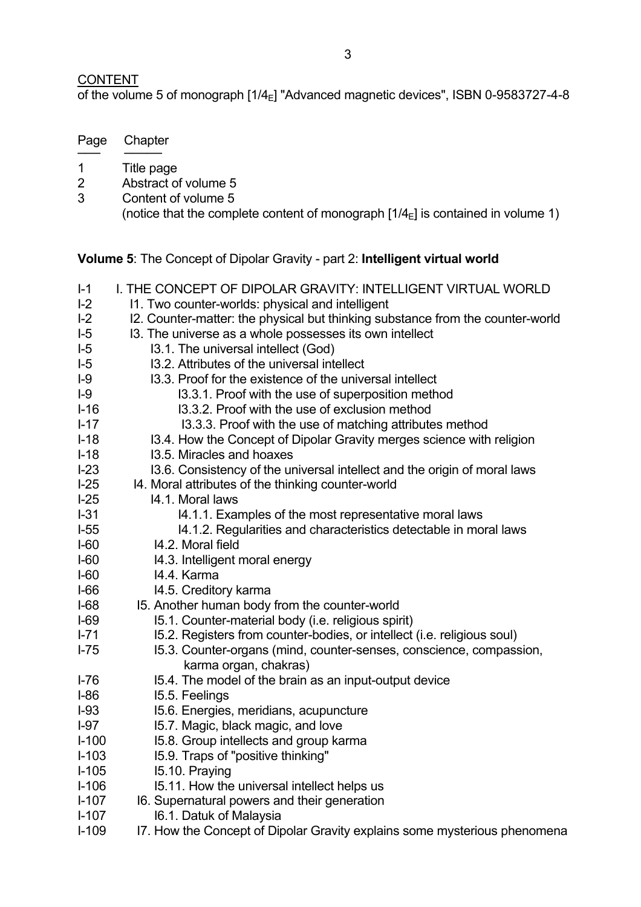# **CONTENT**

Page Chapter ─── ─────

of the volume 5 of monograph [1/4<sub>E</sub>] "Advanced magnetic devices", ISBN 0-9583727-4-8

| $\mathbf 1$ | Title page                                                                               |  |  |
|-------------|------------------------------------------------------------------------------------------|--|--|
| 2           | Abstract of volume 5                                                                     |  |  |
| 3           | Content of volume 5                                                                      |  |  |
|             | (notice that the complete content of monograph $[1/4_{\rm E}]$ is contained in volume 1) |  |  |
|             |                                                                                          |  |  |
|             | Volume 5: The Concept of Dipolar Gravity - part 2: Intelligent virtual world             |  |  |
| $I-1$       | I. THE CONCEPT OF DIPOLAR GRAVITY: INTELLIGENT VIRTUAL WORLD                             |  |  |
| $I-2$       | 11. Two counter-worlds: physical and intelligent                                         |  |  |
| $I-2$       | 12. Counter-matter: the physical but thinking substance from the counter-world           |  |  |
| $I-5$       | 13. The universe as a whole possesses its own intellect                                  |  |  |
| $I-5$       | 13.1. The universal intellect (God)                                                      |  |  |
| $I-5$       | 13.2. Attributes of the universal intellect                                              |  |  |
| $I-9$       | 13.3. Proof for the existence of the universal intellect                                 |  |  |
| $I-9$       | 13.3.1. Proof with the use of superposition method                                       |  |  |
| $I-16$      | 13.3.2. Proof with the use of exclusion method                                           |  |  |
| $I-17$      | 13.3.3. Proof with the use of matching attributes method                                 |  |  |
| $I-18$      | 13.4. How the Concept of Dipolar Gravity merges science with religion                    |  |  |
| $I-18$      | 13.5. Miracles and hoaxes                                                                |  |  |
| $-23$       | 13.6. Consistency of the universal intellect and the origin of moral laws                |  |  |
| $I-25$      | 14. Moral attributes of the thinking counter-world                                       |  |  |
| $-25$       | 14.1. Moral laws                                                                         |  |  |
| $ -31$      | 14.1.1. Examples of the most representative moral laws                                   |  |  |
| $I-55$      | 14.1.2. Regularities and characteristics detectable in moral laws                        |  |  |
| $I-60$      | 14.2. Moral field                                                                        |  |  |
| $I-60$      | 14.3. Intelligent moral energy                                                           |  |  |
| $I-60$      | 14.4. Karma                                                                              |  |  |
| $I-66$      | 14.5. Creditory karma                                                                    |  |  |
| $I-68$      | 15. Another human body from the counter-world                                            |  |  |
| $I-69$      | 15.1. Counter-material body (i.e. religious spirit)                                      |  |  |
| $I-71$      | 15.2. Registers from counter-bodies, or intellect (i.e. religious soul)                  |  |  |
| $I-75$      | 15.3. Counter-organs (mind, counter-senses, conscience, compassion,                      |  |  |
|             | karma organ, chakras)                                                                    |  |  |
| $I-76$      | 15.4. The model of the brain as an input-output device                                   |  |  |
| $I-86$      | 15.5. Feelings                                                                           |  |  |
| $I-93$      | 15.6. Energies, meridians, acupuncture                                                   |  |  |
| $I-97$      | 15.7. Magic, black magic, and love                                                       |  |  |
| $I-100$     | 15.8. Group intellects and group karma                                                   |  |  |
| $I - 103$   | 15.9. Traps of "positive thinking"                                                       |  |  |
| $I-105$     | 15.10. Praying                                                                           |  |  |
| $I-106$     | 15.11. How the universal intellect helps us                                              |  |  |
| $I-107$     | 16. Supernatural powers and their generation                                             |  |  |
| $I-107$     | 16.1. Datuk of Malaysia                                                                  |  |  |
| $I-109$     | 17. How the Concept of Dipolar Gravity explains some mysterious phenomena                |  |  |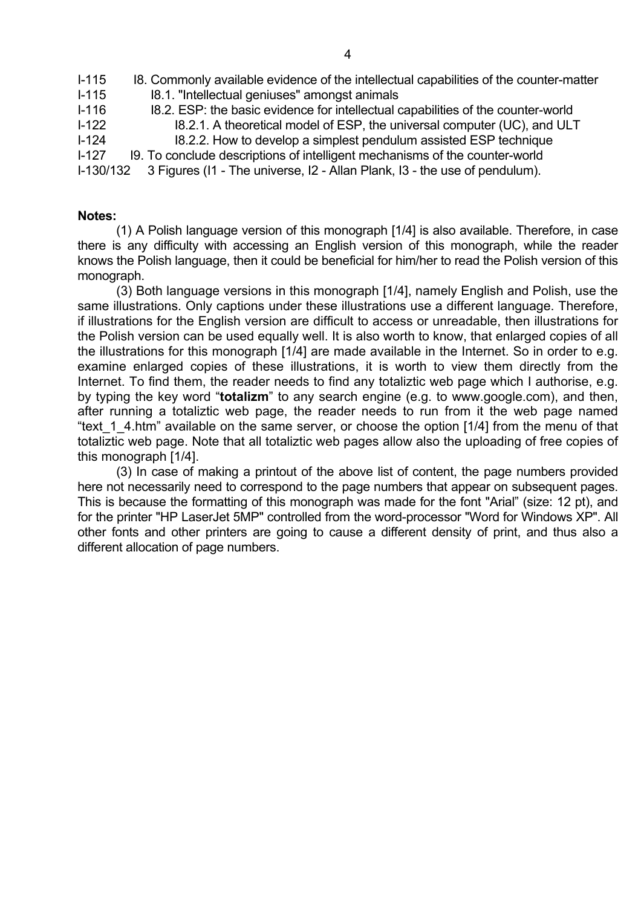| $1 - 115$ | 18. Commonly available evidence of the intellectual capabilities of the counter-matter |
|-----------|----------------------------------------------------------------------------------------|
| $I-115$   | 18.1. "Intellectual geniuses" amongst animals                                          |
| $I - 116$ | 18.2. ESP: the basic evidence for intellectual capabilities of the counter-world       |
| $1-122$   | 18.2.1. A theoretical model of ESP, the universal computer (UC), and ULT               |
| $1 - 124$ | 18.2.2. How to develop a simplest pendulum assisted ESP technique                      |
| $1 - 127$ | 19. To conclude descriptions of intelligent mechanisms of the counter-world            |
| I-130/132 | 3 Figures (11 - The universe, 12 - Allan Plank, 13 - the use of pendulum).             |

## **Notes:**

 (1) A Polish language version of this monograph [1/4] is also available. Therefore, in case there is any difficulty with accessing an English version of this monograph, while the reader knows the Polish language, then it could be beneficial for him/her to read the Polish version of this monograph.

 (3) Both language versions in this monograph [1/4], namely English and Polish, use the same illustrations. Only captions under these illustrations use a different language. Therefore, if illustrations for the English version are difficult to access or unreadable, then illustrations for the Polish version can be used equally well. It is also worth to know, that enlarged copies of all the illustrations for this monograph [1/4] are made available in the Internet. So in order to e.g. examine enlarged copies of these illustrations, it is worth to view them directly from the Internet. To find them, the reader needs to find any totaliztic web page which I authorise, e.g. by typing the key word "**totalizm**" to any search engine (e.g. to www.google.com), and then, after running a totaliztic web page, the reader needs to run from it the web page named "text 1 4.htm" available on the same server, or choose the option [1/4] from the menu of that totaliztic web page. Note that all totaliztic web pages allow also the uploading of free copies of this monograph [1/4].

 (3) In case of making a printout of the above list of content, the page numbers provided here not necessarily need to correspond to the page numbers that appear on subsequent pages. This is because the formatting of this monograph was made for the font "Arial" (size: 12 pt), and for the printer "HP LaserJet 5MP" controlled from the word-processor "Word for Windows XP". All other fonts and other printers are going to cause a different density of print, and thus also a different allocation of page numbers.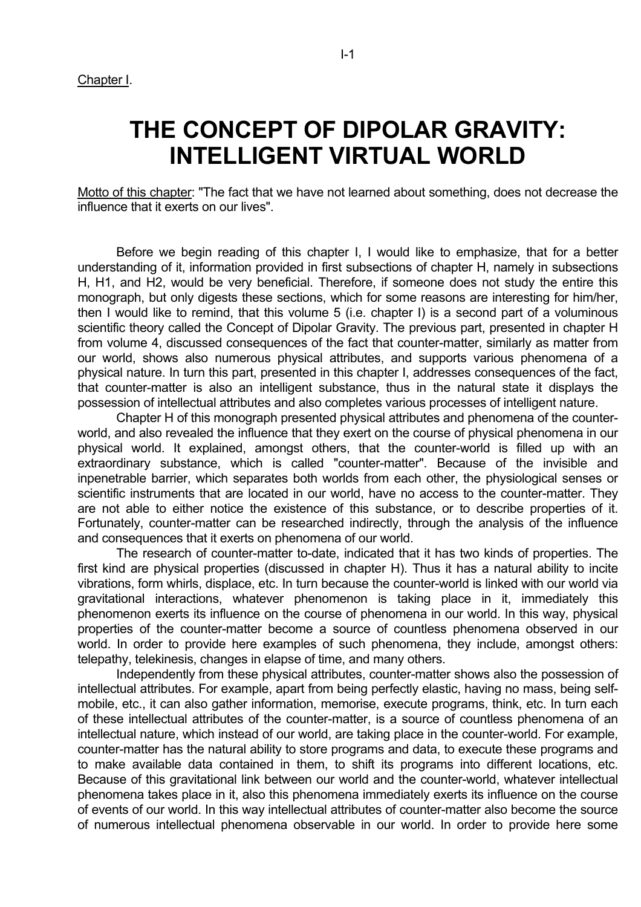# **THE CONCEPT OF DIPOLAR GRAVITY: INTELLIGENT VIRTUAL WORLD**

Motto of this chapter: "The fact that we have not learned about something, does not decrease the influence that it exerts on our lives".

 Before we begin reading of this chapter I, I would like to emphasize, that for a better understanding of it, information provided in first subsections of chapter H, namely in subsections H, H1, and H2, would be very beneficial. Therefore, if someone does not study the entire this monograph, but only digests these sections, which for some reasons are interesting for him/her, then I would like to remind, that this volume 5 (i.e. chapter I) is a second part of a voluminous scientific theory called the Concept of Dipolar Gravity. The previous part, presented in chapter H from volume 4, discussed consequences of the fact that counter-matter, similarly as matter from our world, shows also numerous physical attributes, and supports various phenomena of a physical nature. In turn this part, presented in this chapter I, addresses consequences of the fact, that counter-matter is also an intelligent substance, thus in the natural state it displays the possession of intellectual attributes and also completes various processes of intelligent nature.

 Chapter H of this monograph presented physical attributes and phenomena of the counterworld, and also revealed the influence that they exert on the course of physical phenomena in our physical world. It explained, amongst others, that the counter-world is filled up with an extraordinary substance, which is called "counter-matter". Because of the invisible and inpenetrable barrier, which separates both worlds from each other, the physiological senses or scientific instruments that are located in our world, have no access to the counter-matter. They are not able to either notice the existence of this substance, or to describe properties of it. Fortunately, counter-matter can be researched indirectly, through the analysis of the influence and consequences that it exerts on phenomena of our world.

 The research of counter-matter to-date, indicated that it has two kinds of properties. The first kind are physical properties (discussed in chapter H). Thus it has a natural ability to incite vibrations, form whirls, displace, etc. In turn because the counter-world is linked with our world via gravitational interactions, whatever phenomenon is taking place in it, immediately this phenomenon exerts its influence on the course of phenomena in our world. In this way, physical properties of the counter-matter become a source of countless phenomena observed in our world. In order to provide here examples of such phenomena, they include, amongst others: telepathy, telekinesis, changes in elapse of time, and many others.

 Independently from these physical attributes, counter-matter shows also the possession of intellectual attributes. For example, apart from being perfectly elastic, having no mass, being selfmobile, etc., it can also gather information, memorise, execute programs, think, etc. In turn each of these intellectual attributes of the counter-matter, is a source of countless phenomena of an intellectual nature, which instead of our world, are taking place in the counter-world. For example, counter-matter has the natural ability to store programs and data, to execute these programs and to make available data contained in them, to shift its programs into different locations, etc. Because of this gravitational link between our world and the counter-world, whatever intellectual phenomena takes place in it, also this phenomena immediately exerts its influence on the course of events of our world. In this way intellectual attributes of counter-matter also become the source of numerous intellectual phenomena observable in our world. In order to provide here some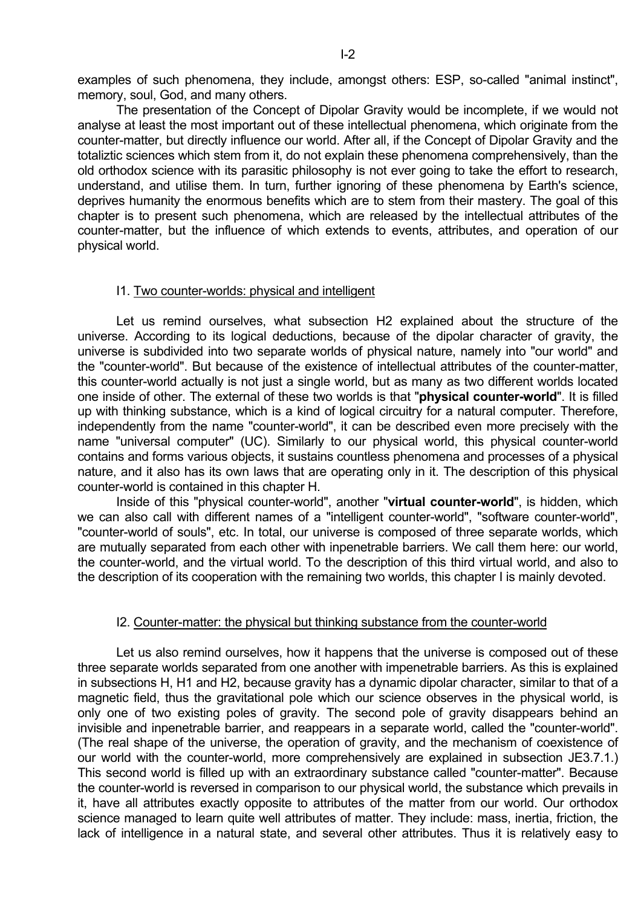examples of such phenomena, they include, amongst others: ESP, so-called "animal instinct", memory, soul, God, and many others.

 The presentation of the Concept of Dipolar Gravity would be incomplete, if we would not analyse at least the most important out of these intellectual phenomena, which originate from the counter-matter, but directly influence our world. After all, if the Concept of Dipolar Gravity and the totaliztic sciences which stem from it, do not explain these phenomena comprehensively, than the old orthodox science with its parasitic philosophy is not ever going to take the effort to research, understand, and utilise them. In turn, further ignoring of these phenomena by Earth's science, deprives humanity the enormous benefits which are to stem from their mastery. The goal of this chapter is to present such phenomena, which are released by the intellectual attributes of the counter-matter, but the influence of which extends to events, attributes, and operation of our physical world.

#### I1. Two counter-worlds: physical and intelligent

 Let us remind ourselves, what subsection H2 explained about the structure of the universe. According to its logical deductions, because of the dipolar character of gravity, the universe is subdivided into two separate worlds of physical nature, namely into "our world" and the "counter-world". But because of the existence of intellectual attributes of the counter-matter, this counter-world actually is not just a single world, but as many as two different worlds located one inside of other. The external of these two worlds is that "**physical counter-world**". It is filled up with thinking substance, which is a kind of logical circuitry for a natural computer. Therefore, independently from the name "counter-world", it can be described even more precisely with the name "universal computer" (UC). Similarly to our physical world, this physical counter-world contains and forms various objects, it sustains countless phenomena and processes of a physical nature, and it also has its own laws that are operating only in it. The description of this physical counter-world is contained in this chapter H.

 Inside of this "physical counter-world", another "**virtual counter-world**", is hidden, which we can also call with different names of a "intelligent counter-world", "software counter-world", "counter-world of souls", etc. In total, our universe is composed of three separate worlds, which are mutually separated from each other with inpenetrable barriers. We call them here: our world, the counter-world, and the virtual world. To the description of this third virtual world, and also to the description of its cooperation with the remaining two worlds, this chapter I is mainly devoted.

# I2. Counter-matter: the physical but thinking substance from the counter-world

 Let us also remind ourselves, how it happens that the universe is composed out of these three separate worlds separated from one another with impenetrable barriers. As this is explained in subsections H, H1 and H2, because gravity has a dynamic dipolar character, similar to that of a magnetic field, thus the gravitational pole which our science observes in the physical world, is only one of two existing poles of gravity. The second pole of gravity disappears behind an invisible and inpenetrable barrier, and reappears in a separate world, called the "counter-world". (The real shape of the universe, the operation of gravity, and the mechanism of coexistence of our world with the counter-world, more comprehensively are explained in subsection JE3.7.1.) This second world is filled up with an extraordinary substance called "counter-matter". Because the counter-world is reversed in comparison to our physical world, the substance which prevails in it, have all attributes exactly opposite to attributes of the matter from our world. Our orthodox science managed to learn quite well attributes of matter. They include: mass, inertia, friction, the lack of intelligence in a natural state, and several other attributes. Thus it is relatively easy to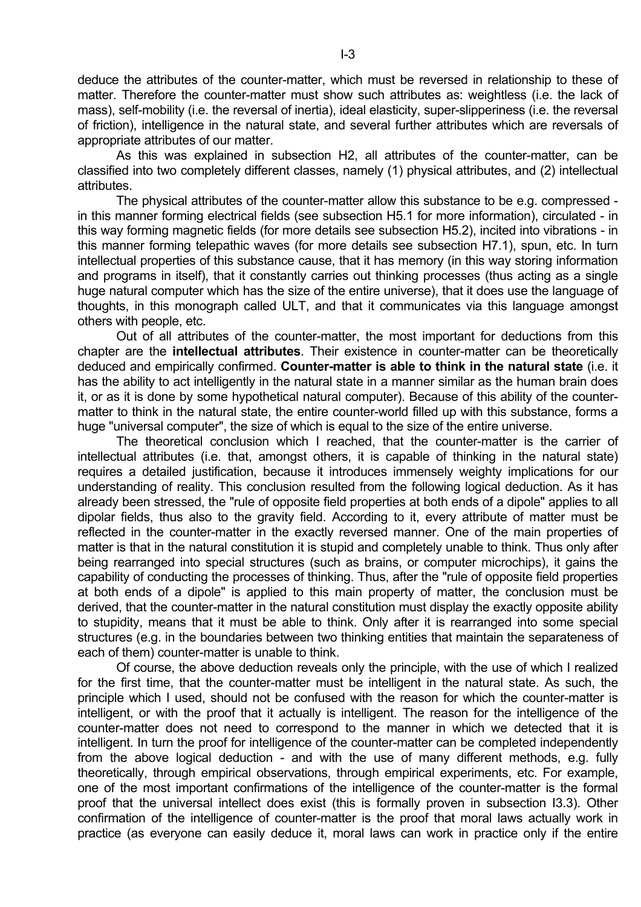deduce the attributes of the counter-matter, which must be reversed in relationship to these of matter. Therefore the counter-matter must show such attributes as: weightless (i.e. the lack of mass), self-mobility (i.e. the reversal of inertia), ideal elasticity, super-slipperiness (i.e. the reversal of friction), intelligence in the natural state, and several further attributes which are reversals of appropriate attributes of our matter.

 As this was explained in subsection H2, all attributes of the counter-matter, can be classified into two completely different classes, namely (1) physical attributes, and (2) intellectual attributes.

 The physical attributes of the counter-matter allow this substance to be e.g. compressed in this manner forming electrical fields (see subsection H5.1 for more information), circulated - in this way forming magnetic fields (for more details see subsection H5.2), incited into vibrations - in this manner forming telepathic waves (for more details see subsection H7.1), spun, etc. In turn intellectual properties of this substance cause, that it has memory (in this way storing information and programs in itself), that it constantly carries out thinking processes (thus acting as a single huge natural computer which has the size of the entire universe), that it does use the language of thoughts, in this monograph called ULT, and that it communicates via this language amongst others with people, etc.

 Out of all attributes of the counter-matter, the most important for deductions from this chapter are the **intellectual attributes**. Their existence in counter-matter can be theoretically deduced and empirically confirmed. **Counter-matter is able to think in the natural state** (i.e. it has the ability to act intelligently in the natural state in a manner similar as the human brain does it, or as it is done by some hypothetical natural computer). Because of this ability of the countermatter to think in the natural state, the entire counter-world filled up with this substance, forms a huge "universal computer", the size of which is equal to the size of the entire universe.

 The theoretical conclusion which I reached, that the counter-matter is the carrier of intellectual attributes (i.e. that, amongst others, it is capable of thinking in the natural state) requires a detailed justification, because it introduces immensely weighty implications for our understanding of reality. This conclusion resulted from the following logical deduction. As it has already been stressed, the "rule of opposite field properties at both ends of a dipole" applies to all dipolar fields, thus also to the gravity field. According to it, every attribute of matter must be reflected in the counter-matter in the exactly reversed manner. One of the main properties of matter is that in the natural constitution it is stupid and completely unable to think. Thus only after being rearranged into special structures (such as brains, or computer microchips), it gains the capability of conducting the processes of thinking. Thus, after the "rule of opposite field properties at both ends of a dipole" is applied to this main property of matter, the conclusion must be derived, that the counter-matter in the natural constitution must display the exactly opposite ability to stupidity, means that it must be able to think. Only after it is rearranged into some special structures (e.g. in the boundaries between two thinking entities that maintain the separateness of each of them) counter-matter is unable to think.

 Of course, the above deduction reveals only the principle, with the use of which I realized for the first time, that the counter-matter must be intelligent in the natural state. As such, the principle which I used, should not be confused with the reason for which the counter-matter is intelligent, or with the proof that it actually is intelligent. The reason for the intelligence of the counter-matter does not need to correspond to the manner in which we detected that it is intelligent. In turn the proof for intelligence of the counter-matter can be completed independently from the above logical deduction - and with the use of many different methods, e.g. fully theoretically, through empirical observations, through empirical experiments, etc. For example, one of the most important confirmations of the intelligence of the counter-matter is the formal proof that the universal intellect does exist (this is formally proven in subsection I3.3). Other confirmation of the intelligence of counter-matter is the proof that moral laws actually work in practice (as everyone can easily deduce it, moral laws can work in practice only if the entire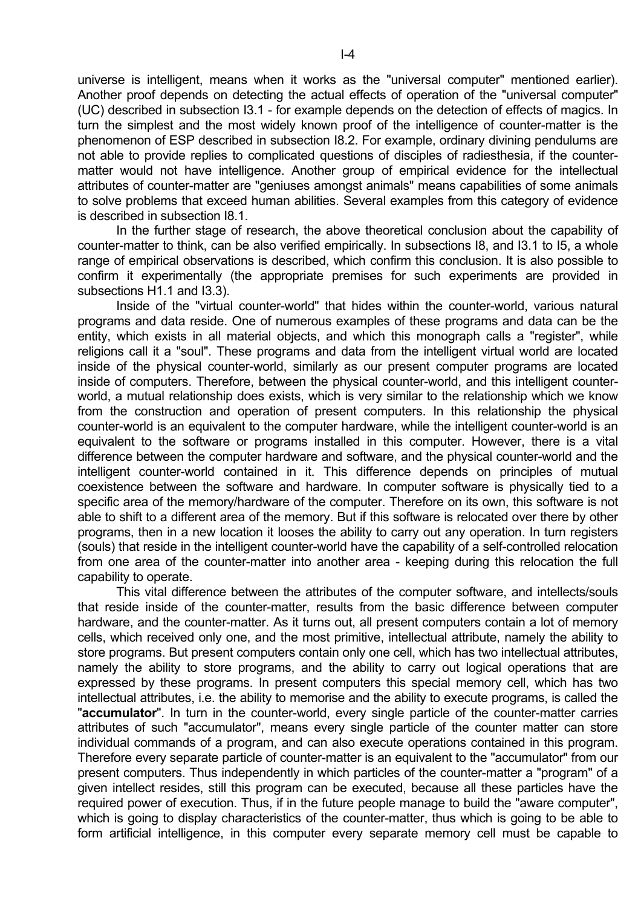universe is intelligent, means when it works as the "universal computer" mentioned earlier). Another proof depends on detecting the actual effects of operation of the "universal computer" (UC) described in subsection I3.1 - for example depends on the detection of effects of magics. In turn the simplest and the most widely known proof of the intelligence of counter-matter is the phenomenon of ESP described in subsection I8.2. For example, ordinary divining pendulums are not able to provide replies to complicated questions of disciples of radiesthesia, if the countermatter would not have intelligence. Another group of empirical evidence for the intellectual attributes of counter-matter are "geniuses amongst animals" means capabilities of some animals to solve problems that exceed human abilities. Several examples from this category of evidence is described in subsection I8.1.

 In the further stage of research, the above theoretical conclusion about the capability of counter-matter to think, can be also verified empirically. In subsections I8, and I3.1 to I5, a whole range of empirical observations is described, which confirm this conclusion. It is also possible to confirm it experimentally (the appropriate premises for such experiments are provided in subsections H1.1 and I3.3).

 Inside of the "virtual counter-world" that hides within the counter-world, various natural programs and data reside. One of numerous examples of these programs and data can be the entity, which exists in all material objects, and which this monograph calls a "register", while religions call it a "soul". These programs and data from the intelligent virtual world are located inside of the physical counter-world, similarly as our present computer programs are located inside of computers. Therefore, between the physical counter-world, and this intelligent counterworld, a mutual relationship does exists, which is very similar to the relationship which we know from the construction and operation of present computers. In this relationship the physical counter-world is an equivalent to the computer hardware, while the intelligent counter-world is an equivalent to the software or programs installed in this computer. However, there is a vital difference between the computer hardware and software, and the physical counter-world and the intelligent counter-world contained in it. This difference depends on principles of mutual coexistence between the software and hardware. In computer software is physically tied to a specific area of the memory/hardware of the computer. Therefore on its own, this software is not able to shift to a different area of the memory. But if this software is relocated over there by other programs, then in a new location it looses the ability to carry out any operation. In turn registers (souls) that reside in the intelligent counter-world have the capability of a self-controlled relocation from one area of the counter-matter into another area - keeping during this relocation the full capability to operate.

 This vital difference between the attributes of the computer software, and intellects/souls that reside inside of the counter-matter, results from the basic difference between computer hardware, and the counter-matter. As it turns out, all present computers contain a lot of memory cells, which received only one, and the most primitive, intellectual attribute, namely the ability to store programs. But present computers contain only one cell, which has two intellectual attributes, namely the ability to store programs, and the ability to carry out logical operations that are expressed by these programs. In present computers this special memory cell, which has two intellectual attributes, i.e. the ability to memorise and the ability to execute programs, is called the "**accumulator**". In turn in the counter-world, every single particle of the counter-matter carries attributes of such "accumulator", means every single particle of the counter matter can store individual commands of a program, and can also execute operations contained in this program. Therefore every separate particle of counter-matter is an equivalent to the "accumulator" from our present computers. Thus independently in which particles of the counter-matter a "program" of a given intellect resides, still this program can be executed, because all these particles have the required power of execution. Thus, if in the future people manage to build the "aware computer", which is going to display characteristics of the counter-matter, thus which is going to be able to form artificial intelligence, in this computer every separate memory cell must be capable to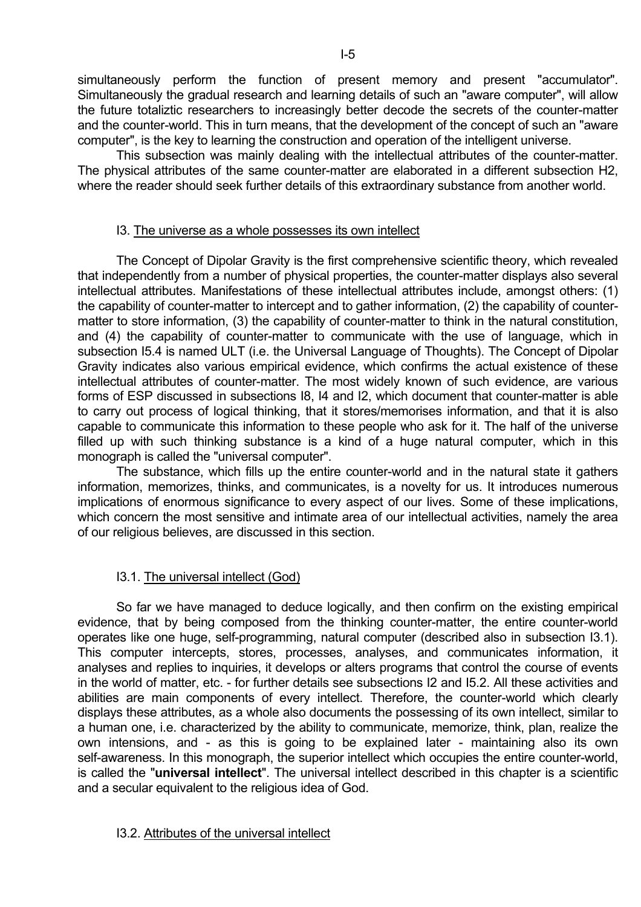simultaneously perform the function of present memory and present "accumulator". Simultaneously the gradual research and learning details of such an "aware computer", will allow the future totaliztic researchers to increasingly better decode the secrets of the counter-matter and the counter-world. This in turn means, that the development of the concept of such an "aware computer", is the key to learning the construction and operation of the intelligent universe.

 This subsection was mainly dealing with the intellectual attributes of the counter-matter. The physical attributes of the same counter-matter are elaborated in a different subsection H2, where the reader should seek further details of this extraordinary substance from another world.

# I3. The universe as a whole possesses its own intellect

 The Concept of Dipolar Gravity is the first comprehensive scientific theory, which revealed that independently from a number of physical properties, the counter-matter displays also several intellectual attributes. Manifestations of these intellectual attributes include, amongst others: (1) the capability of counter-matter to intercept and to gather information, (2) the capability of countermatter to store information, (3) the capability of counter-matter to think in the natural constitution, and (4) the capability of counter-matter to communicate with the use of language, which in subsection I5.4 is named ULT (i.e. the Universal Language of Thoughts). The Concept of Dipolar Gravity indicates also various empirical evidence, which confirms the actual existence of these intellectual attributes of counter-matter. The most widely known of such evidence, are various forms of ESP discussed in subsections I8, I4 and I2, which document that counter-matter is able to carry out process of logical thinking, that it stores/memorises information, and that it is also capable to communicate this information to these people who ask for it. The half of the universe filled up with such thinking substance is a kind of a huge natural computer, which in this monograph is called the "universal computer".

 The substance, which fills up the entire counter-world and in the natural state it gathers information, memorizes, thinks, and communicates, is a novelty for us. It introduces numerous implications of enormous significance to every aspect of our lives. Some of these implications, which concern the most sensitive and intimate area of our intellectual activities, namely the area of our religious believes, are discussed in this section.

# I3.1. The universal intellect (God)

 So far we have managed to deduce logically, and then confirm on the existing empirical evidence, that by being composed from the thinking counter-matter, the entire counter-world operates like one huge, self-programming, natural computer (described also in subsection I3.1). This computer intercepts, stores, processes, analyses, and communicates information, it analyses and replies to inquiries, it develops or alters programs that control the course of events in the world of matter, etc. - for further details see subsections I2 and I5.2. All these activities and abilities are main components of every intellect. Therefore, the counter-world which clearly displays these attributes, as a whole also documents the possessing of its own intellect, similar to a human one, i.e. characterized by the ability to communicate, memorize, think, plan, realize the own intensions, and - as this is going to be explained later - maintaining also its own self-awareness. In this monograph, the superior intellect which occupies the entire counter-world, is called the "**universal intellect**". The universal intellect described in this chapter is a scientific and a secular equivalent to the religious idea of God.

# I3.2. Attributes of the universal intellect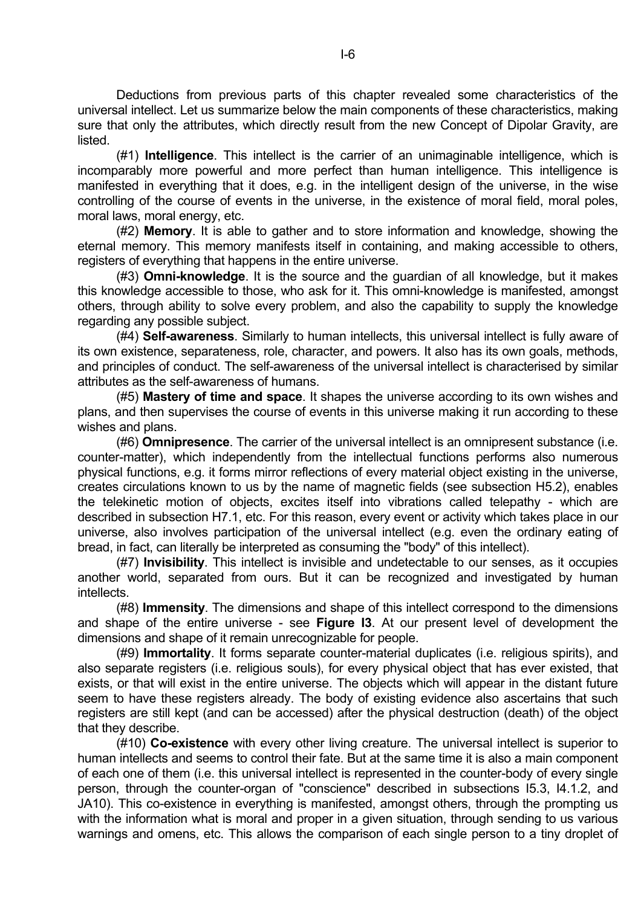Deductions from previous parts of this chapter revealed some characteristics of the universal intellect. Let us summarize below the main components of these characteristics, making sure that only the attributes, which directly result from the new Concept of Dipolar Gravity, are listed.

 (#1) **Intelligence**. This intellect is the carrier of an unimaginable intelligence, which is incomparably more powerful and more perfect than human intelligence. This intelligence is manifested in everything that it does, e.g. in the intelligent design of the universe, in the wise controlling of the course of events in the universe, in the existence of moral field, moral poles, moral laws, moral energy, etc.

 (#2) **Memory**. It is able to gather and to store information and knowledge, showing the eternal memory. This memory manifests itself in containing, and making accessible to others, registers of everything that happens in the entire universe.

 (#3) **Omni-knowledge**. It is the source and the guardian of all knowledge, but it makes this knowledge accessible to those, who ask for it. This omni-knowledge is manifested, amongst others, through ability to solve every problem, and also the capability to supply the knowledge regarding any possible subject.

 (#4) **Self-awareness**. Similarly to human intellects, this universal intellect is fully aware of its own existence, separateness, role, character, and powers. It also has its own goals, methods, and principles of conduct. The self-awareness of the universal intellect is characterised by similar attributes as the self-awareness of humans.

 (#5) **Mastery of time and space**. It shapes the universe according to its own wishes and plans, and then supervises the course of events in this universe making it run according to these wishes and plans.

 (#6) **Omnipresence**. The carrier of the universal intellect is an omnipresent substance (i.e. counter-matter), which independently from the intellectual functions performs also numerous physical functions, e.g. it forms mirror reflections of every material object existing in the universe, creates circulations known to us by the name of magnetic fields (see subsection H5.2), enables the telekinetic motion of objects, excites itself into vibrations called telepathy - which are described in subsection H7.1, etc. For this reason, every event or activity which takes place in our universe, also involves participation of the universal intellect (e.g. even the ordinary eating of bread, in fact, can literally be interpreted as consuming the "body" of this intellect).

 (#7) **Invisibility**. This intellect is invisible and undetectable to our senses, as it occupies another world, separated from ours. But it can be recognized and investigated by human intellects.

 (#8) **Immensity**. The dimensions and shape of this intellect correspond to the dimensions and shape of the entire universe - see **Figure I3**. At our present level of development the dimensions and shape of it remain unrecognizable for people.

 (#9) **Immortality**. It forms separate counter-material duplicates (i.e. religious spirits), and also separate registers (i.e. religious souls), for every physical object that has ever existed, that exists, or that will exist in the entire universe. The objects which will appear in the distant future seem to have these registers already. The body of existing evidence also ascertains that such registers are still kept (and can be accessed) after the physical destruction (death) of the object that they describe.

 (#10) **Co-existence** with every other living creature. The universal intellect is superior to human intellects and seems to control their fate. But at the same time it is also a main component of each one of them (i.e. this universal intellect is represented in the counter-body of every single person, through the counter-organ of "conscience" described in subsections I5.3, I4.1.2, and JA10). This co-existence in everything is manifested, amongst others, through the prompting us with the information what is moral and proper in a given situation, through sending to us various warnings and omens, etc. This allows the comparison of each single person to a tiny droplet of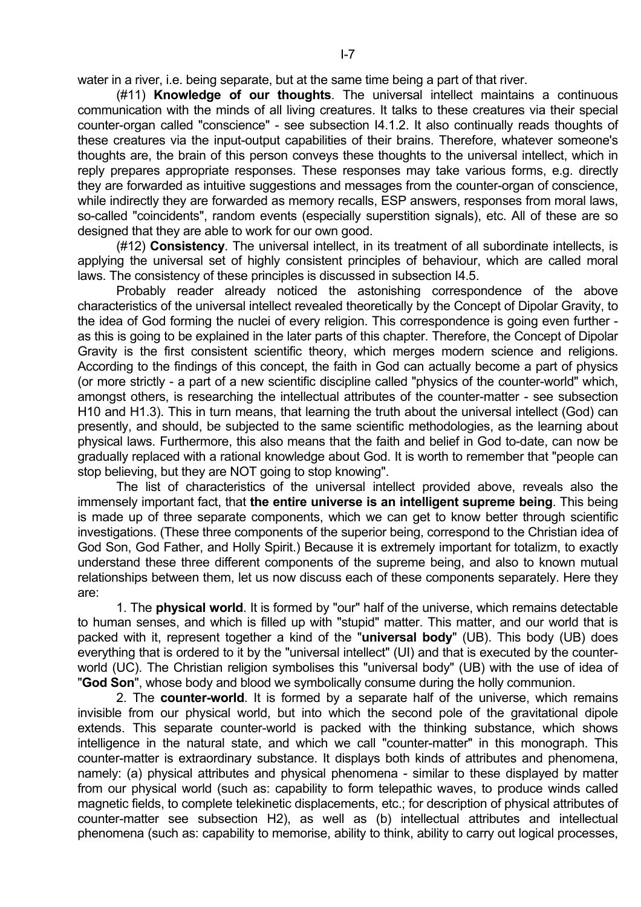water in a river, i.e. being separate, but at the same time being a part of that river.

 (#11) **Knowledge of our thoughts**. The universal intellect maintains a continuous communication with the minds of all living creatures. It talks to these creatures via their special counter-organ called "conscience" - see subsection I4.1.2. It also continually reads thoughts of these creatures via the input-output capabilities of their brains. Therefore, whatever someone's thoughts are, the brain of this person conveys these thoughts to the universal intellect, which in reply prepares appropriate responses. These responses may take various forms, e.g. directly they are forwarded as intuitive suggestions and messages from the counter-organ of conscience, while indirectly they are forwarded as memory recalls, ESP answers, responses from moral laws, so-called "coincidents", random events (especially superstition signals), etc. All of these are so designed that they are able to work for our own good.

 (#12) **Consistency**. The universal intellect, in its treatment of all subordinate intellects, is applying the universal set of highly consistent principles of behaviour, which are called moral laws. The consistency of these principles is discussed in subsection I4.5.

 Probably reader already noticed the astonishing correspondence of the above characteristics of the universal intellect revealed theoretically by the Concept of Dipolar Gravity, to the idea of God forming the nuclei of every religion. This correspondence is going even further as this is going to be explained in the later parts of this chapter. Therefore, the Concept of Dipolar Gravity is the first consistent scientific theory, which merges modern science and religions. According to the findings of this concept, the faith in God can actually become a part of physics (or more strictly - a part of a new scientific discipline called "physics of the counter-world" which, amongst others, is researching the intellectual attributes of the counter-matter - see subsection H10 and H1.3). This in turn means, that learning the truth about the universal intellect (God) can presently, and should, be subjected to the same scientific methodologies, as the learning about physical laws. Furthermore, this also means that the faith and belief in God to-date, can now be gradually replaced with a rational knowledge about God. It is worth to remember that "people can stop believing, but they are NOT going to stop knowing".

 The list of characteristics of the universal intellect provided above, reveals also the immensely important fact, that **the entire universe is an intelligent supreme being**. This being is made up of three separate components, which we can get to know better through scientific investigations. (These three components of the superior being, correspond to the Christian idea of God Son, God Father, and Holly Spirit.) Because it is extremely important for totalizm, to exactly understand these three different components of the supreme being, and also to known mutual relationships between them, let us now discuss each of these components separately. Here they are:

 1. The **physical world**. It is formed by "our" half of the universe, which remains detectable to human senses, and which is filled up with "stupid" matter. This matter, and our world that is packed with it, represent together a kind of the "**universal body**" (UB). This body (UB) does everything that is ordered to it by the "universal intellect" (UI) and that is executed by the counterworld (UC). The Christian religion symbolises this "universal body" (UB) with the use of idea of "**God Son**", whose body and blood we symbolically consume during the holly communion.

 2. The **counter-world**. It is formed by a separate half of the universe, which remains invisible from our physical world, but into which the second pole of the gravitational dipole extends. This separate counter-world is packed with the thinking substance, which shows intelligence in the natural state, and which we call "counter-matter" in this monograph. This counter-matter is extraordinary substance. It displays both kinds of attributes and phenomena, namely: (a) physical attributes and physical phenomena - similar to these displayed by matter from our physical world (such as: capability to form telepathic waves, to produce winds called magnetic fields, to complete telekinetic displacements, etc.; for description of physical attributes of counter-matter see subsection H2), as well as (b) intellectual attributes and intellectual phenomena (such as: capability to memorise, ability to think, ability to carry out logical processes,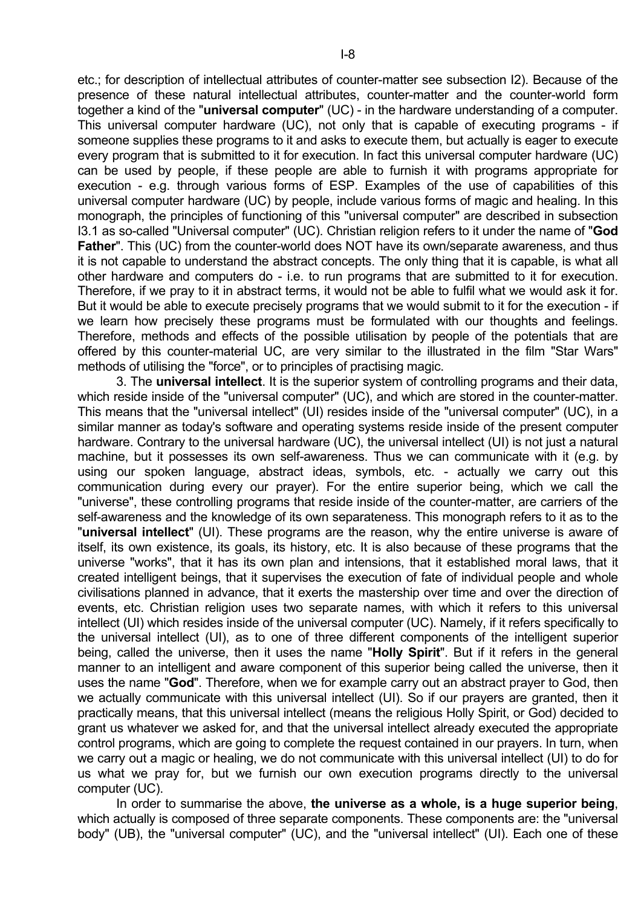etc.; for description of intellectual attributes of counter-matter see subsection I2). Because of the presence of these natural intellectual attributes, counter-matter and the counter-world form together a kind of the "**universal computer**" (UC) - in the hardware understanding of a computer. This universal computer hardware (UC), not only that is capable of executing programs - if someone supplies these programs to it and asks to execute them, but actually is eager to execute every program that is submitted to it for execution. In fact this universal computer hardware (UC) can be used by people, if these people are able to furnish it with programs appropriate for execution - e.g. through various forms of ESP. Examples of the use of capabilities of this universal computer hardware (UC) by people, include various forms of magic and healing. In this monograph, the principles of functioning of this "universal computer" are described in subsection I3.1 as so-called "Universal computer" (UC). Christian religion refers to it under the name of "**God Father**". This (UC) from the counter-world does NOT have its own/separate awareness, and thus it is not capable to understand the abstract concepts. The only thing that it is capable, is what all other hardware and computers do - i.e. to run programs that are submitted to it for execution. Therefore, if we pray to it in abstract terms, it would not be able to fulfil what we would ask it for. But it would be able to execute precisely programs that we would submit to it for the execution - if we learn how precisely these programs must be formulated with our thoughts and feelings. Therefore, methods and effects of the possible utilisation by people of the potentials that are offered by this counter-material UC, are very similar to the illustrated in the film "Star Wars" methods of utilising the "force", or to principles of practising magic.

 3. The **universal intellect**. It is the superior system of controlling programs and their data, which reside inside of the "universal computer" (UC), and which are stored in the counter-matter. This means that the "universal intellect" (UI) resides inside of the "universal computer" (UC), in a similar manner as today's software and operating systems reside inside of the present computer hardware. Contrary to the universal hardware (UC), the universal intellect (UI) is not just a natural machine, but it possesses its own self-awareness. Thus we can communicate with it (e.g. by using our spoken language, abstract ideas, symbols, etc. - actually we carry out this communication during every our prayer). For the entire superior being, which we call the "universe", these controlling programs that reside inside of the counter-matter, are carriers of the self-awareness and the knowledge of its own separateness. This monograph refers to it as to the "**universal intellect**" (UI). These programs are the reason, why the entire universe is aware of itself, its own existence, its goals, its history, etc. It is also because of these programs that the universe "works", that it has its own plan and intensions, that it established moral laws, that it created intelligent beings, that it supervises the execution of fate of individual people and whole civilisations planned in advance, that it exerts the mastership over time and over the direction of events, etc. Christian religion uses two separate names, with which it refers to this universal intellect (UI) which resides inside of the universal computer (UC). Namely, if it refers specifically to the universal intellect (UI), as to one of three different components of the intelligent superior being, called the universe, then it uses the name "**Holly Spirit**". But if it refers in the general manner to an intelligent and aware component of this superior being called the universe, then it uses the name "**God**". Therefore, when we for example carry out an abstract prayer to God, then we actually communicate with this universal intellect (UI). So if our prayers are granted, then it practically means, that this universal intellect (means the religious Holly Spirit, or God) decided to grant us whatever we asked for, and that the universal intellect already executed the appropriate control programs, which are going to complete the request contained in our prayers. In turn, when we carry out a magic or healing, we do not communicate with this universal intellect (UI) to do for us what we pray for, but we furnish our own execution programs directly to the universal computer (UC).

 In order to summarise the above, **the universe as a whole, is a huge superior being**, which actually is composed of three separate components. These components are: the "universal body" (UB), the "universal computer" (UC), and the "universal intellect" (UI). Each one of these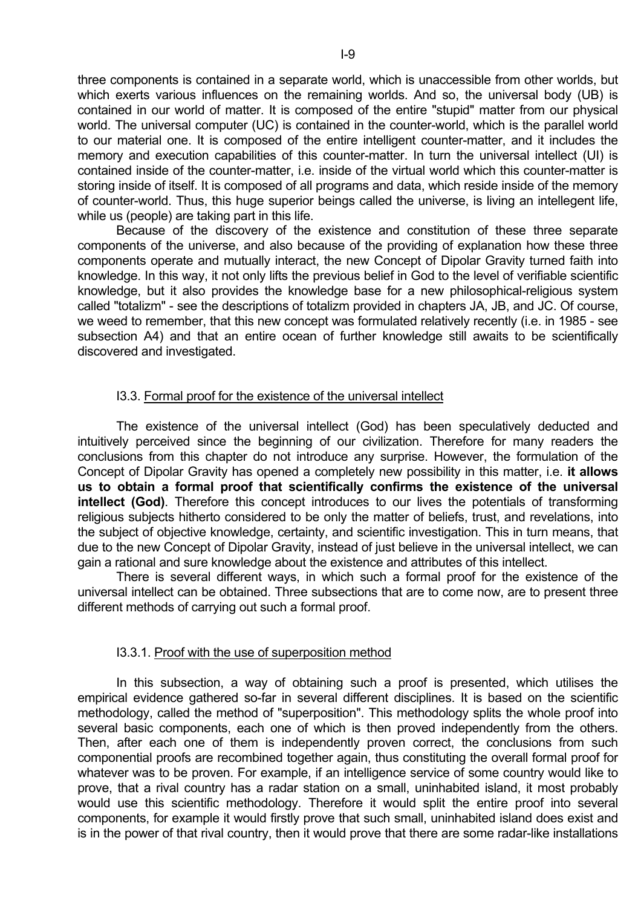three components is contained in a separate world, which is unaccessible from other worlds, but which exerts various influences on the remaining worlds. And so, the universal body (UB) is contained in our world of matter. It is composed of the entire "stupid" matter from our physical world. The universal computer (UC) is contained in the counter-world, which is the parallel world to our material one. It is composed of the entire intelligent counter-matter, and it includes the memory and execution capabilities of this counter-matter. In turn the universal intellect (UI) is contained inside of the counter-matter, i.e. inside of the virtual world which this counter-matter is storing inside of itself. It is composed of all programs and data, which reside inside of the memory of counter-world. Thus, this huge superior beings called the universe, is living an intellegent life, while us (people) are taking part in this life.

 Because of the discovery of the existence and constitution of these three separate components of the universe, and also because of the providing of explanation how these three components operate and mutually interact, the new Concept of Dipolar Gravity turned faith into knowledge. In this way, it not only lifts the previous belief in God to the level of verifiable scientific knowledge, but it also provides the knowledge base for a new philosophical-religious system called "totalizm" - see the descriptions of totalizm provided in chapters JA, JB, and JC. Of course, we weed to remember, that this new concept was formulated relatively recently (i.e. in 1985 - see subsection A4) and that an entire ocean of further knowledge still awaits to be scientifically discovered and investigated.

#### I3.3. Formal proof for the existence of the universal intellect

 The existence of the universal intellect (God) has been speculatively deducted and intuitively perceived since the beginning of our civilization. Therefore for many readers the conclusions from this chapter do not introduce any surprise. However, the formulation of the Concept of Dipolar Gravity has opened a completely new possibility in this matter, i.e. **it allows us to obtain a formal proof that scientifically confirms the existence of the universal intellect (God)**. Therefore this concept introduces to our lives the potentials of transforming religious subjects hitherto considered to be only the matter of beliefs, trust, and revelations, into the subject of objective knowledge, certainty, and scientific investigation. This in turn means, that due to the new Concept of Dipolar Gravity, instead of just believe in the universal intellect, we can gain a rational and sure knowledge about the existence and attributes of this intellect.

 There is several different ways, in which such a formal proof for the existence of the universal intellect can be obtained. Three subsections that are to come now, are to present three different methods of carrying out such a formal proof.

#### I3.3.1. Proof with the use of superposition method

 In this subsection, a way of obtaining such a proof is presented, which utilises the empirical evidence gathered so-far in several different disciplines. It is based on the scientific methodology, called the method of "superposition". This methodology splits the whole proof into several basic components, each one of which is then proved independently from the others. Then, after each one of them is independently proven correct, the conclusions from such componential proofs are recombined together again, thus constituting the overall formal proof for whatever was to be proven. For example, if an intelligence service of some country would like to prove, that a rival country has a radar station on a small, uninhabited island, it most probably would use this scientific methodology. Therefore it would split the entire proof into several components, for example it would firstly prove that such small, uninhabited island does exist and is in the power of that rival country, then it would prove that there are some radar-like installations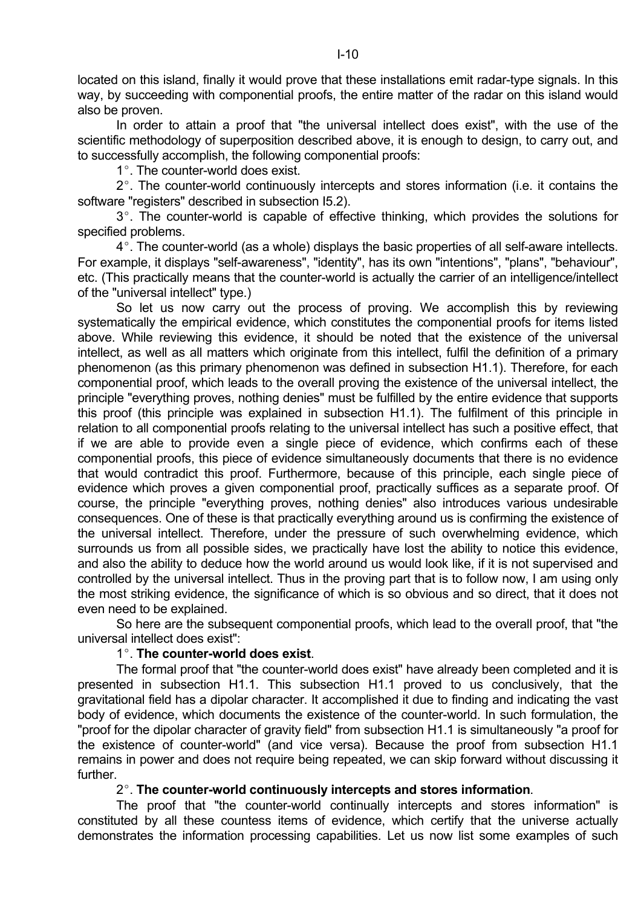located on this island, finally it would prove that these installations emit radar-type signals. In this way, by succeeding with componential proofs, the entire matter of the radar on this island would also be proven.

 In order to attain a proof that "the universal intellect does exist", with the use of the scientific methodology of superposition described above, it is enough to design, to carry out, and to successfully accomplish, the following componential proofs:

 $1^\circ$ . The counter-world does exist.

 $2^{\circ}$ . The counter-world continuously intercepts and stores information (i.e. it contains the software "registers" described in subsection I5.2).

 $3^{\circ}$ . The counter-world is capable of effective thinking, which provides the solutions for specified problems.

 $4^{\circ}$ . The counter-world (as a whole) displays the basic properties of all self-aware intellects. For example, it displays "self-awareness", "identity", has its own "intentions", "plans", "behaviour", etc. (This practically means that the counter-world is actually the carrier of an intelligence/intellect of the "universal intellect" type.)

 So let us now carry out the process of proving. We accomplish this by reviewing systematically the empirical evidence, which constitutes the componential proofs for items listed above. While reviewing this evidence, it should be noted that the existence of the universal intellect, as well as all matters which originate from this intellect, fulfil the definition of a primary phenomenon (as this primary phenomenon was defined in subsection H1.1). Therefore, for each componential proof, which leads to the overall proving the existence of the universal intellect, the principle "everything proves, nothing denies" must be fulfilled by the entire evidence that supports this proof (this principle was explained in subsection H1.1). The fulfilment of this principle in relation to all componential proofs relating to the universal intellect has such a positive effect, that if we are able to provide even a single piece of evidence, which confirms each of these componential proofs, this piece of evidence simultaneously documents that there is no evidence that would contradict this proof. Furthermore, because of this principle, each single piece of evidence which proves a given componential proof, practically suffices as a separate proof. Of course, the principle "everything proves, nothing denies" also introduces various undesirable consequences. One of these is that practically everything around us is confirming the existence of the universal intellect. Therefore, under the pressure of such overwhelming evidence, which surrounds us from all possible sides, we practically have lost the ability to notice this evidence, and also the ability to deduce how the world around us would look like, if it is not supervised and controlled by the universal intellect. Thus in the proving part that is to follow now, I am using only the most striking evidence, the significance of which is so obvious and so direct, that it does not even need to be explained.

 So here are the subsequent componential proofs, which lead to the overall proof, that "the universal intellect does exist":

### 1E. **The counter-world does exist**.

 The formal proof that "the counter-world does exist" have already been completed and it is presented in subsection H1.1. This subsection H1.1 proved to us conclusively, that the gravitational field has a dipolar character. It accomplished it due to finding and indicating the vast body of evidence, which documents the existence of the counter-world. In such formulation, the "proof for the dipolar character of gravity field" from subsection H1.1 is simultaneously "a proof for the existence of counter-world" (and vice versa). Because the proof from subsection H1.1 remains in power and does not require being repeated, we can skip forward without discussing it further.

#### 2E. **The counter-world continuously intercepts and stores information**.

 The proof that "the counter-world continually intercepts and stores information" is constituted by all these countess items of evidence, which certify that the universe actually demonstrates the information processing capabilities. Let us now list some examples of such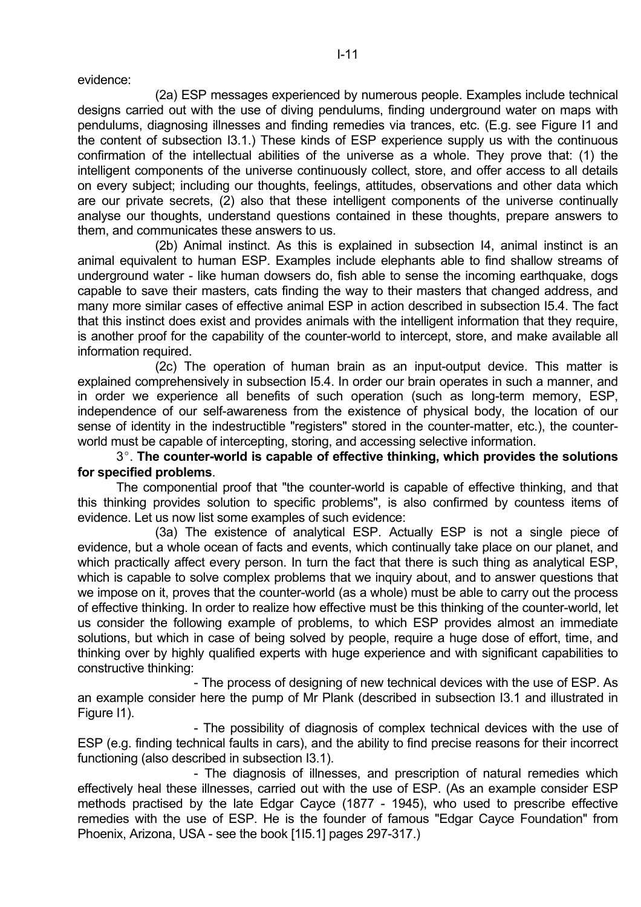evidence:

 (2a) ESP messages experienced by numerous people. Examples include technical designs carried out with the use of diving pendulums, finding underground water on maps with pendulums, diagnosing illnesses and finding remedies via trances, etc. (E.g. see Figure I1 and the content of subsection I3.1.) These kinds of ESP experience supply us with the continuous confirmation of the intellectual abilities of the universe as a whole. They prove that: (1) the intelligent components of the universe continuously collect, store, and offer access to all details on every subject; including our thoughts, feelings, attitudes, observations and other data which are our private secrets, (2) also that these intelligent components of the universe continually analyse our thoughts, understand questions contained in these thoughts, prepare answers to them, and communicates these answers to us.

 (2b) Animal instinct. As this is explained in subsection I4, animal instinct is an animal equivalent to human ESP. Examples include elephants able to find shallow streams of underground water - like human dowsers do, fish able to sense the incoming earthquake, dogs capable to save their masters, cats finding the way to their masters that changed address, and many more similar cases of effective animal ESP in action described in subsection I5.4. The fact that this instinct does exist and provides animals with the intelligent information that they require, is another proof for the capability of the counter-world to intercept, store, and make available all information required.

 (2c) The operation of human brain as an input-output device. This matter is explained comprehensively in subsection I5.4. In order our brain operates in such a manner, and in order we experience all benefits of such operation (such as long-term memory, ESP, independence of our self-awareness from the existence of physical body, the location of our sense of identity in the indestructible "registers" stored in the counter-matter, etc.), the counterworld must be capable of intercepting, storing, and accessing selective information.

 3E. **The counter-world is capable of effective thinking, which provides the solutions for specified problems**.

 The componential proof that "the counter-world is capable of effective thinking, and that this thinking provides solution to specific problems", is also confirmed by countess items of evidence. Let us now list some examples of such evidence:

 (3a) The existence of analytical ESP. Actually ESP is not a single piece of evidence, but a whole ocean of facts and events, which continually take place on our planet, and which practically affect every person. In turn the fact that there is such thing as analytical ESP, which is capable to solve complex problems that we inquiry about, and to answer questions that we impose on it, proves that the counter-world (as a whole) must be able to carry out the process of effective thinking. In order to realize how effective must be this thinking of the counter-world, let us consider the following example of problems, to which ESP provides almost an immediate solutions, but which in case of being solved by people, require a huge dose of effort, time, and thinking over by highly qualified experts with huge experience and with significant capabilities to constructive thinking:

 - The process of designing of new technical devices with the use of ESP. As an example consider here the pump of Mr Plank (described in subsection I3.1 and illustrated in Figure I1).

 - The possibility of diagnosis of complex technical devices with the use of ESP (e.g. finding technical faults in cars), and the ability to find precise reasons for their incorrect functioning (also described in subsection I3.1).

 - The diagnosis of illnesses, and prescription of natural remedies which effectively heal these illnesses, carried out with the use of ESP. (As an example consider ESP methods practised by the late Edgar Cayce (1877 - 1945), who used to prescribe effective remedies with the use of ESP. He is the founder of famous "Edgar Cayce Foundation" from Phoenix, Arizona, USA - see the book [1I5.1] pages 297-317.)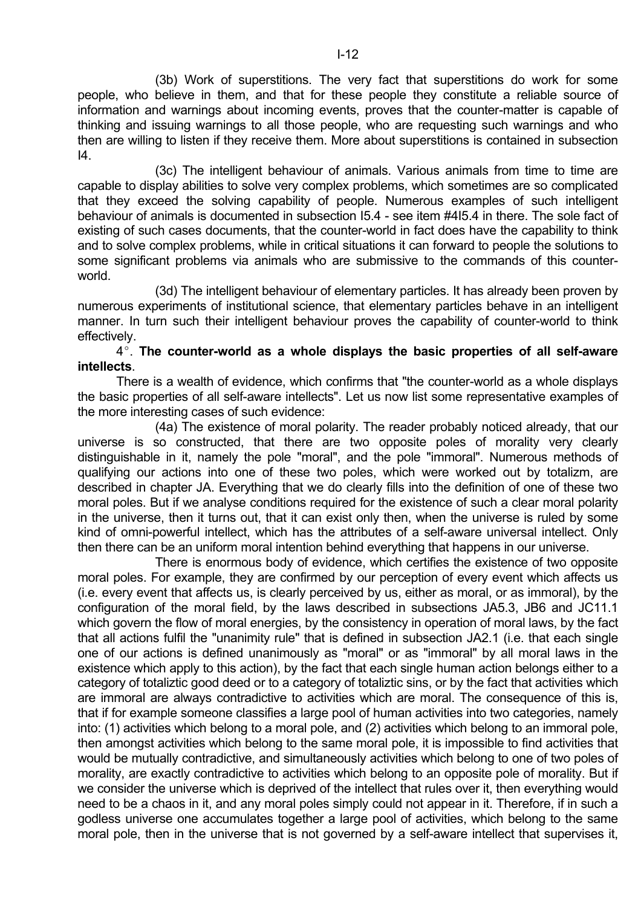(3b) Work of superstitions. The very fact that superstitions do work for some people, who believe in them, and that for these people they constitute a reliable source of information and warnings about incoming events, proves that the counter-matter is capable of thinking and issuing warnings to all those people, who are requesting such warnings and who then are willing to listen if they receive them. More about superstitions is contained in subsection I4.

 (3c) The intelligent behaviour of animals. Various animals from time to time are capable to display abilities to solve very complex problems, which sometimes are so complicated that they exceed the solving capability of people. Numerous examples of such intelligent behaviour of animals is documented in subsection I5.4 - see item #4I5.4 in there. The sole fact of existing of such cases documents, that the counter-world in fact does have the capability to think and to solve complex problems, while in critical situations it can forward to people the solutions to some significant problems via animals who are submissive to the commands of this counterworld.

 (3d) The intelligent behaviour of elementary particles. It has already been proven by numerous experiments of institutional science, that elementary particles behave in an intelligent manner. In turn such their intelligent behaviour proves the capability of counter-world to think effectively.

# 4E. **The counter-world as a whole displays the basic properties of all self-aware intellects**.

 There is a wealth of evidence, which confirms that "the counter-world as a whole displays the basic properties of all self-aware intellects". Let us now list some representative examples of the more interesting cases of such evidence:

 (4a) The existence of moral polarity. The reader probably noticed already, that our universe is so constructed, that there are two opposite poles of morality very clearly distinguishable in it, namely the pole "moral", and the pole "immoral". Numerous methods of qualifying our actions into one of these two poles, which were worked out by totalizm, are described in chapter JA. Everything that we do clearly fills into the definition of one of these two moral poles. But if we analyse conditions required for the existence of such a clear moral polarity in the universe, then it turns out, that it can exist only then, when the universe is ruled by some kind of omni-powerful intellect, which has the attributes of a self-aware universal intellect. Only then there can be an uniform moral intention behind everything that happens in our universe.

 There is enormous body of evidence, which certifies the existence of two opposite moral poles. For example, they are confirmed by our perception of every event which affects us (i.e. every event that affects us, is clearly perceived by us, either as moral, or as immoral), by the configuration of the moral field, by the laws described in subsections JA5.3, JB6 and JC11.1 which govern the flow of moral energies, by the consistency in operation of moral laws, by the fact that all actions fulfil the "unanimity rule" that is defined in subsection JA2.1 (i.e. that each single one of our actions is defined unanimously as "moral" or as "immoral" by all moral laws in the existence which apply to this action), by the fact that each single human action belongs either to a category of totaliztic good deed or to a category of totaliztic sins, or by the fact that activities which are immoral are always contradictive to activities which are moral. The consequence of this is, that if for example someone classifies a large pool of human activities into two categories, namely into: (1) activities which belong to a moral pole, and (2) activities which belong to an immoral pole, then amongst activities which belong to the same moral pole, it is impossible to find activities that would be mutually contradictive, and simultaneously activities which belong to one of two poles of morality, are exactly contradictive to activities which belong to an opposite pole of morality. But if we consider the universe which is deprived of the intellect that rules over it, then everything would need to be a chaos in it, and any moral poles simply could not appear in it. Therefore, if in such a godless universe one accumulates together a large pool of activities, which belong to the same moral pole, then in the universe that is not governed by a self-aware intellect that supervises it,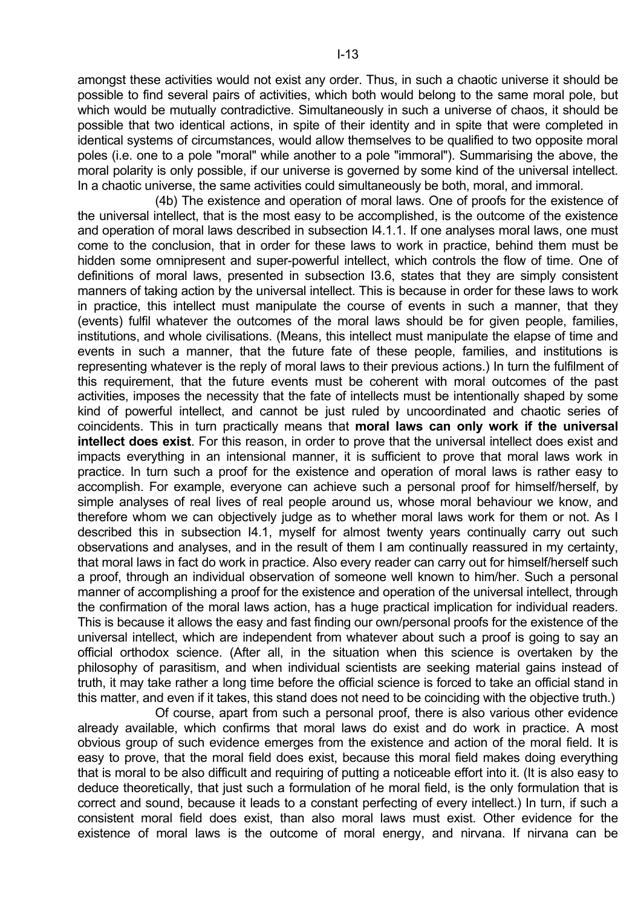amongst these activities would not exist any order. Thus, in such a chaotic universe it should be possible to find several pairs of activities, which both would belong to the same moral pole, but which would be mutually contradictive. Simultaneously in such a universe of chaos, it should be possible that two identical actions, in spite of their identity and in spite that were completed in identical systems of circumstances, would allow themselves to be qualified to two opposite moral poles (i.e. one to a pole "moral" while another to a pole "immoral"). Summarising the above, the moral polarity is only possible, if our universe is governed by some kind of the universal intellect. In a chaotic universe, the same activities could simultaneously be both, moral, and immoral.

 (4b) The existence and operation of moral laws. One of proofs for the existence of the universal intellect, that is the most easy to be accomplished, is the outcome of the existence and operation of moral laws described in subsection I4.1.1. If one analyses moral laws, one must come to the conclusion, that in order for these laws to work in practice, behind them must be hidden some omnipresent and super-powerful intellect, which controls the flow of time. One of definitions of moral laws, presented in subsection I3.6, states that they are simply consistent manners of taking action by the universal intellect. This is because in order for these laws to work in practice, this intellect must manipulate the course of events in such a manner, that they (events) fulfil whatever the outcomes of the moral laws should be for given people, families, institutions, and whole civilisations. (Means, this intellect must manipulate the elapse of time and events in such a manner, that the future fate of these people, families, and institutions is representing whatever is the reply of moral laws to their previous actions.) In turn the fulfilment of this requirement, that the future events must be coherent with moral outcomes of the past activities, imposes the necessity that the fate of intellects must be intentionally shaped by some kind of powerful intellect, and cannot be just ruled by uncoordinated and chaotic series of coincidents. This in turn practically means that **moral laws can only work if the universal intellect does exist**. For this reason, in order to prove that the universal intellect does exist and impacts everything in an intensional manner, it is sufficient to prove that moral laws work in practice. In turn such a proof for the existence and operation of moral laws is rather easy to accomplish. For example, everyone can achieve such a personal proof for himself/herself, by simple analyses of real lives of real people around us, whose moral behaviour we know, and therefore whom we can objectively judge as to whether moral laws work for them or not. As I described this in subsection I4.1, myself for almost twenty years continually carry out such observations and analyses, and in the result of them I am continually reassured in my certainty, that moral laws in fact do work in practice. Also every reader can carry out for himself/herself such a proof, through an individual observation of someone well known to him/her. Such a personal manner of accomplishing a proof for the existence and operation of the universal intellect, through the confirmation of the moral laws action, has a huge practical implication for individual readers. This is because it allows the easy and fast finding our own/personal proofs for the existence of the universal intellect, which are independent from whatever about such a proof is going to say an official orthodox science. (After all, in the situation when this science is overtaken by the philosophy of parasitism, and when individual scientists are seeking material gains instead of truth, it may take rather a long time before the official science is forced to take an official stand in this matter, and even if it takes, this stand does not need to be coinciding with the objective truth.)

 Of course, apart from such a personal proof, there is also various other evidence already available, which confirms that moral laws do exist and do work in practice. A most obvious group of such evidence emerges from the existence and action of the moral field. It is easy to prove, that the moral field does exist, because this moral field makes doing everything that is moral to be also difficult and requiring of putting a noticeable effort into it. (It is also easy to deduce theoretically, that just such a formulation of he moral field, is the only formulation that is correct and sound, because it leads to a constant perfecting of every intellect.) In turn, if such a consistent moral field does exist, than also moral laws must exist. Other evidence for the existence of moral laws is the outcome of moral energy, and nirvana. If nirvana can be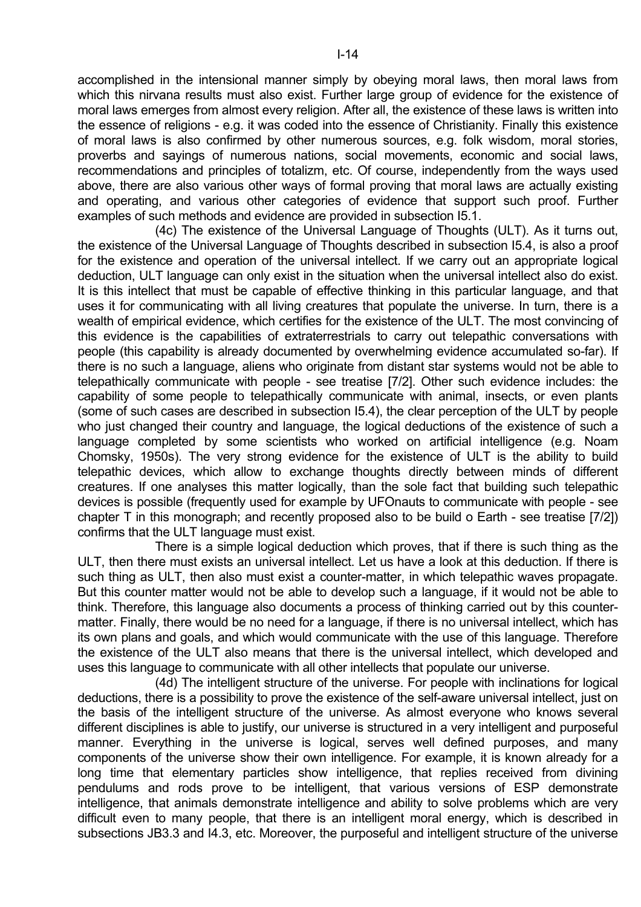accomplished in the intensional manner simply by obeying moral laws, then moral laws from which this nirvana results must also exist. Further large group of evidence for the existence of moral laws emerges from almost every religion. After all, the existence of these laws is written into the essence of religions - e.g. it was coded into the essence of Christianity. Finally this existence of moral laws is also confirmed by other numerous sources, e.g. folk wisdom, moral stories, proverbs and sayings of numerous nations, social movements, economic and social laws, recommendations and principles of totalizm, etc. Of course, independently from the ways used above, there are also various other ways of formal proving that moral laws are actually existing and operating, and various other categories of evidence that support such proof. Further examples of such methods and evidence are provided in subsection I5.1.

 (4c) The existence of the Universal Language of Thoughts (ULT). As it turns out, the existence of the Universal Language of Thoughts described in subsection I5.4, is also a proof for the existence and operation of the universal intellect. If we carry out an appropriate logical deduction, ULT language can only exist in the situation when the universal intellect also do exist. It is this intellect that must be capable of effective thinking in this particular language, and that uses it for communicating with all living creatures that populate the universe. In turn, there is a wealth of empirical evidence, which certifies for the existence of the ULT. The most convincing of this evidence is the capabilities of extraterrestrials to carry out telepathic conversations with people (this capability is already documented by overwhelming evidence accumulated so-far). If there is no such a language, aliens who originate from distant star systems would not be able to telepathically communicate with people - see treatise [7/2]. Other such evidence includes: the capability of some people to telepathically communicate with animal, insects, or even plants (some of such cases are described in subsection I5.4), the clear perception of the ULT by people who just changed their country and language, the logical deductions of the existence of such a language completed by some scientists who worked on artificial intelligence (e.g. Noam Chomsky, 1950s). The very strong evidence for the existence of ULT is the ability to build telepathic devices, which allow to exchange thoughts directly between minds of different creatures. If one analyses this matter logically, than the sole fact that building such telepathic devices is possible (frequently used for example by UFOnauts to communicate with people - see chapter T in this monograph; and recently proposed also to be build o Earth - see treatise [7/2]) confirms that the ULT language must exist.

 There is a simple logical deduction which proves, that if there is such thing as the ULT, then there must exists an universal intellect. Let us have a look at this deduction. If there is such thing as ULT, then also must exist a counter-matter, in which telepathic waves propagate. But this counter matter would not be able to develop such a language, if it would not be able to think. Therefore, this language also documents a process of thinking carried out by this countermatter. Finally, there would be no need for a language, if there is no universal intellect, which has its own plans and goals, and which would communicate with the use of this language. Therefore the existence of the ULT also means that there is the universal intellect, which developed and uses this language to communicate with all other intellects that populate our universe.

 (4d) The intelligent structure of the universe. For people with inclinations for logical deductions, there is a possibility to prove the existence of the self-aware universal intellect, just on the basis of the intelligent structure of the universe. As almost everyone who knows several different disciplines is able to justify, our universe is structured in a very intelligent and purposeful manner. Everything in the universe is logical, serves well defined purposes, and many components of the universe show their own intelligence. For example, it is known already for a long time that elementary particles show intelligence, that replies received from divining pendulums and rods prove to be intelligent, that various versions of ESP demonstrate intelligence, that animals demonstrate intelligence and ability to solve problems which are very difficult even to many people, that there is an intelligent moral energy, which is described in subsections JB3.3 and I4.3, etc. Moreover, the purposeful and intelligent structure of the universe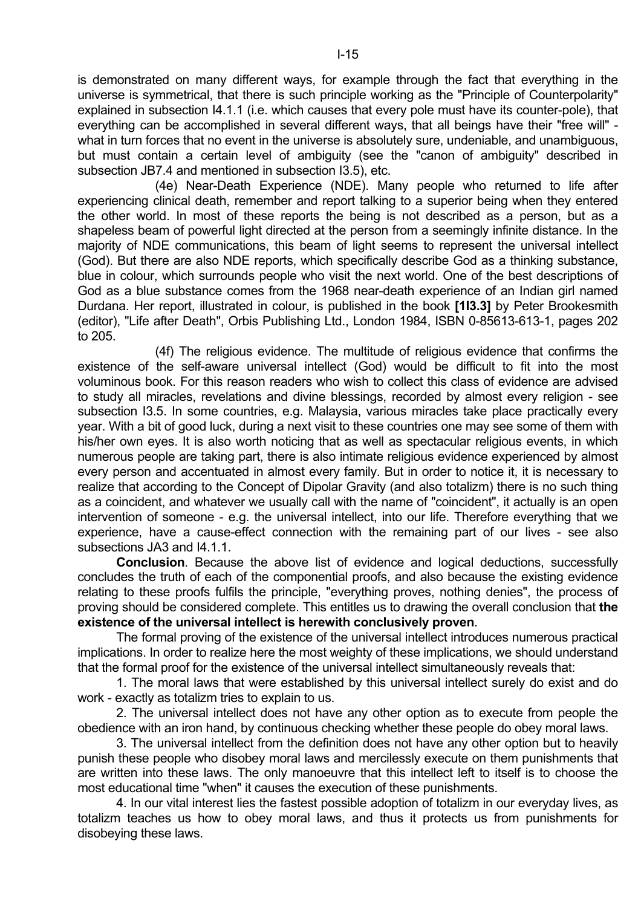is demonstrated on many different ways, for example through the fact that everything in the universe is symmetrical, that there is such principle working as the "Principle of Counterpolarity" explained in subsection I4.1.1 (i.e. which causes that every pole must have its counter-pole), that everything can be accomplished in several different ways, that all beings have their "free will" what in turn forces that no event in the universe is absolutely sure, undeniable, and unambiguous, but must contain a certain level of ambiguity (see the "canon of ambiguity" described in subsection JB7.4 and mentioned in subsection I3.5), etc.

 (4e) Near-Death Experience (NDE). Many people who returned to life after experiencing clinical death, remember and report talking to a superior being when they entered the other world. In most of these reports the being is not described as a person, but as a shapeless beam of powerful light directed at the person from a seemingly infinite distance. In the majority of NDE communications, this beam of light seems to represent the universal intellect (God). But there are also NDE reports, which specifically describe God as a thinking substance, blue in colour, which surrounds people who visit the next world. One of the best descriptions of God as a blue substance comes from the 1968 near-death experience of an Indian girl named Durdana. Her report, illustrated in colour, is published in the book **[1I3.3]** by Peter Brookesmith (editor), "Life after Death", Orbis Publishing Ltd., London 1984, ISBN 0-85613-613-1, pages 202 to 205.

 (4f) The religious evidence. The multitude of religious evidence that confirms the existence of the self-aware universal intellect (God) would be difficult to fit into the most voluminous book. For this reason readers who wish to collect this class of evidence are advised to study all miracles, revelations and divine blessings, recorded by almost every religion - see subsection I3.5. In some countries, e.g. Malaysia, various miracles take place practically every year. With a bit of good luck, during a next visit to these countries one may see some of them with his/her own eyes. It is also worth noticing that as well as spectacular religious events, in which numerous people are taking part, there is also intimate religious evidence experienced by almost every person and accentuated in almost every family. But in order to notice it, it is necessary to realize that according to the Concept of Dipolar Gravity (and also totalizm) there is no such thing as a coincident, and whatever we usually call with the name of "coincident", it actually is an open intervention of someone - e.g. the universal intellect, into our life. Therefore everything that we experience, have a cause-effect connection with the remaining part of our lives - see also subsections JA3 and I4.1.1.

 **Conclusion**. Because the above list of evidence and logical deductions, successfully concludes the truth of each of the componential proofs, and also because the existing evidence relating to these proofs fulfils the principle, "everything proves, nothing denies", the process of proving should be considered complete. This entitles us to drawing the overall conclusion that **the existence of the universal intellect is herewith conclusively proven**.

 The formal proving of the existence of the universal intellect introduces numerous practical implications. In order to realize here the most weighty of these implications, we should understand that the formal proof for the existence of the universal intellect simultaneously reveals that:

 1. The moral laws that were established by this universal intellect surely do exist and do work - exactly as totalizm tries to explain to us.

 2. The universal intellect does not have any other option as to execute from people the obedience with an iron hand, by continuous checking whether these people do obey moral laws.

 3. The universal intellect from the definition does not have any other option but to heavily punish these people who disobey moral laws and mercilessly execute on them punishments that are written into these laws. The only manoeuvre that this intellect left to itself is to choose the most educational time "when" it causes the execution of these punishments.

 4. In our vital interest lies the fastest possible adoption of totalizm in our everyday lives, as totalizm teaches us how to obey moral laws, and thus it protects us from punishments for disobeying these laws.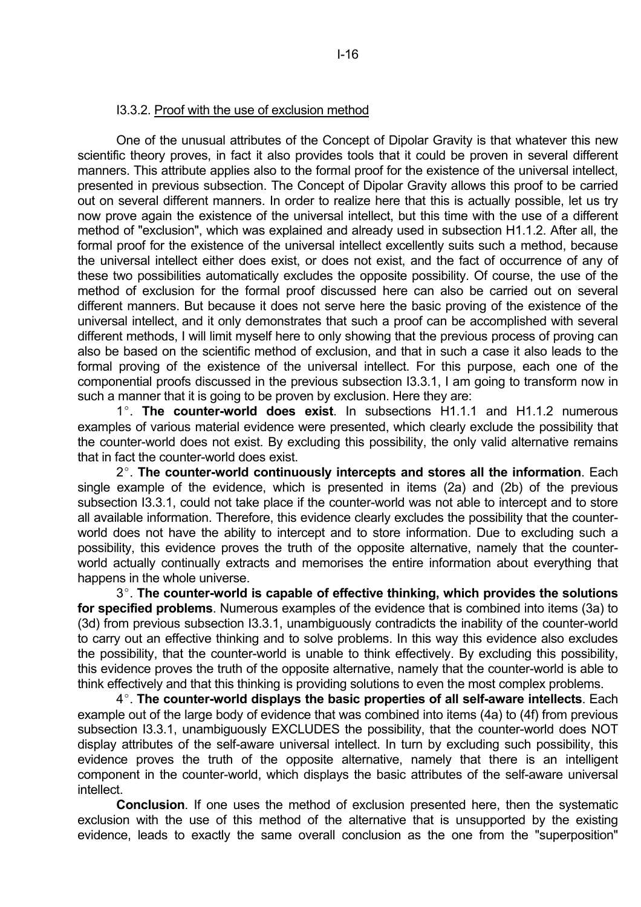#### I3.3.2. Proof with the use of exclusion method

 One of the unusual attributes of the Concept of Dipolar Gravity is that whatever this new scientific theory proves, in fact it also provides tools that it could be proven in several different manners. This attribute applies also to the formal proof for the existence of the universal intellect, presented in previous subsection. The Concept of Dipolar Gravity allows this proof to be carried out on several different manners. In order to realize here that this is actually possible, let us try now prove again the existence of the universal intellect, but this time with the use of a different method of "exclusion", which was explained and already used in subsection H1.1.2. After all, the formal proof for the existence of the universal intellect excellently suits such a method, because the universal intellect either does exist, or does not exist, and the fact of occurrence of any of these two possibilities automatically excludes the opposite possibility. Of course, the use of the method of exclusion for the formal proof discussed here can also be carried out on several different manners. But because it does not serve here the basic proving of the existence of the universal intellect, and it only demonstrates that such a proof can be accomplished with several different methods, I will limit myself here to only showing that the previous process of proving can also be based on the scientific method of exclusion, and that in such a case it also leads to the formal proving of the existence of the universal intellect. For this purpose, each one of the componential proofs discussed in the previous subsection I3.3.1, I am going to transform now in such a manner that it is going to be proven by exclusion. Here they are:

1<sup>o</sup>. **The counter-world does exist**. In subsections H1.1.1 and H1.1.2 numerous examples of various material evidence were presented, which clearly exclude the possibility that the counter-world does not exist. By excluding this possibility, the only valid alternative remains that in fact the counter-world does exist.

2°. The counter-world continuously intercepts and stores all the information. Each single example of the evidence, which is presented in items (2a) and (2b) of the previous subsection I3.3.1, could not take place if the counter-world was not able to intercept and to store all available information. Therefore, this evidence clearly excludes the possibility that the counterworld does not have the ability to intercept and to store information. Due to excluding such a possibility, this evidence proves the truth of the opposite alternative, namely that the counterworld actually continually extracts and memorises the entire information about everything that happens in the whole universe.

3<sup>o</sup>. The counter-world is capable of effective thinking, which provides the solutions **for specified problems**. Numerous examples of the evidence that is combined into items (3a) to (3d) from previous subsection I3.3.1, unambiguously contradicts the inability of the counter-world to carry out an effective thinking and to solve problems. In this way this evidence also excludes the possibility, that the counter-world is unable to think effectively. By excluding this possibility, this evidence proves the truth of the opposite alternative, namely that the counter-world is able to think effectively and that this thinking is providing solutions to even the most complex problems.

 4E. **The counter-world displays the basic properties of all self-aware intellects**. Each example out of the large body of evidence that was combined into items (4a) to (4f) from previous subsection I3.3.1, unambiguously EXCLUDES the possibility, that the counter-world does NOT display attributes of the self-aware universal intellect. In turn by excluding such possibility, this evidence proves the truth of the opposite alternative, namely that there is an intelligent component in the counter-world, which displays the basic attributes of the self-aware universal intellect.

 **Conclusion**. If one uses the method of exclusion presented here, then the systematic exclusion with the use of this method of the alternative that is unsupported by the existing evidence, leads to exactly the same overall conclusion as the one from the "superposition"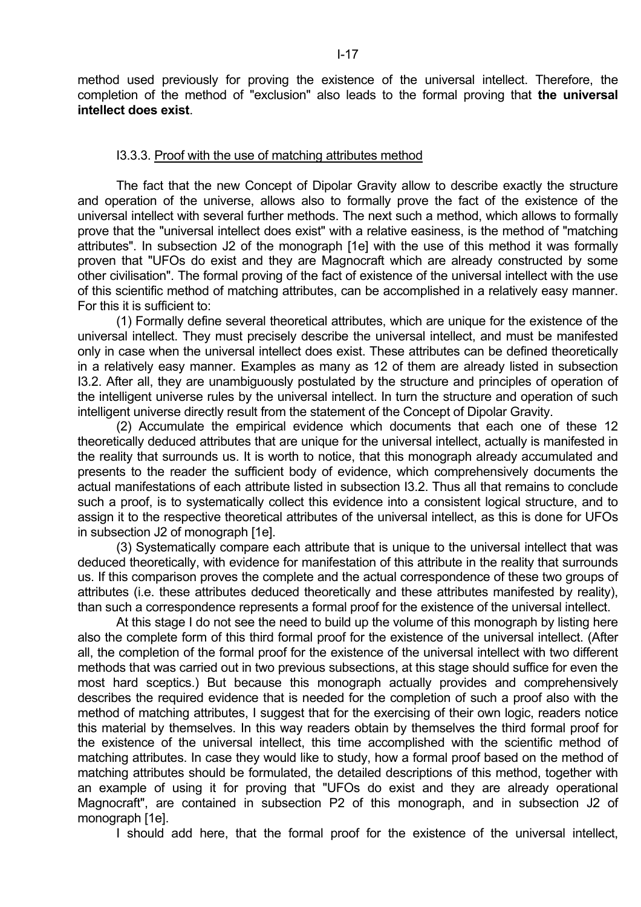method used previously for proving the existence of the universal intellect. Therefore, the completion of the method of "exclusion" also leads to the formal proving that **the universal intellect does exist**.

#### I3.3.3. Proof with the use of matching attributes method

 The fact that the new Concept of Dipolar Gravity allow to describe exactly the structure and operation of the universe, allows also to formally prove the fact of the existence of the universal intellect with several further methods. The next such a method, which allows to formally prove that the "universal intellect does exist" with a relative easiness, is the method of "matching attributes". In subsection J2 of the monograph [1e] with the use of this method it was formally proven that "UFOs do exist and they are Magnocraft which are already constructed by some other civilisation". The formal proving of the fact of existence of the universal intellect with the use of this scientific method of matching attributes, can be accomplished in a relatively easy manner. For this it is sufficient to:

 (1) Formally define several theoretical attributes, which are unique for the existence of the universal intellect. They must precisely describe the universal intellect, and must be manifested only in case when the universal intellect does exist. These attributes can be defined theoretically in a relatively easy manner. Examples as many as 12 of them are already listed in subsection I3.2. After all, they are unambiguously postulated by the structure and principles of operation of the intelligent universe rules by the universal intellect. In turn the structure and operation of such intelligent universe directly result from the statement of the Concept of Dipolar Gravity.

 (2) Accumulate the empirical evidence which documents that each one of these 12 theoretically deduced attributes that are unique for the universal intellect, actually is manifested in the reality that surrounds us. It is worth to notice, that this monograph already accumulated and presents to the reader the sufficient body of evidence, which comprehensively documents the actual manifestations of each attribute listed in subsection I3.2. Thus all that remains to conclude such a proof, is to systematically collect this evidence into a consistent logical structure, and to assign it to the respective theoretical attributes of the universal intellect, as this is done for UFOs in subsection J2 of monograph [1e].

 (3) Systematically compare each attribute that is unique to the universal intellect that was deduced theoretically, with evidence for manifestation of this attribute in the reality that surrounds us. If this comparison proves the complete and the actual correspondence of these two groups of attributes (i.e. these attributes deduced theoretically and these attributes manifested by reality), than such a correspondence represents a formal proof for the existence of the universal intellect.

 At this stage I do not see the need to build up the volume of this monograph by listing here also the complete form of this third formal proof for the existence of the universal intellect. (After all, the completion of the formal proof for the existence of the universal intellect with two different methods that was carried out in two previous subsections, at this stage should suffice for even the most hard sceptics.) But because this monograph actually provides and comprehensively describes the required evidence that is needed for the completion of such a proof also with the method of matching attributes, I suggest that for the exercising of their own logic, readers notice this material by themselves. In this way readers obtain by themselves the third formal proof for the existence of the universal intellect, this time accomplished with the scientific method of matching attributes. In case they would like to study, how a formal proof based on the method of matching attributes should be formulated, the detailed descriptions of this method, together with an example of using it for proving that "UFOs do exist and they are already operational Magnocraft", are contained in subsection P2 of this monograph, and in subsection J2 of monograph [1e].

I should add here, that the formal proof for the existence of the universal intellect,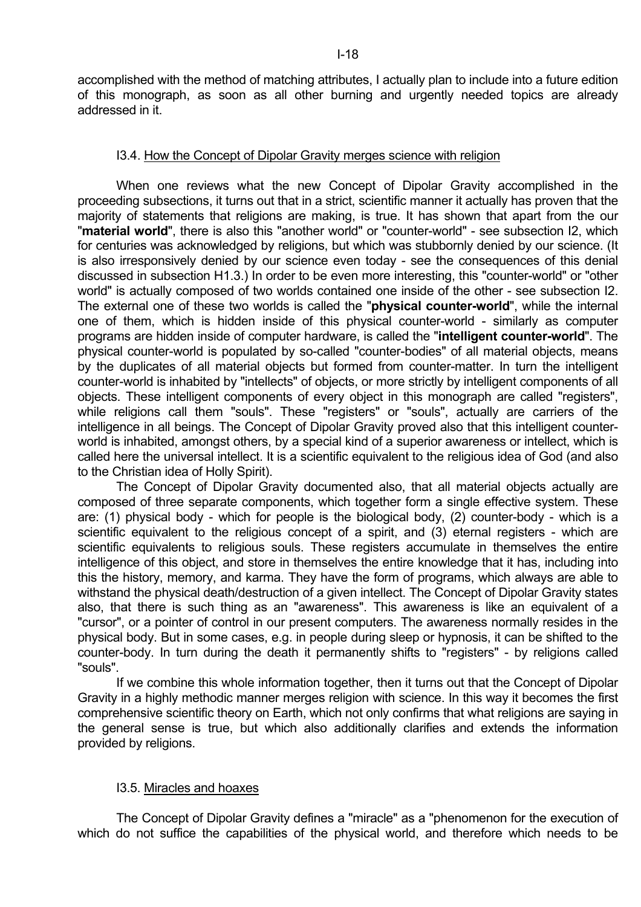accomplished with the method of matching attributes, I actually plan to include into a future edition of this monograph, as soon as all other burning and urgently needed topics are already addressed in it.

#### I3.4. How the Concept of Dipolar Gravity merges science with religion

 When one reviews what the new Concept of Dipolar Gravity accomplished in the proceeding subsections, it turns out that in a strict, scientific manner it actually has proven that the majority of statements that religions are making, is true. It has shown that apart from the our "**material world**", there is also this "another world" or "counter-world" - see subsection I2, which for centuries was acknowledged by religions, but which was stubbornly denied by our science. (It is also irresponsively denied by our science even today - see the consequences of this denial discussed in subsection H1.3.) In order to be even more interesting, this "counter-world" or "other world" is actually composed of two worlds contained one inside of the other - see subsection I2. The external one of these two worlds is called the "**physical counter-world**", while the internal one of them, which is hidden inside of this physical counter-world - similarly as computer programs are hidden inside of computer hardware, is called the "**intelligent counter-world**". The physical counter-world is populated by so-called "counter-bodies" of all material objects, means by the duplicates of all material objects but formed from counter-matter. In turn the intelligent counter-world is inhabited by "intellects" of objects, or more strictly by intelligent components of all objects. These intelligent components of every object in this monograph are called "registers", while religions call them "souls". These "registers" or "souls", actually are carriers of the intelligence in all beings. The Concept of Dipolar Gravity proved also that this intelligent counterworld is inhabited, amongst others, by a special kind of a superior awareness or intellect, which is called here the universal intellect. It is a scientific equivalent to the religious idea of God (and also to the Christian idea of Holly Spirit).

 The Concept of Dipolar Gravity documented also, that all material objects actually are composed of three separate components, which together form a single effective system. These are: (1) physical body - which for people is the biological body, (2) counter-body - which is a scientific equivalent to the religious concept of a spirit, and (3) eternal registers - which are scientific equivalents to religious souls. These registers accumulate in themselves the entire intelligence of this object, and store in themselves the entire knowledge that it has, including into this the history, memory, and karma. They have the form of programs, which always are able to withstand the physical death/destruction of a given intellect. The Concept of Dipolar Gravity states also, that there is such thing as an "awareness". This awareness is like an equivalent of a "cursor", or a pointer of control in our present computers. The awareness normally resides in the physical body. But in some cases, e.g. in people during sleep or hypnosis, it can be shifted to the counter-body. In turn during the death it permanently shifts to "registers" - by religions called "souls".

 If we combine this whole information together, then it turns out that the Concept of Dipolar Gravity in a highly methodic manner merges religion with science. In this way it becomes the first comprehensive scientific theory on Earth, which not only confirms that what religions are saying in the general sense is true, but which also additionally clarifies and extends the information provided by religions.

#### I3.5. Miracles and hoaxes

 The Concept of Dipolar Gravity defines a "miracle" as a "phenomenon for the execution of which do not suffice the capabilities of the physical world, and therefore which needs to be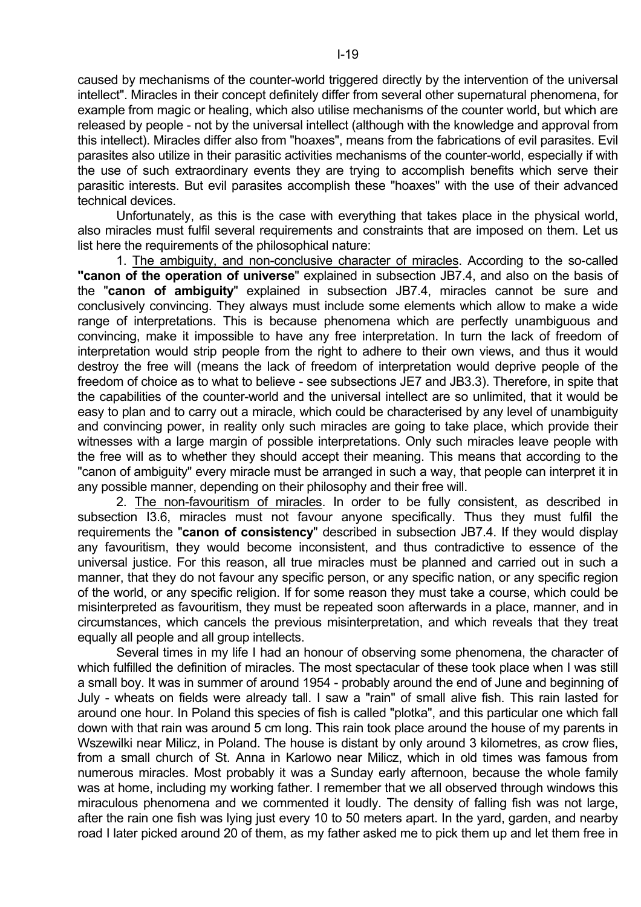caused by mechanisms of the counter-world triggered directly by the intervention of the universal intellect". Miracles in their concept definitely differ from several other supernatural phenomena, for example from magic or healing, which also utilise mechanisms of the counter world, but which are released by people - not by the universal intellect (although with the knowledge and approval from this intellect). Miracles differ also from "hoaxes", means from the fabrications of evil parasites. Evil parasites also utilize in their parasitic activities mechanisms of the counter-world, especially if with the use of such extraordinary events they are trying to accomplish benefits which serve their parasitic interests. But evil parasites accomplish these "hoaxes" with the use of their advanced technical devices.

 Unfortunately, as this is the case with everything that takes place in the physical world, also miracles must fulfil several requirements and constraints that are imposed on them. Let us list here the requirements of the philosophical nature:

 1. The ambiguity, and non-conclusive character of miracles. According to the so-called **"canon of the operation of universe**" explained in subsection JB7.4, and also on the basis of the "**canon of ambiguity**" explained in subsection JB7.4, miracles cannot be sure and conclusively convincing. They always must include some elements which allow to make a wide range of interpretations. This is because phenomena which are perfectly unambiguous and convincing, make it impossible to have any free interpretation. In turn the lack of freedom of interpretation would strip people from the right to adhere to their own views, and thus it would destroy the free will (means the lack of freedom of interpretation would deprive people of the freedom of choice as to what to believe - see subsections JE7 and JB3.3). Therefore, in spite that the capabilities of the counter-world and the universal intellect are so unlimited, that it would be easy to plan and to carry out a miracle, which could be characterised by any level of unambiguity and convincing power, in reality only such miracles are going to take place, which provide their witnesses with a large margin of possible interpretations. Only such miracles leave people with the free will as to whether they should accept their meaning. This means that according to the "canon of ambiguity" every miracle must be arranged in such a way, that people can interpret it in any possible manner, depending on their philosophy and their free will.

 2. The non-favouritism of miracles. In order to be fully consistent, as described in subsection I3.6, miracles must not favour anyone specifically. Thus they must fulfil the requirements the "**canon of consistency**" described in subsection JB7.4. If they would display any favouritism, they would become inconsistent, and thus contradictive to essence of the universal justice. For this reason, all true miracles must be planned and carried out in such a manner, that they do not favour any specific person, or any specific nation, or any specific region of the world, or any specific religion. If for some reason they must take a course, which could be misinterpreted as favouritism, they must be repeated soon afterwards in a place, manner, and in circumstances, which cancels the previous misinterpretation, and which reveals that they treat equally all people and all group intellects.

 Several times in my life I had an honour of observing some phenomena, the character of which fulfilled the definition of miracles. The most spectacular of these took place when I was still a small boy. It was in summer of around 1954 - probably around the end of June and beginning of July - wheats on fields were already tall. I saw a "rain" of small alive fish. This rain lasted for around one hour. In Poland this species of fish is called "plotka", and this particular one which fall down with that rain was around 5 cm long. This rain took place around the house of my parents in Wszewilki near Milicz, in Poland. The house is distant by only around 3 kilometres, as crow flies, from a small church of St. Anna in Karlowo near Milicz, which in old times was famous from numerous miracles. Most probably it was a Sunday early afternoon, because the whole family was at home, including my working father. I remember that we all observed through windows this miraculous phenomena and we commented it loudly. The density of falling fish was not large, after the rain one fish was lying just every 10 to 50 meters apart. In the yard, garden, and nearby road I later picked around 20 of them, as my father asked me to pick them up and let them free in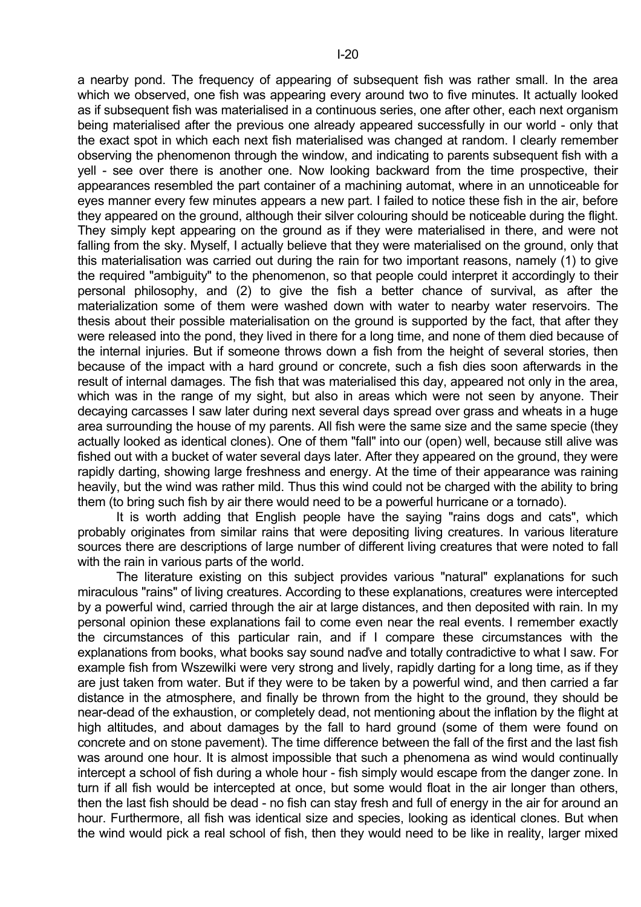a nearby pond. The frequency of appearing of subsequent fish was rather small. In the area which we observed, one fish was appearing every around two to five minutes. It actually looked as if subsequent fish was materialised in a continuous series, one after other, each next organism being materialised after the previous one already appeared successfully in our world - only that the exact spot in which each next fish materialised was changed at random. I clearly remember observing the phenomenon through the window, and indicating to parents subsequent fish with a yell - see over there is another one. Now looking backward from the time prospective, their appearances resembled the part container of a machining automat, where in an unnoticeable for eyes manner every few minutes appears a new part. I failed to notice these fish in the air, before they appeared on the ground, although their silver colouring should be noticeable during the flight. They simply kept appearing on the ground as if they were materialised in there, and were not falling from the sky. Myself, I actually believe that they were materialised on the ground, only that this materialisation was carried out during the rain for two important reasons, namely (1) to give the required "ambiguity" to the phenomenon, so that people could interpret it accordingly to their personal philosophy, and (2) to give the fish a better chance of survival, as after the materialization some of them were washed down with water to nearby water reservoirs. The thesis about their possible materialisation on the ground is supported by the fact, that after they were released into the pond, they lived in there for a long time, and none of them died because of the internal injuries. But if someone throws down a fish from the height of several stories, then because of the impact with a hard ground or concrete, such a fish dies soon afterwards in the result of internal damages. The fish that was materialised this day, appeared not only in the area, which was in the range of my sight, but also in areas which were not seen by anyone. Their decaying carcasses I saw later during next several days spread over grass and wheats in a huge area surrounding the house of my parents. All fish were the same size and the same specie (they actually looked as identical clones). One of them "fall" into our (open) well, because still alive was fished out with a bucket of water several days later. After they appeared on the ground, they were rapidly darting, showing large freshness and energy. At the time of their appearance was raining heavily, but the wind was rather mild. Thus this wind could not be charged with the ability to bring them (to bring such fish by air there would need to be a powerful hurricane or a tornado).

 It is worth adding that English people have the saying "rains dogs and cats", which probably originates from similar rains that were depositing living creatures. In various literature sources there are descriptions of large number of different living creatures that were noted to fall with the rain in various parts of the world.

 The literature existing on this subject provides various "natural" explanations for such miraculous "rains" of living creatures. According to these explanations, creatures were intercepted by a powerful wind, carried through the air at large distances, and then deposited with rain. In my personal opinion these explanations fail to come even near the real events. I remember exactly the circumstances of this particular rain, and if I compare these circumstances with the explanations from books, what books say sound naďve and totally contradictive to what I saw. For example fish from Wszewilki were very strong and lively, rapidly darting for a long time, as if they are just taken from water. But if they were to be taken by a powerful wind, and then carried a far distance in the atmosphere, and finally be thrown from the hight to the ground, they should be near-dead of the exhaustion, or completely dead, not mentioning about the inflation by the flight at high altitudes, and about damages by the fall to hard ground (some of them were found on concrete and on stone pavement). The time difference between the fall of the first and the last fish was around one hour. It is almost impossible that such a phenomena as wind would continually intercept a school of fish during a whole hour - fish simply would escape from the danger zone. In turn if all fish would be intercepted at once, but some would float in the air longer than others, then the last fish should be dead - no fish can stay fresh and full of energy in the air for around an hour. Furthermore, all fish was identical size and species, looking as identical clones. But when the wind would pick a real school of fish, then they would need to be like in reality, larger mixed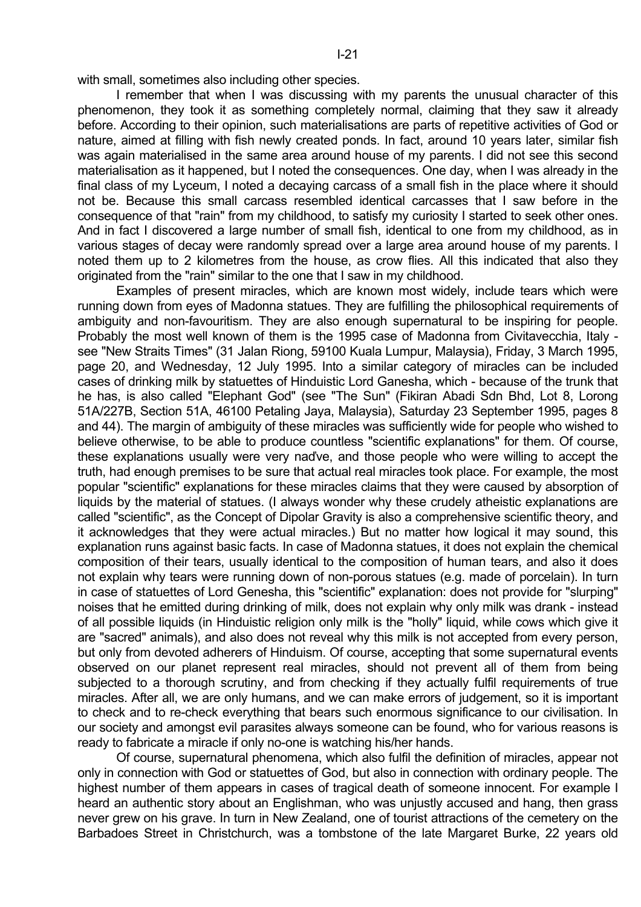with small, sometimes also including other species.

 I remember that when I was discussing with my parents the unusual character of this phenomenon, they took it as something completely normal, claiming that they saw it already before. According to their opinion, such materialisations are parts of repetitive activities of God or nature, aimed at filling with fish newly created ponds. In fact, around 10 years later, similar fish was again materialised in the same area around house of my parents. I did not see this second materialisation as it happened, but I noted the consequences. One day, when I was already in the final class of my Lyceum, I noted a decaying carcass of a small fish in the place where it should not be. Because this small carcass resembled identical carcasses that I saw before in the consequence of that "rain" from my childhood, to satisfy my curiosity I started to seek other ones. And in fact I discovered a large number of small fish, identical to one from my childhood, as in various stages of decay were randomly spread over a large area around house of my parents. I noted them up to 2 kilometres from the house, as crow flies. All this indicated that also they originated from the "rain" similar to the one that I saw in my childhood.

 Examples of present miracles, which are known most widely, include tears which were running down from eyes of Madonna statues. They are fulfilling the philosophical requirements of ambiguity and non-favouritism. They are also enough supernatural to be inspiring for people. Probably the most well known of them is the 1995 case of Madonna from Civitavecchia, Italy see "New Straits Times" (31 Jalan Riong, 59100 Kuala Lumpur, Malaysia), Friday, 3 March 1995, page 20, and Wednesday, 12 July 1995. Into a similar category of miracles can be included cases of drinking milk by statuettes of Hinduistic Lord Ganesha, which - because of the trunk that he has, is also called "Elephant God" (see "The Sun" (Fikiran Abadi Sdn Bhd, Lot 8, Lorong 51A/227B, Section 51A, 46100 Petaling Jaya, Malaysia), Saturday 23 September 1995, pages 8 and 44). The margin of ambiguity of these miracles was sufficiently wide for people who wished to believe otherwise, to be able to produce countless "scientific explanations" for them. Of course, these explanations usually were very naďve, and those people who were willing to accept the truth, had enough premises to be sure that actual real miracles took place. For example, the most popular "scientific" explanations for these miracles claims that they were caused by absorption of liquids by the material of statues. (I always wonder why these crudely atheistic explanations are called "scientific", as the Concept of Dipolar Gravity is also a comprehensive scientific theory, and it acknowledges that they were actual miracles.) But no matter how logical it may sound, this explanation runs against basic facts. In case of Madonna statues, it does not explain the chemical composition of their tears, usually identical to the composition of human tears, and also it does not explain why tears were running down of non-porous statues (e.g. made of porcelain). In turn in case of statuettes of Lord Genesha, this "scientific" explanation: does not provide for "slurping" noises that he emitted during drinking of milk, does not explain why only milk was drank - instead of all possible liquids (in Hinduistic religion only milk is the "holly" liquid, while cows which give it are "sacred" animals), and also does not reveal why this milk is not accepted from every person, but only from devoted adherers of Hinduism. Of course, accepting that some supernatural events observed on our planet represent real miracles, should not prevent all of them from being subjected to a thorough scrutiny, and from checking if they actually fulfil requirements of true miracles. After all, we are only humans, and we can make errors of judgement, so it is important to check and to re-check everything that bears such enormous significance to our civilisation. In our society and amongst evil parasites always someone can be found, who for various reasons is ready to fabricate a miracle if only no-one is watching his/her hands.

 Of course, supernatural phenomena, which also fulfil the definition of miracles, appear not only in connection with God or statuettes of God, but also in connection with ordinary people. The highest number of them appears in cases of tragical death of someone innocent. For example I heard an authentic story about an Englishman, who was unjustly accused and hang, then grass never grew on his grave. In turn in New Zealand, one of tourist attractions of the cemetery on the Barbadoes Street in Christchurch, was a tombstone of the late Margaret Burke, 22 years old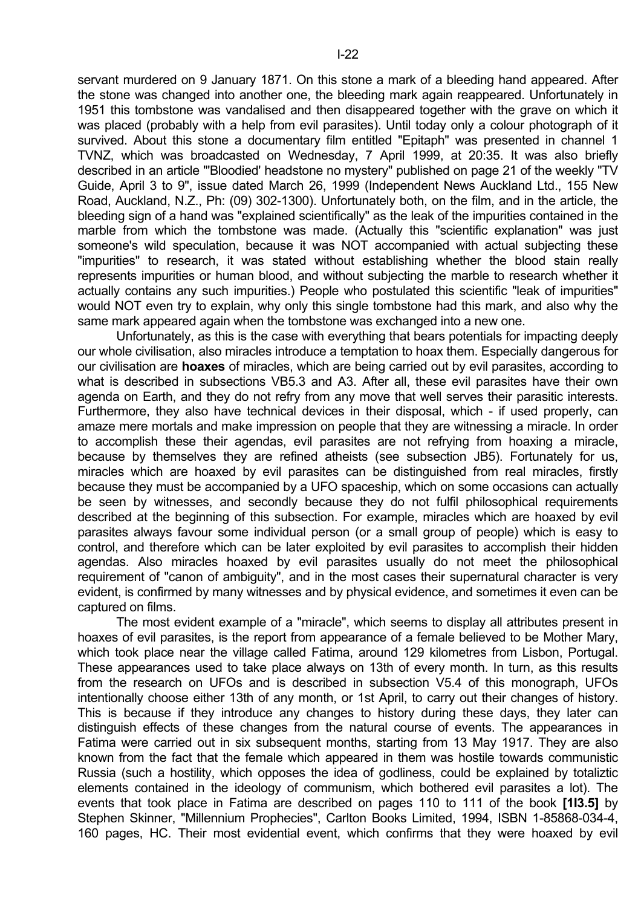servant murdered on 9 January 1871. On this stone a mark of a bleeding hand appeared. After the stone was changed into another one, the bleeding mark again reappeared. Unfortunately in 1951 this tombstone was vandalised and then disappeared together with the grave on which it was placed (probably with a help from evil parasites). Until today only a colour photograph of it survived. About this stone a documentary film entitled "Epitaph" was presented in channel 1 TVNZ, which was broadcasted on Wednesday, 7 April 1999, at 20:35. It was also briefly described in an article "'Bloodied' headstone no mystery" published on page 21 of the weekly "TV Guide, April 3 to 9", issue dated March 26, 1999 (Independent News Auckland Ltd., 155 New Road, Auckland, N.Z., Ph: (09) 302-1300). Unfortunately both, on the film, and in the article, the bleeding sign of a hand was "explained scientifically" as the leak of the impurities contained in the marble from which the tombstone was made. (Actually this "scientific explanation" was just someone's wild speculation, because it was NOT accompanied with actual subjecting these "impurities" to research, it was stated without establishing whether the blood stain really represents impurities or human blood, and without subjecting the marble to research whether it actually contains any such impurities.) People who postulated this scientific "leak of impurities" would NOT even try to explain, why only this single tombstone had this mark, and also why the same mark appeared again when the tombstone was exchanged into a new one.

 Unfortunately, as this is the case with everything that bears potentials for impacting deeply our whole civilisation, also miracles introduce a temptation to hoax them. Especially dangerous for our civilisation are **hoaxes** of miracles, which are being carried out by evil parasites, according to what is described in subsections VB5.3 and A3. After all, these evil parasites have their own agenda on Earth, and they do not refry from any move that well serves their parasitic interests. Furthermore, they also have technical devices in their disposal, which - if used properly, can amaze mere mortals and make impression on people that they are witnessing a miracle. In order to accomplish these their agendas, evil parasites are not refrying from hoaxing a miracle, because by themselves they are refined atheists (see subsection JB5). Fortunately for us, miracles which are hoaxed by evil parasites can be distinguished from real miracles, firstly because they must be accompanied by a UFO spaceship, which on some occasions can actually be seen by witnesses, and secondly because they do not fulfil philosophical requirements described at the beginning of this subsection. For example, miracles which are hoaxed by evil parasites always favour some individual person (or a small group of people) which is easy to control, and therefore which can be later exploited by evil parasites to accomplish their hidden agendas. Also miracles hoaxed by evil parasites usually do not meet the philosophical requirement of "canon of ambiguity", and in the most cases their supernatural character is very evident, is confirmed by many witnesses and by physical evidence, and sometimes it even can be captured on films.

 The most evident example of a "miracle", which seems to display all attributes present in hoaxes of evil parasites, is the report from appearance of a female believed to be Mother Mary, which took place near the village called Fatima, around 129 kilometres from Lisbon, Portugal. These appearances used to take place always on 13th of every month. In turn, as this results from the research on UFOs and is described in subsection V5.4 of this monograph, UFOs intentionally choose either 13th of any month, or 1st April, to carry out their changes of history. This is because if they introduce any changes to history during these days, they later can distinguish effects of these changes from the natural course of events. The appearances in Fatima were carried out in six subsequent months, starting from 13 May 1917. They are also known from the fact that the female which appeared in them was hostile towards communistic Russia (such a hostility, which opposes the idea of godliness, could be explained by totaliztic elements contained in the ideology of communism, which bothered evil parasites a lot). The events that took place in Fatima are described on pages 110 to 111 of the book **[1I3.5]** by Stephen Skinner, "Millennium Prophecies", Carlton Books Limited, 1994, ISBN 1-85868-034-4, 160 pages, HC. Their most evidential event, which confirms that they were hoaxed by evil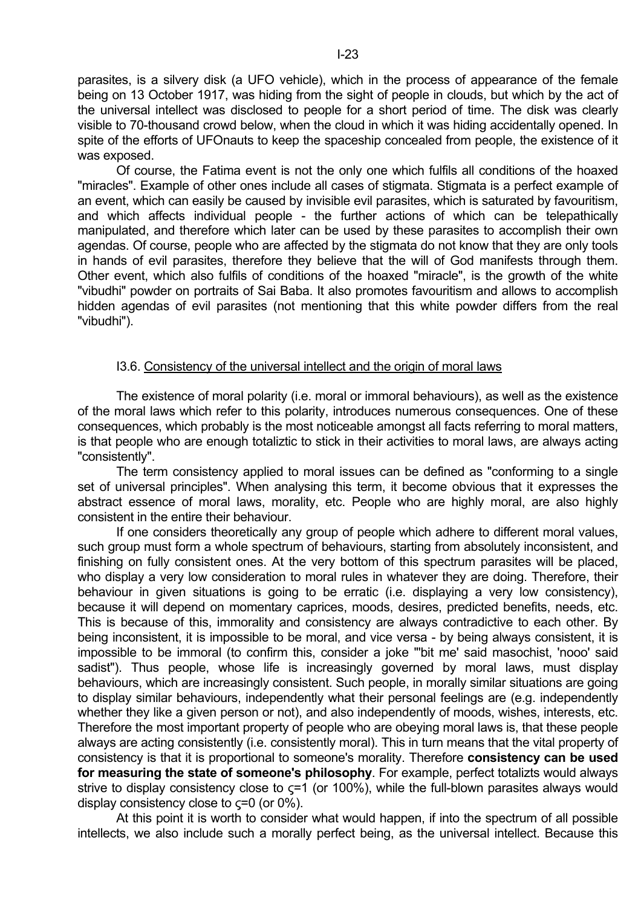parasites, is a silvery disk (a UFO vehicle), which in the process of appearance of the female being on 13 October 1917, was hiding from the sight of people in clouds, but which by the act of the universal intellect was disclosed to people for a short period of time. The disk was clearly visible to 70-thousand crowd below, when the cloud in which it was hiding accidentally opened. In spite of the efforts of UFOnauts to keep the spaceship concealed from people, the existence of it was exposed.

 Of course, the Fatima event is not the only one which fulfils all conditions of the hoaxed "miracles". Example of other ones include all cases of stigmata. Stigmata is a perfect example of an event, which can easily be caused by invisible evil parasites, which is saturated by favouritism, and which affects individual people - the further actions of which can be telepathically manipulated, and therefore which later can be used by these parasites to accomplish their own agendas. Of course, people who are affected by the stigmata do not know that they are only tools in hands of evil parasites, therefore they believe that the will of God manifests through them. Other event, which also fulfils of conditions of the hoaxed "miracle", is the growth of the white "vibudhi" powder on portraits of Sai Baba. It also promotes favouritism and allows to accomplish hidden agendas of evil parasites (not mentioning that this white powder differs from the real "vibudhi").

#### I3.6. Consistency of the universal intellect and the origin of moral laws

 The existence of moral polarity (i.e. moral or immoral behaviours), as well as the existence of the moral laws which refer to this polarity, introduces numerous consequences. One of these consequences, which probably is the most noticeable amongst all facts referring to moral matters, is that people who are enough totaliztic to stick in their activities to moral laws, are always acting "consistently".

 The term consistency applied to moral issues can be defined as "conforming to a single set of universal principles". When analysing this term, it become obvious that it expresses the abstract essence of moral laws, morality, etc. People who are highly moral, are also highly consistent in the entire their behaviour.

 If one considers theoretically any group of people which adhere to different moral values, such group must form a whole spectrum of behaviours, starting from absolutely inconsistent, and finishing on fully consistent ones. At the very bottom of this spectrum parasites will be placed, who display a very low consideration to moral rules in whatever they are doing. Therefore, their behaviour in given situations is going to be erratic (i.e. displaying a very low consistency), because it will depend on momentary caprices, moods, desires, predicted benefits, needs, etc. This is because of this, immorality and consistency are always contradictive to each other. By being inconsistent, it is impossible to be moral, and vice versa - by being always consistent, it is impossible to be immoral (to confirm this, consider a joke "'bit me' said masochist, 'nooo' said sadist"). Thus people, whose life is increasingly governed by moral laws, must display behaviours, which are increasingly consistent. Such people, in morally similar situations are going to display similar behaviours, independently what their personal feelings are (e.g. independently whether they like a given person or not), and also independently of moods, wishes, interests, etc. Therefore the most important property of people who are obeying moral laws is, that these people always are acting consistently (i.e. consistently moral). This in turn means that the vital property of consistency is that it is proportional to someone's morality. Therefore **consistency can be used for measuring the state of someone's philosophy**. For example, perfect totalizts would always strive to display consistency close to  $\varsigma$ =1 (or 100%), while the full-blown parasites always would display consistency close to  $\zeta$ =0 (or 0%).

 At this point it is worth to consider what would happen, if into the spectrum of all possible intellects, we also include such a morally perfect being, as the universal intellect. Because this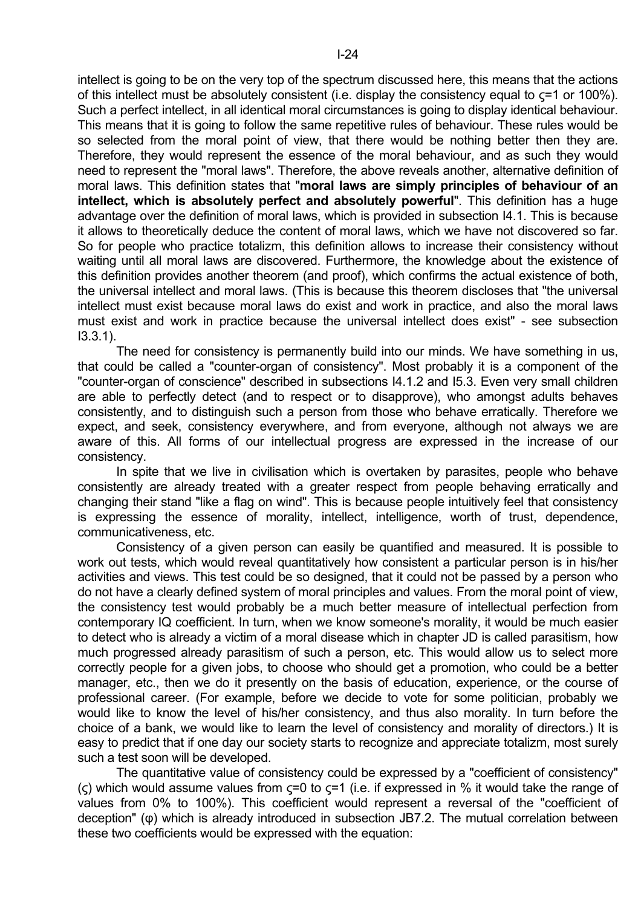intellect is going to be on the very top of the spectrum discussed here, this means that the actions of this intellect must be absolutely consistent (i.e. display the consistency equal to  $\zeta$ =1 or 100%). Such a perfect intellect, in all identical moral circumstances is going to display identical behaviour. This means that it is going to follow the same repetitive rules of behaviour. These rules would be so selected from the moral point of view, that there would be nothing better then they are. Therefore, they would represent the essence of the moral behaviour, and as such they would need to represent the "moral laws". Therefore, the above reveals another, alternative definition of moral laws. This definition states that "**moral laws are simply principles of behaviour of an intellect, which is absolutely perfect and absolutely powerful**". This definition has a huge advantage over the definition of moral laws, which is provided in subsection I4.1. This is because it allows to theoretically deduce the content of moral laws, which we have not discovered so far. So for people who practice totalizm, this definition allows to increase their consistency without waiting until all moral laws are discovered. Furthermore, the knowledge about the existence of this definition provides another theorem (and proof), which confirms the actual existence of both, the universal intellect and moral laws. (This is because this theorem discloses that "the universal intellect must exist because moral laws do exist and work in practice, and also the moral laws must exist and work in practice because the universal intellect does exist" - see subsection I3.3.1).

 The need for consistency is permanently build into our minds. We have something in us, that could be called a "counter-organ of consistency". Most probably it is a component of the "counter-organ of conscience" described in subsections I4.1.2 and I5.3. Even very small children are able to perfectly detect (and to respect or to disapprove), who amongst adults behaves consistently, and to distinguish such a person from those who behave erratically. Therefore we expect, and seek, consistency everywhere, and from everyone, although not always we are aware of this. All forms of our intellectual progress are expressed in the increase of our consistency.

In spite that we live in civilisation which is overtaken by parasites, people who behave consistently are already treated with a greater respect from people behaving erratically and changing their stand "like a flag on wind". This is because people intuitively feel that consistency is expressing the essence of morality, intellect, intelligence, worth of trust, dependence, communicativeness, etc.

 Consistency of a given person can easily be quantified and measured. It is possible to work out tests, which would reveal quantitatively how consistent a particular person is in his/her activities and views. This test could be so designed, that it could not be passed by a person who do not have a clearly defined system of moral principles and values. From the moral point of view, the consistency test would probably be a much better measure of intellectual perfection from contemporary IQ coefficient. In turn, when we know someone's morality, it would be much easier to detect who is already a victim of a moral disease which in chapter JD is called parasitism, how much progressed already parasitism of such a person, etc. This would allow us to select more correctly people for a given jobs, to choose who should get a promotion, who could be a better manager, etc., then we do it presently on the basis of education, experience, or the course of professional career. (For example, before we decide to vote for some politician, probably we would like to know the level of his/her consistency, and thus also morality. In turn before the choice of a bank, we would like to learn the level of consistency and morality of directors.) It is easy to predict that if one day our society starts to recognize and appreciate totalizm, most surely such a test soon will be developed.

 The quantitative value of consistency could be expressed by a "coefficient of consistency" (ς) which would assume values from ς=0 to ς=1 (i.e. if expressed in % it would take the range of values from 0% to 100%). This coefficient would represent a reversal of the "coefficient of deception" (φ) which is already introduced in subsection JB7.2. The mutual correlation between these two coefficients would be expressed with the equation: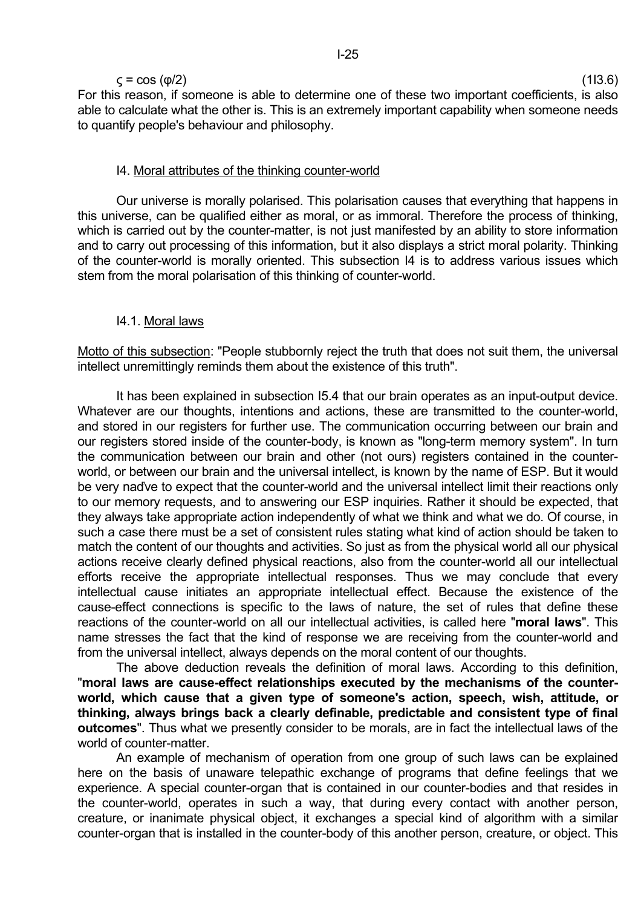# $\zeta = \cos(\frac{\omega}{2})$  (113.6) For this reason, if someone is able to determine one of these two important coefficients, is also able to calculate what the other is. This is an extremely important capability when someone needs to quantify people's behaviour and philosophy.

# I4. Moral attributes of the thinking counter-world

 Our universe is morally polarised. This polarisation causes that everything that happens in this universe, can be qualified either as moral, or as immoral. Therefore the process of thinking, which is carried out by the counter-matter, is not just manifested by an ability to store information and to carry out processing of this information, but it also displays a strict moral polarity. Thinking of the counter-world is morally oriented. This subsection I4 is to address various issues which stem from the moral polarisation of this thinking of counter-world.

# I4.1. Moral laws

Motto of this subsection: "People stubbornly reject the truth that does not suit them, the universal intellect unremittingly reminds them about the existence of this truth".

 It has been explained in subsection I5.4 that our brain operates as an input-output device. Whatever are our thoughts, intentions and actions, these are transmitted to the counter-world, and stored in our registers for further use. The communication occurring between our brain and our registers stored inside of the counter-body, is known as "long-term memory system". In turn the communication between our brain and other (not ours) registers contained in the counterworld, or between our brain and the universal intellect, is known by the name of ESP. But it would be very naďve to expect that the counter-world and the universal intellect limit their reactions only to our memory requests, and to answering our ESP inquiries. Rather it should be expected, that they always take appropriate action independently of what we think and what we do. Of course, in such a case there must be a set of consistent rules stating what kind of action should be taken to match the content of our thoughts and activities. So just as from the physical world all our physical actions receive clearly defined physical reactions, also from the counter-world all our intellectual efforts receive the appropriate intellectual responses. Thus we may conclude that every intellectual cause initiates an appropriate intellectual effect. Because the existence of the cause-effect connections is specific to the laws of nature, the set of rules that define these reactions of the counter-world on all our intellectual activities, is called here "**moral laws**". This name stresses the fact that the kind of response we are receiving from the counter-world and from the universal intellect, always depends on the moral content of our thoughts.

 The above deduction reveals the definition of moral laws. According to this definition, "**moral laws are cause-effect relationships executed by the mechanisms of the counterworld, which cause that a given type of someone's action, speech, wish, attitude, or thinking, always brings back a clearly definable, predictable and consistent type of final outcomes**". Thus what we presently consider to be morals, are in fact the intellectual laws of the world of counter-matter.

 An example of mechanism of operation from one group of such laws can be explained here on the basis of unaware telepathic exchange of programs that define feelings that we experience. A special counter-organ that is contained in our counter-bodies and that resides in the counter-world, operates in such a way, that during every contact with another person, creature, or inanimate physical object, it exchanges a special kind of algorithm with a similar counter-organ that is installed in the counter-body of this another person, creature, or object. This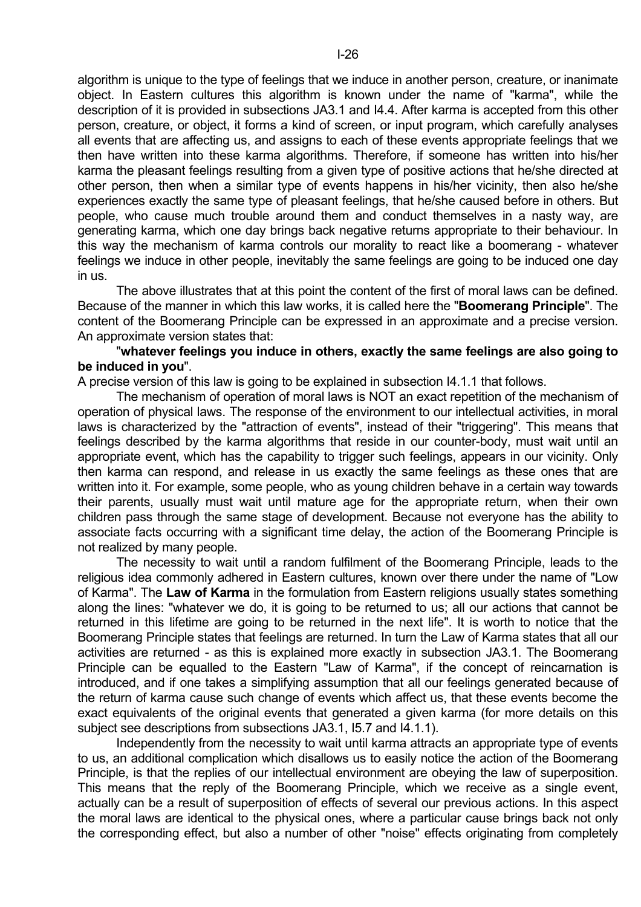algorithm is unique to the type of feelings that we induce in another person, creature, or inanimate object. In Eastern cultures this algorithm is known under the name of "karma", while the description of it is provided in subsections JA3.1 and I4.4. After karma is accepted from this other person, creature, or object, it forms a kind of screen, or input program, which carefully analyses all events that are affecting us, and assigns to each of these events appropriate feelings that we then have written into these karma algorithms. Therefore, if someone has written into his/her karma the pleasant feelings resulting from a given type of positive actions that he/she directed at other person, then when a similar type of events happens in his/her vicinity, then also he/she experiences exactly the same type of pleasant feelings, that he/she caused before in others. But people, who cause much trouble around them and conduct themselves in a nasty way, are generating karma, which one day brings back negative returns appropriate to their behaviour. In this way the mechanism of karma controls our morality to react like a boomerang - whatever feelings we induce in other people, inevitably the same feelings are going to be induced one day in us.

 The above illustrates that at this point the content of the first of moral laws can be defined. Because of the manner in which this law works, it is called here the "**Boomerang Principle**". The content of the Boomerang Principle can be expressed in an approximate and a precise version. An approximate version states that:

## "**whatever feelings you induce in others, exactly the same feelings are also going to be induced in you**".

A precise version of this law is going to be explained in subsection I4.1.1 that follows.

 The mechanism of operation of moral laws is NOT an exact repetition of the mechanism of operation of physical laws. The response of the environment to our intellectual activities, in moral laws is characterized by the "attraction of events", instead of their "triggering". This means that feelings described by the karma algorithms that reside in our counter-body, must wait until an appropriate event, which has the capability to trigger such feelings, appears in our vicinity. Only then karma can respond, and release in us exactly the same feelings as these ones that are written into it. For example, some people, who as young children behave in a certain way towards their parents, usually must wait until mature age for the appropriate return, when their own children pass through the same stage of development. Because not everyone has the ability to associate facts occurring with a significant time delay, the action of the Boomerang Principle is not realized by many people.

 The necessity to wait until a random fulfilment of the Boomerang Principle, leads to the religious idea commonly adhered in Eastern cultures, known over there under the name of "Low of Karma". The **Law of Karma** in the formulation from Eastern religions usually states something along the lines: "whatever we do, it is going to be returned to us; all our actions that cannot be returned in this lifetime are going to be returned in the next life". It is worth to notice that the Boomerang Principle states that feelings are returned. In turn the Law of Karma states that all our activities are returned - as this is explained more exactly in subsection JA3.1. The Boomerang Principle can be equalled to the Eastern "Law of Karma", if the concept of reincarnation is introduced, and if one takes a simplifying assumption that all our feelings generated because of the return of karma cause such change of events which affect us, that these events become the exact equivalents of the original events that generated a given karma (for more details on this subject see descriptions from subsections JA3.1, I5.7 and I4.1.1).

 Independently from the necessity to wait until karma attracts an appropriate type of events to us, an additional complication which disallows us to easily notice the action of the Boomerang Principle, is that the replies of our intellectual environment are obeying the law of superposition. This means that the reply of the Boomerang Principle, which we receive as a single event, actually can be a result of superposition of effects of several our previous actions. In this aspect the moral laws are identical to the physical ones, where a particular cause brings back not only the corresponding effect, but also a number of other "noise" effects originating from completely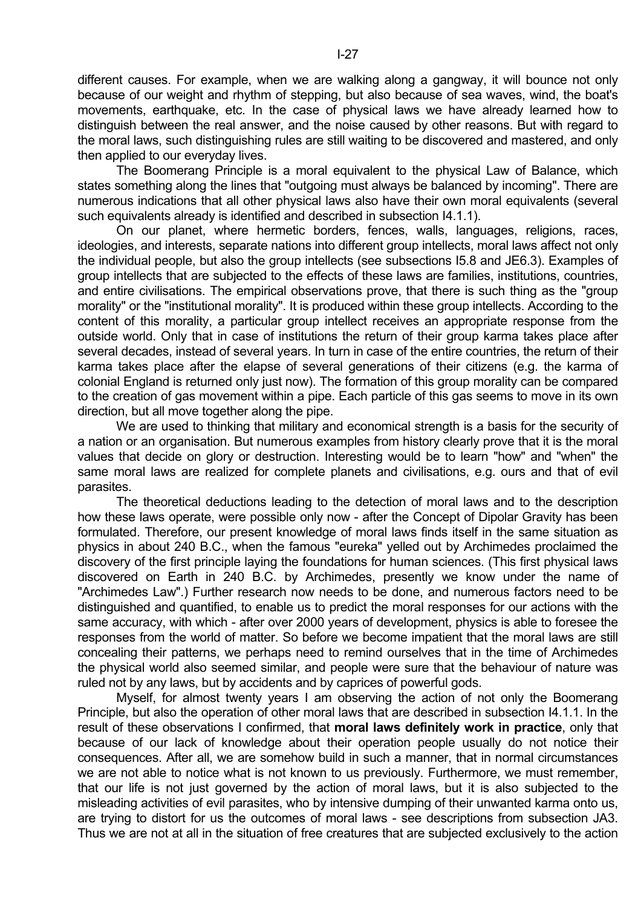different causes. For example, when we are walking along a gangway, it will bounce not only because of our weight and rhythm of stepping, but also because of sea waves, wind, the boat's movements, earthquake, etc. In the case of physical laws we have already learned how to distinguish between the real answer, and the noise caused by other reasons. But with regard to the moral laws, such distinguishing rules are still waiting to be discovered and mastered, and only then applied to our everyday lives.

 The Boomerang Principle is a moral equivalent to the physical Law of Balance, which states something along the lines that "outgoing must always be balanced by incoming". There are numerous indications that all other physical laws also have their own moral equivalents (several such equivalents already is identified and described in subsection I4.1.1).

 On our planet, where hermetic borders, fences, walls, languages, religions, races, ideologies, and interests, separate nations into different group intellects, moral laws affect not only the individual people, but also the group intellects (see subsections I5.8 and JE6.3). Examples of group intellects that are subjected to the effects of these laws are families, institutions, countries, and entire civilisations. The empirical observations prove, that there is such thing as the "group morality" or the "institutional morality". It is produced within these group intellects. According to the content of this morality, a particular group intellect receives an appropriate response from the outside world. Only that in case of institutions the return of their group karma takes place after several decades, instead of several years. In turn in case of the entire countries, the return of their karma takes place after the elapse of several generations of their citizens (e.g. the karma of colonial England is returned only just now). The formation of this group morality can be compared to the creation of gas movement within a pipe. Each particle of this gas seems to move in its own direction, but all move together along the pipe.

 We are used to thinking that military and economical strength is a basis for the security of a nation or an organisation. But numerous examples from history clearly prove that it is the moral values that decide on glory or destruction. Interesting would be to learn "how" and "when" the same moral laws are realized for complete planets and civilisations, e.g. ours and that of evil parasites.

 The theoretical deductions leading to the detection of moral laws and to the description how these laws operate, were possible only now - after the Concept of Dipolar Gravity has been formulated. Therefore, our present knowledge of moral laws finds itself in the same situation as physics in about 240 B.C., when the famous "eureka" yelled out by Archimedes proclaimed the discovery of the first principle laying the foundations for human sciences. (This first physical laws discovered on Earth in 240 B.C. by Archimedes, presently we know under the name of "Archimedes Law".) Further research now needs to be done, and numerous factors need to be distinguished and quantified, to enable us to predict the moral responses for our actions with the same accuracy, with which - after over 2000 years of development, physics is able to foresee the responses from the world of matter. So before we become impatient that the moral laws are still concealing their patterns, we perhaps need to remind ourselves that in the time of Archimedes the physical world also seemed similar, and people were sure that the behaviour of nature was ruled not by any laws, but by accidents and by caprices of powerful gods.

 Myself, for almost twenty years I am observing the action of not only the Boomerang Principle, but also the operation of other moral laws that are described in subsection I4.1.1. In the result of these observations I confirmed, that **moral laws definitely work in practice**, only that because of our lack of knowledge about their operation people usually do not notice their consequences. After all, we are somehow build in such a manner, that in normal circumstances we are not able to notice what is not known to us previously. Furthermore, we must remember, that our life is not just governed by the action of moral laws, but it is also subjected to the misleading activities of evil parasites, who by intensive dumping of their unwanted karma onto us, are trying to distort for us the outcomes of moral laws - see descriptions from subsection JA3. Thus we are not at all in the situation of free creatures that are subjected exclusively to the action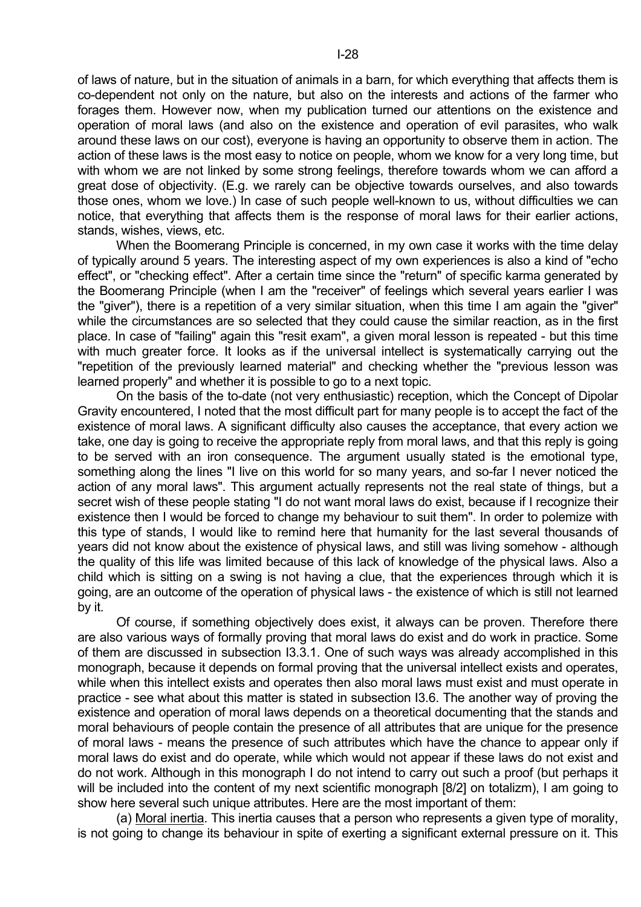of laws of nature, but in the situation of animals in a barn, for which everything that affects them is co-dependent not only on the nature, but also on the interests and actions of the farmer who forages them. However now, when my publication turned our attentions on the existence and operation of moral laws (and also on the existence and operation of evil parasites, who walk around these laws on our cost), everyone is having an opportunity to observe them in action. The action of these laws is the most easy to notice on people, whom we know for a very long time, but with whom we are not linked by some strong feelings, therefore towards whom we can afford a great dose of objectivity. (E.g. we rarely can be objective towards ourselves, and also towards those ones, whom we love.) In case of such people well-known to us, without difficulties we can notice, that everything that affects them is the response of moral laws for their earlier actions, stands, wishes, views, etc.

 When the Boomerang Principle is concerned, in my own case it works with the time delay of typically around 5 years. The interesting aspect of my own experiences is also a kind of "echo effect", or "checking effect". After a certain time since the "return" of specific karma generated by the Boomerang Principle (when I am the "receiver" of feelings which several years earlier I was the "giver"), there is a repetition of a very similar situation, when this time I am again the "giver" while the circumstances are so selected that they could cause the similar reaction, as in the first place. In case of "failing" again this "resit exam", a given moral lesson is repeated - but this time with much greater force. It looks as if the universal intellect is systematically carrying out the "repetition of the previously learned material" and checking whether the "previous lesson was learned properly" and whether it is possible to go to a next topic.

 On the basis of the to-date (not very enthusiastic) reception, which the Concept of Dipolar Gravity encountered, I noted that the most difficult part for many people is to accept the fact of the existence of moral laws. A significant difficulty also causes the acceptance, that every action we take, one day is going to receive the appropriate reply from moral laws, and that this reply is going to be served with an iron consequence. The argument usually stated is the emotional type, something along the lines "I live on this world for so many years, and so-far I never noticed the action of any moral laws". This argument actually represents not the real state of things, but a secret wish of these people stating "I do not want moral laws do exist, because if I recognize their existence then I would be forced to change my behaviour to suit them". In order to polemize with this type of stands, I would like to remind here that humanity for the last several thousands of years did not know about the existence of physical laws, and still was living somehow - although the quality of this life was limited because of this lack of knowledge of the physical laws. Also a child which is sitting on a swing is not having a clue, that the experiences through which it is going, are an outcome of the operation of physical laws - the existence of which is still not learned by it.

 Of course, if something objectively does exist, it always can be proven. Therefore there are also various ways of formally proving that moral laws do exist and do work in practice. Some of them are discussed in subsection I3.3.1. One of such ways was already accomplished in this monograph, because it depends on formal proving that the universal intellect exists and operates, while when this intellect exists and operates then also moral laws must exist and must operate in practice - see what about this matter is stated in subsection I3.6. The another way of proving the existence and operation of moral laws depends on a theoretical documenting that the stands and moral behaviours of people contain the presence of all attributes that are unique for the presence of moral laws - means the presence of such attributes which have the chance to appear only if moral laws do exist and do operate, while which would not appear if these laws do not exist and do not work. Although in this monograph I do not intend to carry out such a proof (but perhaps it will be included into the content of my next scientific monograph [8/2] on totalizm), I am going to show here several such unique attributes. Here are the most important of them:

 (a) Moral inertia. This inertia causes that a person who represents a given type of morality, is not going to change its behaviour in spite of exerting a significant external pressure on it. This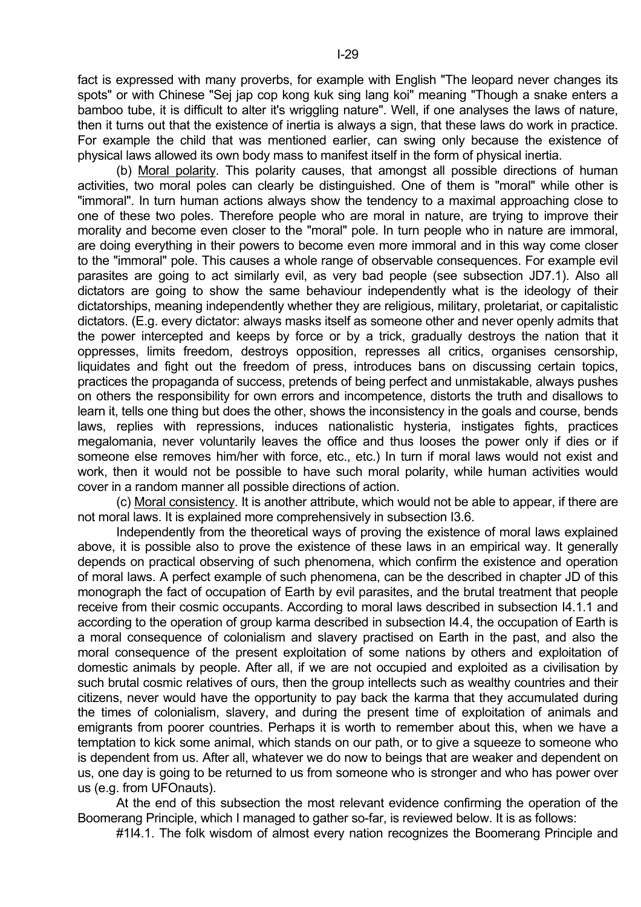fact is expressed with many proverbs, for example with English "The leopard never changes its spots" or with Chinese "Sej jap cop kong kuk sing lang koi" meaning "Though a snake enters a bamboo tube, it is difficult to alter it's wriggling nature". Well, if one analyses the laws of nature, then it turns out that the existence of inertia is always a sign, that these laws do work in practice. For example the child that was mentioned earlier, can swing only because the existence of physical laws allowed its own body mass to manifest itself in the form of physical inertia.

 (b) Moral polarity. This polarity causes, that amongst all possible directions of human activities, two moral poles can clearly be distinguished. One of them is "moral" while other is "immoral". In turn human actions always show the tendency to a maximal approaching close to one of these two poles. Therefore people who are moral in nature, are trying to improve their morality and become even closer to the "moral" pole. In turn people who in nature are immoral, are doing everything in their powers to become even more immoral and in this way come closer to the "immoral" pole. This causes a whole range of observable consequences. For example evil parasites are going to act similarly evil, as very bad people (see subsection JD7.1). Also all dictators are going to show the same behaviour independently what is the ideology of their dictatorships, meaning independently whether they are religious, military, proletariat, or capitalistic dictators. (E.g. every dictator: always masks itself as someone other and never openly admits that the power intercepted and keeps by force or by a trick, gradually destroys the nation that it oppresses, limits freedom, destroys opposition, represses all critics, organises censorship, liquidates and fight out the freedom of press, introduces bans on discussing certain topics, practices the propaganda of success, pretends of being perfect and unmistakable, always pushes on others the responsibility for own errors and incompetence, distorts the truth and disallows to learn it, tells one thing but does the other, shows the inconsistency in the goals and course, bends laws, replies with repressions, induces nationalistic hysteria, instigates fights, practices megalomania, never voluntarily leaves the office and thus looses the power only if dies or if someone else removes him/her with force, etc., etc.) In turn if moral laws would not exist and work, then it would not be possible to have such moral polarity, while human activities would cover in a random manner all possible directions of action.

 (c) Moral consistency. It is another attribute, which would not be able to appear, if there are not moral laws. It is explained more comprehensively in subsection I3.6.

 Independently from the theoretical ways of proving the existence of moral laws explained above, it is possible also to prove the existence of these laws in an empirical way. It generally depends on practical observing of such phenomena, which confirm the existence and operation of moral laws. A perfect example of such phenomena, can be the described in chapter JD of this monograph the fact of occupation of Earth by evil parasites, and the brutal treatment that people receive from their cosmic occupants. According to moral laws described in subsection I4.1.1 and according to the operation of group karma described in subsection I4.4, the occupation of Earth is a moral consequence of colonialism and slavery practised on Earth in the past, and also the moral consequence of the present exploitation of some nations by others and exploitation of domestic animals by people. After all, if we are not occupied and exploited as a civilisation by such brutal cosmic relatives of ours, then the group intellects such as wealthy countries and their citizens, never would have the opportunity to pay back the karma that they accumulated during the times of colonialism, slavery, and during the present time of exploitation of animals and emigrants from poorer countries. Perhaps it is worth to remember about this, when we have a temptation to kick some animal, which stands on our path, or to give a squeeze to someone who is dependent from us. After all, whatever we do now to beings that are weaker and dependent on us, one day is going to be returned to us from someone who is stronger and who has power over us (e.g. from UFOnauts).

 At the end of this subsection the most relevant evidence confirming the operation of the Boomerang Principle, which I managed to gather so-far, is reviewed below. It is as follows:

#1I4.1. The folk wisdom of almost every nation recognizes the Boomerang Principle and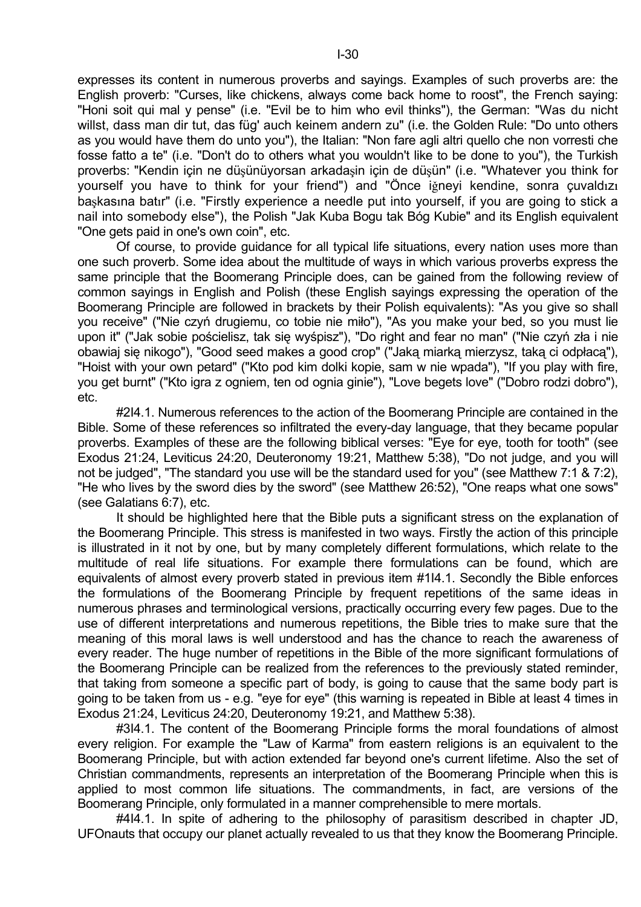expresses its content in numerous proverbs and sayings. Examples of such proverbs are: the English proverb: "Curses, like chickens, always come back home to roost", the French saying: "Honi soit qui mal y pense" (i.e. "Evil be to him who evil thinks"), the German: "Was du nicht willst, dass man dir tut, das füg' auch keinem andern zu" (i.e. the Golden Rule: "Do unto others as you would have them do unto you"), the Italian: "Non fare agli altri quello che non vorresti che fosse fatto a te" (i.e. "Don't do to others what you wouldn't like to be done to you"), the Turkish proverbs: "Kendin için ne düşünüyorsan arkadaşin için de düşün" (i.e. "Whatever you think for yourself you have to think for your friend") and "Önce igneyi kendine, sonra çuvaldızı baskasina batir" (i.e. "Firstly experience a needle put into yourself, if you are going to stick a nail into somebody else"), the Polish "Jak Kuba Bogu tak Bóg Kubie" and its English equivalent "One gets paid in one's own coin", etc.

 Of course, to provide guidance for all typical life situations, every nation uses more than one such proverb. Some idea about the multitude of ways in which various proverbs express the same principle that the Boomerang Principle does, can be gained from the following review of common sayings in English and Polish (these English sayings expressing the operation of the Boomerang Principle are followed in brackets by their Polish equivalents): "As you give so shall you receive" ("Nie czyń drugiemu, co tobie nie miło"), "As you make your bed, so you must lie upon it" ("Jak sobie pościelisz, tak się wyśpisz"), "Do right and fear no man" ("Nie czyń zła i nie obawiaj się nikogo"), "Good seed makes a good crop" ("Jaką miarką mierzysz, taką ci odpłacą"), "Hoist with your own petard" ("Kto pod kim dolki kopie, sam w nie wpada"), "If you play with fire, you get burnt" ("Kto igra z ogniem, ten od ognia ginie"), "Love begets love" ("Dobro rodzi dobro"), etc.

 #2I4.1. Numerous references to the action of the Boomerang Principle are contained in the Bible. Some of these references so infiltrated the every-day language, that they became popular proverbs. Examples of these are the following biblical verses: "Eye for eye, tooth for tooth" (see Exodus 21:24, Leviticus 24:20, Deuteronomy 19:21, Matthew 5:38), "Do not judge, and you will not be judged", "The standard you use will be the standard used for you" (see Matthew 7:1 & 7:2), "He who lives by the sword dies by the sword" (see Matthew 26:52), "One reaps what one sows" (see Galatians 6:7), etc.

 It should be highlighted here that the Bible puts a significant stress on the explanation of the Boomerang Principle. This stress is manifested in two ways. Firstly the action of this principle is illustrated in it not by one, but by many completely different formulations, which relate to the multitude of real life situations. For example there formulations can be found, which are equivalents of almost every proverb stated in previous item #1I4.1. Secondly the Bible enforces the formulations of the Boomerang Principle by frequent repetitions of the same ideas in numerous phrases and terminological versions, practically occurring every few pages. Due to the use of different interpretations and numerous repetitions, the Bible tries to make sure that the meaning of this moral laws is well understood and has the chance to reach the awareness of every reader. The huge number of repetitions in the Bible of the more significant formulations of the Boomerang Principle can be realized from the references to the previously stated reminder, that taking from someone a specific part of body, is going to cause that the same body part is going to be taken from us - e.g. "eye for eye" (this warning is repeated in Bible at least 4 times in Exodus 21:24, Leviticus 24:20, Deuteronomy 19:21, and Matthew 5:38).

 #3I4.1. The content of the Boomerang Principle forms the moral foundations of almost every religion. For example the "Law of Karma" from eastern religions is an equivalent to the Boomerang Principle, but with action extended far beyond one's current lifetime. Also the set of Christian commandments, represents an interpretation of the Boomerang Principle when this is applied to most common life situations. The commandments, in fact, are versions of the Boomerang Principle, only formulated in a manner comprehensible to mere mortals.

 #4I4.1. In spite of adhering to the philosophy of parasitism described in chapter JD, UFOnauts that occupy our planet actually revealed to us that they know the Boomerang Principle.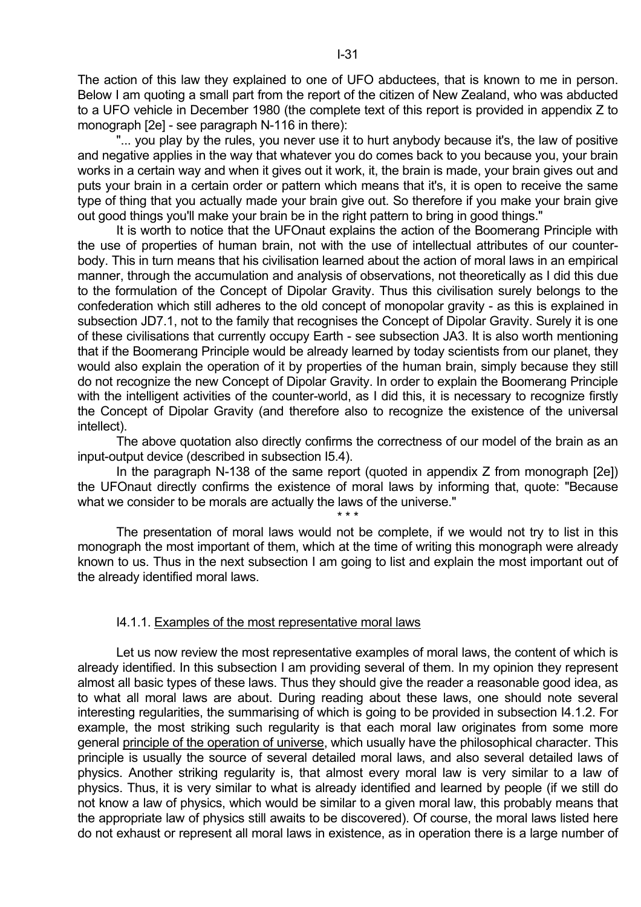The action of this law they explained to one of UFO abductees, that is known to me in person. Below I am quoting a small part from the report of the citizen of New Zealand, who was abducted to a UFO vehicle in December 1980 (the complete text of this report is provided in appendix Z to monograph [2e] - see paragraph N-116 in there):

 "... you play by the rules, you never use it to hurt anybody because it's, the law of positive and negative applies in the way that whatever you do comes back to you because you, your brain works in a certain way and when it gives out it work, it, the brain is made, your brain gives out and puts your brain in a certain order or pattern which means that it's, it is open to receive the same type of thing that you actually made your brain give out. So therefore if you make your brain give out good things you'll make your brain be in the right pattern to bring in good things."

 It is worth to notice that the UFOnaut explains the action of the Boomerang Principle with the use of properties of human brain, not with the use of intellectual attributes of our counterbody. This in turn means that his civilisation learned about the action of moral laws in an empirical manner, through the accumulation and analysis of observations, not theoretically as I did this due to the formulation of the Concept of Dipolar Gravity. Thus this civilisation surely belongs to the confederation which still adheres to the old concept of monopolar gravity - as this is explained in subsection JD7.1, not to the family that recognises the Concept of Dipolar Gravity. Surely it is one of these civilisations that currently occupy Earth - see subsection JA3. It is also worth mentioning that if the Boomerang Principle would be already learned by today scientists from our planet, they would also explain the operation of it by properties of the human brain, simply because they still do not recognize the new Concept of Dipolar Gravity. In order to explain the Boomerang Principle with the intelligent activities of the counter-world, as I did this, it is necessary to recognize firstly the Concept of Dipolar Gravity (and therefore also to recognize the existence of the universal intellect).

 The above quotation also directly confirms the correctness of our model of the brain as an input-output device (described in subsection I5.4).

 In the paragraph N-138 of the same report (quoted in appendix Z from monograph [2e]) the UFOnaut directly confirms the existence of moral laws by informing that, quote: "Because what we consider to be morals are actually the laws of the universe."

 The presentation of moral laws would not be complete, if we would not try to list in this monograph the most important of them, which at the time of writing this monograph were already known to us. Thus in the next subsection I am going to list and explain the most important out of the already identified moral laws.

#### I4.1.1. Examples of the most representative moral laws

 $\star \star \star$ 

 Let us now review the most representative examples of moral laws, the content of which is already identified. In this subsection I am providing several of them. In my opinion they represent almost all basic types of these laws. Thus they should give the reader a reasonable good idea, as to what all moral laws are about. During reading about these laws, one should note several interesting regularities, the summarising of which is going to be provided in subsection I4.1.2. For example, the most striking such regularity is that each moral law originates from some more general principle of the operation of universe, which usually have the philosophical character. This principle is usually the source of several detailed moral laws, and also several detailed laws of physics. Another striking regularity is, that almost every moral law is very similar to a law of physics. Thus, it is very similar to what is already identified and learned by people (if we still do not know a law of physics, which would be similar to a given moral law, this probably means that the appropriate law of physics still awaits to be discovered). Of course, the moral laws listed here do not exhaust or represent all moral laws in existence, as in operation there is a large number of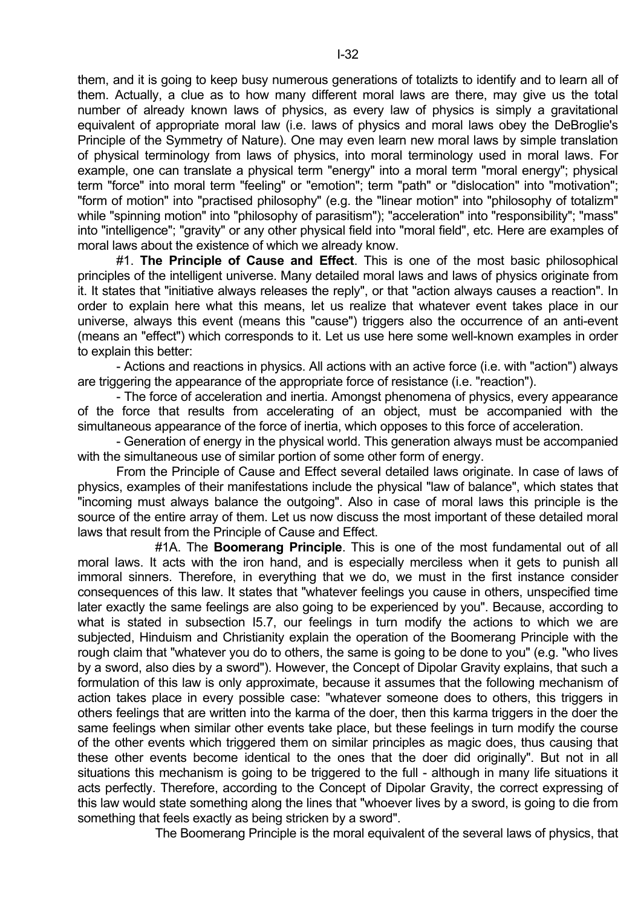them, and it is going to keep busy numerous generations of totalizts to identify and to learn all of them. Actually, a clue as to how many different moral laws are there, may give us the total number of already known laws of physics, as every law of physics is simply a gravitational equivalent of appropriate moral law (i.e. laws of physics and moral laws obey the DeBroglie's Principle of the Symmetry of Nature). One may even learn new moral laws by simple translation of physical terminology from laws of physics, into moral terminology used in moral laws. For example, one can translate a physical term "energy" into a moral term "moral energy"; physical term "force" into moral term "feeling" or "emotion"; term "path" or "dislocation" into "motivation"; "form of motion" into "practised philosophy" (e.g. the "linear motion" into "philosophy of totalizm" while "spinning motion" into "philosophy of parasitism"); "acceleration" into "responsibility"; "mass" into "intelligence"; "gravity" or any other physical field into "moral field", etc. Here are examples of moral laws about the existence of which we already know.

 #1. **The Principle of Cause and Effect**. This is one of the most basic philosophical principles of the intelligent universe. Many detailed moral laws and laws of physics originate from it. It states that "initiative always releases the reply", or that "action always causes a reaction". In order to explain here what this means, let us realize that whatever event takes place in our universe, always this event (means this "cause") triggers also the occurrence of an anti-event (means an "effect") which corresponds to it. Let us use here some well-known examples in order to explain this better:

 - Actions and reactions in physics. All actions with an active force (i.e. with "action") always are triggering the appearance of the appropriate force of resistance (i.e. "reaction").

 - The force of acceleration and inertia. Amongst phenomena of physics, every appearance of the force that results from accelerating of an object, must be accompanied with the simultaneous appearance of the force of inertia, which opposes to this force of acceleration.

 - Generation of energy in the physical world. This generation always must be accompanied with the simultaneous use of similar portion of some other form of energy.

 From the Principle of Cause and Effect several detailed laws originate. In case of laws of physics, examples of their manifestations include the physical "law of balance", which states that "incoming must always balance the outgoing". Also in case of moral laws this principle is the source of the entire array of them. Let us now discuss the most important of these detailed moral laws that result from the Principle of Cause and Effect.

 #1A. The **Boomerang Principle**. This is one of the most fundamental out of all moral laws. It acts with the iron hand, and is especially merciless when it gets to punish all immoral sinners. Therefore, in everything that we do, we must in the first instance consider consequences of this law. It states that "whatever feelings you cause in others, unspecified time later exactly the same feelings are also going to be experienced by you". Because, according to what is stated in subsection I5.7, our feelings in turn modify the actions to which we are subjected, Hinduism and Christianity explain the operation of the Boomerang Principle with the rough claim that "whatever you do to others, the same is going to be done to you" (e.g. "who lives by a sword, also dies by a sword"). However, the Concept of Dipolar Gravity explains, that such a formulation of this law is only approximate, because it assumes that the following mechanism of action takes place in every possible case: "whatever someone does to others, this triggers in others feelings that are written into the karma of the doer, then this karma triggers in the doer the same feelings when similar other events take place, but these feelings in turn modify the course of the other events which triggered them on similar principles as magic does, thus causing that these other events become identical to the ones that the doer did originally". But not in all situations this mechanism is going to be triggered to the full - although in many life situations it acts perfectly. Therefore, according to the Concept of Dipolar Gravity, the correct expressing of this law would state something along the lines that "whoever lives by a sword, is going to die from something that feels exactly as being stricken by a sword".

The Boomerang Principle is the moral equivalent of the several laws of physics, that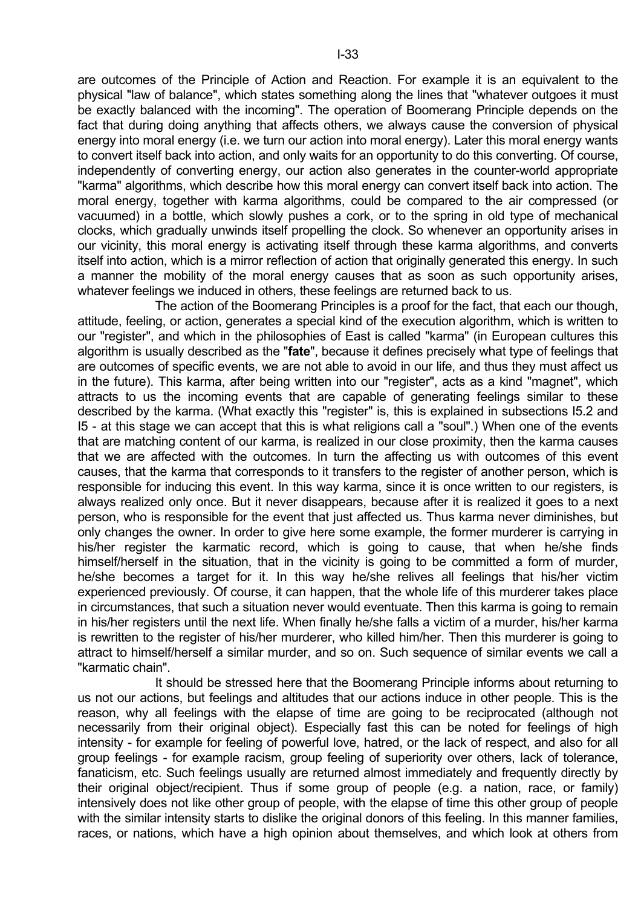are outcomes of the Principle of Action and Reaction. For example it is an equivalent to the physical "law of balance", which states something along the lines that "whatever outgoes it must be exactly balanced with the incoming". The operation of Boomerang Principle depends on the fact that during doing anything that affects others, we always cause the conversion of physical energy into moral energy (i.e. we turn our action into moral energy). Later this moral energy wants to convert itself back into action, and only waits for an opportunity to do this converting. Of course, independently of converting energy, our action also generates in the counter-world appropriate "karma" algorithms, which describe how this moral energy can convert itself back into action. The moral energy, together with karma algorithms, could be compared to the air compressed (or vacuumed) in a bottle, which slowly pushes a cork, or to the spring in old type of mechanical clocks, which gradually unwinds itself propelling the clock. So whenever an opportunity arises in our vicinity, this moral energy is activating itself through these karma algorithms, and converts itself into action, which is a mirror reflection of action that originally generated this energy. In such a manner the mobility of the moral energy causes that as soon as such opportunity arises, whatever feelings we induced in others, these feelings are returned back to us.

 The action of the Boomerang Principles is a proof for the fact, that each our though, attitude, feeling, or action, generates a special kind of the execution algorithm, which is written to our "register", and which in the philosophies of East is called "karma" (in European cultures this algorithm is usually described as the "**fate**", because it defines precisely what type of feelings that are outcomes of specific events, we are not able to avoid in our life, and thus they must affect us in the future). This karma, after being written into our "register", acts as a kind "magnet", which attracts to us the incoming events that are capable of generating feelings similar to these described by the karma. (What exactly this "register" is, this is explained in subsections I5.2 and I5 - at this stage we can accept that this is what religions call a "soul".) When one of the events that are matching content of our karma, is realized in our close proximity, then the karma causes that we are affected with the outcomes. In turn the affecting us with outcomes of this event causes, that the karma that corresponds to it transfers to the register of another person, which is responsible for inducing this event. In this way karma, since it is once written to our registers, is always realized only once. But it never disappears, because after it is realized it goes to a next person, who is responsible for the event that just affected us. Thus karma never diminishes, but only changes the owner. In order to give here some example, the former murderer is carrying in his/her register the karmatic record, which is going to cause, that when he/she finds himself/herself in the situation, that in the vicinity is going to be committed a form of murder, he/she becomes a target for it. In this way he/she relives all feelings that his/her victim experienced previously. Of course, it can happen, that the whole life of this murderer takes place in circumstances, that such a situation never would eventuate. Then this karma is going to remain in his/her registers until the next life. When finally he/she falls a victim of a murder, his/her karma is rewritten to the register of his/her murderer, who killed him/her. Then this murderer is going to attract to himself/herself a similar murder, and so on. Such sequence of similar events we call a "karmatic chain".

 It should be stressed here that the Boomerang Principle informs about returning to us not our actions, but feelings and altitudes that our actions induce in other people. This is the reason, why all feelings with the elapse of time are going to be reciprocated (although not necessarily from their original object). Especially fast this can be noted for feelings of high intensity - for example for feeling of powerful love, hatred, or the lack of respect, and also for all group feelings - for example racism, group feeling of superiority over others, lack of tolerance, fanaticism, etc. Such feelings usually are returned almost immediately and frequently directly by their original object/recipient. Thus if some group of people (e.g. a nation, race, or family) intensively does not like other group of people, with the elapse of time this other group of people with the similar intensity starts to dislike the original donors of this feeling. In this manner families, races, or nations, which have a high opinion about themselves, and which look at others from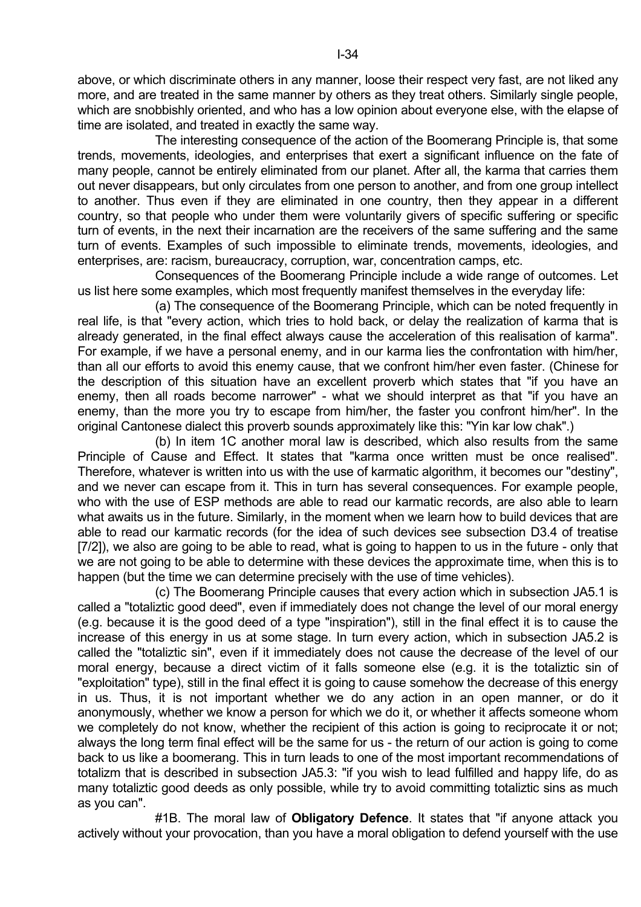above, or which discriminate others in any manner, loose their respect very fast, are not liked any more, and are treated in the same manner by others as they treat others. Similarly single people, which are snobbishly oriented, and who has a low opinion about everyone else, with the elapse of time are isolated, and treated in exactly the same way.

 The interesting consequence of the action of the Boomerang Principle is, that some trends, movements, ideologies, and enterprises that exert a significant influence on the fate of many people, cannot be entirely eliminated from our planet. After all, the karma that carries them out never disappears, but only circulates from one person to another, and from one group intellect to another. Thus even if they are eliminated in one country, then they appear in a different country, so that people who under them were voluntarily givers of specific suffering or specific turn of events, in the next their incarnation are the receivers of the same suffering and the same turn of events. Examples of such impossible to eliminate trends, movements, ideologies, and enterprises, are: racism, bureaucracy, corruption, war, concentration camps, etc.

 Consequences of the Boomerang Principle include a wide range of outcomes. Let us list here some examples, which most frequently manifest themselves in the everyday life:

 (a) The consequence of the Boomerang Principle, which can be noted frequently in real life, is that "every action, which tries to hold back, or delay the realization of karma that is already generated, in the final effect always cause the acceleration of this realisation of karma". For example, if we have a personal enemy, and in our karma lies the confrontation with him/her, than all our efforts to avoid this enemy cause, that we confront him/her even faster. (Chinese for the description of this situation have an excellent proverb which states that "if you have an enemy, then all roads become narrower" - what we should interpret as that "if you have an enemy, than the more you try to escape from him/her, the faster you confront him/her". In the original Cantonese dialect this proverb sounds approximately like this: "Yin kar low chak".)

 (b) In item 1C another moral law is described, which also results from the same Principle of Cause and Effect. It states that "karma once written must be once realised". Therefore, whatever is written into us with the use of karmatic algorithm, it becomes our "destiny", and we never can escape from it. This in turn has several consequences. For example people, who with the use of ESP methods are able to read our karmatic records, are also able to learn what awaits us in the future. Similarly, in the moment when we learn how to build devices that are able to read our karmatic records (for the idea of such devices see subsection D3.4 of treatise [7/2]), we also are going to be able to read, what is going to happen to us in the future - only that we are not going to be able to determine with these devices the approximate time, when this is to happen (but the time we can determine precisely with the use of time vehicles).

 (c) The Boomerang Principle causes that every action which in subsection JA5.1 is called a "totaliztic good deed", even if immediately does not change the level of our moral energy (e.g. because it is the good deed of a type "inspiration"), still in the final effect it is to cause the increase of this energy in us at some stage. In turn every action, which in subsection JA5.2 is called the "totaliztic sin", even if it immediately does not cause the decrease of the level of our moral energy, because a direct victim of it falls someone else (e.g. it is the totaliztic sin of "exploitation" type), still in the final effect it is going to cause somehow the decrease of this energy in us. Thus, it is not important whether we do any action in an open manner, or do it anonymously, whether we know a person for which we do it, or whether it affects someone whom we completely do not know, whether the recipient of this action is going to reciprocate it or not; always the long term final effect will be the same for us - the return of our action is going to come back to us like a boomerang. This in turn leads to one of the most important recommendations of totalizm that is described in subsection JA5.3: "if you wish to lead fulfilled and happy life, do as many totaliztic good deeds as only possible, while try to avoid committing totaliztic sins as much as you can".

 #1B. The moral law of **Obligatory Defence**. It states that "if anyone attack you actively without your provocation, than you have a moral obligation to defend yourself with the use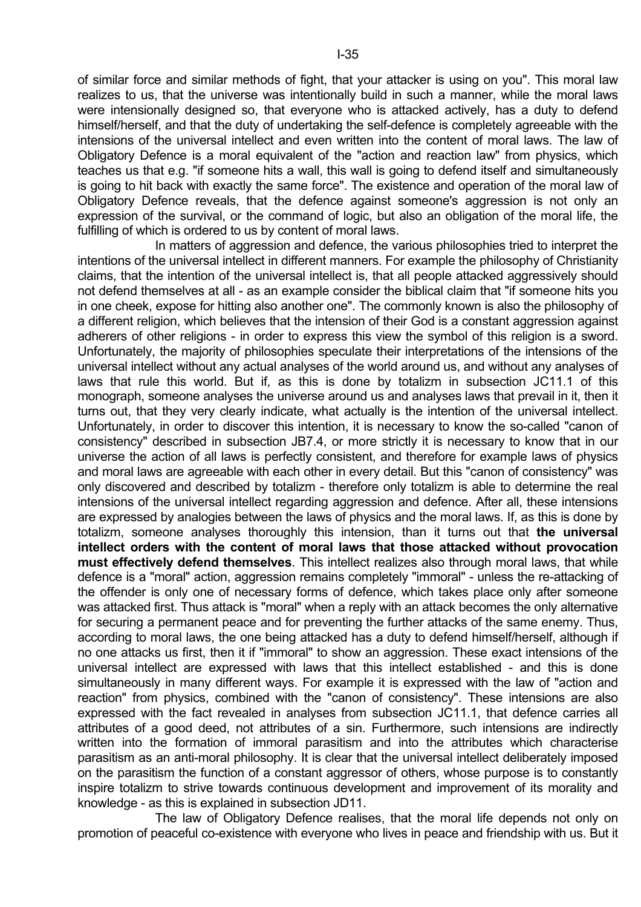of similar force and similar methods of fight, that your attacker is using on you". This moral law realizes to us, that the universe was intentionally build in such a manner, while the moral laws were intensionally designed so, that everyone who is attacked actively, has a duty to defend himself/herself, and that the duty of undertaking the self-defence is completely agreeable with the intensions of the universal intellect and even written into the content of moral laws. The law of Obligatory Defence is a moral equivalent of the "action and reaction law" from physics, which teaches us that e.g. "if someone hits a wall, this wall is going to defend itself and simultaneously is going to hit back with exactly the same force". The existence and operation of the moral law of Obligatory Defence reveals, that the defence against someone's aggression is not only an expression of the survival, or the command of logic, but also an obligation of the moral life, the fulfilling of which is ordered to us by content of moral laws.

 In matters of aggression and defence, the various philosophies tried to interpret the intentions of the universal intellect in different manners. For example the philosophy of Christianity claims, that the intention of the universal intellect is, that all people attacked aggressively should not defend themselves at all - as an example consider the biblical claim that "if someone hits you in one cheek, expose for hitting also another one". The commonly known is also the philosophy of a different religion, which believes that the intension of their God is a constant aggression against adherers of other religions - in order to express this view the symbol of this religion is a sword. Unfortunately, the majority of philosophies speculate their interpretations of the intensions of the universal intellect without any actual analyses of the world around us, and without any analyses of laws that rule this world. But if, as this is done by totalizm in subsection JC11.1 of this monograph, someone analyses the universe around us and analyses laws that prevail in it, then it turns out, that they very clearly indicate, what actually is the intention of the universal intellect. Unfortunately, in order to discover this intention, it is necessary to know the so-called "canon of consistency" described in subsection JB7.4, or more strictly it is necessary to know that in our universe the action of all laws is perfectly consistent, and therefore for example laws of physics and moral laws are agreeable with each other in every detail. But this "canon of consistency" was only discovered and described by totalizm - therefore only totalizm is able to determine the real intensions of the universal intellect regarding aggression and defence. After all, these intensions are expressed by analogies between the laws of physics and the moral laws. If, as this is done by totalizm, someone analyses thoroughly this intension, than it turns out that **the universal intellect orders with the content of moral laws that those attacked without provocation must effectively defend themselves**. This intellect realizes also through moral laws, that while defence is a "moral" action, aggression remains completely "immoral" - unless the re-attacking of the offender is only one of necessary forms of defence, which takes place only after someone was attacked first. Thus attack is "moral" when a reply with an attack becomes the only alternative for securing a permanent peace and for preventing the further attacks of the same enemy. Thus, according to moral laws, the one being attacked has a duty to defend himself/herself, although if no one attacks us first, then it if "immoral" to show an aggression. These exact intensions of the universal intellect are expressed with laws that this intellect established - and this is done simultaneously in many different ways. For example it is expressed with the law of "action and reaction" from physics, combined with the "canon of consistency". These intensions are also expressed with the fact revealed in analyses from subsection JC11.1, that defence carries all attributes of a good deed, not attributes of a sin. Furthermore, such intensions are indirectly written into the formation of immoral parasitism and into the attributes which characterise parasitism as an anti-moral philosophy. It is clear that the universal intellect deliberately imposed on the parasitism the function of a constant aggressor of others, whose purpose is to constantly inspire totalizm to strive towards continuous development and improvement of its morality and knowledge - as this is explained in subsection JD11.

 The law of Obligatory Defence realises, that the moral life depends not only on promotion of peaceful co-existence with everyone who lives in peace and friendship with us. But it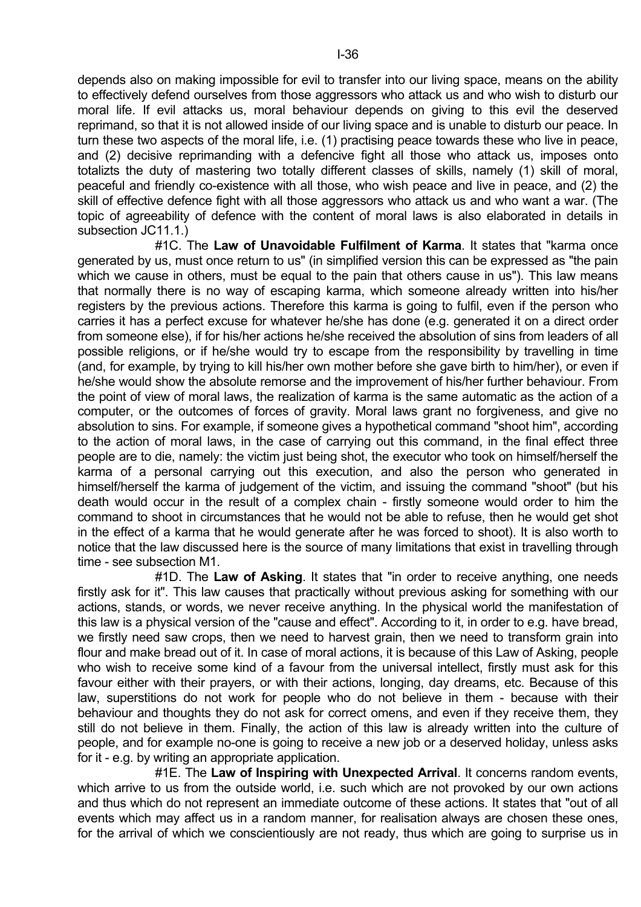depends also on making impossible for evil to transfer into our living space, means on the ability to effectively defend ourselves from those aggressors who attack us and who wish to disturb our moral life. If evil attacks us, moral behaviour depends on giving to this evil the deserved reprimand, so that it is not allowed inside of our living space and is unable to disturb our peace. In turn these two aspects of the moral life, i.e. (1) practising peace towards these who live in peace, and (2) decisive reprimanding with a defencive fight all those who attack us, imposes onto totalizts the duty of mastering two totally different classes of skills, namely (1) skill of moral, peaceful and friendly co-existence with all those, who wish peace and live in peace, and (2) the skill of effective defence fight with all those aggressors who attack us and who want a war. (The topic of agreeability of defence with the content of moral laws is also elaborated in details in subsection JC11.1.)

 #1C. The **Law of Unavoidable Fulfilment of Karma**. It states that "karma once generated by us, must once return to us" (in simplified version this can be expressed as "the pain which we cause in others, must be equal to the pain that others cause in us"). This law means that normally there is no way of escaping karma, which someone already written into his/her registers by the previous actions. Therefore this karma is going to fulfil, even if the person who carries it has a perfect excuse for whatever he/she has done (e.g. generated it on a direct order from someone else), if for his/her actions he/she received the absolution of sins from leaders of all possible religions, or if he/she would try to escape from the responsibility by travelling in time (and, for example, by trying to kill his/her own mother before she gave birth to him/her), or even if he/she would show the absolute remorse and the improvement of his/her further behaviour. From the point of view of moral laws, the realization of karma is the same automatic as the action of a computer, or the outcomes of forces of gravity. Moral laws grant no forgiveness, and give no absolution to sins. For example, if someone gives a hypothetical command "shoot him", according to the action of moral laws, in the case of carrying out this command, in the final effect three people are to die, namely: the victim just being shot, the executor who took on himself/herself the karma of a personal carrying out this execution, and also the person who generated in himself/herself the karma of judgement of the victim, and issuing the command "shoot" (but his death would occur in the result of a complex chain - firstly someone would order to him the command to shoot in circumstances that he would not be able to refuse, then he would get shot in the effect of a karma that he would generate after he was forced to shoot). It is also worth to notice that the law discussed here is the source of many limitations that exist in travelling through time - see subsection M1.

 #1D. The **Law of Asking**. It states that "in order to receive anything, one needs firstly ask for it". This law causes that practically without previous asking for something with our actions, stands, or words, we never receive anything. In the physical world the manifestation of this law is a physical version of the "cause and effect". According to it, in order to e.g. have bread, we firstly need saw crops, then we need to harvest grain, then we need to transform grain into flour and make bread out of it. In case of moral actions, it is because of this Law of Asking, people who wish to receive some kind of a favour from the universal intellect, firstly must ask for this favour either with their prayers, or with their actions, longing, day dreams, etc. Because of this law, superstitions do not work for people who do not believe in them - because with their behaviour and thoughts they do not ask for correct omens, and even if they receive them, they still do not believe in them. Finally, the action of this law is already written into the culture of people, and for example no-one is going to receive a new job or a deserved holiday, unless asks for it - e.g. by writing an appropriate application.

 #1E. The **Law of Inspiring with Unexpected Arrival**. It concerns random events, which arrive to us from the outside world, i.e. such which are not provoked by our own actions and thus which do not represent an immediate outcome of these actions. It states that "out of all events which may affect us in a random manner, for realisation always are chosen these ones, for the arrival of which we conscientiously are not ready, thus which are going to surprise us in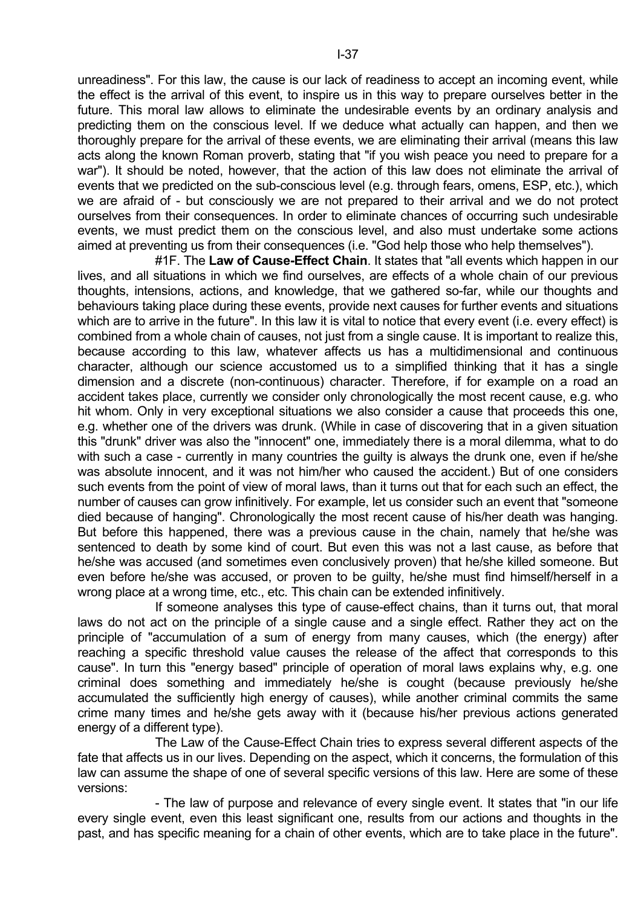unreadiness". For this law, the cause is our lack of readiness to accept an incoming event, while the effect is the arrival of this event, to inspire us in this way to prepare ourselves better in the future. This moral law allows to eliminate the undesirable events by an ordinary analysis and predicting them on the conscious level. If we deduce what actually can happen, and then we thoroughly prepare for the arrival of these events, we are eliminating their arrival (means this law acts along the known Roman proverb, stating that "if you wish peace you need to prepare for a war"). It should be noted, however, that the action of this law does not eliminate the arrival of events that we predicted on the sub-conscious level (e.g. through fears, omens, ESP, etc.), which we are afraid of - but consciously we are not prepared to their arrival and we do not protect ourselves from their consequences. In order to eliminate chances of occurring such undesirable events, we must predict them on the conscious level, and also must undertake some actions aimed at preventing us from their consequences (i.e. "God help those who help themselves").

 #1F. The **Law of Cause-Effect Chain**. It states that "all events which happen in our lives, and all situations in which we find ourselves, are effects of a whole chain of our previous thoughts, intensions, actions, and knowledge, that we gathered so-far, while our thoughts and behaviours taking place during these events, provide next causes for further events and situations which are to arrive in the future". In this law it is vital to notice that every event (i.e. every effect) is combined from a whole chain of causes, not just from a single cause. It is important to realize this, because according to this law, whatever affects us has a multidimensional and continuous character, although our science accustomed us to a simplified thinking that it has a single dimension and a discrete (non-continuous) character. Therefore, if for example on a road an accident takes place, currently we consider only chronologically the most recent cause, e.g. who hit whom. Only in very exceptional situations we also consider a cause that proceeds this one, e.g. whether one of the drivers was drunk. (While in case of discovering that in a given situation this "drunk" driver was also the "innocent" one, immediately there is a moral dilemma, what to do with such a case - currently in many countries the guilty is always the drunk one, even if he/she was absolute innocent, and it was not him/her who caused the accident.) But of one considers such events from the point of view of moral laws, than it turns out that for each such an effect, the number of causes can grow infinitively. For example, let us consider such an event that "someone died because of hanging". Chronologically the most recent cause of his/her death was hanging. But before this happened, there was a previous cause in the chain, namely that he/she was sentenced to death by some kind of court. But even this was not a last cause, as before that he/she was accused (and sometimes even conclusively proven) that he/she killed someone. But even before he/she was accused, or proven to be guilty, he/she must find himself/herself in a wrong place at a wrong time, etc., etc. This chain can be extended infinitively.

 If someone analyses this type of cause-effect chains, than it turns out, that moral laws do not act on the principle of a single cause and a single effect. Rather they act on the principle of "accumulation of a sum of energy from many causes, which (the energy) after reaching a specific threshold value causes the release of the affect that corresponds to this cause". In turn this "energy based" principle of operation of moral laws explains why, e.g. one criminal does something and immediately he/she is cought (because previously he/she accumulated the sufficiently high energy of causes), while another criminal commits the same crime many times and he/she gets away with it (because his/her previous actions generated energy of a different type).

 The Law of the Cause-Effect Chain tries to express several different aspects of the fate that affects us in our lives. Depending on the aspect, which it concerns, the formulation of this law can assume the shape of one of several specific versions of this law. Here are some of these versions:

 - The law of purpose and relevance of every single event. It states that "in our life every single event, even this least significant one, results from our actions and thoughts in the past, and has specific meaning for a chain of other events, which are to take place in the future".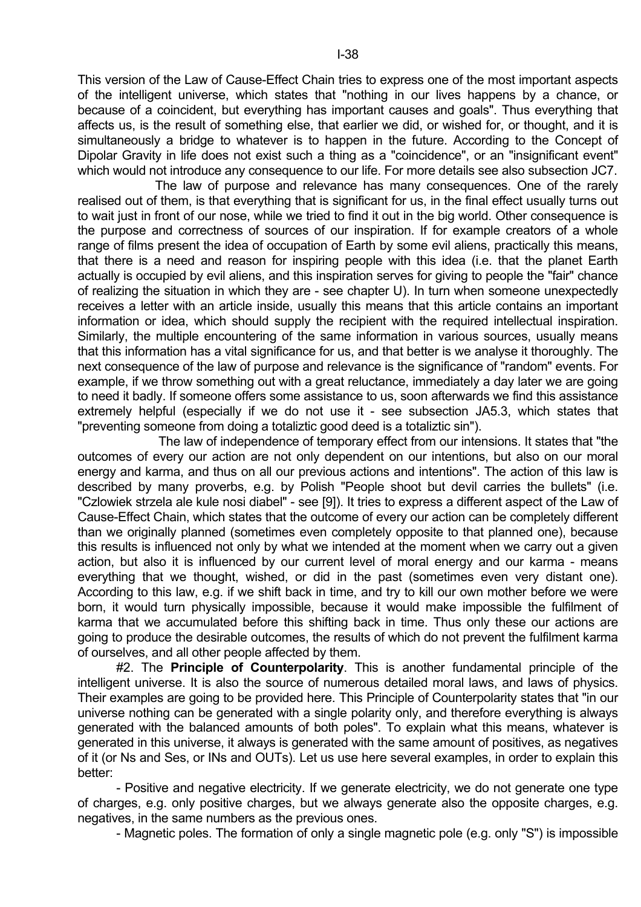This version of the Law of Cause-Effect Chain tries to express one of the most important aspects of the intelligent universe, which states that "nothing in our lives happens by a chance, or because of a coincident, but everything has important causes and goals". Thus everything that affects us, is the result of something else, that earlier we did, or wished for, or thought, and it is simultaneously a bridge to whatever is to happen in the future. According to the Concept of Dipolar Gravity in life does not exist such a thing as a "coincidence", or an "insignificant event" which would not introduce any consequence to our life. For more details see also subsection JC7.

 The law of purpose and relevance has many consequences. One of the rarely realised out of them, is that everything that is significant for us, in the final effect usually turns out to wait just in front of our nose, while we tried to find it out in the big world. Other consequence is the purpose and correctness of sources of our inspiration. If for example creators of a whole range of films present the idea of occupation of Earth by some evil aliens, practically this means, that there is a need and reason for inspiring people with this idea (i.e. that the planet Earth actually is occupied by evil aliens, and this inspiration serves for giving to people the "fair" chance of realizing the situation in which they are - see chapter U). In turn when someone unexpectedly receives a letter with an article inside, usually this means that this article contains an important information or idea, which should supply the recipient with the required intellectual inspiration. Similarly, the multiple encountering of the same information in various sources, usually means that this information has a vital significance for us, and that better is we analyse it thoroughly. The next consequence of the law of purpose and relevance is the significance of "random" events. For example, if we throw something out with a great reluctance, immediately a day later we are going to need it badly. If someone offers some assistance to us, soon afterwards we find this assistance extremely helpful (especially if we do not use it - see subsection JA5.3, which states that "preventing someone from doing a totaliztic good deed is a totaliztic sin").

 The law of independence of temporary effect from our intensions. It states that "the outcomes of every our action are not only dependent on our intentions, but also on our moral energy and karma, and thus on all our previous actions and intentions". The action of this law is described by many proverbs, e.g. by Polish "People shoot but devil carries the bullets" (i.e. "Czlowiek strzela ale kule nosi diabel" - see [9]). It tries to express a different aspect of the Law of Cause-Effect Chain, which states that the outcome of every our action can be completely different than we originally planned (sometimes even completely opposite to that planned one), because this results is influenced not only by what we intended at the moment when we carry out a given action, but also it is influenced by our current level of moral energy and our karma - means everything that we thought, wished, or did in the past (sometimes even very distant one). According to this law, e.g. if we shift back in time, and try to kill our own mother before we were born, it would turn physically impossible, because it would make impossible the fulfilment of karma that we accumulated before this shifting back in time. Thus only these our actions are going to produce the desirable outcomes, the results of which do not prevent the fulfilment karma of ourselves, and all other people affected by them.

 #2. The **Principle of Counterpolarity**. This is another fundamental principle of the intelligent universe. It is also the source of numerous detailed moral laws, and laws of physics. Their examples are going to be provided here. This Principle of Counterpolarity states that "in our universe nothing can be generated with a single polarity only, and therefore everything is always generated with the balanced amounts of both poles". To explain what this means, whatever is generated in this universe, it always is generated with the same amount of positives, as negatives of it (or Ns and Ses, or INs and OUTs). Let us use here several examples, in order to explain this better:

 - Positive and negative electricity. If we generate electricity, we do not generate one type of charges, e.g. only positive charges, but we always generate also the opposite charges, e.g. negatives, in the same numbers as the previous ones.

- Magnetic poles. The formation of only a single magnetic pole (e.g. only "S") is impossible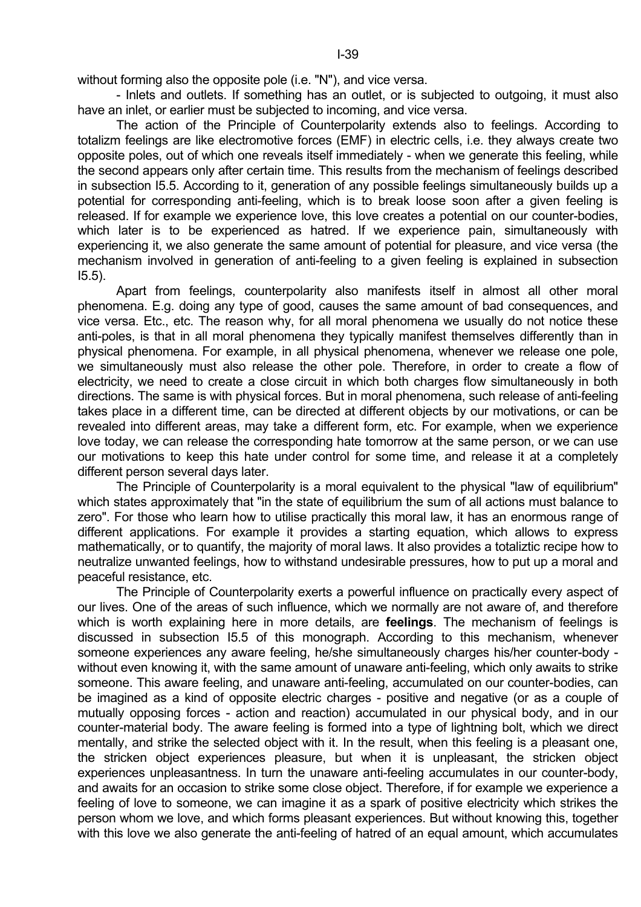without forming also the opposite pole (i.e. "N"), and vice versa.

 - Inlets and outlets. If something has an outlet, or is subjected to outgoing, it must also have an inlet, or earlier must be subjected to incoming, and vice versa.

 The action of the Principle of Counterpolarity extends also to feelings. According to totalizm feelings are like electromotive forces (EMF) in electric cells, i.e. they always create two opposite poles, out of which one reveals itself immediately - when we generate this feeling, while the second appears only after certain time. This results from the mechanism of feelings described in subsection 15.5. According to it, generation of any possible feelings simultaneously builds up a potential for corresponding anti-feeling, which is to break loose soon after a given feeling is released. If for example we experience love, this love creates a potential on our counter-bodies, which later is to be experienced as hatred. If we experience pain, simultaneously with experiencing it, we also generate the same amount of potential for pleasure, and vice versa (the mechanism involved in generation of anti-feeling to a given feeling is explained in subsection I5.5).

 Apart from feelings, counterpolarity also manifests itself in almost all other moral phenomena. E.g. doing any type of good, causes the same amount of bad consequences, and vice versa. Etc., etc. The reason why, for all moral phenomena we usually do not notice these anti-poles, is that in all moral phenomena they typically manifest themselves differently than in physical phenomena. For example, in all physical phenomena, whenever we release one pole, we simultaneously must also release the other pole. Therefore, in order to create a flow of electricity, we need to create a close circuit in which both charges flow simultaneously in both directions. The same is with physical forces. But in moral phenomena, such release of anti-feeling takes place in a different time, can be directed at different objects by our motivations, or can be revealed into different areas, may take a different form, etc. For example, when we experience love today, we can release the corresponding hate tomorrow at the same person, or we can use our motivations to keep this hate under control for some time, and release it at a completely different person several days later.

 The Principle of Counterpolarity is a moral equivalent to the physical "law of equilibrium" which states approximately that "in the state of equilibrium the sum of all actions must balance to zero". For those who learn how to utilise practically this moral law, it has an enormous range of different applications. For example it provides a starting equation, which allows to express mathematically, or to quantify, the majority of moral laws. It also provides a totaliztic recipe how to neutralize unwanted feelings, how to withstand undesirable pressures, how to put up a moral and peaceful resistance, etc.

 The Principle of Counterpolarity exerts a powerful influence on practically every aspect of our lives. One of the areas of such influence, which we normally are not aware of, and therefore which is worth explaining here in more details, are **feelings**. The mechanism of feelings is discussed in subsection I5.5 of this monograph. According to this mechanism, whenever someone experiences any aware feeling, he/she simultaneously charges his/her counter-body without even knowing it, with the same amount of unaware anti-feeling, which only awaits to strike someone. This aware feeling, and unaware anti-feeling, accumulated on our counter-bodies, can be imagined as a kind of opposite electric charges - positive and negative (or as a couple of mutually opposing forces - action and reaction) accumulated in our physical body, and in our counter-material body. The aware feeling is formed into a type of lightning bolt, which we direct mentally, and strike the selected object with it. In the result, when this feeling is a pleasant one, the stricken object experiences pleasure, but when it is unpleasant, the stricken object experiences unpleasantness. In turn the unaware anti-feeling accumulates in our counter-body, and awaits for an occasion to strike some close object. Therefore, if for example we experience a feeling of love to someone, we can imagine it as a spark of positive electricity which strikes the person whom we love, and which forms pleasant experiences. But without knowing this, together with this love we also generate the anti-feeling of hatred of an equal amount, which accumulates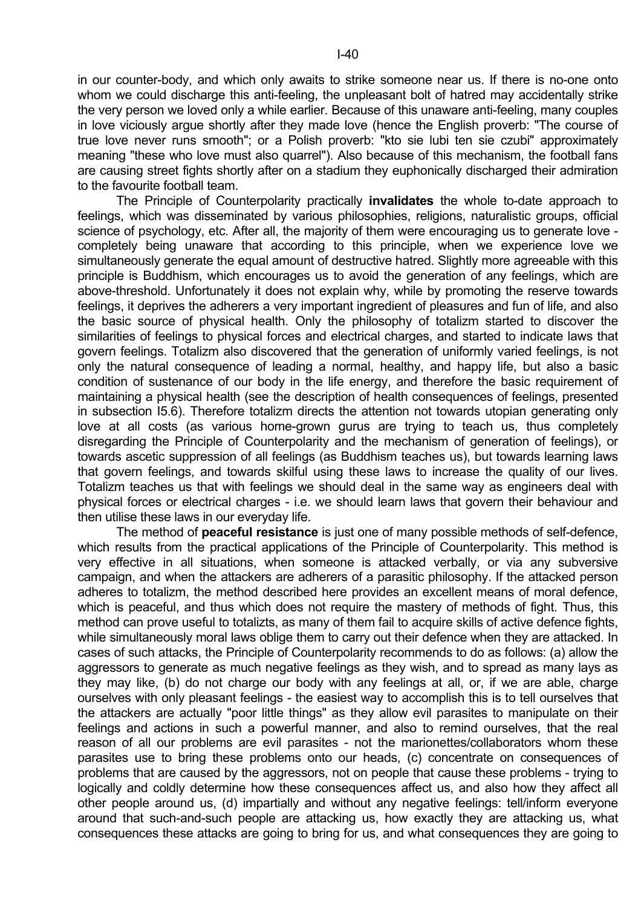in our counter-body, and which only awaits to strike someone near us. If there is no-one onto whom we could discharge this anti-feeling, the unpleasant bolt of hatred may accidentally strike the very person we loved only a while earlier. Because of this unaware anti-feeling, many couples in love viciously argue shortly after they made love (hence the English proverb: "The course of true love never runs smooth"; or a Polish proverb: "kto sie lubi ten sie czubi" approximately meaning "these who love must also quarrel"). Also because of this mechanism, the football fans are causing street fights shortly after on a stadium they euphonically discharged their admiration to the favourite football team.

 The Principle of Counterpolarity practically **invalidates** the whole to-date approach to feelings, which was disseminated by various philosophies, religions, naturalistic groups, official science of psychology, etc. After all, the majority of them were encouraging us to generate love completely being unaware that according to this principle, when we experience love we simultaneously generate the equal amount of destructive hatred. Slightly more agreeable with this principle is Buddhism, which encourages us to avoid the generation of any feelings, which are above-threshold. Unfortunately it does not explain why, while by promoting the reserve towards feelings, it deprives the adherers a very important ingredient of pleasures and fun of life, and also the basic source of physical health. Only the philosophy of totalizm started to discover the similarities of feelings to physical forces and electrical charges, and started to indicate laws that govern feelings. Totalizm also discovered that the generation of uniformly varied feelings, is not only the natural consequence of leading a normal, healthy, and happy life, but also a basic condition of sustenance of our body in the life energy, and therefore the basic requirement of maintaining a physical health (see the description of health consequences of feelings, presented in subsection I5.6). Therefore totalizm directs the attention not towards utopian generating only love at all costs (as various home-grown gurus are trying to teach us, thus completely disregarding the Principle of Counterpolarity and the mechanism of generation of feelings), or towards ascetic suppression of all feelings (as Buddhism teaches us), but towards learning laws that govern feelings, and towards skilful using these laws to increase the quality of our lives. Totalizm teaches us that with feelings we should deal in the same way as engineers deal with physical forces or electrical charges - i.e. we should learn laws that govern their behaviour and then utilise these laws in our everyday life.

 The method of **peaceful resistance** is just one of many possible methods of self-defence, which results from the practical applications of the Principle of Counterpolarity. This method is very effective in all situations, when someone is attacked verbally, or via any subversive campaign, and when the attackers are adherers of a parasitic philosophy. If the attacked person adheres to totalizm, the method described here provides an excellent means of moral defence, which is peaceful, and thus which does not require the mastery of methods of fight. Thus, this method can prove useful to totalizts, as many of them fail to acquire skills of active defence fights, while simultaneously moral laws oblige them to carry out their defence when they are attacked. In cases of such attacks, the Principle of Counterpolarity recommends to do as follows: (a) allow the aggressors to generate as much negative feelings as they wish, and to spread as many lays as they may like, (b) do not charge our body with any feelings at all, or, if we are able, charge ourselves with only pleasant feelings - the easiest way to accomplish this is to tell ourselves that the attackers are actually "poor little things" as they allow evil parasites to manipulate on their feelings and actions in such a powerful manner, and also to remind ourselves, that the real reason of all our problems are evil parasites - not the marionettes/collaborators whom these parasites use to bring these problems onto our heads, (c) concentrate on consequences of problems that are caused by the aggressors, not on people that cause these problems - trying to logically and coldly determine how these consequences affect us, and also how they affect all other people around us, (d) impartially and without any negative feelings: tell/inform everyone around that such-and-such people are attacking us, how exactly they are attacking us, what consequences these attacks are going to bring for us, and what consequences they are going to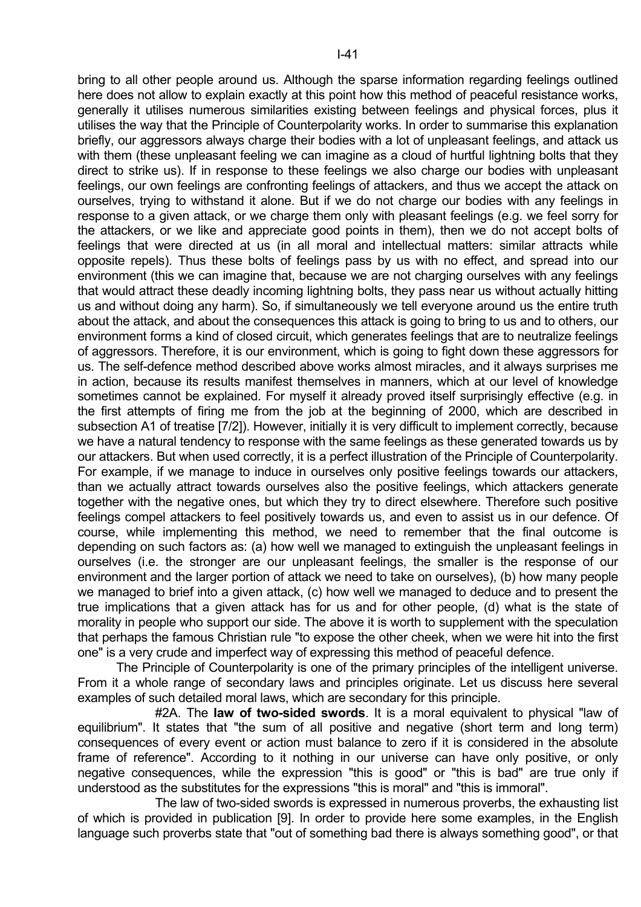bring to all other people around us. Although the sparse information regarding feelings outlined here does not allow to explain exactly at this point how this method of peaceful resistance works, generally it utilises numerous similarities existing between feelings and physical forces, plus it utilises the way that the Principle of Counterpolarity works. In order to summarise this explanation briefly, our aggressors always charge their bodies with a lot of unpleasant feelings, and attack us with them (these unpleasant feeling we can imagine as a cloud of hurtful lightning bolts that they direct to strike us). If in response to these feelings we also charge our bodies with unpleasant feelings, our own feelings are confronting feelings of attackers, and thus we accept the attack on ourselves, trying to withstand it alone. But if we do not charge our bodies with any feelings in response to a given attack, or we charge them only with pleasant feelings (e.g. we feel sorry for the attackers, or we like and appreciate good points in them), then we do not accept bolts of feelings that were directed at us (in all moral and intellectual matters: similar attracts while opposite repels). Thus these bolts of feelings pass by us with no effect, and spread into our environment (this we can imagine that, because we are not charging ourselves with any feelings that would attract these deadly incoming lightning bolts, they pass near us without actually hitting us and without doing any harm). So, if simultaneously we tell everyone around us the entire truth about the attack, and about the consequences this attack is going to bring to us and to others, our environment forms a kind of closed circuit, which generates feelings that are to neutralize feelings of aggressors. Therefore, it is our environment, which is going to fight down these aggressors for us. The self-defence method described above works almost miracles, and it always surprises me in action, because its results manifest themselves in manners, which at our level of knowledge sometimes cannot be explained. For myself it already proved itself surprisingly effective (e.g. in the first attempts of firing me from the job at the beginning of 2000, which are described in subsection A1 of treatise [7/2]). However, initially it is very difficult to implement correctly, because we have a natural tendency to response with the same feelings as these generated towards us by our attackers. But when used correctly, it is a perfect illustration of the Principle of Counterpolarity. For example, if we manage to induce in ourselves only positive feelings towards our attackers, than we actually attract towards ourselves also the positive feelings, which attackers generate together with the negative ones, but which they try to direct elsewhere. Therefore such positive feelings compel attackers to feel positively towards us, and even to assist us in our defence. Of course, while implementing this method, we need to remember that the final outcome is depending on such factors as: (a) how well we managed to extinguish the unpleasant feelings in ourselves (i.e. the stronger are our unpleasant feelings, the smaller is the response of our environment and the larger portion of attack we need to take on ourselves), (b) how many people we managed to brief into a given attack, (c) how well we managed to deduce and to present the true implications that a given attack has for us and for other people, (d) what is the state of morality in people who support our side. The above it is worth to supplement with the speculation that perhaps the famous Christian rule "to expose the other cheek, when we were hit into the first one" is a very crude and imperfect way of expressing this method of peaceful defence.

 The Principle of Counterpolarity is one of the primary principles of the intelligent universe. From it a whole range of secondary laws and principles originate. Let us discuss here several examples of such detailed moral laws, which are secondary for this principle.

 #2A. The **law of two-sided swords**. It is a moral equivalent to physical "law of equilibrium". It states that "the sum of all positive and negative (short term and long term) consequences of every event or action must balance to zero if it is considered in the absolute frame of reference". According to it nothing in our universe can have only positive, or only negative consequences, while the expression "this is good" or "this is bad" are true only if understood as the substitutes for the expressions "this is moral" and "this is immoral".

 The law of two-sided swords is expressed in numerous proverbs, the exhausting list of which is provided in publication [9]. In order to provide here some examples, in the English language such proverbs state that "out of something bad there is always something good", or that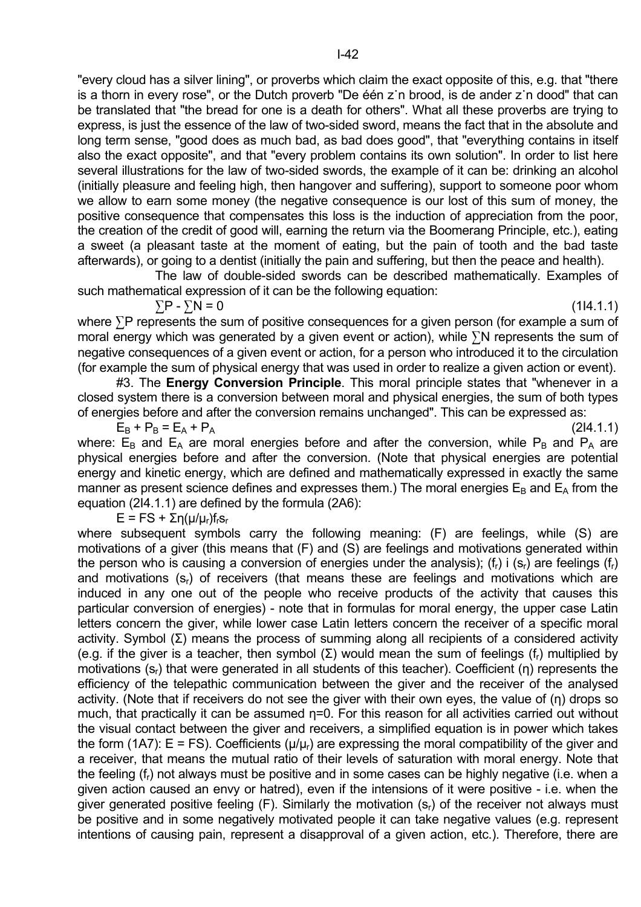"every cloud has a silver lining", or proverbs which claim the exact opposite of this, e.g. that "there is a thorn in every rose", or the Dutch proverb "De één z˙n brood, is de ander z˙n dood" that can be translated that "the bread for one is a death for others". What all these proverbs are trying to express, is just the essence of the law of two-sided sword, means the fact that in the absolute and long term sense, "good does as much bad, as bad does good", that "everything contains in itself also the exact opposite", and that "every problem contains its own solution". In order to list here several illustrations for the law of two-sided swords, the example of it can be: drinking an alcohol (initially pleasure and feeling high, then hangover and suffering), support to someone poor whom we allow to earn some money (the negative consequence is our lost of this sum of money, the positive consequence that compensates this loss is the induction of appreciation from the poor, the creation of the credit of good will, earning the return via the Boomerang Principle, etc.), eating a sweet (a pleasant taste at the moment of eating, but the pain of tooth and the bad taste afterwards), or going to a dentist (initially the pain and suffering, but then the peace and health).

 The law of double-sided swords can be described mathematically. Examples of such mathematical expression of it can be the following equation:

 $\sum P - \sum N = 0$  (114.1.1)

where  $\Sigma$ P represents the sum of positive consequences for a given person (for example a sum of moral energy which was generated by a given event or action), while  $\Sigma N$  represents the sum of negative consequences of a given event or action, for a person who introduced it to the circulation (for example the sum of physical energy that was used in order to realize a given action or event).

 #3. The **Energy Conversion Principle**. This moral principle states that "whenever in a closed system there is a conversion between moral and physical energies, the sum of both types of energies before and after the conversion remains unchanged". This can be expressed as:

 $E_B + P_B = E_A + P_A$  (214.1.1) where:  $E_B$  and  $E_A$  are moral energies before and after the conversion, while  $P_B$  and  $P_A$  are physical energies before and after the conversion. (Note that physical energies are potential energy and kinetic energy, which are defined and mathematically expressed in exactly the same manner as present science defines and expresses them.) The moral energies  $E_B$  and  $E_A$  from the equation (2I4.1.1) are defined by the formula (2A6):

 $E = FS + \Sigma n(\mu/\mu_r)f_r s_r$ 

where subsequent symbols carry the following meaning: (F) are feelings, while (S) are motivations of a giver (this means that (F) and (S) are feelings and motivations generated within the person who is causing a conversion of energies under the analysis);  $(f_r)$  i  $(s_r)$  are feelings  $(f_r)$ and motivations  $(s<sub>r</sub>)$  of receivers (that means these are feelings and motivations which are induced in any one out of the people who receive products of the activity that causes this particular conversion of energies) - note that in formulas for moral energy, the upper case Latin letters concern the giver, while lower case Latin letters concern the receiver of a specific moral activity. Symbol  $(\Sigma)$  means the process of summing along all recipients of a considered activity (e.g. if the giver is a teacher, then symbol (Σ) would mean the sum of feelings (fr) multiplied by motivations  $(s_r)$  that were generated in all students of this teacher). Coefficient (η) represents the efficiency of the telepathic communication between the giver and the receiver of the analysed activity. (Note that if receivers do not see the giver with their own eyes, the value of (η) drops so much, that practically it can be assumed n=0. For this reason for all activities carried out without the visual contact between the giver and receivers, a simplified equation is in power which takes the form (1A7):  $E = FS$ ). Coefficients ( $\mu/\mu_r$ ) are expressing the moral compatibility of the giver and a receiver, that means the mutual ratio of their levels of saturation with moral energy. Note that the feeling (fr) not always must be positive and in some cases can be highly negative (i.e. when a given action caused an envy or hatred), even if the intensions of it were positive - i.e. when the giver generated positive feeling  $(F)$ . Similarly the motivation  $(s<sub>r</sub>)$  of the receiver not always must be positive and in some negatively motivated people it can take negative values (e.g. represent intentions of causing pain, represent a disapproval of a given action, etc.). Therefore, there are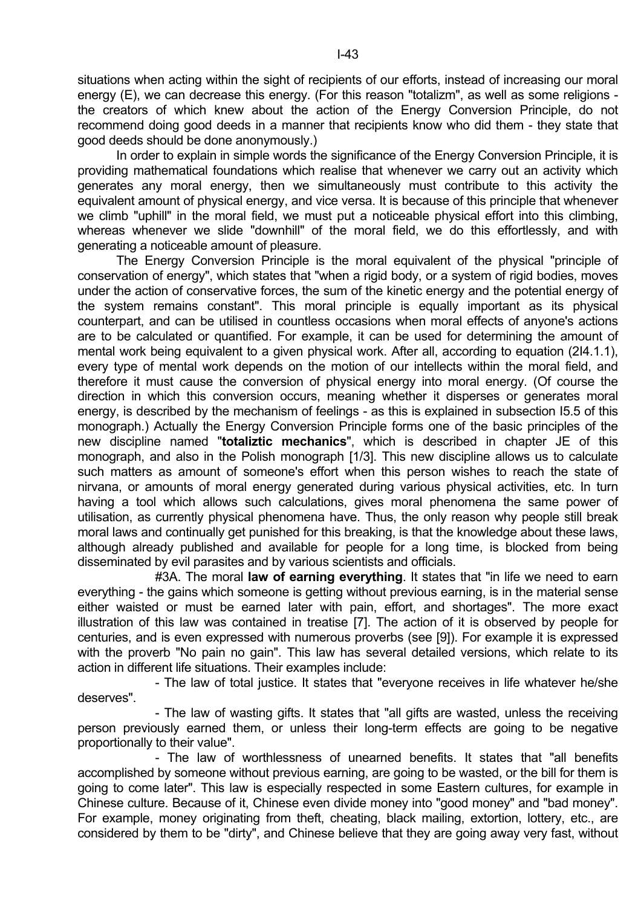situations when acting within the sight of recipients of our efforts, instead of increasing our moral energy (E), we can decrease this energy. (For this reason "totalizm", as well as some religions the creators of which knew about the action of the Energy Conversion Principle, do not recommend doing good deeds in a manner that recipients know who did them - they state that good deeds should be done anonymously.)

In order to explain in simple words the significance of the Energy Conversion Principle, it is providing mathematical foundations which realise that whenever we carry out an activity which generates any moral energy, then we simultaneously must contribute to this activity the equivalent amount of physical energy, and vice versa. It is because of this principle that whenever we climb "uphill" in the moral field, we must put a noticeable physical effort into this climbing, whereas whenever we slide "downhill" of the moral field, we do this effortlessly, and with generating a noticeable amount of pleasure.

 The Energy Conversion Principle is the moral equivalent of the physical "principle of conservation of energy", which states that "when a rigid body, or a system of rigid bodies, moves under the action of conservative forces, the sum of the kinetic energy and the potential energy of the system remains constant". This moral principle is equally important as its physical counterpart, and can be utilised in countless occasions when moral effects of anyone's actions are to be calculated or quantified. For example, it can be used for determining the amount of mental work being equivalent to a given physical work. After all, according to equation (2I4.1.1), every type of mental work depends on the motion of our intellects within the moral field, and therefore it must cause the conversion of physical energy into moral energy. (Of course the direction in which this conversion occurs, meaning whether it disperses or generates moral energy, is described by the mechanism of feelings - as this is explained in subsection I5.5 of this monograph.) Actually the Energy Conversion Principle forms one of the basic principles of the new discipline named "**totaliztic mechanics**", which is described in chapter JE of this monograph, and also in the Polish monograph [1/3]. This new discipline allows us to calculate such matters as amount of someone's effort when this person wishes to reach the state of nirvana, or amounts of moral energy generated during various physical activities, etc. In turn having a tool which allows such calculations, gives moral phenomena the same power of utilisation, as currently physical phenomena have. Thus, the only reason why people still break moral laws and continually get punished for this breaking, is that the knowledge about these laws, although already published and available for people for a long time, is blocked from being disseminated by evil parasites and by various scientists and officials.

 #3A. The moral **law of earning everything**. It states that "in life we need to earn everything - the gains which someone is getting without previous earning, is in the material sense either waisted or must be earned later with pain, effort, and shortages". The more exact illustration of this law was contained in treatise [7]. The action of it is observed by people for centuries, and is even expressed with numerous proverbs (see [9]). For example it is expressed with the proverb "No pain no gain". This law has several detailed versions, which relate to its action in different life situations. Their examples include:

 - The law of total justice. It states that "everyone receives in life whatever he/she deserves".

 - The law of wasting gifts. It states that "all gifts are wasted, unless the receiving person previously earned them, or unless their long-term effects are going to be negative proportionally to their value".

 - The law of worthlessness of unearned benefits. It states that "all benefits accomplished by someone without previous earning, are going to be wasted, or the bill for them is going to come later". This law is especially respected in some Eastern cultures, for example in Chinese culture. Because of it, Chinese even divide money into "good money" and "bad money". For example, money originating from theft, cheating, black mailing, extortion, lottery, etc., are considered by them to be "dirty", and Chinese believe that they are going away very fast, without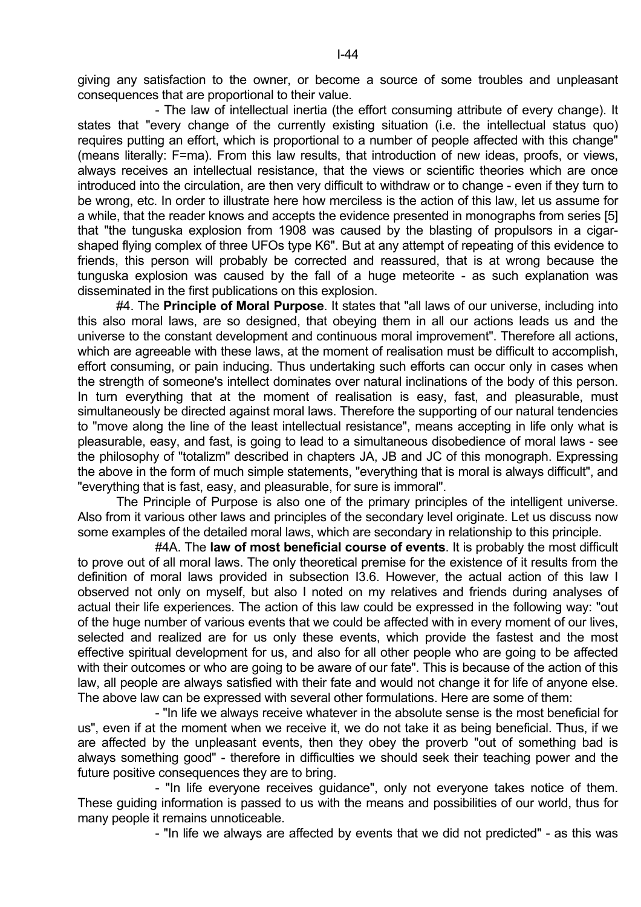giving any satisfaction to the owner, or become a source of some troubles and unpleasant consequences that are proportional to their value.

 - The law of intellectual inertia (the effort consuming attribute of every change). It states that "every change of the currently existing situation (i.e. the intellectual status quo) requires putting an effort, which is proportional to a number of people affected with this change" (means literally: F=ma). From this law results, that introduction of new ideas, proofs, or views, always receives an intellectual resistance, that the views or scientific theories which are once introduced into the circulation, are then very difficult to withdraw or to change - even if they turn to be wrong, etc. In order to illustrate here how merciless is the action of this law, let us assume for a while, that the reader knows and accepts the evidence presented in monographs from series [5] that "the tunguska explosion from 1908 was caused by the blasting of propulsors in a cigarshaped flying complex of three UFOs type K6". But at any attempt of repeating of this evidence to friends, this person will probably be corrected and reassured, that is at wrong because the tunguska explosion was caused by the fall of a huge meteorite - as such explanation was disseminated in the first publications on this explosion.

 #4. The **Principle of Moral Purpose**. It states that "all laws of our universe, including into this also moral laws, are so designed, that obeying them in all our actions leads us and the universe to the constant development and continuous moral improvement". Therefore all actions, which are agreeable with these laws, at the moment of realisation must be difficult to accomplish, effort consuming, or pain inducing. Thus undertaking such efforts can occur only in cases when the strength of someone's intellect dominates over natural inclinations of the body of this person. In turn everything that at the moment of realisation is easy, fast, and pleasurable, must simultaneously be directed against moral laws. Therefore the supporting of our natural tendencies to "move along the line of the least intellectual resistance", means accepting in life only what is pleasurable, easy, and fast, is going to lead to a simultaneous disobedience of moral laws - see the philosophy of "totalizm" described in chapters JA, JB and JC of this monograph. Expressing the above in the form of much simple statements, "everything that is moral is always difficult", and "everything that is fast, easy, and pleasurable, for sure is immoral".

 The Principle of Purpose is also one of the primary principles of the intelligent universe. Also from it various other laws and principles of the secondary level originate. Let us discuss now some examples of the detailed moral laws, which are secondary in relationship to this principle.

 #4A. The **law of most beneficial course of events**. It is probably the most difficult to prove out of all moral laws. The only theoretical premise for the existence of it results from the definition of moral laws provided in subsection I3.6. However, the actual action of this law I observed not only on myself, but also I noted on my relatives and friends during analyses of actual their life experiences. The action of this law could be expressed in the following way: "out of the huge number of various events that we could be affected with in every moment of our lives, selected and realized are for us only these events, which provide the fastest and the most effective spiritual development for us, and also for all other people who are going to be affected with their outcomes or who are going to be aware of our fate". This is because of the action of this law, all people are always satisfied with their fate and would not change it for life of anyone else. The above law can be expressed with several other formulations. Here are some of them:

 - "In life we always receive whatever in the absolute sense is the most beneficial for us", even if at the moment when we receive it, we do not take it as being beneficial. Thus, if we are affected by the unpleasant events, then they obey the proverb "out of something bad is always something good" - therefore in difficulties we should seek their teaching power and the future positive consequences they are to bring.

 - "In life everyone receives guidance", only not everyone takes notice of them. These guiding information is passed to us with the means and possibilities of our world, thus for many people it remains unnoticeable.

- "In life we always are affected by events that we did not predicted" - as this was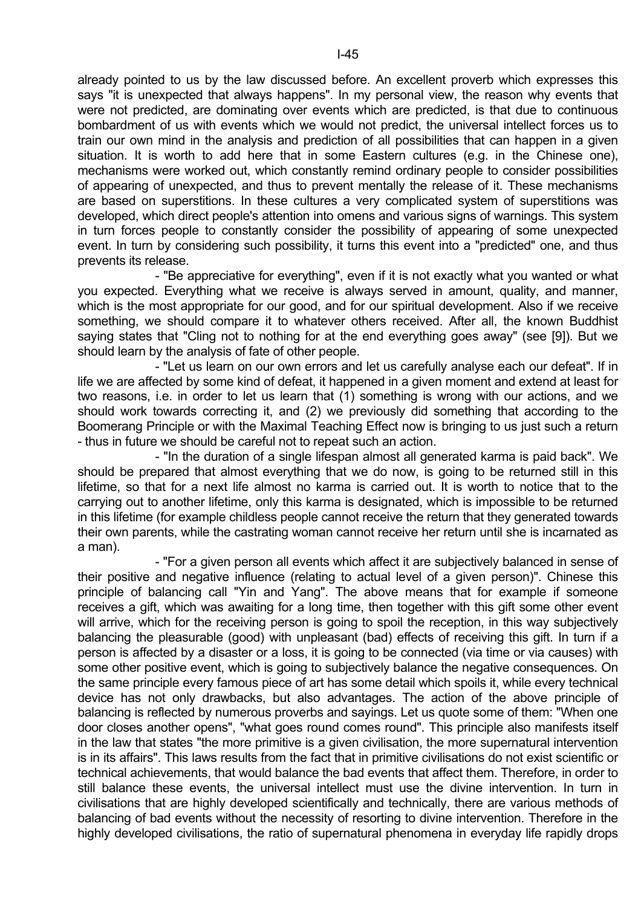already pointed to us by the law discussed before. An excellent proverb which expresses this says "it is unexpected that always happens". In my personal view, the reason why events that were not predicted, are dominating over events which are predicted, is that due to continuous bombardment of us with events which we would not predict, the universal intellect forces us to train our own mind in the analysis and prediction of all possibilities that can happen in a given situation. It is worth to add here that in some Eastern cultures (e.g. in the Chinese one), mechanisms were worked out, which constantly remind ordinary people to consider possibilities of appearing of unexpected, and thus to prevent mentally the release of it. These mechanisms are based on superstitions. In these cultures a very complicated system of superstitions was developed, which direct people's attention into omens and various signs of warnings. This system in turn forces people to constantly consider the possibility of appearing of some unexpected event. In turn by considering such possibility, it turns this event into a "predicted" one, and thus prevents its release.

 - "Be appreciative for everything", even if it is not exactly what you wanted or what you expected. Everything what we receive is always served in amount, quality, and manner, which is the most appropriate for our good, and for our spiritual development. Also if we receive something, we should compare it to whatever others received. After all, the known Buddhist saying states that "Cling not to nothing for at the end everything goes away" (see [9]). But we should learn by the analysis of fate of other people.

 - "Let us learn on our own errors and let us carefully analyse each our defeat". If in life we are affected by some kind of defeat, it happened in a given moment and extend at least for two reasons, i.e. in order to let us learn that (1) something is wrong with our actions, and we should work towards correcting it, and (2) we previously did something that according to the Boomerang Principle or with the Maximal Teaching Effect now is bringing to us just such a return - thus in future we should be careful not to repeat such an action.

 - "In the duration of a single lifespan almost all generated karma is paid back". We should be prepared that almost everything that we do now, is going to be returned still in this lifetime, so that for a next life almost no karma is carried out. It is worth to notice that to the carrying out to another lifetime, only this karma is designated, which is impossible to be returned in this lifetime (for example childless people cannot receive the return that they generated towards their own parents, while the castrating woman cannot receive her return until she is incarnated as a man).

 - "For a given person all events which affect it are subjectively balanced in sense of their positive and negative influence (relating to actual level of a given person)". Chinese this principle of balancing call "Yin and Yang". The above means that for example if someone receives a gift, which was awaiting for a long time, then together with this gift some other event will arrive, which for the receiving person is going to spoil the reception, in this way subjectively balancing the pleasurable (good) with unpleasant (bad) effects of receiving this gift. In turn if a person is affected by a disaster or a loss, it is going to be connected (via time or via causes) with some other positive event, which is going to subjectively balance the negative consequences. On the same principle every famous piece of art has some detail which spoils it, while every technical device has not only drawbacks, but also advantages. The action of the above principle of balancing is reflected by numerous proverbs and sayings. Let us quote some of them: "When one door closes another opens", "what goes round comes round". This principle also manifests itself in the law that states "the more primitive is a given civilisation, the more supernatural intervention is in its affairs". This laws results from the fact that in primitive civilisations do not exist scientific or technical achievements, that would balance the bad events that affect them. Therefore, in order to still balance these events, the universal intellect must use the divine intervention. In turn in civilisations that are highly developed scientifically and technically, there are various methods of balancing of bad events without the necessity of resorting to divine intervention. Therefore in the highly developed civilisations, the ratio of supernatural phenomena in everyday life rapidly drops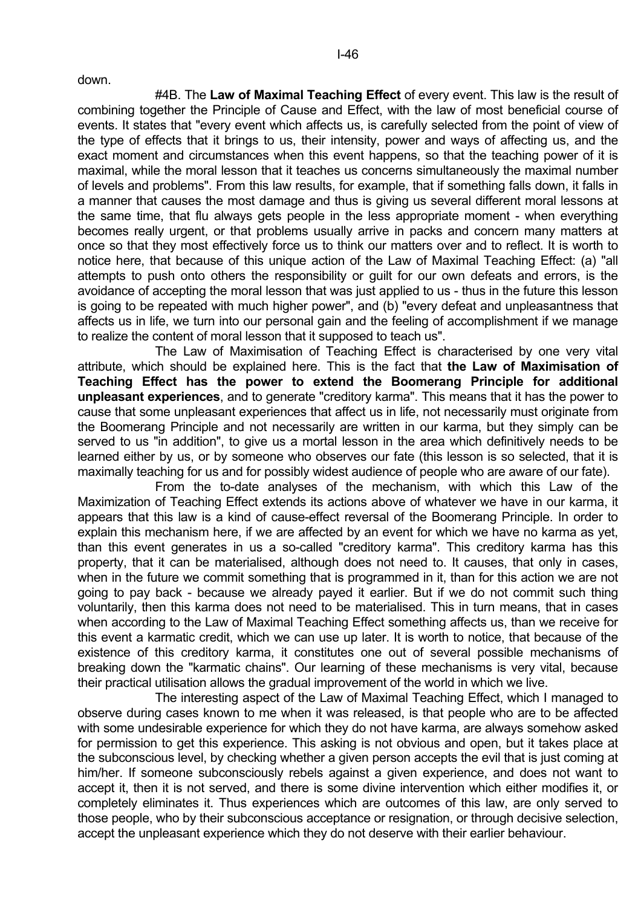down.

 #4B. The **Law of Maximal Teaching Effect** of every event. This law is the result of combining together the Principle of Cause and Effect, with the law of most beneficial course of events. It states that "every event which affects us, is carefully selected from the point of view of the type of effects that it brings to us, their intensity, power and ways of affecting us, and the exact moment and circumstances when this event happens, so that the teaching power of it is maximal, while the moral lesson that it teaches us concerns simultaneously the maximal number of levels and problems". From this law results, for example, that if something falls down, it falls in a manner that causes the most damage and thus is giving us several different moral lessons at the same time, that flu always gets people in the less appropriate moment - when everything becomes really urgent, or that problems usually arrive in packs and concern many matters at once so that they most effectively force us to think our matters over and to reflect. It is worth to notice here, that because of this unique action of the Law of Maximal Teaching Effect: (a) "all attempts to push onto others the responsibility or guilt for our own defeats and errors, is the avoidance of accepting the moral lesson that was just applied to us - thus in the future this lesson is going to be repeated with much higher power", and (b) "every defeat and unpleasantness that affects us in life, we turn into our personal gain and the feeling of accomplishment if we manage to realize the content of moral lesson that it supposed to teach us".

 The Law of Maximisation of Teaching Effect is characterised by one very vital attribute, which should be explained here. This is the fact that **the Law of Maximisation of Teaching Effect has the power to extend the Boomerang Principle for additional unpleasant experiences**, and to generate "creditory karma". This means that it has the power to cause that some unpleasant experiences that affect us in life, not necessarily must originate from the Boomerang Principle and not necessarily are written in our karma, but they simply can be served to us "in addition", to give us a mortal lesson in the area which definitively needs to be learned either by us, or by someone who observes our fate (this lesson is so selected, that it is maximally teaching for us and for possibly widest audience of people who are aware of our fate).

 From the to-date analyses of the mechanism, with which this Law of the Maximization of Teaching Effect extends its actions above of whatever we have in our karma, it appears that this law is a kind of cause-effect reversal of the Boomerang Principle. In order to explain this mechanism here, if we are affected by an event for which we have no karma as yet, than this event generates in us a so-called "creditory karma". This creditory karma has this property, that it can be materialised, although does not need to. It causes, that only in cases, when in the future we commit something that is programmed in it, than for this action we are not going to pay back - because we already payed it earlier. But if we do not commit such thing voluntarily, then this karma does not need to be materialised. This in turn means, that in cases when according to the Law of Maximal Teaching Effect something affects us, than we receive for this event a karmatic credit, which we can use up later. It is worth to notice, that because of the existence of this creditory karma, it constitutes one out of several possible mechanisms of breaking down the "karmatic chains". Our learning of these mechanisms is very vital, because their practical utilisation allows the gradual improvement of the world in which we live.

 The interesting aspect of the Law of Maximal Teaching Effect, which I managed to observe during cases known to me when it was released, is that people who are to be affected with some undesirable experience for which they do not have karma, are always somehow asked for permission to get this experience. This asking is not obvious and open, but it takes place at the subconscious level, by checking whether a given person accepts the evil that is just coming at him/her. If someone subconsciously rebels against a given experience, and does not want to accept it, then it is not served, and there is some divine intervention which either modifies it, or completely eliminates it. Thus experiences which are outcomes of this law, are only served to those people, who by their subconscious acceptance or resignation, or through decisive selection, accept the unpleasant experience which they do not deserve with their earlier behaviour.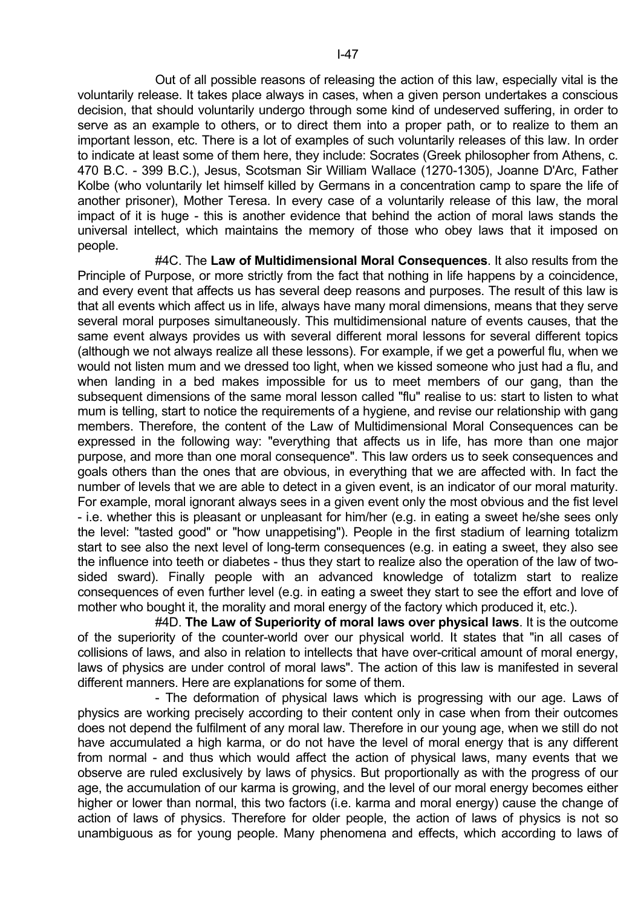Out of all possible reasons of releasing the action of this law, especially vital is the voluntarily release. It takes place always in cases, when a given person undertakes a conscious decision, that should voluntarily undergo through some kind of undeserved suffering, in order to serve as an example to others, or to direct them into a proper path, or to realize to them an important lesson, etc. There is a lot of examples of such voluntarily releases of this law. In order to indicate at least some of them here, they include: Socrates (Greek philosopher from Athens, c. 470 B.C. - 399 B.C.), Jesus, Scotsman Sir William Wallace (1270-1305), Joanne D'Arc, Father Kolbe (who voluntarily let himself killed by Germans in a concentration camp to spare the life of another prisoner), Mother Teresa. In every case of a voluntarily release of this law, the moral impact of it is huge - this is another evidence that behind the action of moral laws stands the universal intellect, which maintains the memory of those who obey laws that it imposed on people.

 #4C. The **Law of Multidimensional Moral Consequences**. It also results from the Principle of Purpose, or more strictly from the fact that nothing in life happens by a coincidence, and every event that affects us has several deep reasons and purposes. The result of this law is that all events which affect us in life, always have many moral dimensions, means that they serve several moral purposes simultaneously. This multidimensional nature of events causes, that the same event always provides us with several different moral lessons for several different topics (although we not always realize all these lessons). For example, if we get a powerful flu, when we would not listen mum and we dressed too light, when we kissed someone who just had a flu, and when landing in a bed makes impossible for us to meet members of our gang, than the subsequent dimensions of the same moral lesson called "flu" realise to us: start to listen to what mum is telling, start to notice the requirements of a hygiene, and revise our relationship with gang members. Therefore, the content of the Law of Multidimensional Moral Consequences can be expressed in the following way: "everything that affects us in life, has more than one major purpose, and more than one moral consequence". This law orders us to seek consequences and goals others than the ones that are obvious, in everything that we are affected with. In fact the number of levels that we are able to detect in a given event, is an indicator of our moral maturity. For example, moral ignorant always sees in a given event only the most obvious and the fist level - i.e. whether this is pleasant or unpleasant for him/her (e.g. in eating a sweet he/she sees only the level: "tasted good" or "how unappetising"). People in the first stadium of learning totalizm start to see also the next level of long-term consequences (e.g. in eating a sweet, they also see the influence into teeth or diabetes - thus they start to realize also the operation of the law of twosided sward). Finally people with an advanced knowledge of totalizm start to realize consequences of even further level (e.g. in eating a sweet they start to see the effort and love of mother who bought it, the morality and moral energy of the factory which produced it, etc.).

 #4D. **The Law of Superiority of moral laws over physical laws**. It is the outcome of the superiority of the counter-world over our physical world. It states that "in all cases of collisions of laws, and also in relation to intellects that have over-critical amount of moral energy, laws of physics are under control of moral laws". The action of this law is manifested in several different manners. Here are explanations for some of them.

 - The deformation of physical laws which is progressing with our age. Laws of physics are working precisely according to their content only in case when from their outcomes does not depend the fulfilment of any moral law. Therefore in our young age, when we still do not have accumulated a high karma, or do not have the level of moral energy that is any different from normal - and thus which would affect the action of physical laws, many events that we observe are ruled exclusively by laws of physics. But proportionally as with the progress of our age, the accumulation of our karma is growing, and the level of our moral energy becomes either higher or lower than normal, this two factors (i.e. karma and moral energy) cause the change of action of laws of physics. Therefore for older people, the action of laws of physics is not so unambiguous as for young people. Many phenomena and effects, which according to laws of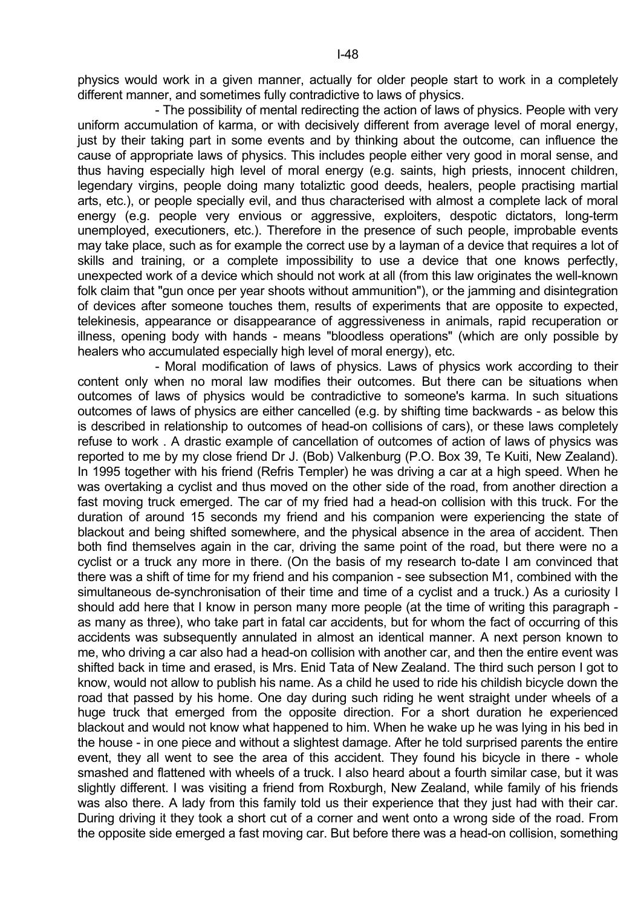physics would work in a given manner, actually for older people start to work in a completely different manner, and sometimes fully contradictive to laws of physics.

 - The possibility of mental redirecting the action of laws of physics. People with very uniform accumulation of karma, or with decisively different from average level of moral energy, just by their taking part in some events and by thinking about the outcome, can influence the cause of appropriate laws of physics. This includes people either very good in moral sense, and thus having especially high level of moral energy (e.g. saints, high priests, innocent children, legendary virgins, people doing many totaliztic good deeds, healers, people practising martial arts, etc.), or people specially evil, and thus characterised with almost a complete lack of moral energy (e.g. people very envious or aggressive, exploiters, despotic dictators, long-term unemployed, executioners, etc.). Therefore in the presence of such people, improbable events may take place, such as for example the correct use by a layman of a device that requires a lot of skills and training, or a complete impossibility to use a device that one knows perfectly, unexpected work of a device which should not work at all (from this law originates the well-known folk claim that "gun once per year shoots without ammunition"), or the jamming and disintegration of devices after someone touches them, results of experiments that are opposite to expected, telekinesis, appearance or disappearance of aggressiveness in animals, rapid recuperation or illness, opening body with hands - means "bloodless operations" (which are only possible by healers who accumulated especially high level of moral energy), etc.

 - Moral modification of laws of physics. Laws of physics work according to their content only when no moral law modifies their outcomes. But there can be situations when outcomes of laws of physics would be contradictive to someone's karma. In such situations outcomes of laws of physics are either cancelled (e.g. by shifting time backwards - as below this is described in relationship to outcomes of head-on collisions of cars), or these laws completely refuse to work . A drastic example of cancellation of outcomes of action of laws of physics was reported to me by my close friend Dr J. (Bob) Valkenburg (P.O. Box 39, Te Kuiti, New Zealand). In 1995 together with his friend (Refris Templer) he was driving a car at a high speed. When he was overtaking a cyclist and thus moved on the other side of the road, from another direction a fast moving truck emerged. The car of my fried had a head-on collision with this truck. For the duration of around 15 seconds my friend and his companion were experiencing the state of blackout and being shifted somewhere, and the physical absence in the area of accident. Then both find themselves again in the car, driving the same point of the road, but there were no a cyclist or a truck any more in there. (On the basis of my research to-date I am convinced that there was a shift of time for my friend and his companion - see subsection M1, combined with the simultaneous de-synchronisation of their time and time of a cyclist and a truck.) As a curiosity I should add here that I know in person many more people (at the time of writing this paragraph as many as three), who take part in fatal car accidents, but for whom the fact of occurring of this accidents was subsequently annulated in almost an identical manner. A next person known to me, who driving a car also had a head-on collision with another car, and then the entire event was shifted back in time and erased, is Mrs. Enid Tata of New Zealand. The third such person I got to know, would not allow to publish his name. As a child he used to ride his childish bicycle down the road that passed by his home. One day during such riding he went straight under wheels of a huge truck that emerged from the opposite direction. For a short duration he experienced blackout and would not know what happened to him. When he wake up he was lying in his bed in the house - in one piece and without a slightest damage. After he told surprised parents the entire event, they all went to see the area of this accident. They found his bicycle in there - whole smashed and flattened with wheels of a truck. I also heard about a fourth similar case, but it was slightly different. I was visiting a friend from Roxburgh, New Zealand, while family of his friends was also there. A lady from this family told us their experience that they just had with their car. During driving it they took a short cut of a corner and went onto a wrong side of the road. From the opposite side emerged a fast moving car. But before there was a head-on collision, something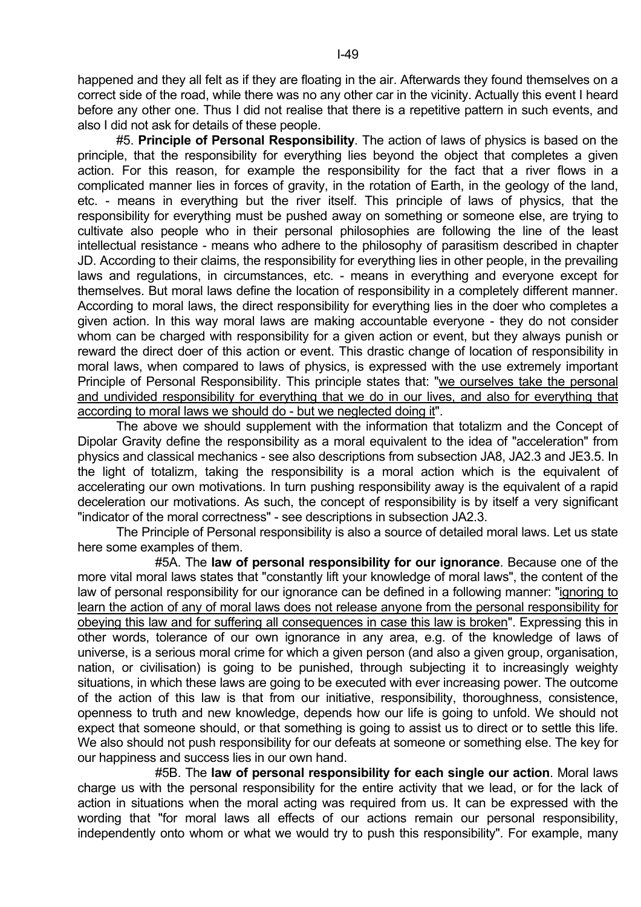happened and they all felt as if they are floating in the air. Afterwards they found themselves on a correct side of the road, while there was no any other car in the vicinity. Actually this event I heard before any other one. Thus I did not realise that there is a repetitive pattern in such events, and also I did not ask for details of these people.

 #5. **Principle of Personal Responsibility**. The action of laws of physics is based on the principle, that the responsibility for everything lies beyond the object that completes a given action. For this reason, for example the responsibility for the fact that a river flows in a complicated manner lies in forces of gravity, in the rotation of Earth, in the geology of the land, etc. - means in everything but the river itself. This principle of laws of physics, that the responsibility for everything must be pushed away on something or someone else, are trying to cultivate also people who in their personal philosophies are following the line of the least intellectual resistance - means who adhere to the philosophy of parasitism described in chapter JD. According to their claims, the responsibility for everything lies in other people, in the prevailing laws and regulations, in circumstances, etc. - means in everything and everyone except for themselves. But moral laws define the location of responsibility in a completely different manner. According to moral laws, the direct responsibility for everything lies in the doer who completes a given action. In this way moral laws are making accountable everyone - they do not consider whom can be charged with responsibility for a given action or event, but they always punish or reward the direct doer of this action or event. This drastic change of location of responsibility in moral laws, when compared to laws of physics, is expressed with the use extremely important Principle of Personal Responsibility. This principle states that: "we ourselves take the personal and undivided responsibility for everything that we do in our lives, and also for everything that according to moral laws we should do - but we neglected doing it".

 The above we should supplement with the information that totalizm and the Concept of Dipolar Gravity define the responsibility as a moral equivalent to the idea of "acceleration" from physics and classical mechanics - see also descriptions from subsection JA8, JA2.3 and JE3.5. In the light of totalizm, taking the responsibility is a moral action which is the equivalent of accelerating our own motivations. In turn pushing responsibility away is the equivalent of a rapid deceleration our motivations. As such, the concept of responsibility is by itself a very significant "indicator of the moral correctness" - see descriptions in subsection JA2.3.

 The Principle of Personal responsibility is also a source of detailed moral laws. Let us state here some examples of them.

 #5A. The **law of personal responsibility for our ignorance**. Because one of the more vital moral laws states that "constantly lift your knowledge of moral laws", the content of the law of personal responsibility for our ignorance can be defined in a following manner: "ignoring to learn the action of any of moral laws does not release anyone from the personal responsibility for obeying this law and for suffering all consequences in case this law is broken". Expressing this in other words, tolerance of our own ignorance in any area, e.g. of the knowledge of laws of universe, is a serious moral crime for which a given person (and also a given group, organisation, nation, or civilisation) is going to be punished, through subjecting it to increasingly weighty situations, in which these laws are going to be executed with ever increasing power. The outcome of the action of this law is that from our initiative, responsibility, thoroughness, consistence, openness to truth and new knowledge, depends how our life is going to unfold. We should not expect that someone should, or that something is going to assist us to direct or to settle this life. We also should not push responsibility for our defeats at someone or something else. The key for our happiness and success lies in our own hand.

 #5B. The **law of personal responsibility for each single our action**. Moral laws charge us with the personal responsibility for the entire activity that we lead, or for the lack of action in situations when the moral acting was required from us. It can be expressed with the wording that "for moral laws all effects of our actions remain our personal responsibility, independently onto whom or what we would try to push this responsibility". For example, many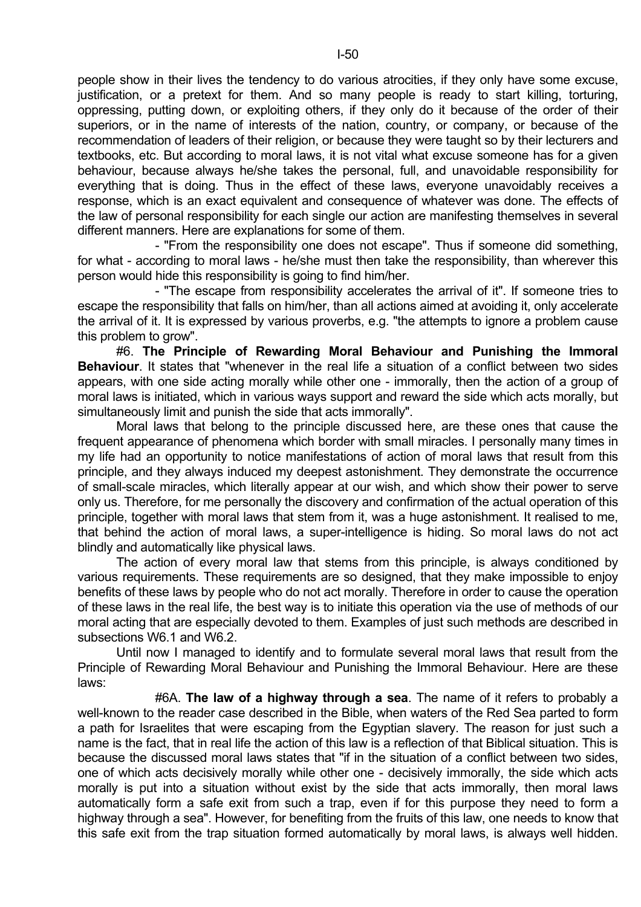people show in their lives the tendency to do various atrocities, if they only have some excuse, justification, or a pretext for them. And so many people is ready to start killing, torturing, oppressing, putting down, or exploiting others, if they only do it because of the order of their superiors, or in the name of interests of the nation, country, or company, or because of the recommendation of leaders of their religion, or because they were taught so by their lecturers and textbooks, etc. But according to moral laws, it is not vital what excuse someone has for a given behaviour, because always he/she takes the personal, full, and unavoidable responsibility for everything that is doing. Thus in the effect of these laws, everyone unavoidably receives a response, which is an exact equivalent and consequence of whatever was done. The effects of the law of personal responsibility for each single our action are manifesting themselves in several different manners. Here are explanations for some of them.

 - "From the responsibility one does not escape". Thus if someone did something, for what - according to moral laws - he/she must then take the responsibility, than wherever this person would hide this responsibility is going to find him/her.

 - "The escape from responsibility accelerates the arrival of it". If someone tries to escape the responsibility that falls on him/her, than all actions aimed at avoiding it, only accelerate the arrival of it. It is expressed by various proverbs, e.g. "the attempts to ignore a problem cause this problem to grow".

 #6. **The Principle of Rewarding Moral Behaviour and Punishing the Immoral Behaviour**. It states that "whenever in the real life a situation of a conflict between two sides appears, with one side acting morally while other one - immorally, then the action of a group of moral laws is initiated, which in various ways support and reward the side which acts morally, but simultaneously limit and punish the side that acts immorally".

 Moral laws that belong to the principle discussed here, are these ones that cause the frequent appearance of phenomena which border with small miracles. I personally many times in my life had an opportunity to notice manifestations of action of moral laws that result from this principle, and they always induced my deepest astonishment. They demonstrate the occurrence of small-scale miracles, which literally appear at our wish, and which show their power to serve only us. Therefore, for me personally the discovery and confirmation of the actual operation of this principle, together with moral laws that stem from it, was a huge astonishment. It realised to me, that behind the action of moral laws, a super-intelligence is hiding. So moral laws do not act blindly and automatically like physical laws.

 The action of every moral law that stems from this principle, is always conditioned by various requirements. These requirements are so designed, that they make impossible to enjoy benefits of these laws by people who do not act morally. Therefore in order to cause the operation of these laws in the real life, the best way is to initiate this operation via the use of methods of our moral acting that are especially devoted to them. Examples of just such methods are described in subsections W6.1 and W6.2.

 Until now I managed to identify and to formulate several moral laws that result from the Principle of Rewarding Moral Behaviour and Punishing the Immoral Behaviour. Here are these laws:

 #6A. **The law of a highway through a sea**. The name of it refers to probably a well-known to the reader case described in the Bible, when waters of the Red Sea parted to form a path for Israelites that were escaping from the Egyptian slavery. The reason for just such a name is the fact, that in real life the action of this law is a reflection of that Biblical situation. This is because the discussed moral laws states that "if in the situation of a conflict between two sides, one of which acts decisively morally while other one - decisively immorally, the side which acts morally is put into a situation without exist by the side that acts immorally, then moral laws automatically form a safe exit from such a trap, even if for this purpose they need to form a highway through a sea". However, for benefiting from the fruits of this law, one needs to know that this safe exit from the trap situation formed automatically by moral laws, is always well hidden.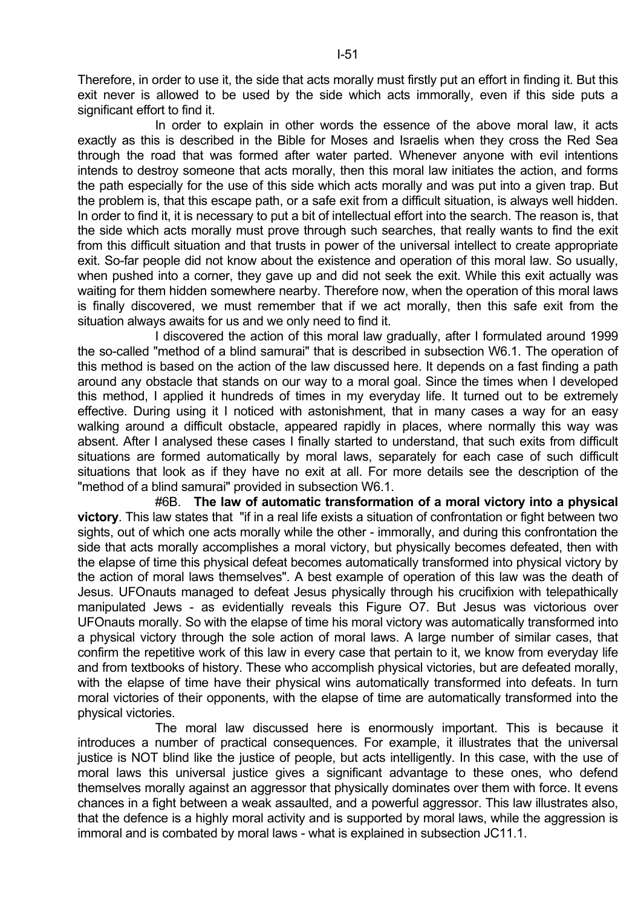Therefore, in order to use it, the side that acts morally must firstly put an effort in finding it. But this exit never is allowed to be used by the side which acts immorally, even if this side puts a significant effort to find it.

 In order to explain in other words the essence of the above moral law, it acts exactly as this is described in the Bible for Moses and Israelis when they cross the Red Sea through the road that was formed after water parted. Whenever anyone with evil intentions intends to destroy someone that acts morally, then this moral law initiates the action, and forms the path especially for the use of this side which acts morally and was put into a given trap. But the problem is, that this escape path, or a safe exit from a difficult situation, is always well hidden. In order to find it, it is necessary to put a bit of intellectual effort into the search. The reason is, that the side which acts morally must prove through such searches, that really wants to find the exit from this difficult situation and that trusts in power of the universal intellect to create appropriate exit. So-far people did not know about the existence and operation of this moral law. So usually, when pushed into a corner, they gave up and did not seek the exit. While this exit actually was waiting for them hidden somewhere nearby. Therefore now, when the operation of this moral laws is finally discovered, we must remember that if we act morally, then this safe exit from the situation always awaits for us and we only need to find it.

 I discovered the action of this moral law gradually, after I formulated around 1999 the so-called "method of a blind samurai" that is described in subsection W6.1. The operation of this method is based on the action of the law discussed here. It depends on a fast finding a path around any obstacle that stands on our way to a moral goal. Since the times when I developed this method, I applied it hundreds of times in my everyday life. It turned out to be extremely effective. During using it I noticed with astonishment, that in many cases a way for an easy walking around a difficult obstacle, appeared rapidly in places, where normally this way was absent. After I analysed these cases I finally started to understand, that such exits from difficult situations are formed automatically by moral laws, separately for each case of such difficult situations that look as if they have no exit at all. For more details see the description of the "method of a blind samurai" provided in subsection W6.1.

 #6B. **The law of automatic transformation of a moral victory into a physical victory**. This law states that "if in a real life exists a situation of confrontation or fight between two sights, out of which one acts morally while the other - immorally, and during this confrontation the side that acts morally accomplishes a moral victory, but physically becomes defeated, then with the elapse of time this physical defeat becomes automatically transformed into physical victory by the action of moral laws themselves". A best example of operation of this law was the death of Jesus. UFOnauts managed to defeat Jesus physically through his crucifixion with telepathically manipulated Jews - as evidentially reveals this Figure O7. But Jesus was victorious over UFOnauts morally. So with the elapse of time his moral victory was automatically transformed into a physical victory through the sole action of moral laws. A large number of similar cases, that confirm the repetitive work of this law in every case that pertain to it, we know from everyday life and from textbooks of history. These who accomplish physical victories, but are defeated morally, with the elapse of time have their physical wins automatically transformed into defeats. In turn moral victories of their opponents, with the elapse of time are automatically transformed into the physical victories.

 The moral law discussed here is enormously important. This is because it introduces a number of practical consequences. For example, it illustrates that the universal justice is NOT blind like the justice of people, but acts intelligently. In this case, with the use of moral laws this universal justice gives a significant advantage to these ones, who defend themselves morally against an aggressor that physically dominates over them with force. It evens chances in a fight between a weak assaulted, and a powerful aggressor. This law illustrates also, that the defence is a highly moral activity and is supported by moral laws, while the aggression is immoral and is combated by moral laws - what is explained in subsection JC11.1.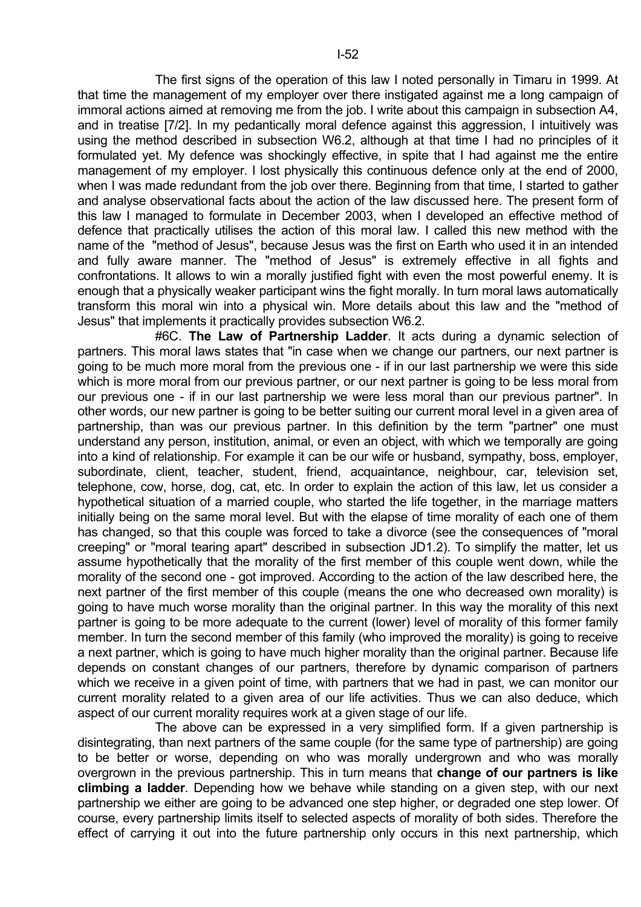The first signs of the operation of this law I noted personally in Timaru in 1999. At that time the management of my employer over there instigated against me a long campaign of immoral actions aimed at removing me from the job. I write about this campaign in subsection A4, and in treatise [7/2]. In my pedantically moral defence against this aggression, I intuitively was using the method described in subsection W6.2, although at that time I had no principles of it formulated yet. My defence was shockingly effective, in spite that I had against me the entire management of my employer. I lost physically this continuous defence only at the end of 2000, when I was made redundant from the job over there. Beginning from that time, I started to gather and analyse observational facts about the action of the law discussed here. The present form of this law I managed to formulate in December 2003, when I developed an effective method of defence that practically utilises the action of this moral law. I called this new method with the name of the "method of Jesus", because Jesus was the first on Earth who used it in an intended and fully aware manner. The "method of Jesus" is extremely effective in all fights and confrontations. It allows to win a morally justified fight with even the most powerful enemy. It is enough that a physically weaker participant wins the fight morally. In turn moral laws automatically transform this moral win into a physical win. More details about this law and the "method of Jesus" that implements it practically provides subsection W6.2.

 #6C. **The Law of Partnership Ladder**. It acts during a dynamic selection of partners. This moral laws states that "in case when we change our partners, our next partner is going to be much more moral from the previous one - if in our last partnership we were this side which is more moral from our previous partner, or our next partner is going to be less moral from our previous one - if in our last partnership we were less moral than our previous partner". In other words, our new partner is going to be better suiting our current moral level in a given area of partnership, than was our previous partner. In this definition by the term "partner" one must understand any person, institution, animal, or even an object, with which we temporally are going into a kind of relationship. For example it can be our wife or husband, sympathy, boss, employer, subordinate, client, teacher, student, friend, acquaintance, neighbour, car, television set, telephone, cow, horse, dog, cat, etc. In order to explain the action of this law, let us consider a hypothetical situation of a married couple, who started the life together, in the marriage matters initially being on the same moral level. But with the elapse of time morality of each one of them has changed, so that this couple was forced to take a divorce (see the consequences of "moral creeping" or "moral tearing apart" described in subsection JD1.2). To simplify the matter, let us assume hypothetically that the morality of the first member of this couple went down, while the morality of the second one - got improved. According to the action of the law described here, the next partner of the first member of this couple (means the one who decreased own morality) is going to have much worse morality than the original partner. In this way the morality of this next partner is going to be more adequate to the current (lower) level of morality of this former family member. In turn the second member of this family (who improved the morality) is going to receive a next partner, which is going to have much higher morality than the original partner. Because life depends on constant changes of our partners, therefore by dynamic comparison of partners which we receive in a given point of time, with partners that we had in past, we can monitor our current morality related to a given area of our life activities. Thus we can also deduce, which aspect of our current morality requires work at a given stage of our life.

 The above can be expressed in a very simplified form. If a given partnership is disintegrating, than next partners of the same couple (for the same type of partnership) are going to be better or worse, depending on who was morally undergrown and who was morally overgrown in the previous partnership. This in turn means that **change of our partners is like climbing a ladder**. Depending how we behave while standing on a given step, with our next partnership we either are going to be advanced one step higher, or degraded one step lower. Of course, every partnership limits itself to selected aspects of morality of both sides. Therefore the effect of carrying it out into the future partnership only occurs in this next partnership, which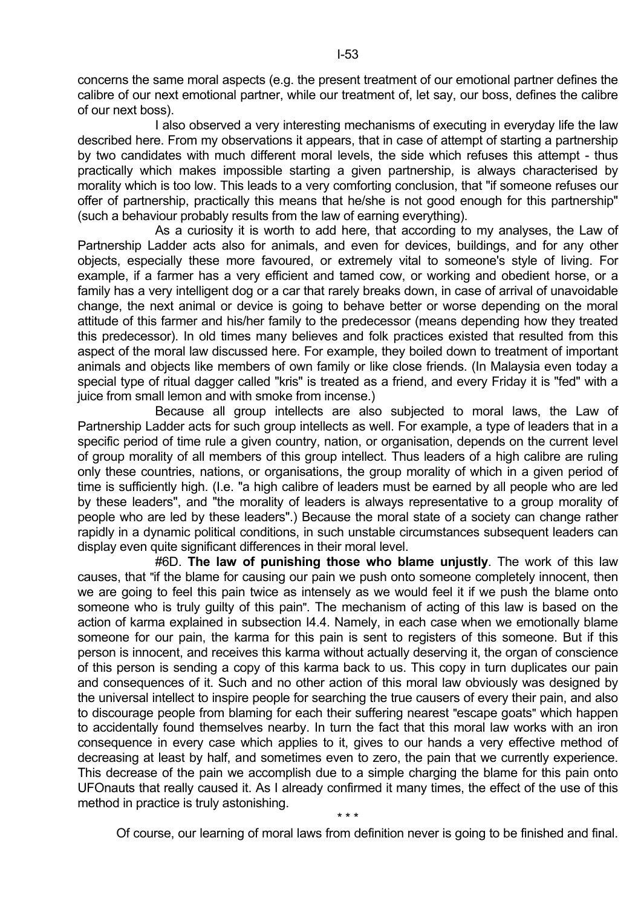concerns the same moral aspects (e.g. the present treatment of our emotional partner defines the calibre of our next emotional partner, while our treatment of, let say, our boss, defines the calibre of our next boss).

 I also observed a very interesting mechanisms of executing in everyday life the law described here. From my observations it appears, that in case of attempt of starting a partnership by two candidates with much different moral levels, the side which refuses this attempt - thus practically which makes impossible starting a given partnership, is always characterised by morality which is too low. This leads to a very comforting conclusion, that "if someone refuses our offer of partnership, practically this means that he/she is not good enough for this partnership" (such a behaviour probably results from the law of earning everything).

 As a curiosity it is worth to add here, that according to my analyses, the Law of Partnership Ladder acts also for animals, and even for devices, buildings, and for any other objects, especially these more favoured, or extremely vital to someone's style of living. For example, if a farmer has a very efficient and tamed cow, or working and obedient horse, or a family has a very intelligent dog or a car that rarely breaks down, in case of arrival of unavoidable change, the next animal or device is going to behave better or worse depending on the moral attitude of this farmer and his/her family to the predecessor (means depending how they treated this predecessor). In old times many believes and folk practices existed that resulted from this aspect of the moral law discussed here. For example, they boiled down to treatment of important animals and objects like members of own family or like close friends. (In Malaysia even today a special type of ritual dagger called "kris" is treated as a friend, and every Friday it is "fed" with a juice from small lemon and with smoke from incense.)

 Because all group intellects are also subjected to moral laws, the Law of Partnership Ladder acts for such group intellects as well. For example, a type of leaders that in a specific period of time rule a given country, nation, or organisation, depends on the current level of group morality of all members of this group intellect. Thus leaders of a high calibre are ruling only these countries, nations, or organisations, the group morality of which in a given period of time is sufficiently high. (I.e. "a high calibre of leaders must be earned by all people who are led by these leaders", and "the morality of leaders is always representative to a group morality of people who are led by these leaders".) Because the moral state of a society can change rather rapidly in a dynamic political conditions, in such unstable circumstances subsequent leaders can display even quite significant differences in their moral level.

 #6D. **The law of punishing those who blame unjustly**. The work of this law causes, that "if the blame for causing our pain we push onto someone completely innocent, then we are going to feel this pain twice as intensely as we would feel it if we push the blame onto someone who is truly quilty of this pain". The mechanism of acting of this law is based on the action of karma explained in subsection I4.4. Namely, in each case when we emotionally blame someone for our pain, the karma for this pain is sent to registers of this someone. But if this person is innocent, and receives this karma without actually deserving it, the organ of conscience of this person is sending a copy of this karma back to us. This copy in turn duplicates our pain and consequences of it. Such and no other action of this moral law obviously was designed by the universal intellect to inspire people for searching the true causers of every their pain, and also to discourage people from blaming for each their suffering nearest "escape goats" which happen to accidentally found themselves nearby. In turn the fact that this moral law works with an iron consequence in every case which applies to it, gives to our hands a very effective method of decreasing at least by half, and sometimes even to zero, the pain that we currently experience. This decrease of the pain we accomplish due to a simple charging the blame for this pain onto UFOnauts that really caused it. As I already confirmed it many times, the effect of the use of this method in practice is truly astonishing.

Of course, our learning of moral laws from definition never is going to be finished and final.

 $\star \star \star$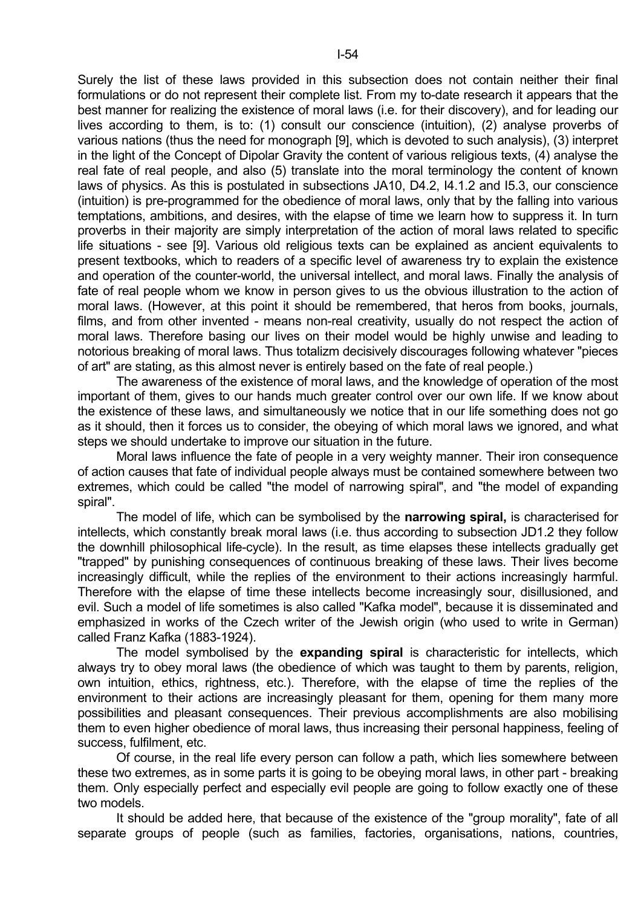Surely the list of these laws provided in this subsection does not contain neither their final formulations or do not represent their complete list. From my to-date research it appears that the best manner for realizing the existence of moral laws (i.e. for their discovery), and for leading our lives according to them, is to: (1) consult our conscience (intuition), (2) analyse proverbs of various nations (thus the need for monograph [9], which is devoted to such analysis), (3) interpret in the light of the Concept of Dipolar Gravity the content of various religious texts, (4) analyse the real fate of real people, and also (5) translate into the moral terminology the content of known laws of physics. As this is postulated in subsections JA10, D4.2, I4.1.2 and I5.3, our conscience (intuition) is pre-programmed for the obedience of moral laws, only that by the falling into various temptations, ambitions, and desires, with the elapse of time we learn how to suppress it. In turn proverbs in their majority are simply interpretation of the action of moral laws related to specific life situations - see [9]. Various old religious texts can be explained as ancient equivalents to present textbooks, which to readers of a specific level of awareness try to explain the existence and operation of the counter-world, the universal intellect, and moral laws. Finally the analysis of fate of real people whom we know in person gives to us the obvious illustration to the action of moral laws. (However, at this point it should be remembered, that heros from books, journals, films, and from other invented - means non-real creativity, usually do not respect the action of moral laws. Therefore basing our lives on their model would be highly unwise and leading to notorious breaking of moral laws. Thus totalizm decisively discourages following whatever "pieces of art" are stating, as this almost never is entirely based on the fate of real people.)

 The awareness of the existence of moral laws, and the knowledge of operation of the most important of them, gives to our hands much greater control over our own life. If we know about the existence of these laws, and simultaneously we notice that in our life something does not go as it should, then it forces us to consider, the obeying of which moral laws we ignored, and what steps we should undertake to improve our situation in the future.

 Moral laws influence the fate of people in a very weighty manner. Their iron consequence of action causes that fate of individual people always must be contained somewhere between two extremes, which could be called "the model of narrowing spiral", and "the model of expanding spiral".

 The model of life, which can be symbolised by the **narrowing spiral,** is characterised for intellects, which constantly break moral laws (i.e. thus according to subsection JD1.2 they follow the downhill philosophical life-cycle). In the result, as time elapses these intellects gradually get "trapped" by punishing consequences of continuous breaking of these laws. Their lives become increasingly difficult, while the replies of the environment to their actions increasingly harmful. Therefore with the elapse of time these intellects become increasingly sour, disillusioned, and evil. Such a model of life sometimes is also called "Kafka model", because it is disseminated and emphasized in works of the Czech writer of the Jewish origin (who used to write in German) called Franz Kafka (1883-1924).

 The model symbolised by the **expanding spiral** is characteristic for intellects, which always try to obey moral laws (the obedience of which was taught to them by parents, religion, own intuition, ethics, rightness, etc.). Therefore, with the elapse of time the replies of the environment to their actions are increasingly pleasant for them, opening for them many more possibilities and pleasant consequences. Their previous accomplishments are also mobilising them to even higher obedience of moral laws, thus increasing their personal happiness, feeling of success, fulfilment, etc.

 Of course, in the real life every person can follow a path, which lies somewhere between these two extremes, as in some parts it is going to be obeying moral laws, in other part - breaking them. Only especially perfect and especially evil people are going to follow exactly one of these two models.

 It should be added here, that because of the existence of the "group morality", fate of all separate groups of people (such as families, factories, organisations, nations, countries,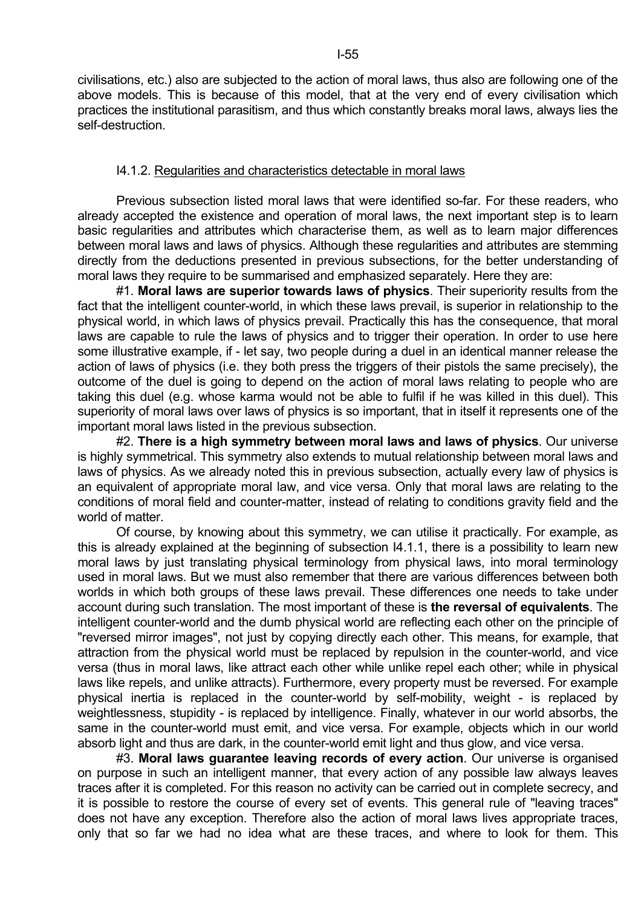civilisations, etc.) also are subjected to the action of moral laws, thus also are following one of the above models. This is because of this model, that at the very end of every civilisation which practices the institutional parasitism, and thus which constantly breaks moral laws, always lies the self-destruction.

## I4.1.2. Regularities and characteristics detectable in moral laws

 Previous subsection listed moral laws that were identified so-far. For these readers, who already accepted the existence and operation of moral laws, the next important step is to learn basic regularities and attributes which characterise them, as well as to learn major differences between moral laws and laws of physics. Although these regularities and attributes are stemming directly from the deductions presented in previous subsections, for the better understanding of moral laws they require to be summarised and emphasized separately. Here they are:

 #1. **Moral laws are superior towards laws of physics**. Their superiority results from the fact that the intelligent counter-world, in which these laws prevail, is superior in relationship to the physical world, in which laws of physics prevail. Practically this has the consequence, that moral laws are capable to rule the laws of physics and to trigger their operation. In order to use here some illustrative example, if - let say, two people during a duel in an identical manner release the action of laws of physics (i.e. they both press the triggers of their pistols the same precisely), the outcome of the duel is going to depend on the action of moral laws relating to people who are taking this duel (e.g. whose karma would not be able to fulfil if he was killed in this duel). This superiority of moral laws over laws of physics is so important, that in itself it represents one of the important moral laws listed in the previous subsection.

 #2. **There is a high symmetry between moral laws and laws of physics**. Our universe is highly symmetrical. This symmetry also extends to mutual relationship between moral laws and laws of physics. As we already noted this in previous subsection, actually every law of physics is an equivalent of appropriate moral law, and vice versa. Only that moral laws are relating to the conditions of moral field and counter-matter, instead of relating to conditions gravity field and the world of matter.

 Of course, by knowing about this symmetry, we can utilise it practically. For example, as this is already explained at the beginning of subsection I4.1.1, there is a possibility to learn new moral laws by just translating physical terminology from physical laws, into moral terminology used in moral laws. But we must also remember that there are various differences between both worlds in which both groups of these laws prevail. These differences one needs to take under account during such translation. The most important of these is **the reversal of equivalents**. The intelligent counter-world and the dumb physical world are reflecting each other on the principle of "reversed mirror images", not just by copying directly each other. This means, for example, that attraction from the physical world must be replaced by repulsion in the counter-world, and vice versa (thus in moral laws, like attract each other while unlike repel each other; while in physical laws like repels, and unlike attracts). Furthermore, every property must be reversed. For example physical inertia is replaced in the counter-world by self-mobility, weight - is replaced by weightlessness, stupidity - is replaced by intelligence. Finally, whatever in our world absorbs, the same in the counter-world must emit, and vice versa. For example, objects which in our world absorb light and thus are dark, in the counter-world emit light and thus glow, and vice versa.

 #3. **Moral laws guarantee leaving records of every action**. Our universe is organised on purpose in such an intelligent manner, that every action of any possible law always leaves traces after it is completed. For this reason no activity can be carried out in complete secrecy, and it is possible to restore the course of every set of events. This general rule of "leaving traces" does not have any exception. Therefore also the action of moral laws lives appropriate traces, only that so far we had no idea what are these traces, and where to look for them. This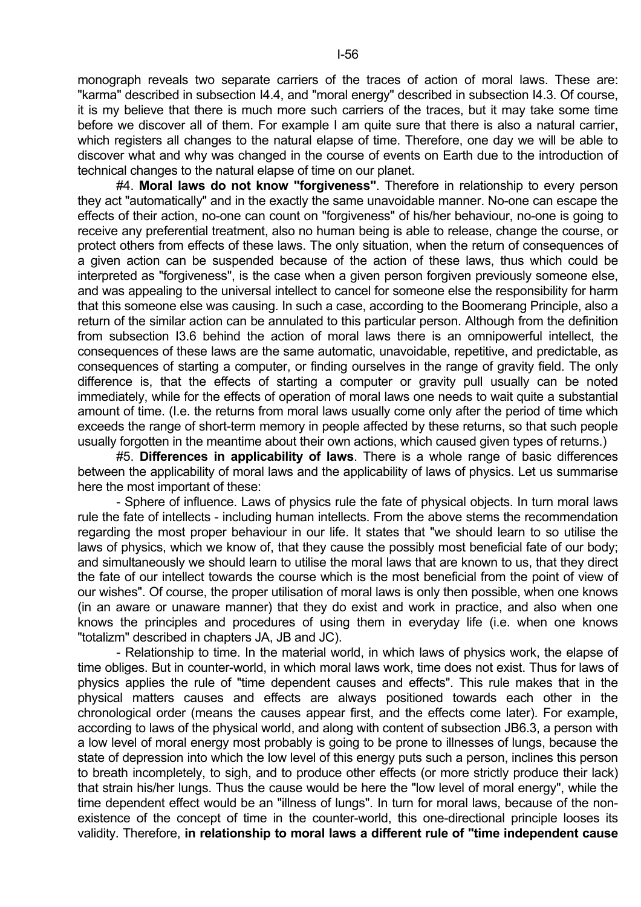monograph reveals two separate carriers of the traces of action of moral laws. These are: "karma" described in subsection I4.4, and "moral energy" described in subsection I4.3. Of course, it is my believe that there is much more such carriers of the traces, but it may take some time before we discover all of them. For example I am quite sure that there is also a natural carrier, which registers all changes to the natural elapse of time. Therefore, one day we will be able to discover what and why was changed in the course of events on Earth due to the introduction of technical changes to the natural elapse of time on our planet.

 #4. **Moral laws do not know "forgiveness"**. Therefore in relationship to every person they act "automatically" and in the exactly the same unavoidable manner. No-one can escape the effects of their action, no-one can count on "forgiveness" of his/her behaviour, no-one is going to receive any preferential treatment, also no human being is able to release, change the course, or protect others from effects of these laws. The only situation, when the return of consequences of a given action can be suspended because of the action of these laws, thus which could be interpreted as "forgiveness", is the case when a given person forgiven previously someone else, and was appealing to the universal intellect to cancel for someone else the responsibility for harm that this someone else was causing. In such a case, according to the Boomerang Principle, also a return of the similar action can be annulated to this particular person. Although from the definition from subsection I3.6 behind the action of moral laws there is an omnipowerful intellect, the consequences of these laws are the same automatic, unavoidable, repetitive, and predictable, as consequences of starting a computer, or finding ourselves in the range of gravity field. The only difference is, that the effects of starting a computer or gravity pull usually can be noted immediately, while for the effects of operation of moral laws one needs to wait quite a substantial amount of time. (I.e. the returns from moral laws usually come only after the period of time which exceeds the range of short-term memory in people affected by these returns, so that such people usually forgotten in the meantime about their own actions, which caused given types of returns.)

 #5. **Differences in applicability of laws**. There is a whole range of basic differences between the applicability of moral laws and the applicability of laws of physics. Let us summarise here the most important of these:

 - Sphere of influence. Laws of physics rule the fate of physical objects. In turn moral laws rule the fate of intellects - including human intellects. From the above stems the recommendation regarding the most proper behaviour in our life. It states that "we should learn to so utilise the laws of physics, which we know of, that they cause the possibly most beneficial fate of our body; and simultaneously we should learn to utilise the moral laws that are known to us, that they direct the fate of our intellect towards the course which is the most beneficial from the point of view of our wishes". Of course, the proper utilisation of moral laws is only then possible, when one knows (in an aware or unaware manner) that they do exist and work in practice, and also when one knows the principles and procedures of using them in everyday life (i.e. when one knows "totalizm" described in chapters JA, JB and JC).

 - Relationship to time. In the material world, in which laws of physics work, the elapse of time obliges. But in counter-world, in which moral laws work, time does not exist. Thus for laws of physics applies the rule of "time dependent causes and effects". This rule makes that in the physical matters causes and effects are always positioned towards each other in the chronological order (means the causes appear first, and the effects come later). For example, according to laws of the physical world, and along with content of subsection JB6.3, a person with a low level of moral energy most probably is going to be prone to illnesses of lungs, because the state of depression into which the low level of this energy puts such a person, inclines this person to breath incompletely, to sigh, and to produce other effects (or more strictly produce their lack) that strain his/her lungs. Thus the cause would be here the "low level of moral energy", while the time dependent effect would be an "illness of lungs". In turn for moral laws, because of the nonexistence of the concept of time in the counter-world, this one-directional principle looses its validity. Therefore, **in relationship to moral laws a different rule of "time independent cause**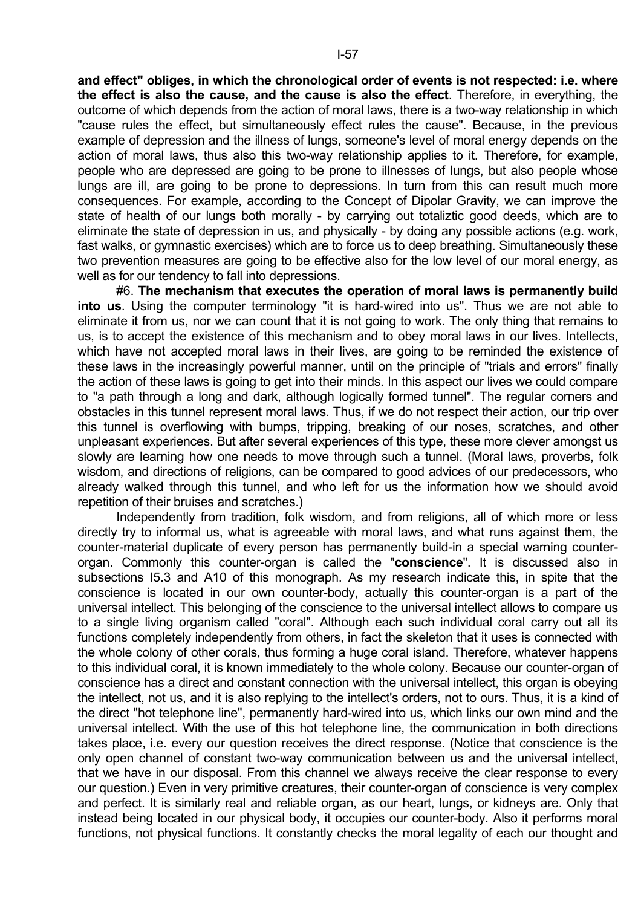**and effect" obliges, in which the chronological order of events is not respected: i.e. where the effect is also the cause, and the cause is also the effect**. Therefore, in everything, the outcome of which depends from the action of moral laws, there is a two-way relationship in which "cause rules the effect, but simultaneously effect rules the cause". Because, in the previous example of depression and the illness of lungs, someone's level of moral energy depends on the action of moral laws, thus also this two-way relationship applies to it. Therefore, for example, people who are depressed are going to be prone to illnesses of lungs, but also people whose lungs are ill, are going to be prone to depressions. In turn from this can result much more consequences. For example, according to the Concept of Dipolar Gravity, we can improve the state of health of our lungs both morally - by carrying out totaliztic good deeds, which are to eliminate the state of depression in us, and physically - by doing any possible actions (e.g. work, fast walks, or gymnastic exercises) which are to force us to deep breathing. Simultaneously these two prevention measures are going to be effective also for the low level of our moral energy, as well as for our tendency to fall into depressions.

 #6. **The mechanism that executes the operation of moral laws is permanently build into us**. Using the computer terminology "it is hard-wired into us". Thus we are not able to eliminate it from us, nor we can count that it is not going to work. The only thing that remains to us, is to accept the existence of this mechanism and to obey moral laws in our lives. Intellects, which have not accepted moral laws in their lives, are going to be reminded the existence of these laws in the increasingly powerful manner, until on the principle of "trials and errors" finally the action of these laws is going to get into their minds. In this aspect our lives we could compare to "a path through a long and dark, although logically formed tunnel". The regular corners and obstacles in this tunnel represent moral laws. Thus, if we do not respect their action, our trip over this tunnel is overflowing with bumps, tripping, breaking of our noses, scratches, and other unpleasant experiences. But after several experiences of this type, these more clever amongst us slowly are learning how one needs to move through such a tunnel. (Moral laws, proverbs, folk wisdom, and directions of religions, can be compared to good advices of our predecessors, who already walked through this tunnel, and who left for us the information how we should avoid repetition of their bruises and scratches.)

 Independently from tradition, folk wisdom, and from religions, all of which more or less directly try to informal us, what is agreeable with moral laws, and what runs against them, the counter-material duplicate of every person has permanently build-in a special warning counterorgan. Commonly this counter-organ is called the "**conscience**". It is discussed also in subsections I5.3 and A10 of this monograph. As my research indicate this, in spite that the conscience is located in our own counter-body, actually this counter-organ is a part of the universal intellect. This belonging of the conscience to the universal intellect allows to compare us to a single living organism called "coral". Although each such individual coral carry out all its functions completely independently from others, in fact the skeleton that it uses is connected with the whole colony of other corals, thus forming a huge coral island. Therefore, whatever happens to this individual coral, it is known immediately to the whole colony. Because our counter-organ of conscience has a direct and constant connection with the universal intellect, this organ is obeying the intellect, not us, and it is also replying to the intellect's orders, not to ours. Thus, it is a kind of the direct "hot telephone line", permanently hard-wired into us, which links our own mind and the universal intellect. With the use of this hot telephone line, the communication in both directions takes place, i.e. every our question receives the direct response. (Notice that conscience is the only open channel of constant two-way communication between us and the universal intellect, that we have in our disposal. From this channel we always receive the clear response to every our question.) Even in very primitive creatures, their counter-organ of conscience is very complex and perfect. It is similarly real and reliable organ, as our heart, lungs, or kidneys are. Only that instead being located in our physical body, it occupies our counter-body. Also it performs moral functions, not physical functions. It constantly checks the moral legality of each our thought and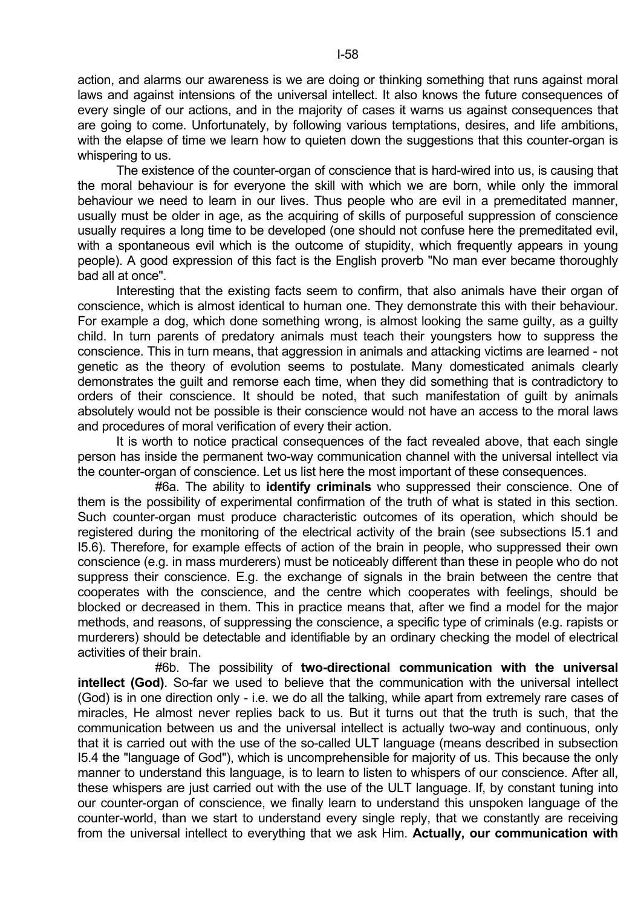action, and alarms our awareness is we are doing or thinking something that runs against moral laws and against intensions of the universal intellect. It also knows the future consequences of every single of our actions, and in the majority of cases it warns us against consequences that are going to come. Unfortunately, by following various temptations, desires, and life ambitions, with the elapse of time we learn how to quieten down the suggestions that this counter-organ is whispering to us.

 The existence of the counter-organ of conscience that is hard-wired into us, is causing that the moral behaviour is for everyone the skill with which we are born, while only the immoral behaviour we need to learn in our lives. Thus people who are evil in a premeditated manner, usually must be older in age, as the acquiring of skills of purposeful suppression of conscience usually requires a long time to be developed (one should not confuse here the premeditated evil, with a spontaneous evil which is the outcome of stupidity, which frequently appears in young people). A good expression of this fact is the English proverb "No man ever became thoroughly bad all at once".

 Interesting that the existing facts seem to confirm, that also animals have their organ of conscience, which is almost identical to human one. They demonstrate this with their behaviour. For example a dog, which done something wrong, is almost looking the same guilty, as a guilty child. In turn parents of predatory animals must teach their youngsters how to suppress the conscience. This in turn means, that aggression in animals and attacking victims are learned - not genetic as the theory of evolution seems to postulate. Many domesticated animals clearly demonstrates the guilt and remorse each time, when they did something that is contradictory to orders of their conscience. It should be noted, that such manifestation of guilt by animals absolutely would not be possible is their conscience would not have an access to the moral laws and procedures of moral verification of every their action.

 It is worth to notice practical consequences of the fact revealed above, that each single person has inside the permanent two-way communication channel with the universal intellect via the counter-organ of conscience. Let us list here the most important of these consequences.

 #6a. The ability to **identify criminals** who suppressed their conscience. One of them is the possibility of experimental confirmation of the truth of what is stated in this section. Such counter-organ must produce characteristic outcomes of its operation, which should be registered during the monitoring of the electrical activity of the brain (see subsections I5.1 and I5.6). Therefore, for example effects of action of the brain in people, who suppressed their own conscience (e.g. in mass murderers) must be noticeably different than these in people who do not suppress their conscience. E.g. the exchange of signals in the brain between the centre that cooperates with the conscience, and the centre which cooperates with feelings, should be blocked or decreased in them. This in practice means that, after we find a model for the major methods, and reasons, of suppressing the conscience, a specific type of criminals (e.g. rapists or murderers) should be detectable and identifiable by an ordinary checking the model of electrical activities of their brain.

 #6b. The possibility of **two-directional communication with the universal intellect (God)**. So-far we used to believe that the communication with the universal intellect (God) is in one direction only - i.e. we do all the talking, while apart from extremely rare cases of miracles, He almost never replies back to us. But it turns out that the truth is such, that the communication between us and the universal intellect is actually two-way and continuous, only that it is carried out with the use of the so-called ULT language (means described in subsection I5.4 the "language of God"), which is uncomprehensible for majority of us. This because the only manner to understand this language, is to learn to listen to whispers of our conscience. After all, these whispers are just carried out with the use of the ULT language. If, by constant tuning into our counter-organ of conscience, we finally learn to understand this unspoken language of the counter-world, than we start to understand every single reply, that we constantly are receiving from the universal intellect to everything that we ask Him. **Actually, our communication with**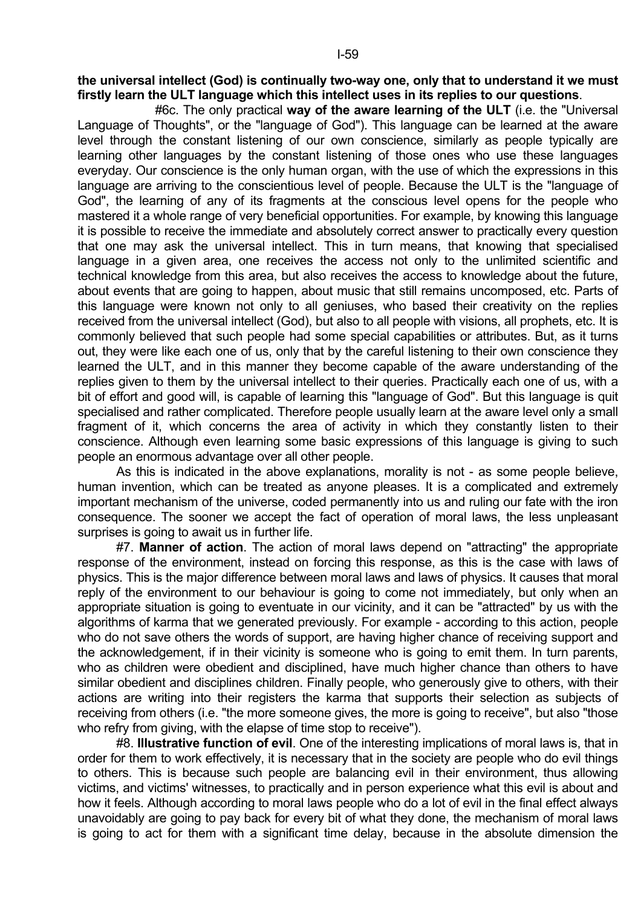**the universal intellect (God) is continually two-way one, only that to understand it we must firstly learn the ULT language which this intellect uses in its replies to our questions**.

 #6c. The only practical **way of the aware learning of the ULT** (i.e. the "Universal Language of Thoughts", or the "language of God"). This language can be learned at the aware level through the constant listening of our own conscience, similarly as people typically are learning other languages by the constant listening of those ones who use these languages everyday. Our conscience is the only human organ, with the use of which the expressions in this language are arriving to the conscientious level of people. Because the ULT is the "language of God", the learning of any of its fragments at the conscious level opens for the people who mastered it a whole range of very beneficial opportunities. For example, by knowing this language it is possible to receive the immediate and absolutely correct answer to practically every question that one may ask the universal intellect. This in turn means, that knowing that specialised language in a given area, one receives the access not only to the unlimited scientific and technical knowledge from this area, but also receives the access to knowledge about the future, about events that are going to happen, about music that still remains uncomposed, etc. Parts of this language were known not only to all geniuses, who based their creativity on the replies received from the universal intellect (God), but also to all people with visions, all prophets, etc. It is commonly believed that such people had some special capabilities or attributes. But, as it turns out, they were like each one of us, only that by the careful listening to their own conscience they learned the ULT, and in this manner they become capable of the aware understanding of the replies given to them by the universal intellect to their queries. Practically each one of us, with a bit of effort and good will, is capable of learning this "language of God". But this language is quit specialised and rather complicated. Therefore people usually learn at the aware level only a small fragment of it, which concerns the area of activity in which they constantly listen to their conscience. Although even learning some basic expressions of this language is giving to such people an enormous advantage over all other people.

 As this is indicated in the above explanations, morality is not - as some people believe, human invention, which can be treated as anyone pleases. It is a complicated and extremely important mechanism of the universe, coded permanently into us and ruling our fate with the iron consequence. The sooner we accept the fact of operation of moral laws, the less unpleasant surprises is going to await us in further life.

 #7. **Manner of action**. The action of moral laws depend on "attracting" the appropriate response of the environment, instead on forcing this response, as this is the case with laws of physics. This is the major difference between moral laws and laws of physics. It causes that moral reply of the environment to our behaviour is going to come not immediately, but only when an appropriate situation is going to eventuate in our vicinity, and it can be "attracted" by us with the algorithms of karma that we generated previously. For example - according to this action, people who do not save others the words of support, are having higher chance of receiving support and the acknowledgement, if in their vicinity is someone who is going to emit them. In turn parents, who as children were obedient and disciplined, have much higher chance than others to have similar obedient and disciplines children. Finally people, who generously give to others, with their actions are writing into their registers the karma that supports their selection as subjects of receiving from others (i.e. "the more someone gives, the more is going to receive", but also "those who refry from giving, with the elapse of time stop to receive").

 #8. **Illustrative function of evil**. One of the interesting implications of moral laws is, that in order for them to work effectively, it is necessary that in the society are people who do evil things to others. This is because such people are balancing evil in their environment, thus allowing victims, and victims' witnesses, to practically and in person experience what this evil is about and how it feels. Although according to moral laws people who do a lot of evil in the final effect always unavoidably are going to pay back for every bit of what they done, the mechanism of moral laws is going to act for them with a significant time delay, because in the absolute dimension the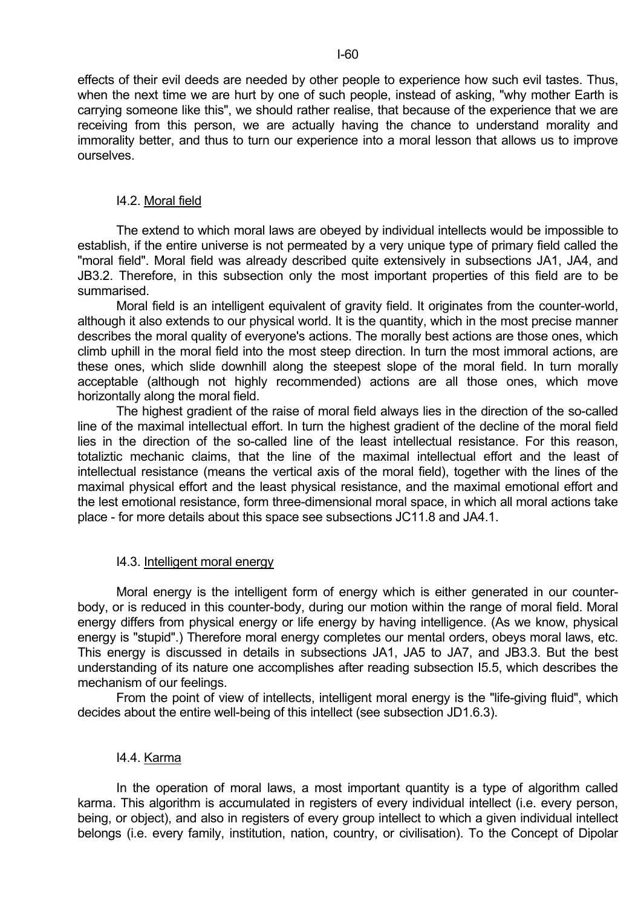effects of their evil deeds are needed by other people to experience how such evil tastes. Thus, when the next time we are hurt by one of such people, instead of asking, "why mother Earth is carrying someone like this", we should rather realise, that because of the experience that we are receiving from this person, we are actually having the chance to understand morality and immorality better, and thus to turn our experience into a moral lesson that allows us to improve ourselves.

# I4.2. Moral field

 The extend to which moral laws are obeyed by individual intellects would be impossible to establish, if the entire universe is not permeated by a very unique type of primary field called the "moral field". Moral field was already described quite extensively in subsections JA1, JA4, and JB3.2. Therefore, in this subsection only the most important properties of this field are to be summarised.

 Moral field is an intelligent equivalent of gravity field. It originates from the counter-world, although it also extends to our physical world. It is the quantity, which in the most precise manner describes the moral quality of everyone's actions. The morally best actions are those ones, which climb uphill in the moral field into the most steep direction. In turn the most immoral actions, are these ones, which slide downhill along the steepest slope of the moral field. In turn morally acceptable (although not highly recommended) actions are all those ones, which move horizontally along the moral field.

 The highest gradient of the raise of moral field always lies in the direction of the so-called line of the maximal intellectual effort. In turn the highest gradient of the decline of the moral field lies in the direction of the so-called line of the least intellectual resistance. For this reason, totaliztic mechanic claims, that the line of the maximal intellectual effort and the least of intellectual resistance (means the vertical axis of the moral field), together with the lines of the maximal physical effort and the least physical resistance, and the maximal emotional effort and the lest emotional resistance, form three-dimensional moral space, in which all moral actions take place - for more details about this space see subsections JC11.8 and JA4.1.

### I4.3. Intelligent moral energy

 Moral energy is the intelligent form of energy which is either generated in our counterbody, or is reduced in this counter-body, during our motion within the range of moral field. Moral energy differs from physical energy or life energy by having intelligence. (As we know, physical energy is "stupid".) Therefore moral energy completes our mental orders, obeys moral laws, etc. This energy is discussed in details in subsections JA1, JA5 to JA7, and JB3.3. But the best understanding of its nature one accomplishes after reading subsection I5.5, which describes the mechanism of our feelings.

 From the point of view of intellects, intelligent moral energy is the "life-giving fluid", which decides about the entire well-being of this intellect (see subsection JD1.6.3).

### I4.4. Karma

 In the operation of moral laws, a most important quantity is a type of algorithm called karma. This algorithm is accumulated in registers of every individual intellect (i.e. every person, being, or object), and also in registers of every group intellect to which a given individual intellect belongs (i.e. every family, institution, nation, country, or civilisation). To the Concept of Dipolar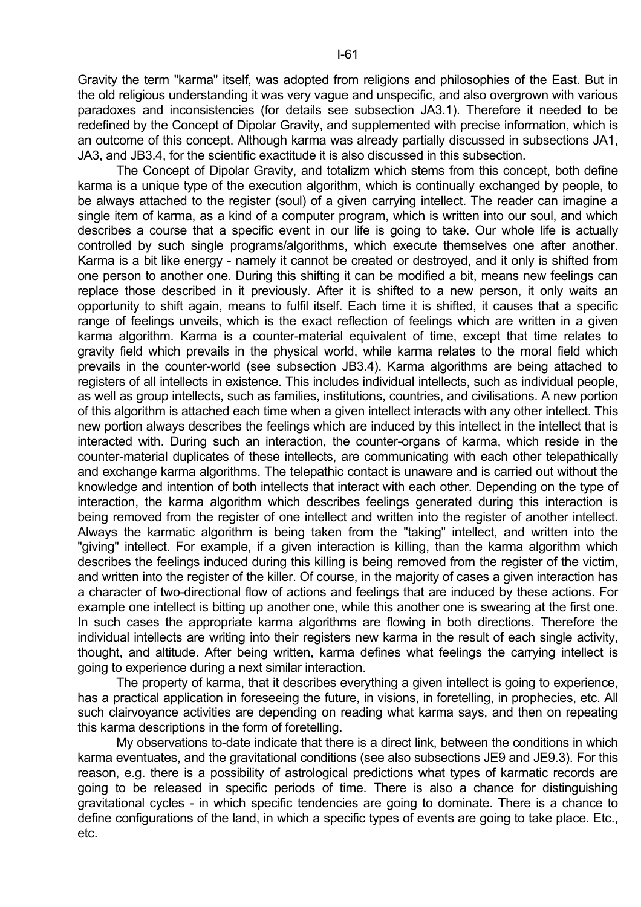Gravity the term "karma" itself, was adopted from religions and philosophies of the East. But in the old religious understanding it was very vague and unspecific, and also overgrown with various paradoxes and inconsistencies (for details see subsection JA3.1). Therefore it needed to be redefined by the Concept of Dipolar Gravity, and supplemented with precise information, which is an outcome of this concept. Although karma was already partially discussed in subsections JA1, JA3, and JB3.4, for the scientific exactitude it is also discussed in this subsection.

 The Concept of Dipolar Gravity, and totalizm which stems from this concept, both define karma is a unique type of the execution algorithm, which is continually exchanged by people, to be always attached to the register (soul) of a given carrying intellect. The reader can imagine a single item of karma, as a kind of a computer program, which is written into our soul, and which describes a course that a specific event in our life is going to take. Our whole life is actually controlled by such single programs/algorithms, which execute themselves one after another. Karma is a bit like energy - namely it cannot be created or destroyed, and it only is shifted from one person to another one. During this shifting it can be modified a bit, means new feelings can replace those described in it previously. After it is shifted to a new person, it only waits an opportunity to shift again, means to fulfil itself. Each time it is shifted, it causes that a specific range of feelings unveils, which is the exact reflection of feelings which are written in a given karma algorithm. Karma is a counter-material equivalent of time, except that time relates to gravity field which prevails in the physical world, while karma relates to the moral field which prevails in the counter-world (see subsection JB3.4). Karma algorithms are being attached to registers of all intellects in existence. This includes individual intellects, such as individual people, as well as group intellects, such as families, institutions, countries, and civilisations. A new portion of this algorithm is attached each time when a given intellect interacts with any other intellect. This new portion always describes the feelings which are induced by this intellect in the intellect that is interacted with. During such an interaction, the counter-organs of karma, which reside in the counter-material duplicates of these intellects, are communicating with each other telepathically and exchange karma algorithms. The telepathic contact is unaware and is carried out without the knowledge and intention of both intellects that interact with each other. Depending on the type of interaction, the karma algorithm which describes feelings generated during this interaction is being removed from the register of one intellect and written into the register of another intellect. Always the karmatic algorithm is being taken from the "taking" intellect, and written into the "giving" intellect. For example, if a given interaction is killing, than the karma algorithm which describes the feelings induced during this killing is being removed from the register of the victim, and written into the register of the killer. Of course, in the majority of cases a given interaction has a character of two-directional flow of actions and feelings that are induced by these actions. For example one intellect is bitting up another one, while this another one is swearing at the first one. In such cases the appropriate karma algorithms are flowing in both directions. Therefore the individual intellects are writing into their registers new karma in the result of each single activity, thought, and altitude. After being written, karma defines what feelings the carrying intellect is going to experience during a next similar interaction.

 The property of karma, that it describes everything a given intellect is going to experience, has a practical application in foreseeing the future, in visions, in foretelling, in prophecies, etc. All such clairvoyance activities are depending on reading what karma says, and then on repeating this karma descriptions in the form of foretelling.

 My observations to-date indicate that there is a direct link, between the conditions in which karma eventuates, and the gravitational conditions (see also subsections JE9 and JE9.3). For this reason, e.g. there is a possibility of astrological predictions what types of karmatic records are going to be released in specific periods of time. There is also a chance for distinguishing gravitational cycles - in which specific tendencies are going to dominate. There is a chance to define configurations of the land, in which a specific types of events are going to take place. Etc., etc.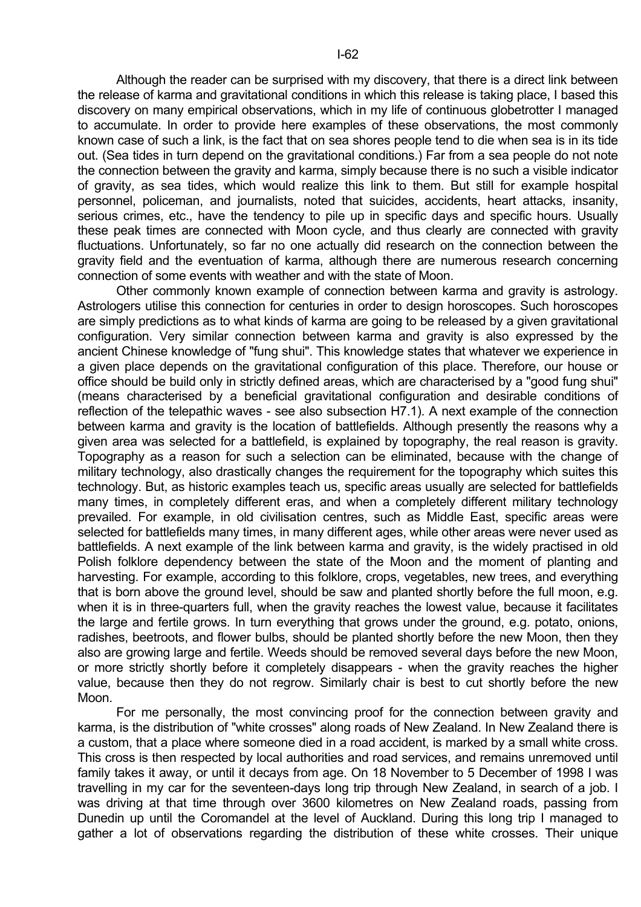Although the reader can be surprised with my discovery, that there is a direct link between the release of karma and gravitational conditions in which this release is taking place, I based this discovery on many empirical observations, which in my life of continuous globetrotter I managed to accumulate. In order to provide here examples of these observations, the most commonly known case of such a link, is the fact that on sea shores people tend to die when sea is in its tide out. (Sea tides in turn depend on the gravitational conditions.) Far from a sea people do not note the connection between the gravity and karma, simply because there is no such a visible indicator of gravity, as sea tides, which would realize this link to them. But still for example hospital personnel, policeman, and journalists, noted that suicides, accidents, heart attacks, insanity, serious crimes, etc., have the tendency to pile up in specific days and specific hours. Usually these peak times are connected with Moon cycle, and thus clearly are connected with gravity fluctuations. Unfortunately, so far no one actually did research on the connection between the gravity field and the eventuation of karma, although there are numerous research concerning connection of some events with weather and with the state of Moon.

 Other commonly known example of connection between karma and gravity is astrology. Astrologers utilise this connection for centuries in order to design horoscopes. Such horoscopes are simply predictions as to what kinds of karma are going to be released by a given gravitational configuration. Very similar connection between karma and gravity is also expressed by the ancient Chinese knowledge of "fung shui". This knowledge states that whatever we experience in a given place depends on the gravitational configuration of this place. Therefore, our house or office should be build only in strictly defined areas, which are characterised by a "good fung shui" (means characterised by a beneficial gravitational configuration and desirable conditions of reflection of the telepathic waves - see also subsection H7.1). A next example of the connection between karma and gravity is the location of battlefields. Although presently the reasons why a given area was selected for a battlefield, is explained by topography, the real reason is gravity. Topography as a reason for such a selection can be eliminated, because with the change of military technology, also drastically changes the requirement for the topography which suites this technology. But, as historic examples teach us, specific areas usually are selected for battlefields many times, in completely different eras, and when a completely different military technology prevailed. For example, in old civilisation centres, such as Middle East, specific areas were selected for battlefields many times, in many different ages, while other areas were never used as battlefields. A next example of the link between karma and gravity, is the widely practised in old Polish folklore dependency between the state of the Moon and the moment of planting and harvesting. For example, according to this folklore, crops, vegetables, new trees, and everything that is born above the ground level, should be saw and planted shortly before the full moon, e.g. when it is in three-quarters full, when the gravity reaches the lowest value, because it facilitates the large and fertile grows. In turn everything that grows under the ground, e.g. potato, onions, radishes, beetroots, and flower bulbs, should be planted shortly before the new Moon, then they also are growing large and fertile. Weeds should be removed several days before the new Moon, or more strictly shortly before it completely disappears - when the gravity reaches the higher value, because then they do not regrow. Similarly chair is best to cut shortly before the new Moon.

 For me personally, the most convincing proof for the connection between gravity and karma, is the distribution of "white crosses" along roads of New Zealand. In New Zealand there is a custom, that a place where someone died in a road accident, is marked by a small white cross. This cross is then respected by local authorities and road services, and remains unremoved until family takes it away, or until it decays from age. On 18 November to 5 December of 1998 I was travelling in my car for the seventeen-days long trip through New Zealand, in search of a job. I was driving at that time through over 3600 kilometres on New Zealand roads, passing from Dunedin up until the Coromandel at the level of Auckland. During this long trip I managed to gather a lot of observations regarding the distribution of these white crosses. Their unique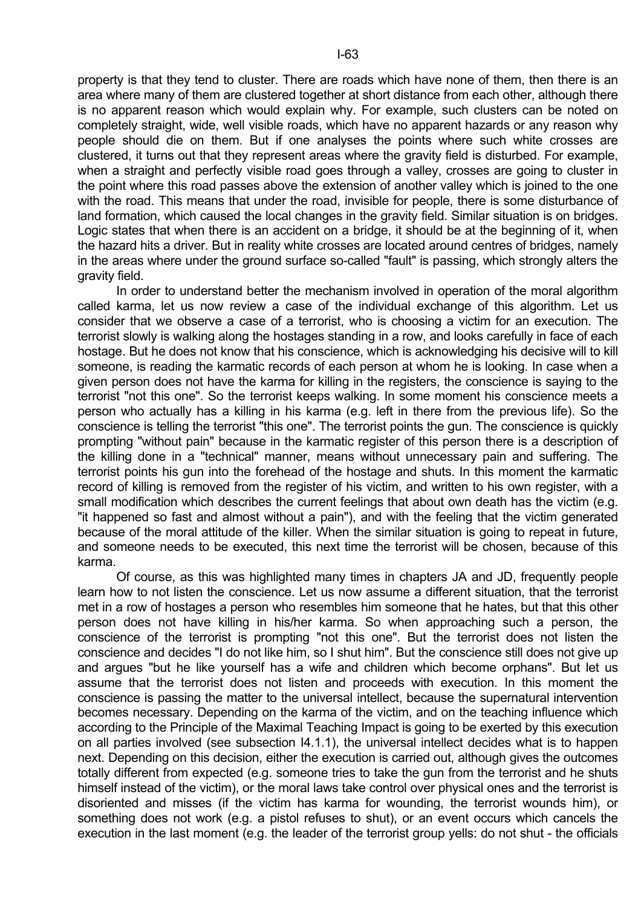property is that they tend to cluster. There are roads which have none of them, then there is an area where many of them are clustered together at short distance from each other, although there is no apparent reason which would explain why. For example, such clusters can be noted on completely straight, wide, well visible roads, which have no apparent hazards or any reason why people should die on them. But if one analyses the points where such white crosses are clustered, it turns out that they represent areas where the gravity field is disturbed. For example, when a straight and perfectly visible road goes through a valley, crosses are going to cluster in the point where this road passes above the extension of another valley which is joined to the one with the road. This means that under the road, invisible for people, there is some disturbance of land formation, which caused the local changes in the gravity field. Similar situation is on bridges. Logic states that when there is an accident on a bridge, it should be at the beginning of it, when the hazard hits a driver. But in reality white crosses are located around centres of bridges, namely in the areas where under the ground surface so-called "fault" is passing, which strongly alters the gravity field.

 In order to understand better the mechanism involved in operation of the moral algorithm called karma, let us now review a case of the individual exchange of this algorithm. Let us consider that we observe a case of a terrorist, who is choosing a victim for an execution. The terrorist slowly is walking along the hostages standing in a row, and looks carefully in face of each hostage. But he does not know that his conscience, which is acknowledging his decisive will to kill someone, is reading the karmatic records of each person at whom he is looking. In case when a given person does not have the karma for killing in the registers, the conscience is saying to the terrorist "not this one". So the terrorist keeps walking. In some moment his conscience meets a person who actually has a killing in his karma (e.g. left in there from the previous life). So the conscience is telling the terrorist "this one". The terrorist points the gun. The conscience is quickly prompting "without pain" because in the karmatic register of this person there is a description of the killing done in a "technical" manner, means without unnecessary pain and suffering. The terrorist points his gun into the forehead of the hostage and shuts. In this moment the karmatic record of killing is removed from the register of his victim, and written to his own register, with a small modification which describes the current feelings that about own death has the victim (e.g. "it happened so fast and almost without a pain"), and with the feeling that the victim generated because of the moral attitude of the killer. When the similar situation is going to repeat in future, and someone needs to be executed, this next time the terrorist will be chosen, because of this karma.

 Of course, as this was highlighted many times in chapters JA and JD, frequently people learn how to not listen the conscience. Let us now assume a different situation, that the terrorist met in a row of hostages a person who resembles him someone that he hates, but that this other person does not have killing in his/her karma. So when approaching such a person, the conscience of the terrorist is prompting "not this one". But the terrorist does not listen the conscience and decides "I do not like him, so I shut him". But the conscience still does not give up and argues "but he like yourself has a wife and children which become orphans". But let us assume that the terrorist does not listen and proceeds with execution. In this moment the conscience is passing the matter to the universal intellect, because the supernatural intervention becomes necessary. Depending on the karma of the victim, and on the teaching influence which according to the Principle of the Maximal Teaching Impact is going to be exerted by this execution on all parties involved (see subsection I4.1.1), the universal intellect decides what is to happen next. Depending on this decision, either the execution is carried out, although gives the outcomes totally different from expected (e.g. someone tries to take the gun from the terrorist and he shuts himself instead of the victim), or the moral laws take control over physical ones and the terrorist is disoriented and misses (if the victim has karma for wounding, the terrorist wounds him), or something does not work (e.g. a pistol refuses to shut), or an event occurs which cancels the execution in the last moment (e.g. the leader of the terrorist group yells: do not shut - the officials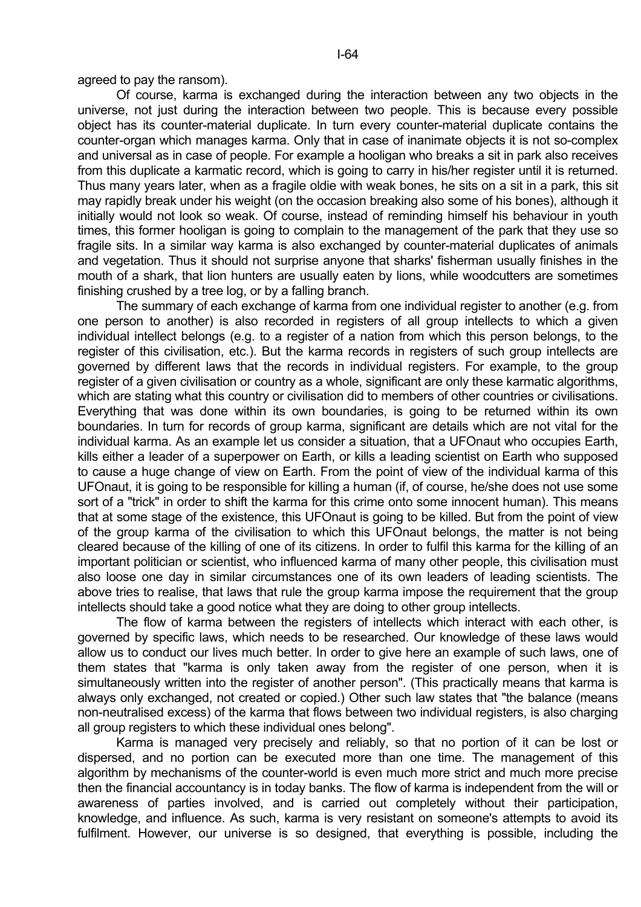agreed to pay the ransom).

 Of course, karma is exchanged during the interaction between any two objects in the universe, not just during the interaction between two people. This is because every possible object has its counter-material duplicate. In turn every counter-material duplicate contains the counter-organ which manages karma. Only that in case of inanimate objects it is not so-complex and universal as in case of people. For example a hooligan who breaks a sit in park also receives from this duplicate a karmatic record, which is going to carry in his/her register until it is returned. Thus many years later, when as a fragile oldie with weak bones, he sits on a sit in a park, this sit may rapidly break under his weight (on the occasion breaking also some of his bones), although it initially would not look so weak. Of course, instead of reminding himself his behaviour in youth times, this former hooligan is going to complain to the management of the park that they use so fragile sits. In a similar way karma is also exchanged by counter-material duplicates of animals and vegetation. Thus it should not surprise anyone that sharks' fisherman usually finishes in the mouth of a shark, that lion hunters are usually eaten by lions, while woodcutters are sometimes finishing crushed by a tree log, or by a falling branch.

 The summary of each exchange of karma from one individual register to another (e.g. from one person to another) is also recorded in registers of all group intellects to which a given individual intellect belongs (e.g. to a register of a nation from which this person belongs, to the register of this civilisation, etc.). But the karma records in registers of such group intellects are governed by different laws that the records in individual registers. For example, to the group register of a given civilisation or country as a whole, significant are only these karmatic algorithms, which are stating what this country or civilisation did to members of other countries or civilisations. Everything that was done within its own boundaries, is going to be returned within its own boundaries. In turn for records of group karma, significant are details which are not vital for the individual karma. As an example let us consider a situation, that a UFOnaut who occupies Earth, kills either a leader of a superpower on Earth, or kills a leading scientist on Earth who supposed to cause a huge change of view on Earth. From the point of view of the individual karma of this UFOnaut, it is going to be responsible for killing a human (if, of course, he/she does not use some sort of a "trick" in order to shift the karma for this crime onto some innocent human). This means that at some stage of the existence, this UFOnaut is going to be killed. But from the point of view of the group karma of the civilisation to which this UFOnaut belongs, the matter is not being cleared because of the killing of one of its citizens. In order to fulfil this karma for the killing of an important politician or scientist, who influenced karma of many other people, this civilisation must also loose one day in similar circumstances one of its own leaders of leading scientists. The above tries to realise, that laws that rule the group karma impose the requirement that the group intellects should take a good notice what they are doing to other group intellects.

 The flow of karma between the registers of intellects which interact with each other, is governed by specific laws, which needs to be researched. Our knowledge of these laws would allow us to conduct our lives much better. In order to give here an example of such laws, one of them states that "karma is only taken away from the register of one person, when it is simultaneously written into the register of another person". (This practically means that karma is always only exchanged, not created or copied.) Other such law states that "the balance (means non-neutralised excess) of the karma that flows between two individual registers, is also charging all group registers to which these individual ones belong".

 Karma is managed very precisely and reliably, so that no portion of it can be lost or dispersed, and no portion can be executed more than one time. The management of this algorithm by mechanisms of the counter-world is even much more strict and much more precise then the financial accountancy is in today banks. The flow of karma is independent from the will or awareness of parties involved, and is carried out completely without their participation, knowledge, and influence. As such, karma is very resistant on someone's attempts to avoid its fulfilment. However, our universe is so designed, that everything is possible, including the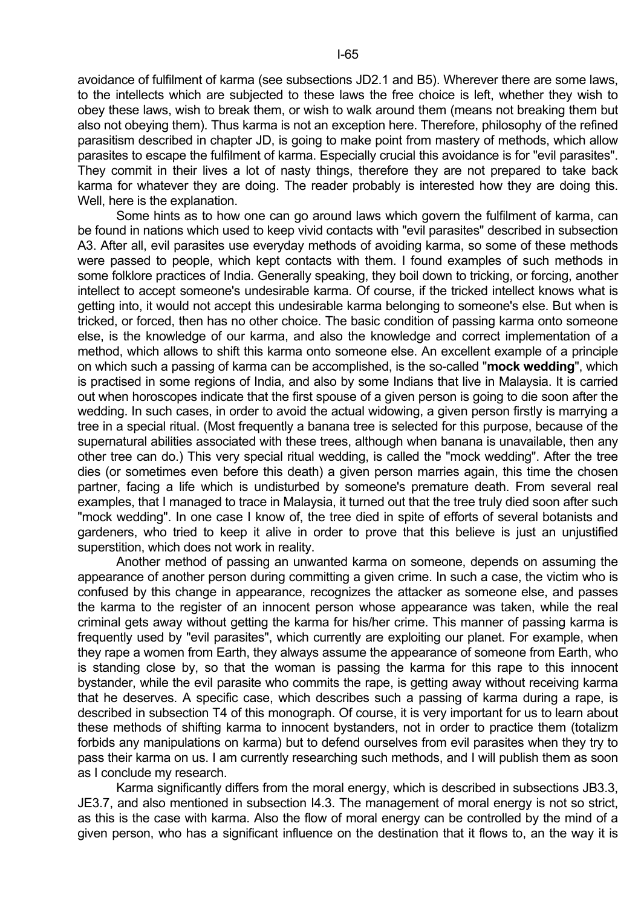avoidance of fulfilment of karma (see subsections JD2.1 and B5). Wherever there are some laws, to the intellects which are subjected to these laws the free choice is left, whether they wish to obey these laws, wish to break them, or wish to walk around them (means not breaking them but also not obeying them). Thus karma is not an exception here. Therefore, philosophy of the refined parasitism described in chapter JD, is going to make point from mastery of methods, which allow parasites to escape the fulfilment of karma. Especially crucial this avoidance is for "evil parasites". They commit in their lives a lot of nasty things, therefore they are not prepared to take back karma for whatever they are doing. The reader probably is interested how they are doing this. Well, here is the explanation.

 Some hints as to how one can go around laws which govern the fulfilment of karma, can be found in nations which used to keep vivid contacts with "evil parasites" described in subsection A3. After all, evil parasites use everyday methods of avoiding karma, so some of these methods were passed to people, which kept contacts with them. I found examples of such methods in some folklore practices of India. Generally speaking, they boil down to tricking, or forcing, another intellect to accept someone's undesirable karma. Of course, if the tricked intellect knows what is getting into, it would not accept this undesirable karma belonging to someone's else. But when is tricked, or forced, then has no other choice. The basic condition of passing karma onto someone else, is the knowledge of our karma, and also the knowledge and correct implementation of a method, which allows to shift this karma onto someone else. An excellent example of a principle on which such a passing of karma can be accomplished, is the so-called "**mock wedding**", which is practised in some regions of India, and also by some Indians that live in Malaysia. It is carried out when horoscopes indicate that the first spouse of a given person is going to die soon after the wedding. In such cases, in order to avoid the actual widowing, a given person firstly is marrying a tree in a special ritual. (Most frequently a banana tree is selected for this purpose, because of the supernatural abilities associated with these trees, although when banana is unavailable, then any other tree can do.) This very special ritual wedding, is called the "mock wedding". After the tree dies (or sometimes even before this death) a given person marries again, this time the chosen partner, facing a life which is undisturbed by someone's premature death. From several real examples, that I managed to trace in Malaysia, it turned out that the tree truly died soon after such "mock wedding". In one case I know of, the tree died in spite of efforts of several botanists and gardeners, who tried to keep it alive in order to prove that this believe is just an unjustified superstition, which does not work in reality.

 Another method of passing an unwanted karma on someone, depends on assuming the appearance of another person during committing a given crime. In such a case, the victim who is confused by this change in appearance, recognizes the attacker as someone else, and passes the karma to the register of an innocent person whose appearance was taken, while the real criminal gets away without getting the karma for his/her crime. This manner of passing karma is frequently used by "evil parasites", which currently are exploiting our planet. For example, when they rape a women from Earth, they always assume the appearance of someone from Earth, who is standing close by, so that the woman is passing the karma for this rape to this innocent bystander, while the evil parasite who commits the rape, is getting away without receiving karma that he deserves. A specific case, which describes such a passing of karma during a rape, is described in subsection T4 of this monograph. Of course, it is very important for us to learn about these methods of shifting karma to innocent bystanders, not in order to practice them (totalizm forbids any manipulations on karma) but to defend ourselves from evil parasites when they try to pass their karma on us. I am currently researching such methods, and I will publish them as soon as I conclude my research.

 Karma significantly differs from the moral energy, which is described in subsections JB3.3, JE3.7, and also mentioned in subsection I4.3. The management of moral energy is not so strict, as this is the case with karma. Also the flow of moral energy can be controlled by the mind of a given person, who has a significant influence on the destination that it flows to, an the way it is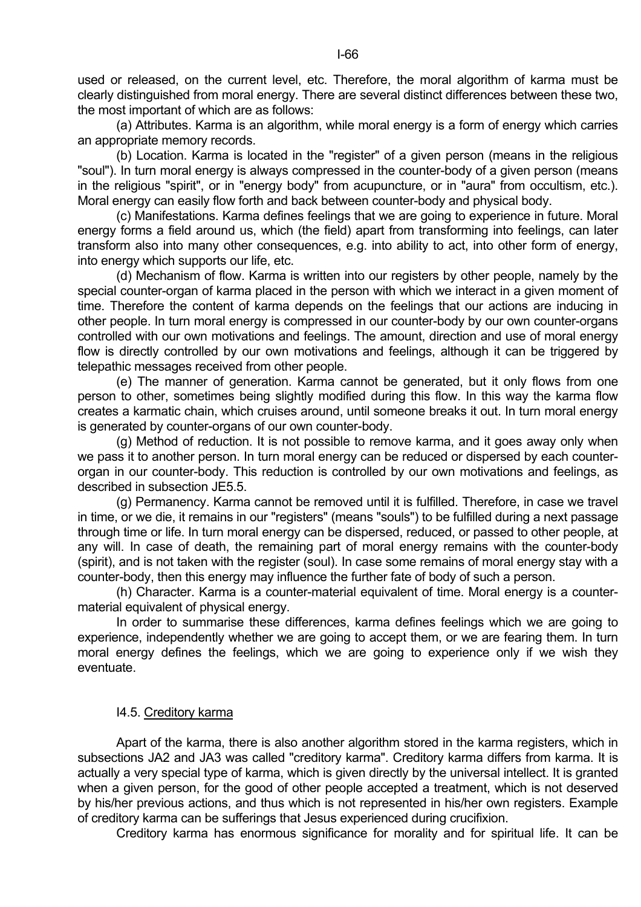used or released, on the current level, etc. Therefore, the moral algorithm of karma must be clearly distinguished from moral energy. There are several distinct differences between these two, the most important of which are as follows:

 (a) Attributes. Karma is an algorithm, while moral energy is a form of energy which carries an appropriate memory records.

 (b) Location. Karma is located in the "register" of a given person (means in the religious "soul"). In turn moral energy is always compressed in the counter-body of a given person (means in the religious "spirit", or in "energy body" from acupuncture, or in "aura" from occultism, etc.). Moral energy can easily flow forth and back between counter-body and physical body.

 (c) Manifestations. Karma defines feelings that we are going to experience in future. Moral energy forms a field around us, which (the field) apart from transforming into feelings, can later transform also into many other consequences, e.g. into ability to act, into other form of energy, into energy which supports our life, etc.

 (d) Mechanism of flow. Karma is written into our registers by other people, namely by the special counter-organ of karma placed in the person with which we interact in a given moment of time. Therefore the content of karma depends on the feelings that our actions are inducing in other people. In turn moral energy is compressed in our counter-body by our own counter-organs controlled with our own motivations and feelings. The amount, direction and use of moral energy flow is directly controlled by our own motivations and feelings, although it can be triggered by telepathic messages received from other people.

 (e) The manner of generation. Karma cannot be generated, but it only flows from one person to other, sometimes being slightly modified during this flow. In this way the karma flow creates a karmatic chain, which cruises around, until someone breaks it out. In turn moral energy is generated by counter-organs of our own counter-body.

 (g) Method of reduction. It is not possible to remove karma, and it goes away only when we pass it to another person. In turn moral energy can be reduced or dispersed by each counterorgan in our counter-body. This reduction is controlled by our own motivations and feelings, as described in subsection JE5.5.

 (g) Permanency. Karma cannot be removed until it is fulfilled. Therefore, in case we travel in time, or we die, it remains in our "registers" (means "souls") to be fulfilled during a next passage through time or life. In turn moral energy can be dispersed, reduced, or passed to other people, at any will. In case of death, the remaining part of moral energy remains with the counter-body (spirit), and is not taken with the register (soul). In case some remains of moral energy stay with a counter-body, then this energy may influence the further fate of body of such a person.

 (h) Character. Karma is a counter-material equivalent of time. Moral energy is a countermaterial equivalent of physical energy.

 In order to summarise these differences, karma defines feelings which we are going to experience, independently whether we are going to accept them, or we are fearing them. In turn moral energy defines the feelings, which we are going to experience only if we wish they eventuate.

### I4.5. Creditory karma

 Apart of the karma, there is also another algorithm stored in the karma registers, which in subsections JA2 and JA3 was called "creditory karma". Creditory karma differs from karma. It is actually a very special type of karma, which is given directly by the universal intellect. It is granted when a given person, for the good of other people accepted a treatment, which is not deserved by his/her previous actions, and thus which is not represented in his/her own registers. Example of creditory karma can be sufferings that Jesus experienced during crucifixion.

Creditory karma has enormous significance for morality and for spiritual life. It can be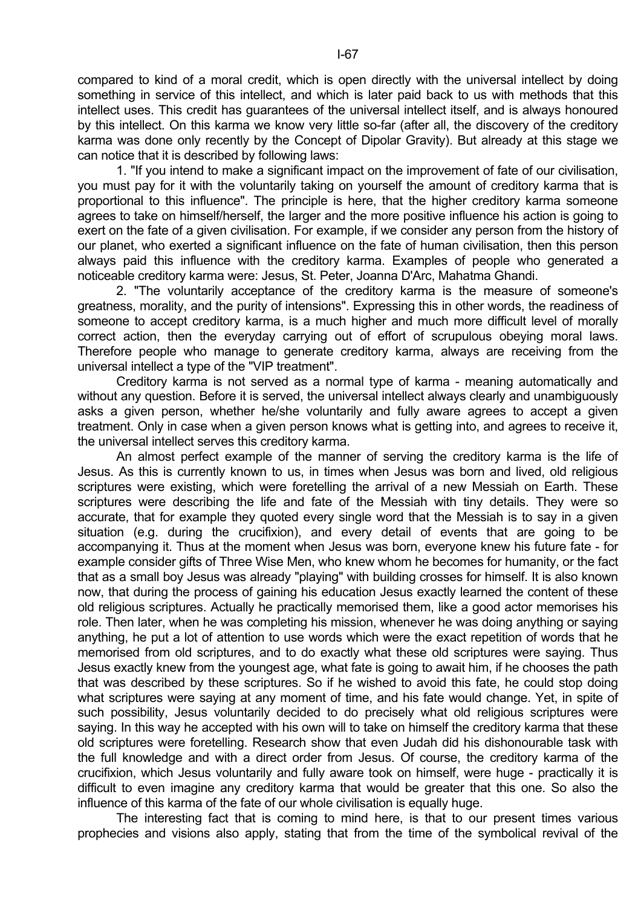compared to kind of a moral credit, which is open directly with the universal intellect by doing something in service of this intellect, and which is later paid back to us with methods that this intellect uses. This credit has guarantees of the universal intellect itself, and is always honoured by this intellect. On this karma we know very little so-far (after all, the discovery of the creditory karma was done only recently by the Concept of Dipolar Gravity). But already at this stage we can notice that it is described by following laws:

 1. "If you intend to make a significant impact on the improvement of fate of our civilisation, you must pay for it with the voluntarily taking on yourself the amount of creditory karma that is proportional to this influence". The principle is here, that the higher creditory karma someone agrees to take on himself/herself, the larger and the more positive influence his action is going to exert on the fate of a given civilisation. For example, if we consider any person from the history of our planet, who exerted a significant influence on the fate of human civilisation, then this person always paid this influence with the creditory karma. Examples of people who generated a noticeable creditory karma were: Jesus, St. Peter, Joanna D'Arc, Mahatma Ghandi.

 2. "The voluntarily acceptance of the creditory karma is the measure of someone's greatness, morality, and the purity of intensions". Expressing this in other words, the readiness of someone to accept creditory karma, is a much higher and much more difficult level of morally correct action, then the everyday carrying out of effort of scrupulous obeying moral laws. Therefore people who manage to generate creditory karma, always are receiving from the universal intellect a type of the "VIP treatment".

 Creditory karma is not served as a normal type of karma - meaning automatically and without any question. Before it is served, the universal intellect always clearly and unambiguously asks a given person, whether he/she voluntarily and fully aware agrees to accept a given treatment. Only in case when a given person knows what is getting into, and agrees to receive it, the universal intellect serves this creditory karma.

 An almost perfect example of the manner of serving the creditory karma is the life of Jesus. As this is currently known to us, in times when Jesus was born and lived, old religious scriptures were existing, which were foretelling the arrival of a new Messiah on Earth. These scriptures were describing the life and fate of the Messiah with tiny details. They were so accurate, that for example they quoted every single word that the Messiah is to say in a given situation (e.g. during the crucifixion), and every detail of events that are going to be accompanying it. Thus at the moment when Jesus was born, everyone knew his future fate - for example consider gifts of Three Wise Men, who knew whom he becomes for humanity, or the fact that as a small boy Jesus was already "playing" with building crosses for himself. It is also known now, that during the process of gaining his education Jesus exactly learned the content of these old religious scriptures. Actually he practically memorised them, like a good actor memorises his role. Then later, when he was completing his mission, whenever he was doing anything or saying anything, he put a lot of attention to use words which were the exact repetition of words that he memorised from old scriptures, and to do exactly what these old scriptures were saying. Thus Jesus exactly knew from the youngest age, what fate is going to await him, if he chooses the path that was described by these scriptures. So if he wished to avoid this fate, he could stop doing what scriptures were saying at any moment of time, and his fate would change. Yet, in spite of such possibility, Jesus voluntarily decided to do precisely what old religious scriptures were saying. In this way he accepted with his own will to take on himself the creditory karma that these old scriptures were foretelling. Research show that even Judah did his dishonourable task with the full knowledge and with a direct order from Jesus. Of course, the creditory karma of the crucifixion, which Jesus voluntarily and fully aware took on himself, were huge - practically it is difficult to even imagine any creditory karma that would be greater that this one. So also the influence of this karma of the fate of our whole civilisation is equally huge.

 The interesting fact that is coming to mind here, is that to our present times various prophecies and visions also apply, stating that from the time of the symbolical revival of the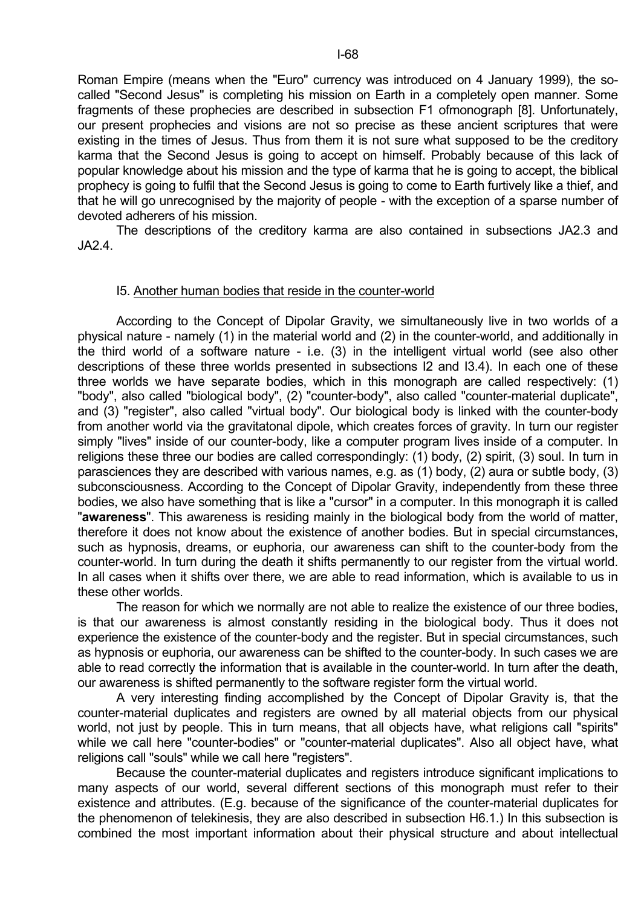Roman Empire (means when the "Euro" currency was introduced on 4 January 1999), the socalled "Second Jesus" is completing his mission on Earth in a completely open manner. Some fragments of these prophecies are described in subsection F1 ofmonograph [8]. Unfortunately, our present prophecies and visions are not so precise as these ancient scriptures that were existing in the times of Jesus. Thus from them it is not sure what supposed to be the creditory karma that the Second Jesus is going to accept on himself. Probably because of this lack of popular knowledge about his mission and the type of karma that he is going to accept, the biblical prophecy is going to fulfil that the Second Jesus is going to come to Earth furtively like a thief, and that he will go unrecognised by the majority of people - with the exception of a sparse number of devoted adherers of his mission.

 The descriptions of the creditory karma are also contained in subsections JA2.3 and JA2.4.

#### I5. Another human bodies that reside in the counter-world

 According to the Concept of Dipolar Gravity, we simultaneously live in two worlds of a physical nature - namely (1) in the material world and (2) in the counter-world, and additionally in the third world of a software nature - i.e. (3) in the intelligent virtual world (see also other descriptions of these three worlds presented in subsections I2 and I3.4). In each one of these three worlds we have separate bodies, which in this monograph are called respectively: (1) "body", also called "biological body", (2) "counter-body", also called "counter-material duplicate", and (3) "register", also called "virtual body". Our biological body is linked with the counter-body from another world via the gravitatonal dipole, which creates forces of gravity. In turn our register simply "lives" inside of our counter-body, like a computer program lives inside of a computer. In religions these three our bodies are called correspondingly: (1) body, (2) spirit, (3) soul. In turn in parasciences they are described with various names, e.g. as (1) body, (2) aura or subtle body, (3) subconsciousness. According to the Concept of Dipolar Gravity, independently from these three bodies, we also have something that is like a "cursor" in a computer. In this monograph it is called "**awareness**". This awareness is residing mainly in the biological body from the world of matter, therefore it does not know about the existence of another bodies. But in special circumstances, such as hypnosis, dreams, or euphoria, our awareness can shift to the counter-body from the counter-world. In turn during the death it shifts permanently to our register from the virtual world. In all cases when it shifts over there, we are able to read information, which is available to us in these other worlds.

 The reason for which we normally are not able to realize the existence of our three bodies, is that our awareness is almost constantly residing in the biological body. Thus it does not experience the existence of the counter-body and the register. But in special circumstances, such as hypnosis or euphoria, our awareness can be shifted to the counter-body. In such cases we are able to read correctly the information that is available in the counter-world. In turn after the death, our awareness is shifted permanently to the software register form the virtual world.

 A very interesting finding accomplished by the Concept of Dipolar Gravity is, that the counter-material duplicates and registers are owned by all material objects from our physical world, not just by people. This in turn means, that all objects have, what religions call "spirits" while we call here "counter-bodies" or "counter-material duplicates". Also all object have, what religions call "souls" while we call here "registers".

 Because the counter-material duplicates and registers introduce significant implications to many aspects of our world, several different sections of this monograph must refer to their existence and attributes. (E.g. because of the significance of the counter-material duplicates for the phenomenon of telekinesis, they are also described in subsection H6.1.) In this subsection is combined the most important information about their physical structure and about intellectual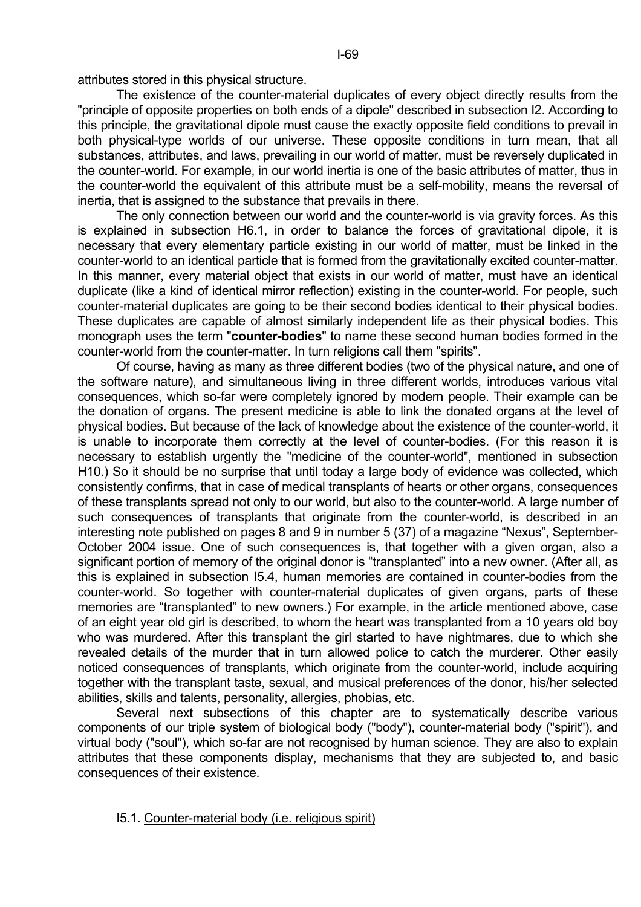attributes stored in this physical structure.

 The existence of the counter-material duplicates of every object directly results from the "principle of opposite properties on both ends of a dipole" described in subsection I2. According to this principle, the gravitational dipole must cause the exactly opposite field conditions to prevail in both physical-type worlds of our universe. These opposite conditions in turn mean, that all substances, attributes, and laws, prevailing in our world of matter, must be reversely duplicated in the counter-world. For example, in our world inertia is one of the basic attributes of matter, thus in the counter-world the equivalent of this attribute must be a self-mobility, means the reversal of inertia, that is assigned to the substance that prevails in there.

 The only connection between our world and the counter-world is via gravity forces. As this is explained in subsection H6.1, in order to balance the forces of gravitational dipole, it is necessary that every elementary particle existing in our world of matter, must be linked in the counter-world to an identical particle that is formed from the gravitationally excited counter-matter. In this manner, every material object that exists in our world of matter, must have an identical duplicate (like a kind of identical mirror reflection) existing in the counter-world. For people, such counter-material duplicates are going to be their second bodies identical to their physical bodies. These duplicates are capable of almost similarly independent life as their physical bodies. This monograph uses the term "**counter-bodies**" to name these second human bodies formed in the counter-world from the counter-matter. In turn religions call them "spirits".

 Of course, having as many as three different bodies (two of the physical nature, and one of the software nature), and simultaneous living in three different worlds, introduces various vital consequences, which so-far were completely ignored by modern people. Their example can be the donation of organs. The present medicine is able to link the donated organs at the level of physical bodies. But because of the lack of knowledge about the existence of the counter-world, it is unable to incorporate them correctly at the level of counter-bodies. (For this reason it is necessary to establish urgently the "medicine of the counter-world", mentioned in subsection H10.) So it should be no surprise that until today a large body of evidence was collected, which consistently confirms, that in case of medical transplants of hearts or other organs, consequences of these transplants spread not only to our world, but also to the counter-world. A large number of such consequences of transplants that originate from the counter-world, is described in an interesting note published on pages 8 and 9 in number 5 (37) of a magazine "Nexus", September-October 2004 issue. One of such consequences is, that together with a given organ, also a significant portion of memory of the original donor is "transplanted" into a new owner. (After all, as this is explained in subsection I5.4, human memories are contained in counter-bodies from the counter-world. So together with counter-material duplicates of given organs, parts of these memories are "transplanted" to new owners.) For example, in the article mentioned above, case of an eight year old girl is described, to whom the heart was transplanted from a 10 years old boy who was murdered. After this transplant the girl started to have nightmares, due to which she revealed details of the murder that in turn allowed police to catch the murderer. Other easily noticed consequences of transplants, which originate from the counter-world, include acquiring together with the transplant taste, sexual, and musical preferences of the donor, his/her selected abilities, skills and talents, personality, allergies, phobias, etc.

 Several next subsections of this chapter are to systematically describe various components of our triple system of biological body ("body"), counter-material body ("spirit"), and virtual body ("soul"), which so-far are not recognised by human science. They are also to explain attributes that these components display, mechanisms that they are subjected to, and basic consequences of their existence.

# I5.1. Counter-material body (i.e. religious spirit)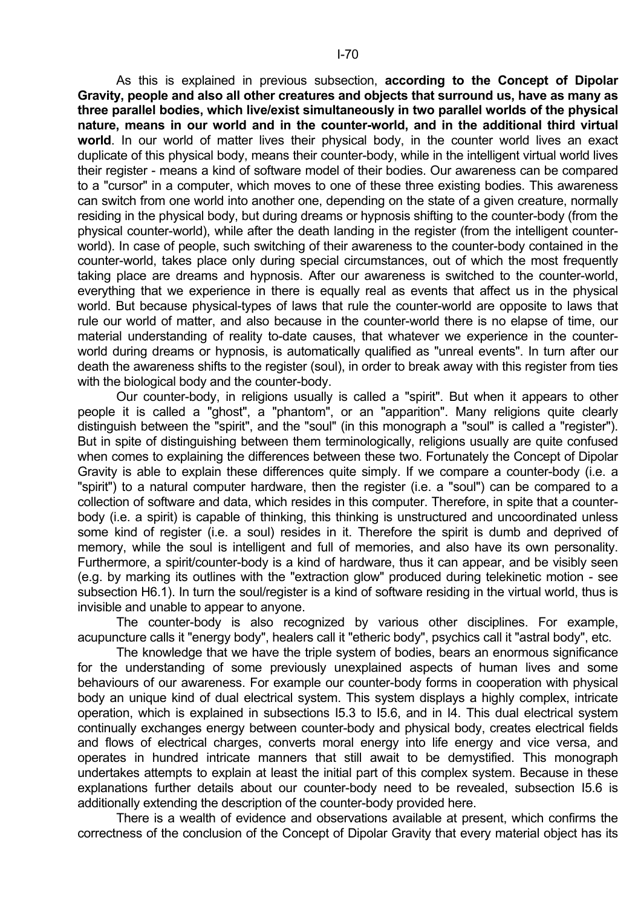As this is explained in previous subsection, **according to the Concept of Dipolar Gravity, people and also all other creatures and objects that surround us, have as many as three parallel bodies, which live/exist simultaneously in two parallel worlds of the physical nature, means in our world and in the counter-world, and in the additional third virtual world**. In our world of matter lives their physical body, in the counter world lives an exact duplicate of this physical body, means their counter-body, while in the intelligent virtual world lives their register - means a kind of software model of their bodies. Our awareness can be compared to a "cursor" in a computer, which moves to one of these three existing bodies. This awareness can switch from one world into another one, depending on the state of a given creature, normally residing in the physical body, but during dreams or hypnosis shifting to the counter-body (from the physical counter-world), while after the death landing in the register (from the intelligent counterworld). In case of people, such switching of their awareness to the counter-body contained in the counter-world, takes place only during special circumstances, out of which the most frequently taking place are dreams and hypnosis. After our awareness is switched to the counter-world, everything that we experience in there is equally real as events that affect us in the physical world. But because physical-types of laws that rule the counter-world are opposite to laws that rule our world of matter, and also because in the counter-world there is no elapse of time, our material understanding of reality to-date causes, that whatever we experience in the counterworld during dreams or hypnosis, is automatically qualified as "unreal events". In turn after our death the awareness shifts to the register (soul), in order to break away with this register from ties with the biological body and the counter-body.

 Our counter-body, in religions usually is called a "spirit". But when it appears to other people it is called a "ghost", a "phantom", or an "apparition". Many religions quite clearly distinguish between the "spirit", and the "soul" (in this monograph a "soul" is called a "register"). But in spite of distinguishing between them terminologically, religions usually are quite confused when comes to explaining the differences between these two. Fortunately the Concept of Dipolar Gravity is able to explain these differences quite simply. If we compare a counter-body (i.e. a "spirit") to a natural computer hardware, then the register (i.e. a "soul") can be compared to a collection of software and data, which resides in this computer. Therefore, in spite that a counterbody (i.e. a spirit) is capable of thinking, this thinking is unstructured and uncoordinated unless some kind of register (i.e. a soul) resides in it. Therefore the spirit is dumb and deprived of memory, while the soul is intelligent and full of memories, and also have its own personality. Furthermore, a spirit/counter-body is a kind of hardware, thus it can appear, and be visibly seen (e.g. by marking its outlines with the "extraction glow" produced during telekinetic motion - see subsection H6.1). In turn the soul/register is a kind of software residing in the virtual world, thus is invisible and unable to appear to anyone.

 The counter-body is also recognized by various other disciplines. For example, acupuncture calls it "energy body", healers call it "etheric body", psychics call it "astral body", etc.

 The knowledge that we have the triple system of bodies, bears an enormous significance for the understanding of some previously unexplained aspects of human lives and some behaviours of our awareness. For example our counter-body forms in cooperation with physical body an unique kind of dual electrical system. This system displays a highly complex, intricate operation, which is explained in subsections I5.3 to I5.6, and in I4. This dual electrical system continually exchanges energy between counter-body and physical body, creates electrical fields and flows of electrical charges, converts moral energy into life energy and vice versa, and operates in hundred intricate manners that still await to be demystified. This monograph undertakes attempts to explain at least the initial part of this complex system. Because in these explanations further details about our counter-body need to be revealed, subsection I5.6 is additionally extending the description of the counter-body provided here.

 There is a wealth of evidence and observations available at present, which confirms the correctness of the conclusion of the Concept of Dipolar Gravity that every material object has its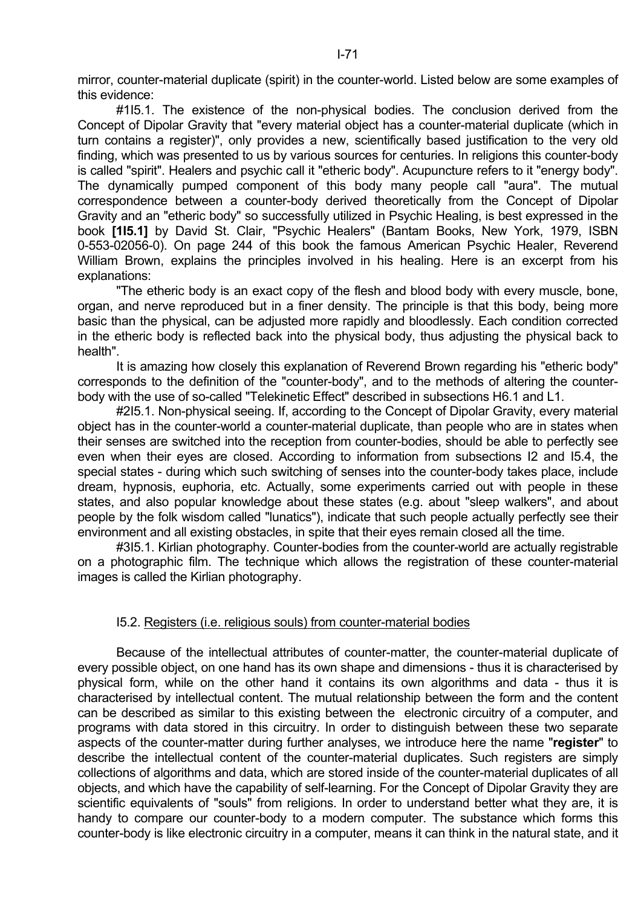mirror, counter-material duplicate (spirit) in the counter-world. Listed below are some examples of this evidence:

 #1I5.1. The existence of the non-physical bodies. The conclusion derived from the Concept of Dipolar Gravity that "every material object has a counter-material duplicate (which in turn contains a register)", only provides a new, scientifically based justification to the very old finding, which was presented to us by various sources for centuries. In religions this counter-body is called "spirit". Healers and psychic call it "etheric body". Acupuncture refers to it "energy body". The dynamically pumped component of this body many people call "aura". The mutual correspondence between a counter-body derived theoretically from the Concept of Dipolar Gravity and an "etheric body" so successfully utilized in Psychic Healing, is best expressed in the book **[1I5.1]** by David St. Clair, "Psychic Healers" (Bantam Books, New York, 1979, ISBN 0-553-02056-0). On page 244 of this book the famous American Psychic Healer, Reverend William Brown, explains the principles involved in his healing. Here is an excerpt from his explanations:

 "The etheric body is an exact copy of the flesh and blood body with every muscle, bone, organ, and nerve reproduced but in a finer density. The principle is that this body, being more basic than the physical, can be adjusted more rapidly and bloodlessly. Each condition corrected in the etheric body is reflected back into the physical body, thus adjusting the physical back to health".

 It is amazing how closely this explanation of Reverend Brown regarding his "etheric body" corresponds to the definition of the "counter-body", and to the methods of altering the counterbody with the use of so-called "Telekinetic Effect" described in subsections H6.1 and L1.

 #2I5.1. Non-physical seeing. If, according to the Concept of Dipolar Gravity, every material object has in the counter-world a counter-material duplicate, than people who are in states when their senses are switched into the reception from counter-bodies, should be able to perfectly see even when their eyes are closed. According to information from subsections I2 and I5.4, the special states - during which such switching of senses into the counter-body takes place, include dream, hypnosis, euphoria, etc. Actually, some experiments carried out with people in these states, and also popular knowledge about these states (e.g. about "sleep walkers", and about people by the folk wisdom called "lunatics"), indicate that such people actually perfectly see their environment and all existing obstacles, in spite that their eyes remain closed all the time.

 #3I5.1. Kirlian photography. Counter-bodies from the counter-world are actually registrable on a photographic film. The technique which allows the registration of these counter-material images is called the Kirlian photography.

### I5.2. Registers (i.e. religious souls) from counter-material bodies

 Because of the intellectual attributes of counter-matter, the counter-material duplicate of every possible object, on one hand has its own shape and dimensions - thus it is characterised by physical form, while on the other hand it contains its own algorithms and data - thus it is characterised by intellectual content. The mutual relationship between the form and the content can be described as similar to this existing between the electronic circuitry of a computer, and programs with data stored in this circuitry. In order to distinguish between these two separate aspects of the counter-matter during further analyses, we introduce here the name "**register**" to describe the intellectual content of the counter-material duplicates. Such registers are simply collections of algorithms and data, which are stored inside of the counter-material duplicates of all objects, and which have the capability of self-learning. For the Concept of Dipolar Gravity they are scientific equivalents of "souls" from religions. In order to understand better what they are, it is handy to compare our counter-body to a modern computer. The substance which forms this counter-body is like electronic circuitry in a computer, means it can think in the natural state, and it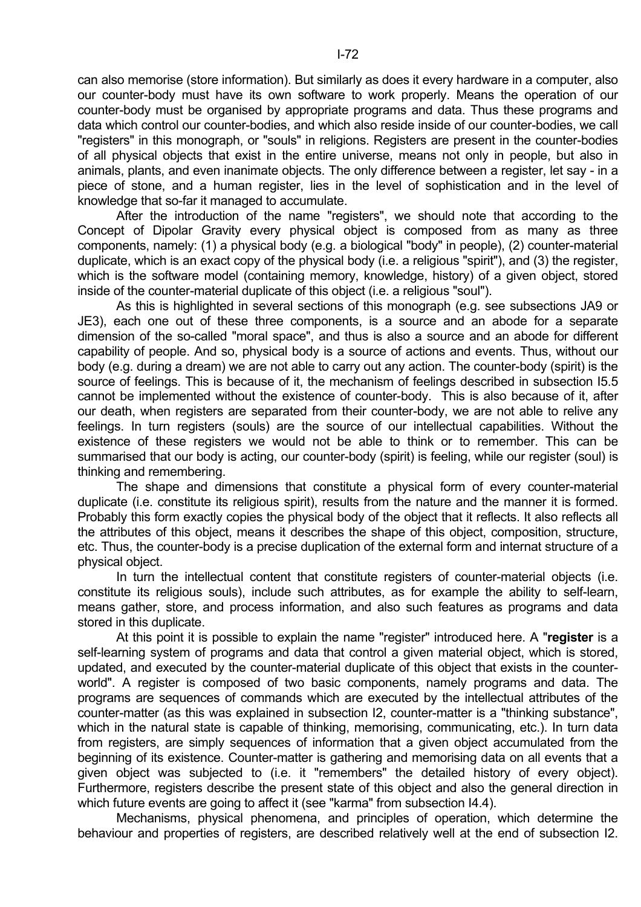can also memorise (store information). But similarly as does it every hardware in a computer, also our counter-body must have its own software to work properly. Means the operation of our counter-body must be organised by appropriate programs and data. Thus these programs and data which control our counter-bodies, and which also reside inside of our counter-bodies, we call "registers" in this monograph, or "souls" in religions. Registers are present in the counter-bodies of all physical objects that exist in the entire universe, means not only in people, but also in animals, plants, and even inanimate objects. The only difference between a register, let say - in a piece of stone, and a human register, lies in the level of sophistication and in the level of knowledge that so-far it managed to accumulate.

 After the introduction of the name "registers", we should note that according to the Concept of Dipolar Gravity every physical object is composed from as many as three components, namely: (1) a physical body (e.g. a biological "body" in people), (2) counter-material duplicate, which is an exact copy of the physical body (i.e. a religious "spirit"), and (3) the register, which is the software model (containing memory, knowledge, history) of a given object, stored inside of the counter-material duplicate of this object (i.e. a religious "soul").

 As this is highlighted in several sections of this monograph (e.g. see subsections JA9 or JE3), each one out of these three components, is a source and an abode for a separate dimension of the so-called "moral space", and thus is also a source and an abode for different capability of people. And so, physical body is a source of actions and events. Thus, without our body (e.g. during a dream) we are not able to carry out any action. The counter-body (spirit) is the source of feelings. This is because of it, the mechanism of feelings described in subsection I5.5 cannot be implemented without the existence of counter-body. This is also because of it, after our death, when registers are separated from their counter-body, we are not able to relive any feelings. In turn registers (souls) are the source of our intellectual capabilities. Without the existence of these registers we would not be able to think or to remember. This can be summarised that our body is acting, our counter-body (spirit) is feeling, while our register (soul) is thinking and remembering.

 The shape and dimensions that constitute a physical form of every counter-material duplicate (i.e. constitute its religious spirit), results from the nature and the manner it is formed. Probably this form exactly copies the physical body of the object that it reflects. It also reflects all the attributes of this object, means it describes the shape of this object, composition, structure, etc. Thus, the counter-body is a precise duplication of the external form and internat structure of a physical object.

In turn the intellectual content that constitute registers of counter-material objects (i.e. constitute its religious souls), include such attributes, as for example the ability to self-learn, means gather, store, and process information, and also such features as programs and data stored in this duplicate.

 At this point it is possible to explain the name "register" introduced here. A "**register** is a self-learning system of programs and data that control a given material object, which is stored, updated, and executed by the counter-material duplicate of this object that exists in the counterworld". A register is composed of two basic components, namely programs and data. The programs are sequences of commands which are executed by the intellectual attributes of the counter-matter (as this was explained in subsection I2, counter-matter is a "thinking substance", which in the natural state is capable of thinking, memorising, communicating, etc.). In turn data from registers, are simply sequences of information that a given object accumulated from the beginning of its existence. Counter-matter is gathering and memorising data on all events that a given object was subjected to (i.e. it "remembers" the detailed history of every object). Furthermore, registers describe the present state of this object and also the general direction in which future events are going to affect it (see "karma" from subsection I4.4).

 Mechanisms, physical phenomena, and principles of operation, which determine the behaviour and properties of registers, are described relatively well at the end of subsection I2.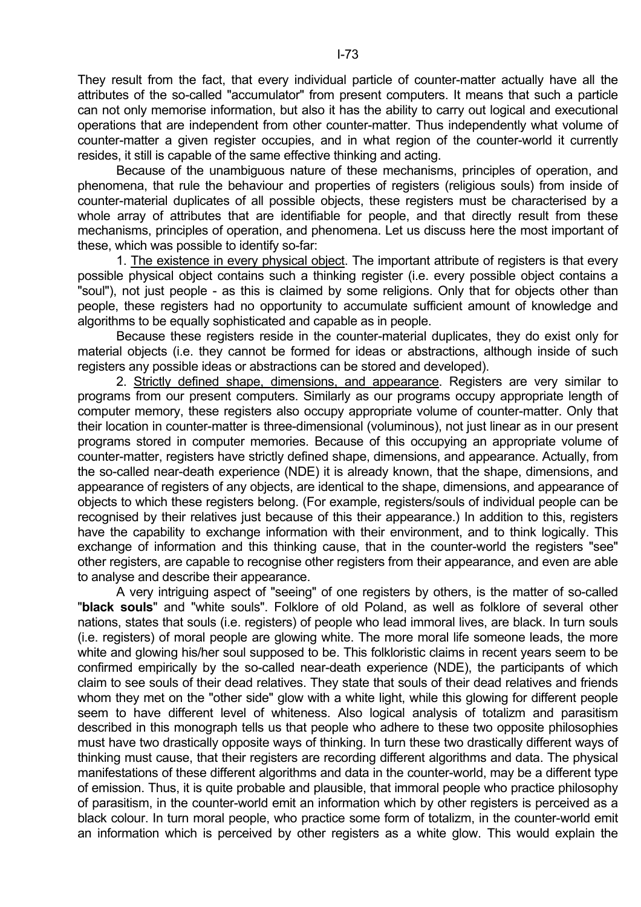They result from the fact, that every individual particle of counter-matter actually have all the attributes of the so-called "accumulator" from present computers. It means that such a particle can not only memorise information, but also it has the ability to carry out logical and executional operations that are independent from other counter-matter. Thus independently what volume of counter-matter a given register occupies, and in what region of the counter-world it currently resides, it still is capable of the same effective thinking and acting.

 Because of the unambiguous nature of these mechanisms, principles of operation, and phenomena, that rule the behaviour and properties of registers (religious souls) from inside of counter-material duplicates of all possible objects, these registers must be characterised by a whole array of attributes that are identifiable for people, and that directly result from these mechanisms, principles of operation, and phenomena. Let us discuss here the most important of these, which was possible to identify so-far:

 1. The existence in every physical object. The important attribute of registers is that every possible physical object contains such a thinking register (i.e. every possible object contains a "soul"), not just people - as this is claimed by some religions. Only that for objects other than people, these registers had no opportunity to accumulate sufficient amount of knowledge and algorithms to be equally sophisticated and capable as in people.

 Because these registers reside in the counter-material duplicates, they do exist only for material objects (i.e. they cannot be formed for ideas or abstractions, although inside of such registers any possible ideas or abstractions can be stored and developed).

 2. Strictly defined shape, dimensions, and appearance. Registers are very similar to programs from our present computers. Similarly as our programs occupy appropriate length of computer memory, these registers also occupy appropriate volume of counter-matter. Only that their location in counter-matter is three-dimensional (voluminous), not just linear as in our present programs stored in computer memories. Because of this occupying an appropriate volume of counter-matter, registers have strictly defined shape, dimensions, and appearance. Actually, from the so-called near-death experience (NDE) it is already known, that the shape, dimensions, and appearance of registers of any objects, are identical to the shape, dimensions, and appearance of objects to which these registers belong. (For example, registers/souls of individual people can be recognised by their relatives just because of this their appearance.) In addition to this, registers have the capability to exchange information with their environment, and to think logically. This exchange of information and this thinking cause, that in the counter-world the registers "see" other registers, are capable to recognise other registers from their appearance, and even are able to analyse and describe their appearance.

 A very intriguing aspect of "seeing" of one registers by others, is the matter of so-called "**black souls**" and "white souls". Folklore of old Poland, as well as folklore of several other nations, states that souls (i.e. registers) of people who lead immoral lives, are black. In turn souls (i.e. registers) of moral people are glowing white. The more moral life someone leads, the more white and glowing his/her soul supposed to be. This folkloristic claims in recent years seem to be confirmed empirically by the so-called near-death experience (NDE), the participants of which claim to see souls of their dead relatives. They state that souls of their dead relatives and friends whom they met on the "other side" glow with a white light, while this glowing for different people seem to have different level of whiteness. Also logical analysis of totalizm and parasitism described in this monograph tells us that people who adhere to these two opposite philosophies must have two drastically opposite ways of thinking. In turn these two drastically different ways of thinking must cause, that their registers are recording different algorithms and data. The physical manifestations of these different algorithms and data in the counter-world, may be a different type of emission. Thus, it is quite probable and plausible, that immoral people who practice philosophy of parasitism, in the counter-world emit an information which by other registers is perceived as a black colour. In turn moral people, who practice some form of totalizm, in the counter-world emit an information which is perceived by other registers as a white glow. This would explain the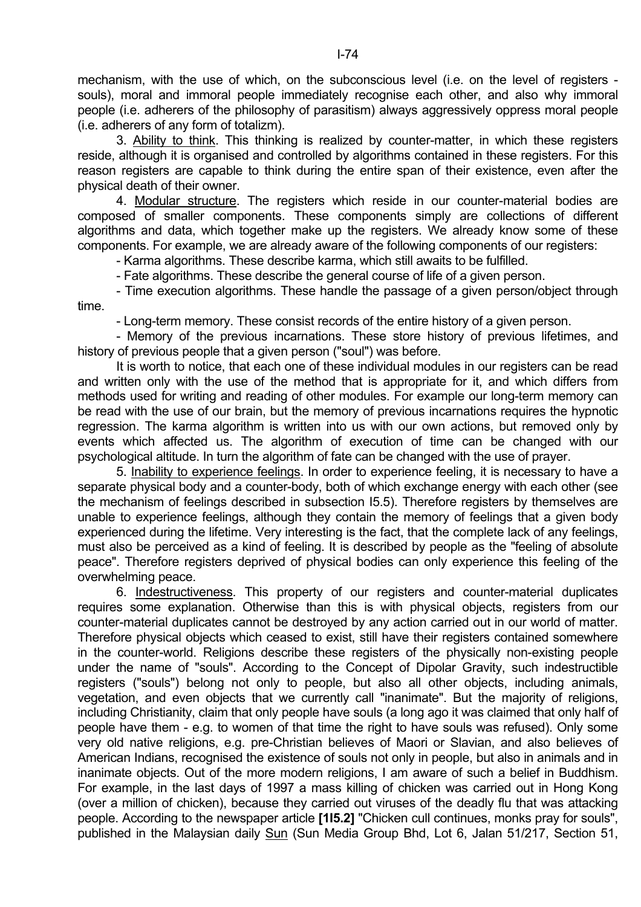mechanism, with the use of which, on the subconscious level (i.e. on the level of registers souls), moral and immoral people immediately recognise each other, and also why immoral people (i.e. adherers of the philosophy of parasitism) always aggressively oppress moral people (i.e. adherers of any form of totalizm).

 3. Ability to think. This thinking is realized by counter-matter, in which these registers reside, although it is organised and controlled by algorithms contained in these registers. For this reason registers are capable to think during the entire span of their existence, even after the physical death of their owner.

 4. Modular structure. The registers which reside in our counter-material bodies are composed of smaller components. These components simply are collections of different algorithms and data, which together make up the registers. We already know some of these components. For example, we are already aware of the following components of our registers:

- Karma algorithms. These describe karma, which still awaits to be fulfilled.

- Fate algorithms. These describe the general course of life of a given person.

 - Time execution algorithms. These handle the passage of a given person/object through time.

- Long-term memory. These consist records of the entire history of a given person.

 - Memory of the previous incarnations. These store history of previous lifetimes, and history of previous people that a given person ("soul") was before.

 It is worth to notice, that each one of these individual modules in our registers can be read and written only with the use of the method that is appropriate for it, and which differs from methods used for writing and reading of other modules. For example our long-term memory can be read with the use of our brain, but the memory of previous incarnations requires the hypnotic regression. The karma algorithm is written into us with our own actions, but removed only by events which affected us. The algorithm of execution of time can be changed with our psychological altitude. In turn the algorithm of fate can be changed with the use of prayer.

 5. Inability to experience feelings. In order to experience feeling, it is necessary to have a separate physical body and a counter-body, both of which exchange energy with each other (see the mechanism of feelings described in subsection I5.5). Therefore registers by themselves are unable to experience feelings, although they contain the memory of feelings that a given body experienced during the lifetime. Very interesting is the fact, that the complete lack of any feelings, must also be perceived as a kind of feeling. It is described by people as the "feeling of absolute peace". Therefore registers deprived of physical bodies can only experience this feeling of the overwhelming peace.

 6. Indestructiveness. This property of our registers and counter-material duplicates requires some explanation. Otherwise than this is with physical objects, registers from our counter-material duplicates cannot be destroyed by any action carried out in our world of matter. Therefore physical objects which ceased to exist, still have their registers contained somewhere in the counter-world. Religions describe these registers of the physically non-existing people under the name of "souls". According to the Concept of Dipolar Gravity, such indestructible registers ("souls") belong not only to people, but also all other objects, including animals, vegetation, and even objects that we currently call "inanimate". But the majority of religions, including Christianity, claim that only people have souls (a long ago it was claimed that only half of people have them - e.g. to women of that time the right to have souls was refused). Only some very old native religions, e.g. pre-Christian believes of Maori or Slavian, and also believes of American Indians, recognised the existence of souls not only in people, but also in animals and in inanimate objects. Out of the more modern religions, I am aware of such a belief in Buddhism. For example, in the last days of 1997 a mass killing of chicken was carried out in Hong Kong (over a million of chicken), because they carried out viruses of the deadly flu that was attacking people. According to the newspaper article **[1I5.2]** "Chicken cull continues, monks pray for souls", published in the Malaysian daily Sun (Sun Media Group Bhd, Lot 6, Jalan 51/217, Section 51,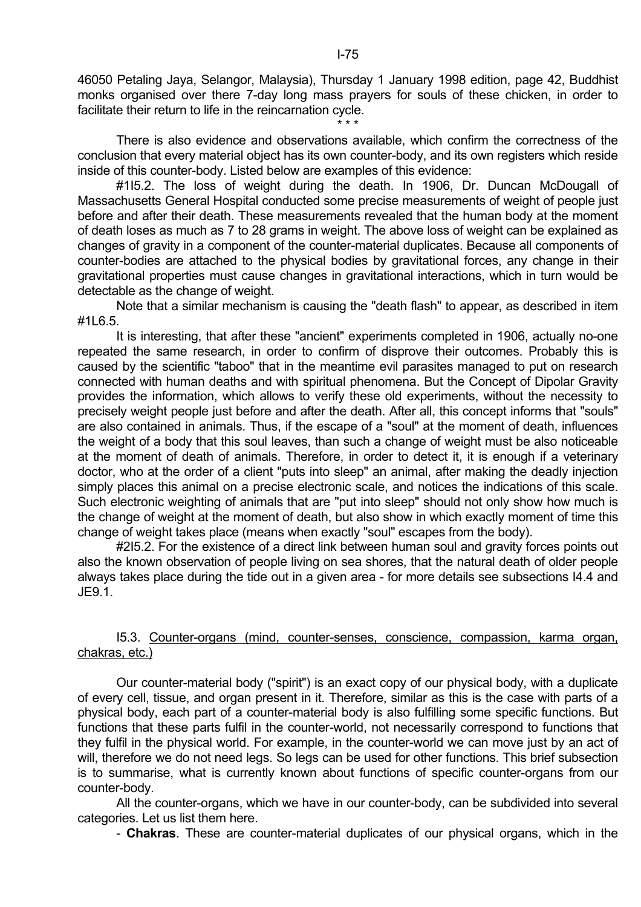46050 Petaling Jaya, Selangor, Malaysia), Thursday 1 January 1998 edition, page 42, Buddhist monks organised over there 7-day long mass prayers for souls of these chicken, in order to facilitate their return to life in the reincarnation cycle.

 There is also evidence and observations available, which confirm the correctness of the conclusion that every material object has its own counter-body, and its own registers which reside inside of this counter-body. Listed below are examples of this evidence:

 $\star \star \star$ 

 #1I5.2. The loss of weight during the death. In 1906, Dr. Duncan McDougall of Massachusetts General Hospital conducted some precise measurements of weight of people just before and after their death. These measurements revealed that the human body at the moment of death loses as much as 7 to 28 grams in weight. The above loss of weight can be explained as changes of gravity in a component of the counter-material duplicates. Because all components of counter-bodies are attached to the physical bodies by gravitational forces, any change in their gravitational properties must cause changes in gravitational interactions, which in turn would be detectable as the change of weight.

 Note that a similar mechanism is causing the "death flash" to appear, as described in item #1L6.5.

 It is interesting, that after these "ancient" experiments completed in 1906, actually no-one repeated the same research, in order to confirm of disprove their outcomes. Probably this is caused by the scientific "taboo" that in the meantime evil parasites managed to put on research connected with human deaths and with spiritual phenomena. But the Concept of Dipolar Gravity provides the information, which allows to verify these old experiments, without the necessity to precisely weight people just before and after the death. After all, this concept informs that "souls" are also contained in animals. Thus, if the escape of a "soul" at the moment of death, influences the weight of a body that this soul leaves, than such a change of weight must be also noticeable at the moment of death of animals. Therefore, in order to detect it, it is enough if a veterinary doctor, who at the order of a client "puts into sleep" an animal, after making the deadly injection simply places this animal on a precise electronic scale, and notices the indications of this scale. Such electronic weighting of animals that are "put into sleep" should not only show how much is the change of weight at the moment of death, but also show in which exactly moment of time this change of weight takes place (means when exactly "soul" escapes from the body).

#2I5.2. For the existence of a direct link between human soul and gravity forces points out also the known observation of people living on sea shores, that the natural death of older people always takes place during the tide out in a given area - for more details see subsections I4.4 and JE9.1.

### I5.3. Counter-organs (mind, counter-senses, conscience, compassion, karma organ, chakras, etc.)

 Our counter-material body ("spirit") is an exact copy of our physical body, with a duplicate of every cell, tissue, and organ present in it. Therefore, similar as this is the case with parts of a physical body, each part of a counter-material body is also fulfilling some specific functions. But functions that these parts fulfil in the counter-world, not necessarily correspond to functions that they fulfil in the physical world. For example, in the counter-world we can move just by an act of will, therefore we do not need legs. So legs can be used for other functions. This brief subsection is to summarise, what is currently known about functions of specific counter-organs from our counter-body.

 All the counter-organs, which we have in our counter-body, can be subdivided into several categories. Let us list them here.

- **Chakras**. These are counter-material duplicates of our physical organs, which in the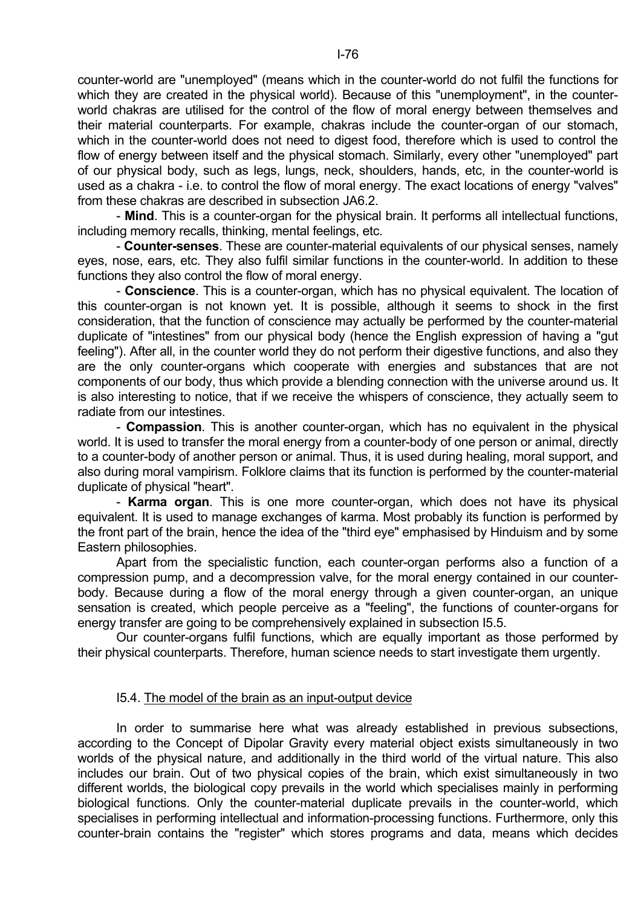counter-world are "unemployed" (means which in the counter-world do not fulfil the functions for which they are created in the physical world). Because of this "unemployment", in the counterworld chakras are utilised for the control of the flow of moral energy between themselves and their material counterparts. For example, chakras include the counter-organ of our stomach, which in the counter-world does not need to digest food, therefore which is used to control the flow of energy between itself and the physical stomach. Similarly, every other "unemployed" part of our physical body, such as legs, lungs, neck, shoulders, hands, etc, in the counter-world is used as a chakra - i.e. to control the flow of moral energy. The exact locations of energy "valves" from these chakras are described in subsection JA6.2.

 - **Mind**. This is a counter-organ for the physical brain. It performs all intellectual functions, including memory recalls, thinking, mental feelings, etc.

 - **Counter-senses**. These are counter-material equivalents of our physical senses, namely eyes, nose, ears, etc. They also fulfil similar functions in the counter-world. In addition to these functions they also control the flow of moral energy.

 - **Conscience**. This is a counter-organ, which has no physical equivalent. The location of this counter-organ is not known yet. It is possible, although it seems to shock in the first consideration, that the function of conscience may actually be performed by the counter-material duplicate of "intestines" from our physical body (hence the English expression of having a "gut feeling"). After all, in the counter world they do not perform their digestive functions, and also they are the only counter-organs which cooperate with energies and substances that are not components of our body, thus which provide a blending connection with the universe around us. It is also interesting to notice, that if we receive the whispers of conscience, they actually seem to radiate from our intestines.

 - **Compassion**. This is another counter-organ, which has no equivalent in the physical world. It is used to transfer the moral energy from a counter-body of one person or animal, directly to a counter-body of another person or animal. Thus, it is used during healing, moral support, and also during moral vampirism. Folklore claims that its function is performed by the counter-material duplicate of physical "heart".

 - **Karma organ**. This is one more counter-organ, which does not have its physical equivalent. It is used to manage exchanges of karma. Most probably its function is performed by the front part of the brain, hence the idea of the "third eye" emphasised by Hinduism and by some Eastern philosophies.

 Apart from the specialistic function, each counter-organ performs also a function of a compression pump, and a decompression valve, for the moral energy contained in our counterbody. Because during a flow of the moral energy through a given counter-organ, an unique sensation is created, which people perceive as a "feeling", the functions of counter-organs for energy transfer are going to be comprehensively explained in subsection I5.5.

 Our counter-organs fulfil functions, which are equally important as those performed by their physical counterparts. Therefore, human science needs to start investigate them urgently.

# I5.4. The model of the brain as an input-output device

 In order to summarise here what was already established in previous subsections, according to the Concept of Dipolar Gravity every material object exists simultaneously in two worlds of the physical nature, and additionally in the third world of the virtual nature. This also includes our brain. Out of two physical copies of the brain, which exist simultaneously in two different worlds, the biological copy prevails in the world which specialises mainly in performing biological functions. Only the counter-material duplicate prevails in the counter-world, which specialises in performing intellectual and information-processing functions. Furthermore, only this counter-brain contains the "register" which stores programs and data, means which decides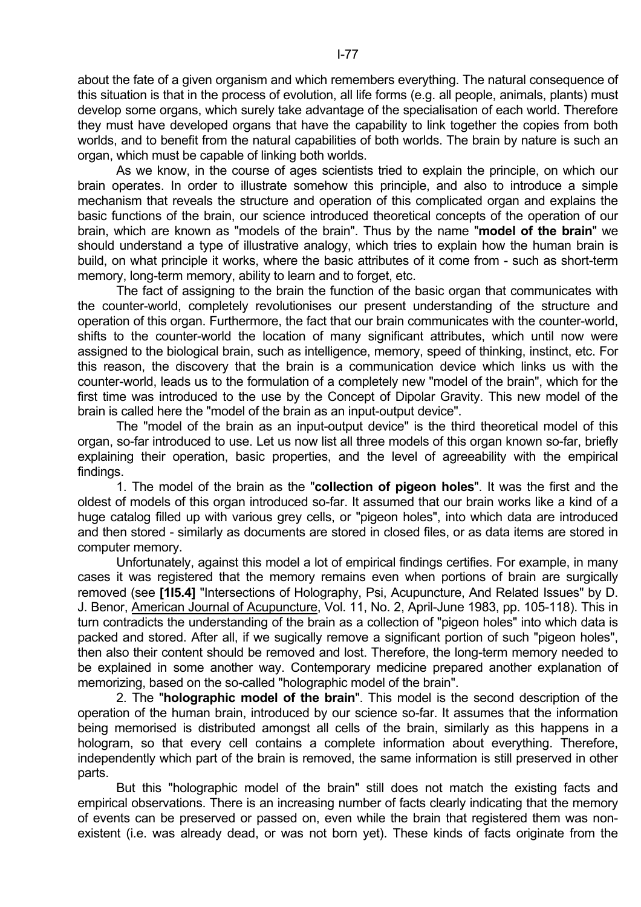about the fate of a given organism and which remembers everything. The natural consequence of this situation is that in the process of evolution, all life forms (e.g. all people, animals, plants) must develop some organs, which surely take advantage of the specialisation of each world. Therefore they must have developed organs that have the capability to link together the copies from both worlds, and to benefit from the natural capabilities of both worlds. The brain by nature is such an organ, which must be capable of linking both worlds.

 As we know, in the course of ages scientists tried to explain the principle, on which our brain operates. In order to illustrate somehow this principle, and also to introduce a simple mechanism that reveals the structure and operation of this complicated organ and explains the basic functions of the brain, our science introduced theoretical concepts of the operation of our brain, which are known as "models of the brain". Thus by the name "**model of the brain**" we should understand a type of illustrative analogy, which tries to explain how the human brain is build, on what principle it works, where the basic attributes of it come from - such as short-term memory, long-term memory, ability to learn and to forget, etc.

 The fact of assigning to the brain the function of the basic organ that communicates with the counter-world, completely revolutionises our present understanding of the structure and operation of this organ. Furthermore, the fact that our brain communicates with the counter-world, shifts to the counter-world the location of many significant attributes, which until now were assigned to the biological brain, such as intelligence, memory, speed of thinking, instinct, etc. For this reason, the discovery that the brain is a communication device which links us with the counter-world, leads us to the formulation of a completely new "model of the brain", which for the first time was introduced to the use by the Concept of Dipolar Gravity. This new model of the brain is called here the "model of the brain as an input-output device".

 The "model of the brain as an input-output device" is the third theoretical model of this organ, so-far introduced to use. Let us now list all three models of this organ known so-far, briefly explaining their operation, basic properties, and the level of agreeability with the empirical findings.

 1. The model of the brain as the "**collection of pigeon holes**". It was the first and the oldest of models of this organ introduced so-far. It assumed that our brain works like a kind of a huge catalog filled up with various grey cells, or "pigeon holes", into which data are introduced and then stored - similarly as documents are stored in closed files, or as data items are stored in computer memory.

 Unfortunately, against this model a lot of empirical findings certifies. For example, in many cases it was registered that the memory remains even when portions of brain are surgically removed (see **[1I5.4]** "Intersections of Holography, Psi, Acupuncture, And Related Issues" by D. J. Benor, American Journal of Acupuncture, Vol. 11, No. 2, April-June 1983, pp. 105-118). This in turn contradicts the understanding of the brain as a collection of "pigeon holes" into which data is packed and stored. After all, if we sugically remove a significant portion of such "pigeon holes", then also their content should be removed and lost. Therefore, the long-term memory needed to be explained in some another way. Contemporary medicine prepared another explanation of memorizing, based on the so-called "holographic model of the brain".

 2. The "**holographic model of the brain**". This model is the second description of the operation of the human brain, introduced by our science so-far. It assumes that the information being memorised is distributed amongst all cells of the brain, similarly as this happens in a hologram, so that every cell contains a complete information about everything. Therefore, independently which part of the brain is removed, the same information is still preserved in other parts.

 But this "holographic model of the brain" still does not match the existing facts and empirical observations. There is an increasing number of facts clearly indicating that the memory of events can be preserved or passed on, even while the brain that registered them was nonexistent (i.e. was already dead, or was not born yet). These kinds of facts originate from the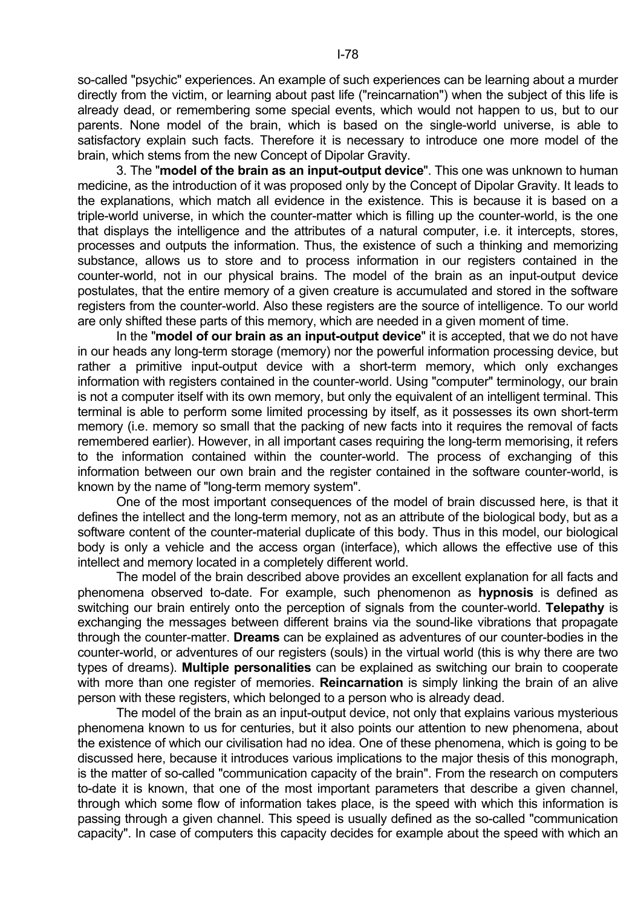so-called "psychic" experiences. An example of such experiences can be learning about a murder directly from the victim, or learning about past life ("reincarnation") when the subject of this life is already dead, or remembering some special events, which would not happen to us, but to our parents. None model of the brain, which is based on the single-world universe, is able to satisfactory explain such facts. Therefore it is necessary to introduce one more model of the brain, which stems from the new Concept of Dipolar Gravity.

 3. The "**model of the brain as an input-output device**". This one was unknown to human medicine, as the introduction of it was proposed only by the Concept of Dipolar Gravity. It leads to the explanations, which match all evidence in the existence. This is because it is based on a triple-world universe, in which the counter-matter which is filling up the counter-world, is the one that displays the intelligence and the attributes of a natural computer, i.e. it intercepts, stores, processes and outputs the information. Thus, the existence of such a thinking and memorizing substance, allows us to store and to process information in our registers contained in the counter-world, not in our physical brains. The model of the brain as an input-output device postulates, that the entire memory of a given creature is accumulated and stored in the software registers from the counter-world. Also these registers are the source of intelligence. To our world are only shifted these parts of this memory, which are needed in a given moment of time.

 In the "**model of our brain as an input-output device**" it is accepted, that we do not have in our heads any long-term storage (memory) nor the powerful information processing device, but rather a primitive input-output device with a short-term memory, which only exchanges information with registers contained in the counter-world. Using "computer" terminology, our brain is not a computer itself with its own memory, but only the equivalent of an intelligent terminal. This terminal is able to perform some limited processing by itself, as it possesses its own short-term memory (i.e. memory so small that the packing of new facts into it requires the removal of facts remembered earlier). However, in all important cases requiring the long-term memorising, it refers to the information contained within the counter-world. The process of exchanging of this information between our own brain and the register contained in the software counter-world, is known by the name of "long-term memory system".

 One of the most important consequences of the model of brain discussed here, is that it defines the intellect and the long-term memory, not as an attribute of the biological body, but as a software content of the counter-material duplicate of this body. Thus in this model, our biological body is only a vehicle and the access organ (interface), which allows the effective use of this intellect and memory located in a completely different world.

 The model of the brain described above provides an excellent explanation for all facts and phenomena observed to-date. For example, such phenomenon as **hypnosis** is defined as switching our brain entirely onto the perception of signals from the counter-world. **Telepathy** is exchanging the messages between different brains via the sound-like vibrations that propagate through the counter-matter. **Dreams** can be explained as adventures of our counter-bodies in the counter-world, or adventures of our registers (souls) in the virtual world (this is why there are two types of dreams). **Multiple personalities** can be explained as switching our brain to cooperate with more than one register of memories. **Reincarnation** is simply linking the brain of an alive person with these registers, which belonged to a person who is already dead.

 The model of the brain as an input-output device, not only that explains various mysterious phenomena known to us for centuries, but it also points our attention to new phenomena, about the existence of which our civilisation had no idea. One of these phenomena, which is going to be discussed here, because it introduces various implications to the major thesis of this monograph, is the matter of so-called "communication capacity of the brain". From the research on computers to-date it is known, that one of the most important parameters that describe a given channel, through which some flow of information takes place, is the speed with which this information is passing through a given channel. This speed is usually defined as the so-called "communication capacity". In case of computers this capacity decides for example about the speed with which an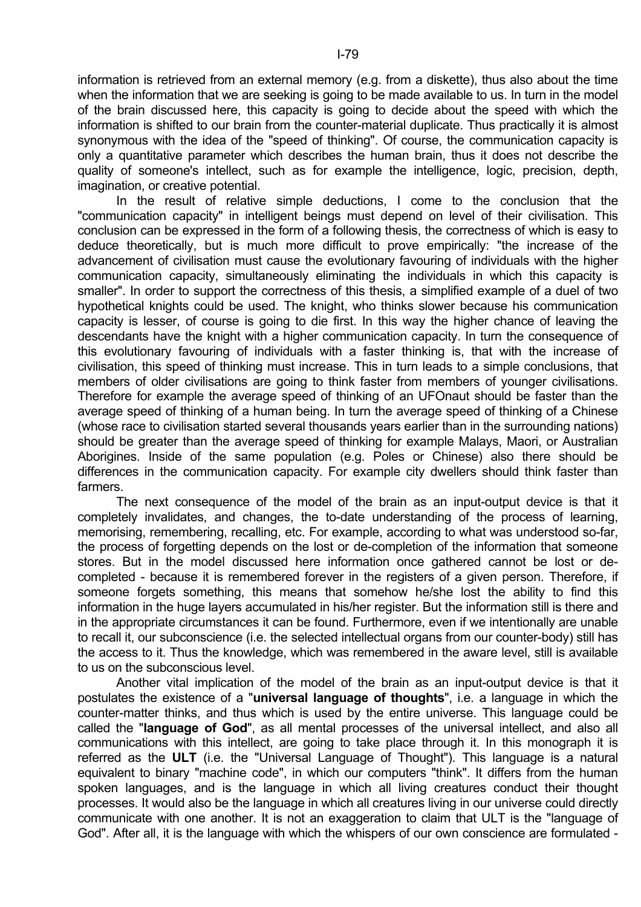information is retrieved from an external memory (e.g. from a diskette), thus also about the time when the information that we are seeking is going to be made available to us. In turn in the model of the brain discussed here, this capacity is going to decide about the speed with which the information is shifted to our brain from the counter-material duplicate. Thus practically it is almost synonymous with the idea of the "speed of thinking". Of course, the communication capacity is only a quantitative parameter which describes the human brain, thus it does not describe the quality of someone's intellect, such as for example the intelligence, logic, precision, depth, imagination, or creative potential.

 In the result of relative simple deductions, I come to the conclusion that the "communication capacity" in intelligent beings must depend on level of their civilisation. This conclusion can be expressed in the form of a following thesis, the correctness of which is easy to deduce theoretically, but is much more difficult to prove empirically: "the increase of the advancement of civilisation must cause the evolutionary favouring of individuals with the higher communication capacity, simultaneously eliminating the individuals in which this capacity is smaller". In order to support the correctness of this thesis, a simplified example of a duel of two hypothetical knights could be used. The knight, who thinks slower because his communication capacity is lesser, of course is going to die first. In this way the higher chance of leaving the descendants have the knight with a higher communication capacity. In turn the consequence of this evolutionary favouring of individuals with a faster thinking is, that with the increase of civilisation, this speed of thinking must increase. This in turn leads to a simple conclusions, that members of older civilisations are going to think faster from members of younger civilisations. Therefore for example the average speed of thinking of an UFOnaut should be faster than the average speed of thinking of a human being. In turn the average speed of thinking of a Chinese (whose race to civilisation started several thousands years earlier than in the surrounding nations) should be greater than the average speed of thinking for example Malays, Maori, or Australian Aborigines. Inside of the same population (e.g. Poles or Chinese) also there should be differences in the communication capacity. For example city dwellers should think faster than farmers.

 The next consequence of the model of the brain as an input-output device is that it completely invalidates, and changes, the to-date understanding of the process of learning, memorising, remembering, recalling, etc. For example, according to what was understood so-far, the process of forgetting depends on the lost or de-completion of the information that someone stores. But in the model discussed here information once gathered cannot be lost or decompleted - because it is remembered forever in the registers of a given person. Therefore, if someone forgets something, this means that somehow he/she lost the ability to find this information in the huge layers accumulated in his/her register. But the information still is there and in the appropriate circumstances it can be found. Furthermore, even if we intentionally are unable to recall it, our subconscience (i.e. the selected intellectual organs from our counter-body) still has the access to it. Thus the knowledge, which was remembered in the aware level, still is available to us on the subconscious level.

 Another vital implication of the model of the brain as an input-output device is that it postulates the existence of a "**universal language of thoughts**", i.e. a language in which the counter-matter thinks, and thus which is used by the entire universe. This language could be called the "**language of God**", as all mental processes of the universal intellect, and also all communications with this intellect, are going to take place through it. In this monograph it is referred as the **ULT** (i.e. the "Universal Language of Thought"). This language is a natural equivalent to binary "machine code", in which our computers "think". It differs from the human spoken languages, and is the language in which all living creatures conduct their thought processes. It would also be the language in which all creatures living in our universe could directly communicate with one another. It is not an exaggeration to claim that ULT is the "language of God". After all, it is the language with which the whispers of our own conscience are formulated -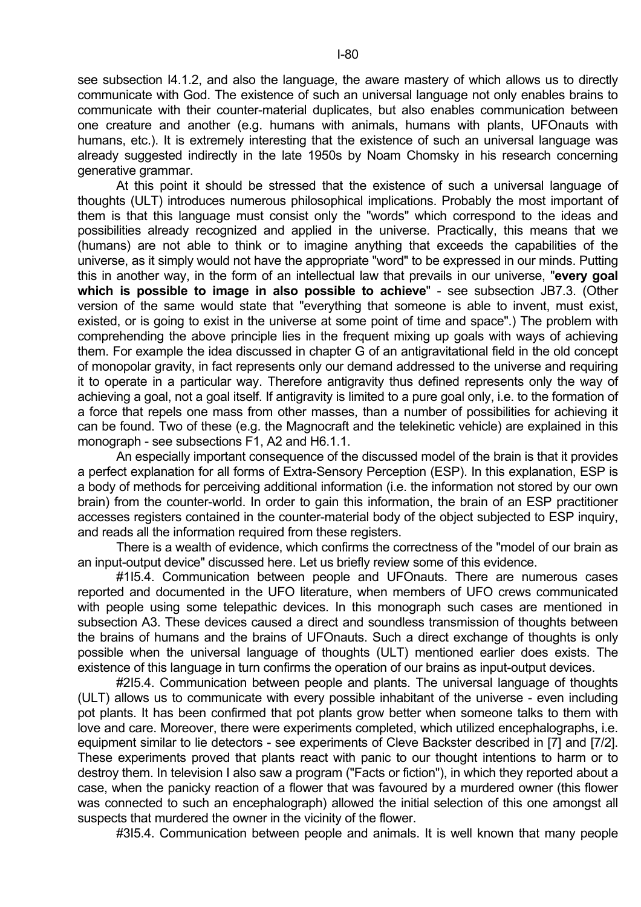see subsection I4.1.2, and also the language, the aware mastery of which allows us to directly communicate with God. The existence of such an universal language not only enables brains to communicate with their counter-material duplicates, but also enables communication between one creature and another (e.g. humans with animals, humans with plants, UFOnauts with humans, etc.). It is extremely interesting that the existence of such an universal language was already suggested indirectly in the late 1950s by Noam Chomsky in his research concerning generative grammar.

 At this point it should be stressed that the existence of such a universal language of thoughts (ULT) introduces numerous philosophical implications. Probably the most important of them is that this language must consist only the "words" which correspond to the ideas and possibilities already recognized and applied in the universe. Practically, this means that we (humans) are not able to think or to imagine anything that exceeds the capabilities of the universe, as it simply would not have the appropriate "word" to be expressed in our minds. Putting this in another way, in the form of an intellectual law that prevails in our universe, "**every goal which is possible to image in also possible to achieve**" - see subsection JB7.3. (Other version of the same would state that "everything that someone is able to invent, must exist, existed, or is going to exist in the universe at some point of time and space".) The problem with comprehending the above principle lies in the frequent mixing up goals with ways of achieving them. For example the idea discussed in chapter G of an antigravitational field in the old concept of monopolar gravity, in fact represents only our demand addressed to the universe and requiring it to operate in a particular way. Therefore antigravity thus defined represents only the way of achieving a goal, not a goal itself. If antigravity is limited to a pure goal only, i.e. to the formation of a force that repels one mass from other masses, than a number of possibilities for achieving it can be found. Two of these (e.g. the Magnocraft and the telekinetic vehicle) are explained in this monograph - see subsections F1, A2 and H6.1.1.

 An especially important consequence of the discussed model of the brain is that it provides a perfect explanation for all forms of Extra-Sensory Perception (ESP). In this explanation, ESP is a body of methods for perceiving additional information (i.e. the information not stored by our own brain) from the counter-world. In order to gain this information, the brain of an ESP practitioner accesses registers contained in the counter-material body of the object subjected to ESP inquiry, and reads all the information required from these registers.

 There is a wealth of evidence, which confirms the correctness of the "model of our brain as an input-output device" discussed here. Let us briefly review some of this evidence.

 #1I5.4. Communication between people and UFOnauts. There are numerous cases reported and documented in the UFO literature, when members of UFO crews communicated with people using some telepathic devices. In this monograph such cases are mentioned in subsection A3. These devices caused a direct and soundless transmission of thoughts between the brains of humans and the brains of UFOnauts. Such a direct exchange of thoughts is only possible when the universal language of thoughts (ULT) mentioned earlier does exists. The existence of this language in turn confirms the operation of our brains as input-output devices.

 #2I5.4. Communication between people and plants. The universal language of thoughts (ULT) allows us to communicate with every possible inhabitant of the universe - even including pot plants. It has been confirmed that pot plants grow better when someone talks to them with love and care. Moreover, there were experiments completed, which utilized encephalographs, i.e. equipment similar to lie detectors - see experiments of Cleve Backster described in [7] and [7/2]. These experiments proved that plants react with panic to our thought intentions to harm or to destroy them. In television I also saw a program ("Facts or fiction"), in which they reported about a case, when the panicky reaction of a flower that was favoured by a murdered owner (this flower was connected to such an encephalograph) allowed the initial selection of this one amongst all suspects that murdered the owner in the vicinity of the flower.

#3I5.4. Communication between people and animals. It is well known that many people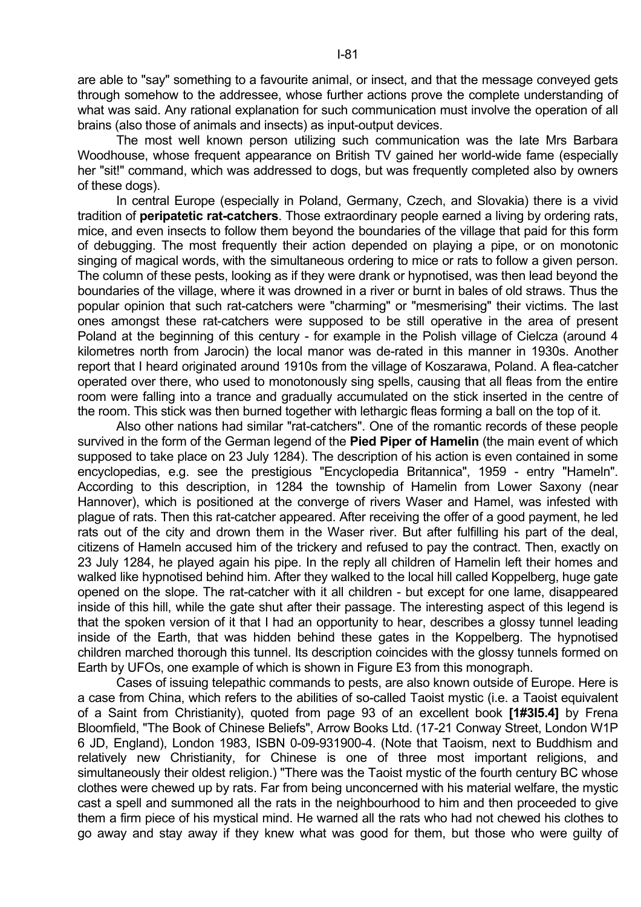are able to "say" something to a favourite animal, or insect, and that the message conveyed gets through somehow to the addressee, whose further actions prove the complete understanding of what was said. Any rational explanation for such communication must involve the operation of all brains (also those of animals and insects) as input-output devices.

 The most well known person utilizing such communication was the late Mrs Barbara Woodhouse, whose frequent appearance on British TV gained her world-wide fame (especially her "sit!" command, which was addressed to dogs, but was frequently completed also by owners of these dogs).

In central Europe (especially in Poland, Germany, Czech, and Slovakia) there is a vivid tradition of **peripatetic rat-catchers**. Those extraordinary people earned a living by ordering rats, mice, and even insects to follow them beyond the boundaries of the village that paid for this form of debugging. The most frequently their action depended on playing a pipe, or on monotonic singing of magical words, with the simultaneous ordering to mice or rats to follow a given person. The column of these pests, looking as if they were drank or hypnotised, was then lead beyond the boundaries of the village, where it was drowned in a river or burnt in bales of old straws. Thus the popular opinion that such rat-catchers were "charming" or "mesmerising" their victims. The last ones amongst these rat-catchers were supposed to be still operative in the area of present Poland at the beginning of this century - for example in the Polish village of Cielcza (around 4 kilometres north from Jarocin) the local manor was de-rated in this manner in 1930s. Another report that I heard originated around 1910s from the village of Koszarawa, Poland. A flea-catcher operated over there, who used to monotonously sing spells, causing that all fleas from the entire room were falling into a trance and gradually accumulated on the stick inserted in the centre of the room. This stick was then burned together with lethargic fleas forming a ball on the top of it.

 Also other nations had similar "rat-catchers". One of the romantic records of these people survived in the form of the German legend of the **Pied Piper of Hamelin** (the main event of which supposed to take place on 23 July 1284). The description of his action is even contained in some encyclopedias, e.g. see the prestigious "Encyclopedia Britannica", 1959 - entry "Hameln". According to this description, in 1284 the township of Hamelin from Lower Saxony (near Hannover), which is positioned at the converge of rivers Waser and Hamel, was infested with plague of rats. Then this rat-catcher appeared. After receiving the offer of a good payment, he led rats out of the city and drown them in the Waser river. But after fulfilling his part of the deal, citizens of Hameln accused him of the trickery and refused to pay the contract. Then, exactly on 23 July 1284, he played again his pipe. In the reply all children of Hamelin left their homes and walked like hypnotised behind him. After they walked to the local hill called Koppelberg, huge gate opened on the slope. The rat-catcher with it all children - but except for one lame, disappeared inside of this hill, while the gate shut after their passage. The interesting aspect of this legend is that the spoken version of it that I had an opportunity to hear, describes a glossy tunnel leading inside of the Earth, that was hidden behind these gates in the Koppelberg. The hypnotised children marched thorough this tunnel. Its description coincides with the glossy tunnels formed on Earth by UFOs, one example of which is shown in Figure E3 from this monograph.

 Cases of issuing telepathic commands to pests, are also known outside of Europe. Here is a case from China, which refers to the abilities of so-called Taoist mystic (i.e. a Taoist equivalent of a Saint from Christianity), quoted from page 93 of an excellent book **[1#3I5.4]** by Frena Bloomfield, "The Book of Chinese Beliefs", Arrow Books Ltd. (17-21 Conway Street, London W1P 6 JD, England), London 1983, ISBN 0-09-931900-4. (Note that Taoism, next to Buddhism and relatively new Christianity, for Chinese is one of three most important religions, and simultaneously their oldest religion.) "There was the Taoist mystic of the fourth century BC whose clothes were chewed up by rats. Far from being unconcerned with his material welfare, the mystic cast a spell and summoned all the rats in the neighbourhood to him and then proceeded to give them a firm piece of his mystical mind. He warned all the rats who had not chewed his clothes to go away and stay away if they knew what was good for them, but those who were guilty of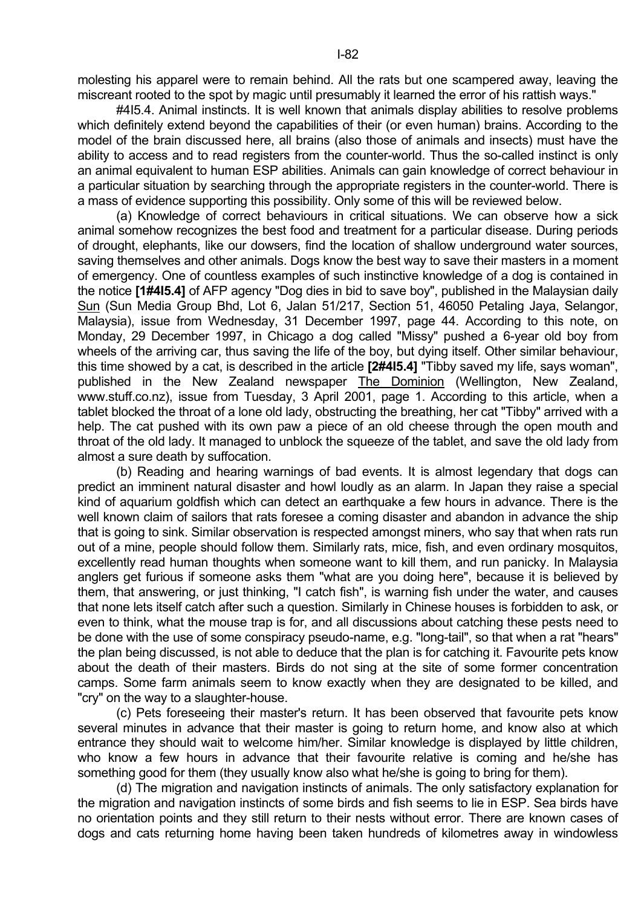molesting his apparel were to remain behind. All the rats but one scampered away, leaving the miscreant rooted to the spot by magic until presumably it learned the error of his rattish ways."

#415.4. Animal instincts. It is well known that animals display abilities to resolve problems which definitely extend beyond the capabilities of their (or even human) brains. According to the model of the brain discussed here, all brains (also those of animals and insects) must have the ability to access and to read registers from the counter-world. Thus the so-called instinct is only an animal equivalent to human ESP abilities. Animals can gain knowledge of correct behaviour in a particular situation by searching through the appropriate registers in the counter-world. There is a mass of evidence supporting this possibility. Only some of this will be reviewed below.

 (a) Knowledge of correct behaviours in critical situations. We can observe how a sick animal somehow recognizes the best food and treatment for a particular disease. During periods of drought, elephants, like our dowsers, find the location of shallow underground water sources, saving themselves and other animals. Dogs know the best way to save their masters in a moment of emergency. One of countless examples of such instinctive knowledge of a dog is contained in the notice **[1#4I5.4]** of AFP agency "Dog dies in bid to save boy", published in the Malaysian daily Sun (Sun Media Group Bhd, Lot 6, Jalan 51/217, Section 51, 46050 Petaling Jaya, Selangor, Malaysia), issue from Wednesday, 31 December 1997, page 44. According to this note, on Monday, 29 December 1997, in Chicago a dog called "Missy" pushed a 6-year old boy from wheels of the arriving car, thus saving the life of the boy, but dying itself. Other similar behaviour, this time showed by a cat, is described in the article **[2#4I5.4]** "Tibby saved my life, says woman", published in the New Zealand newspaper The Dominion (Wellington, New Zealand, www.stuff.co.nz), issue from Tuesday, 3 April 2001, page 1. According to this article, when a tablet blocked the throat of a lone old lady, obstructing the breathing, her cat "Tibby" arrived with a help. The cat pushed with its own paw a piece of an old cheese through the open mouth and throat of the old lady. It managed to unblock the squeeze of the tablet, and save the old lady from almost a sure death by suffocation.

 (b) Reading and hearing warnings of bad events. It is almost legendary that dogs can predict an imminent natural disaster and howl loudly as an alarm. In Japan they raise a special kind of aquarium goldfish which can detect an earthquake a few hours in advance. There is the well known claim of sailors that rats foresee a coming disaster and abandon in advance the ship that is going to sink. Similar observation is respected amongst miners, who say that when rats run out of a mine, people should follow them. Similarly rats, mice, fish, and even ordinary mosquitos, excellently read human thoughts when someone want to kill them, and run panicky. In Malaysia anglers get furious if someone asks them "what are you doing here", because it is believed by them, that answering, or just thinking, "I catch fish", is warning fish under the water, and causes that none lets itself catch after such a question. Similarly in Chinese houses is forbidden to ask, or even to think, what the mouse trap is for, and all discussions about catching these pests need to be done with the use of some conspiracy pseudo-name, e.g. "long-tail", so that when a rat "hears" the plan being discussed, is not able to deduce that the plan is for catching it. Favourite pets know about the death of their masters. Birds do not sing at the site of some former concentration camps. Some farm animals seem to know exactly when they are designated to be killed, and "cry" on the way to a slaughter-house.

 (c) Pets foreseeing their master's return. It has been observed that favourite pets know several minutes in advance that their master is going to return home, and know also at which entrance they should wait to welcome him/her. Similar knowledge is displayed by little children, who know a few hours in advance that their favourite relative is coming and he/she has something good for them (they usually know also what he/she is going to bring for them).

 (d) The migration and navigation instincts of animals. The only satisfactory explanation for the migration and navigation instincts of some birds and fish seems to lie in ESP. Sea birds have no orientation points and they still return to their nests without error. There are known cases of dogs and cats returning home having been taken hundreds of kilometres away in windowless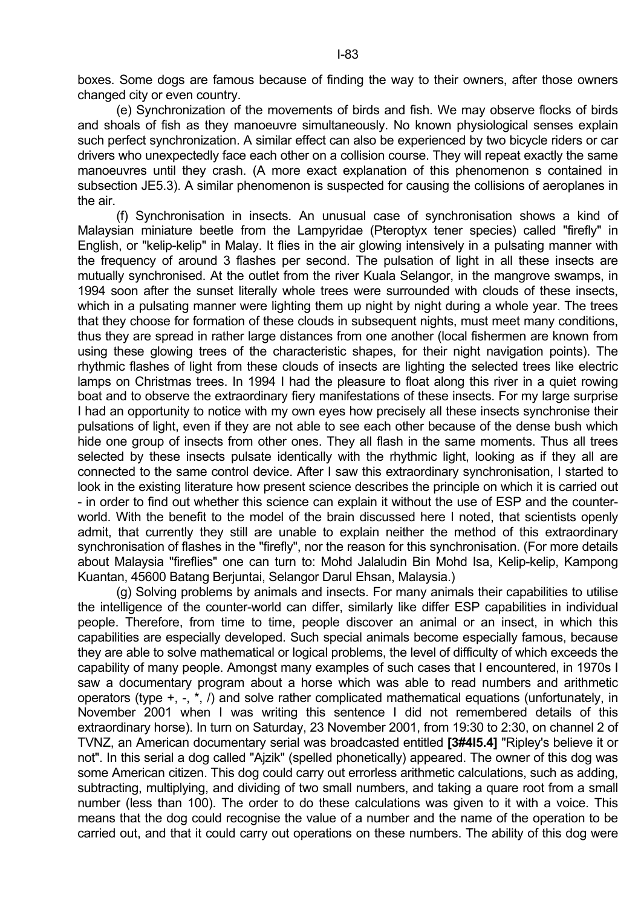boxes. Some dogs are famous because of finding the way to their owners, after those owners changed city or even country.

 (e) Synchronization of the movements of birds and fish. We may observe flocks of birds and shoals of fish as they manoeuvre simultaneously. No known physiological senses explain such perfect synchronization. A similar effect can also be experienced by two bicycle riders or car drivers who unexpectedly face each other on a collision course. They will repeat exactly the same manoeuvres until they crash. (A more exact explanation of this phenomenon s contained in subsection JE5.3). A similar phenomenon is suspected for causing the collisions of aeroplanes in the air.

 (f) Synchronisation in insects. An unusual case of synchronisation shows a kind of Malaysian miniature beetle from the Lampyridae (Pteroptyx tener species) called "firefly" in English, or "kelip-kelip" in Malay. It flies in the air glowing intensively in a pulsating manner with the frequency of around 3 flashes per second. The pulsation of light in all these insects are mutually synchronised. At the outlet from the river Kuala Selangor, in the mangrove swamps, in 1994 soon after the sunset literally whole trees were surrounded with clouds of these insects, which in a pulsating manner were lighting them up night by night during a whole year. The trees that they choose for formation of these clouds in subsequent nights, must meet many conditions, thus they are spread in rather large distances from one another (local fishermen are known from using these glowing trees of the characteristic shapes, for their night navigation points). The rhythmic flashes of light from these clouds of insects are lighting the selected trees like electric lamps on Christmas trees. In 1994 I had the pleasure to float along this river in a quiet rowing boat and to observe the extraordinary fiery manifestations of these insects. For my large surprise I had an opportunity to notice with my own eyes how precisely all these insects synchronise their pulsations of light, even if they are not able to see each other because of the dense bush which hide one group of insects from other ones. They all flash in the same moments. Thus all trees selected by these insects pulsate identically with the rhythmic light, looking as if they all are connected to the same control device. After I saw this extraordinary synchronisation, I started to look in the existing literature how present science describes the principle on which it is carried out - in order to find out whether this science can explain it without the use of ESP and the counterworld. With the benefit to the model of the brain discussed here I noted, that scientists openly admit, that currently they still are unable to explain neither the method of this extraordinary synchronisation of flashes in the "firefly", nor the reason for this synchronisation. (For more details about Malaysia "fireflies" one can turn to: Mohd Jalaludin Bin Mohd Isa, Kelip-kelip, Kampong Kuantan, 45600 Batang Berjuntai, Selangor Darul Ehsan, Malaysia.)

 (g) Solving problems by animals and insects. For many animals their capabilities to utilise the intelligence of the counter-world can differ, similarly like differ ESP capabilities in individual people. Therefore, from time to time, people discover an animal or an insect, in which this capabilities are especially developed. Such special animals become especially famous, because they are able to solve mathematical or logical problems, the level of difficulty of which exceeds the capability of many people. Amongst many examples of such cases that I encountered, in 1970s I saw a documentary program about a horse which was able to read numbers and arithmetic operators (type +, -, \*, /) and solve rather complicated mathematical equations (unfortunately, in November 2001 when I was writing this sentence I did not remembered details of this extraordinary horse). In turn on Saturday, 23 November 2001, from 19:30 to 2:30, on channel 2 of TVNZ, an American documentary serial was broadcasted entitled **[3#4I5.4]** "Ripley's believe it or not". In this serial a dog called "Ajzik" (spelled phonetically) appeared. The owner of this dog was some American citizen. This dog could carry out errorless arithmetic calculations, such as adding, subtracting, multiplying, and dividing of two small numbers, and taking a quare root from a small number (less than 100). The order to do these calculations was given to it with a voice. This means that the dog could recognise the value of a number and the name of the operation to be carried out, and that it could carry out operations on these numbers. The ability of this dog were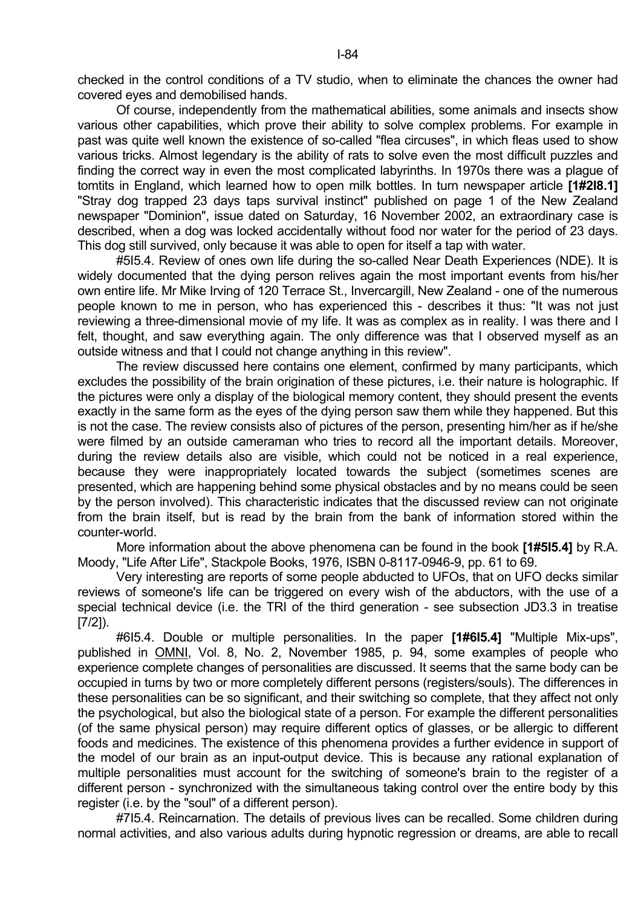checked in the control conditions of a TV studio, when to eliminate the chances the owner had covered eyes and demobilised hands.

 Of course, independently from the mathematical abilities, some animals and insects show various other capabilities, which prove their ability to solve complex problems. For example in past was quite well known the existence of so-called "flea circuses", in which fleas used to show various tricks. Almost legendary is the ability of rats to solve even the most difficult puzzles and finding the correct way in even the most complicated labyrinths. In 1970s there was a plague of tomtits in England, which learned how to open milk bottles. In turn newspaper article **[1#2I8.1]** "Stray dog trapped 23 days taps survival instinct" published on page 1 of the New Zealand newspaper "Dominion", issue dated on Saturday, 16 November 2002, an extraordinary case is described, when a dog was locked accidentally without food nor water for the period of 23 days. This dog still survived, only because it was able to open for itself a tap with water.

 #5I5.4. Review of ones own life during the so-called Near Death Experiences (NDE). It is widely documented that the dying person relives again the most important events from his/her own entire life. Mr Mike Irving of 120 Terrace St., Invercargill, New Zealand - one of the numerous people known to me in person, who has experienced this - describes it thus: "It was not just reviewing a three-dimensional movie of my life. It was as complex as in reality. I was there and I felt, thought, and saw everything again. The only difference was that I observed myself as an outside witness and that I could not change anything in this review".

 The review discussed here contains one element, confirmed by many participants, which excludes the possibility of the brain origination of these pictures, i.e. their nature is holographic. If the pictures were only a display of the biological memory content, they should present the events exactly in the same form as the eyes of the dying person saw them while they happened. But this is not the case. The review consists also of pictures of the person, presenting him/her as if he/she were filmed by an outside cameraman who tries to record all the important details. Moreover, during the review details also are visible, which could not be noticed in a real experience, because they were inappropriately located towards the subject (sometimes scenes are presented, which are happening behind some physical obstacles and by no means could be seen by the person involved). This characteristic indicates that the discussed review can not originate from the brain itself, but is read by the brain from the bank of information stored within the counter-world.

 More information about the above phenomena can be found in the book **[1#5I5.4]** by R.A. Moody, "Life After Life", Stackpole Books, 1976, ISBN 0-8117-0946-9, pp. 61 to 69.

 Very interesting are reports of some people abducted to UFOs, that on UFO decks similar reviews of someone's life can be triggered on every wish of the abductors, with the use of a special technical device (i.e. the TRI of the third generation - see subsection JD3.3 in treatise [7/2]).

 #6I5.4. Double or multiple personalities. In the paper **[1#6I5.4]** "Multiple Mix-ups", published in OMNI, Vol. 8, No. 2, November 1985, p. 94, some examples of people who experience complete changes of personalities are discussed. It seems that the same body can be occupied in turns by two or more completely different persons (registers/souls). The differences in these personalities can be so significant, and their switching so complete, that they affect not only the psychological, but also the biological state of a person. For example the different personalities (of the same physical person) may require different optics of glasses, or be allergic to different foods and medicines. The existence of this phenomena provides a further evidence in support of the model of our brain as an input-output device. This is because any rational explanation of multiple personalities must account for the switching of someone's brain to the register of a different person - synchronized with the simultaneous taking control over the entire body by this register (i.e. by the "soul" of a different person).

 #7I5.4. Reincarnation. The details of previous lives can be recalled. Some children during normal activities, and also various adults during hypnotic regression or dreams, are able to recall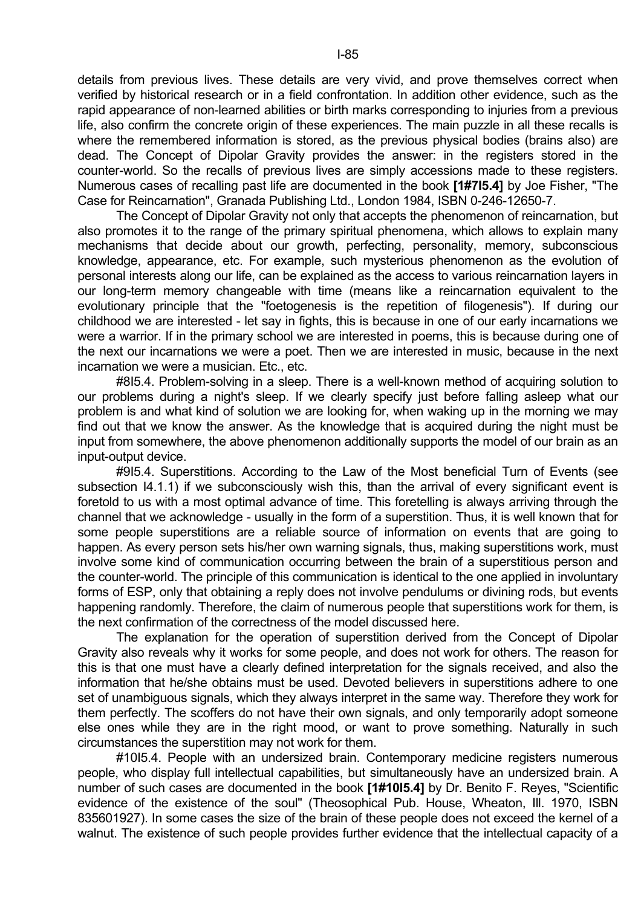details from previous lives. These details are very vivid, and prove themselves correct when verified by historical research or in a field confrontation. In addition other evidence, such as the rapid appearance of non-learned abilities or birth marks corresponding to injuries from a previous life, also confirm the concrete origin of these experiences. The main puzzle in all these recalls is where the remembered information is stored, as the previous physical bodies (brains also) are dead. The Concept of Dipolar Gravity provides the answer: in the registers stored in the counter-world. So the recalls of previous lives are simply accessions made to these registers. Numerous cases of recalling past life are documented in the book **[1#7I5.4]** by Joe Fisher, "The Case for Reincarnation", Granada Publishing Ltd., London 1984, ISBN 0-246-12650-7.

 The Concept of Dipolar Gravity not only that accepts the phenomenon of reincarnation, but also promotes it to the range of the primary spiritual phenomena, which allows to explain many mechanisms that decide about our growth, perfecting, personality, memory, subconscious knowledge, appearance, etc. For example, such mysterious phenomenon as the evolution of personal interests along our life, can be explained as the access to various reincarnation layers in our long-term memory changeable with time (means like a reincarnation equivalent to the evolutionary principle that the "foetogenesis is the repetition of filogenesis"). If during our childhood we are interested - let say in fights, this is because in one of our early incarnations we were a warrior. If in the primary school we are interested in poems, this is because during one of the next our incarnations we were a poet. Then we are interested in music, because in the next incarnation we were a musician. Etc., etc.

 #8I5.4. Problem-solving in a sleep. There is a well-known method of acquiring solution to our problems during a night's sleep. If we clearly specify just before falling asleep what our problem is and what kind of solution we are looking for, when waking up in the morning we may find out that we know the answer. As the knowledge that is acquired during the night must be input from somewhere, the above phenomenon additionally supports the model of our brain as an input-output device.

 #9I5.4. Superstitions. According to the Law of the Most beneficial Turn of Events (see subsection I4.1.1) if we subconsciously wish this, than the arrival of every significant event is foretold to us with a most optimal advance of time. This foretelling is always arriving through the channel that we acknowledge - usually in the form of a superstition. Thus, it is well known that for some people superstitions are a reliable source of information on events that are going to happen. As every person sets his/her own warning signals, thus, making superstitions work, must involve some kind of communication occurring between the brain of a superstitious person and the counter-world. The principle of this communication is identical to the one applied in involuntary forms of ESP, only that obtaining a reply does not involve pendulums or divining rods, but events happening randomly. Therefore, the claim of numerous people that superstitions work for them, is the next confirmation of the correctness of the model discussed here.

 The explanation for the operation of superstition derived from the Concept of Dipolar Gravity also reveals why it works for some people, and does not work for others. The reason for this is that one must have a clearly defined interpretation for the signals received, and also the information that he/she obtains must be used. Devoted believers in superstitions adhere to one set of unambiguous signals, which they always interpret in the same way. Therefore they work for them perfectly. The scoffers do not have their own signals, and only temporarily adopt someone else ones while they are in the right mood, or want to prove something. Naturally in such circumstances the superstition may not work for them.

 #10I5.4. People with an undersized brain. Contemporary medicine registers numerous people, who display full intellectual capabilities, but simultaneously have an undersized brain. A number of such cases are documented in the book **[1#10I5.4]** by Dr. Benito F. Reyes, "Scientific evidence of the existence of the soul" (Theosophical Pub. House, Wheaton, Ill. 1970, ISBN 835601927). In some cases the size of the brain of these people does not exceed the kernel of a walnut. The existence of such people provides further evidence that the intellectual capacity of a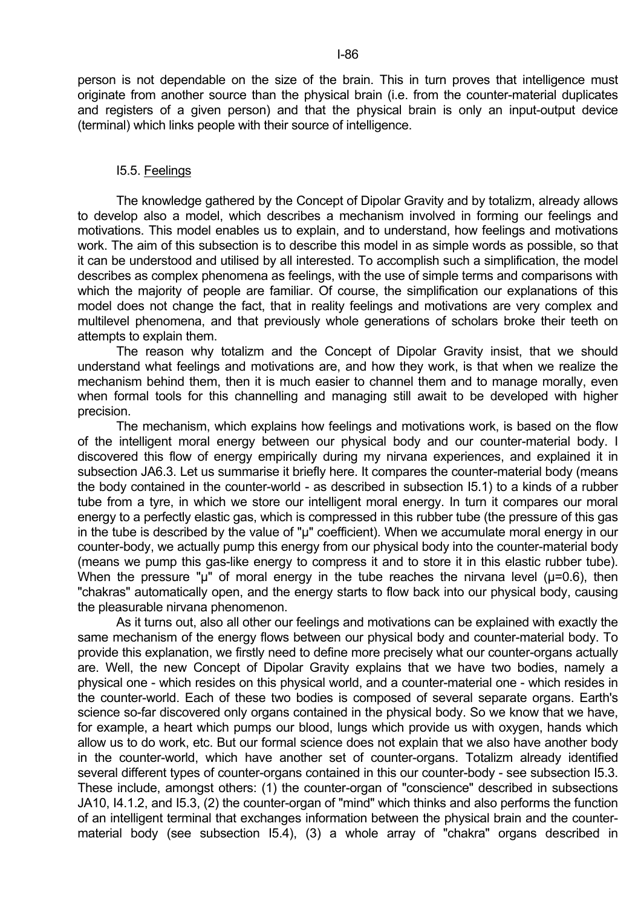person is not dependable on the size of the brain. This in turn proves that intelligence must originate from another source than the physical brain (i.e. from the counter-material duplicates and registers of a given person) and that the physical brain is only an input-output device (terminal) which links people with their source of intelligence.

#### I5.5. Feelings

 The knowledge gathered by the Concept of Dipolar Gravity and by totalizm, already allows to develop also a model, which describes a mechanism involved in forming our feelings and motivations. This model enables us to explain, and to understand, how feelings and motivations work. The aim of this subsection is to describe this model in as simple words as possible, so that it can be understood and utilised by all interested. To accomplish such a simplification, the model describes as complex phenomena as feelings, with the use of simple terms and comparisons with which the majority of people are familiar. Of course, the simplification our explanations of this model does not change the fact, that in reality feelings and motivations are very complex and multilevel phenomena, and that previously whole generations of scholars broke their teeth on attempts to explain them.

 The reason why totalizm and the Concept of Dipolar Gravity insist, that we should understand what feelings and motivations are, and how they work, is that when we realize the mechanism behind them, then it is much easier to channel them and to manage morally, even when formal tools for this channelling and managing still await to be developed with higher precision.

 The mechanism, which explains how feelings and motivations work, is based on the flow of the intelligent moral energy between our physical body and our counter-material body. I discovered this flow of energy empirically during my nirvana experiences, and explained it in subsection JA6.3. Let us summarise it briefly here. It compares the counter-material body (means the body contained in the counter-world - as described in subsection I5.1) to a kinds of a rubber tube from a tyre, in which we store our intelligent moral energy. In turn it compares our moral energy to a perfectly elastic gas, which is compressed in this rubber tube (the pressure of this gas in the tube is described by the value of "µ" coefficient). When we accumulate moral energy in our counter-body, we actually pump this energy from our physical body into the counter-material body (means we pump this gas-like energy to compress it and to store it in this elastic rubber tube). When the pressure " $\mu$ " of moral energy in the tube reaches the nirvana level ( $\mu$ =0.6), then "chakras" automatically open, and the energy starts to flow back into our physical body, causing the pleasurable nirvana phenomenon.

 As it turns out, also all other our feelings and motivations can be explained with exactly the same mechanism of the energy flows between our physical body and counter-material body. To provide this explanation, we firstly need to define more precisely what our counter-organs actually are. Well, the new Concept of Dipolar Gravity explains that we have two bodies, namely a physical one - which resides on this physical world, and a counter-material one - which resides in the counter-world. Each of these two bodies is composed of several separate organs. Earth's science so-far discovered only organs contained in the physical body. So we know that we have, for example, a heart which pumps our blood, lungs which provide us with oxygen, hands which allow us to do work, etc. But our formal science does not explain that we also have another body in the counter-world, which have another set of counter-organs. Totalizm already identified several different types of counter-organs contained in this our counter-body - see subsection I5.3. These include, amongst others: (1) the counter-organ of "conscience" described in subsections JA10, I4.1.2, and I5.3, (2) the counter-organ of "mind" which thinks and also performs the function of an intelligent terminal that exchanges information between the physical brain and the countermaterial body (see subsection I5.4), (3) a whole array of "chakra" organs described in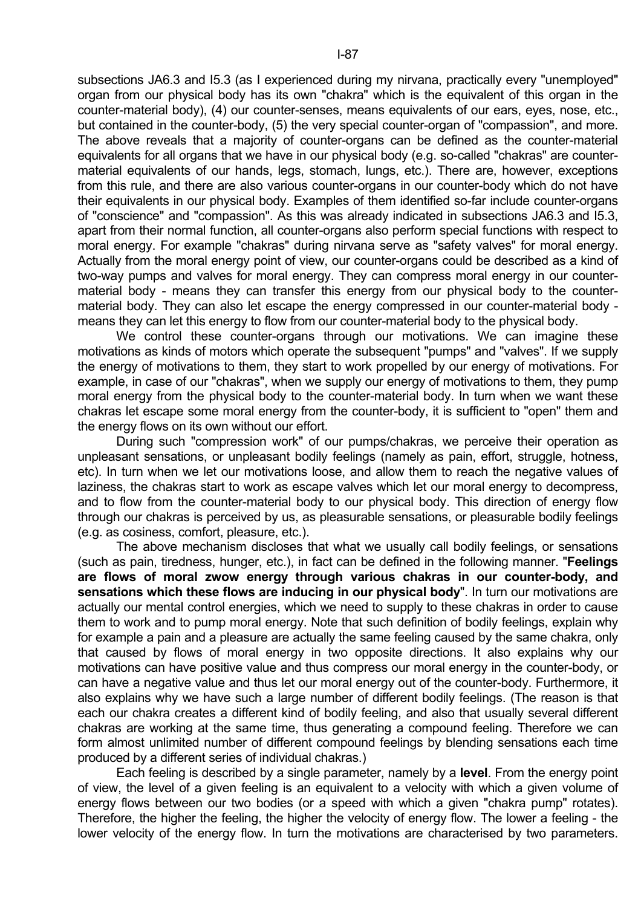subsections JA6.3 and I5.3 (as I experienced during my nirvana, practically every "unemployed" organ from our physical body has its own "chakra" which is the equivalent of this organ in the counter-material body), (4) our counter-senses, means equivalents of our ears, eyes, nose, etc., but contained in the counter-body, (5) the very special counter-organ of "compassion", and more. The above reveals that a majority of counter-organs can be defined as the counter-material equivalents for all organs that we have in our physical body (e.g. so-called "chakras" are countermaterial equivalents of our hands, legs, stomach, lungs, etc.). There are, however, exceptions from this rule, and there are also various counter-organs in our counter-body which do not have their equivalents in our physical body. Examples of them identified so-far include counter-organs of "conscience" and "compassion". As this was already indicated in subsections JA6.3 and I5.3, apart from their normal function, all counter-organs also perform special functions with respect to moral energy. For example "chakras" during nirvana serve as "safety valves" for moral energy. Actually from the moral energy point of view, our counter-organs could be described as a kind of two-way pumps and valves for moral energy. They can compress moral energy in our countermaterial body - means they can transfer this energy from our physical body to the countermaterial body. They can also let escape the energy compressed in our counter-material body means they can let this energy to flow from our counter-material body to the physical body.

We control these counter-organs through our motivations. We can imagine these motivations as kinds of motors which operate the subsequent "pumps" and "valves". If we supply the energy of motivations to them, they start to work propelled by our energy of motivations. For example, in case of our "chakras", when we supply our energy of motivations to them, they pump moral energy from the physical body to the counter-material body. In turn when we want these chakras let escape some moral energy from the counter-body, it is sufficient to "open" them and the energy flows on its own without our effort.

 During such "compression work" of our pumps/chakras, we perceive their operation as unpleasant sensations, or unpleasant bodily feelings (namely as pain, effort, struggle, hotness, etc). In turn when we let our motivations loose, and allow them to reach the negative values of laziness, the chakras start to work as escape valves which let our moral energy to decompress, and to flow from the counter-material body to our physical body. This direction of energy flow through our chakras is perceived by us, as pleasurable sensations, or pleasurable bodily feelings (e.g. as cosiness, comfort, pleasure, etc.).

 The above mechanism discloses that what we usually call bodily feelings, or sensations (such as pain, tiredness, hunger, etc.), in fact can be defined in the following manner. "**Feelings are flows of moral zwow energy through various chakras in our counter-body, and sensations which these flows are inducing in our physical body**". In turn our motivations are actually our mental control energies, which we need to supply to these chakras in order to cause them to work and to pump moral energy. Note that such definition of bodily feelings, explain why for example a pain and a pleasure are actually the same feeling caused by the same chakra, only that caused by flows of moral energy in two opposite directions. It also explains why our motivations can have positive value and thus compress our moral energy in the counter-body, or can have a negative value and thus let our moral energy out of the counter-body. Furthermore, it also explains why we have such a large number of different bodily feelings. (The reason is that each our chakra creates a different kind of bodily feeling, and also that usually several different chakras are working at the same time, thus generating a compound feeling. Therefore we can form almost unlimited number of different compound feelings by blending sensations each time produced by a different series of individual chakras.)

 Each feeling is described by a single parameter, namely by a **level**. From the energy point of view, the level of a given feeling is an equivalent to a velocity with which a given volume of energy flows between our two bodies (or a speed with which a given "chakra pump" rotates). Therefore, the higher the feeling, the higher the velocity of energy flow. The lower a feeling - the lower velocity of the energy flow. In turn the motivations are characterised by two parameters.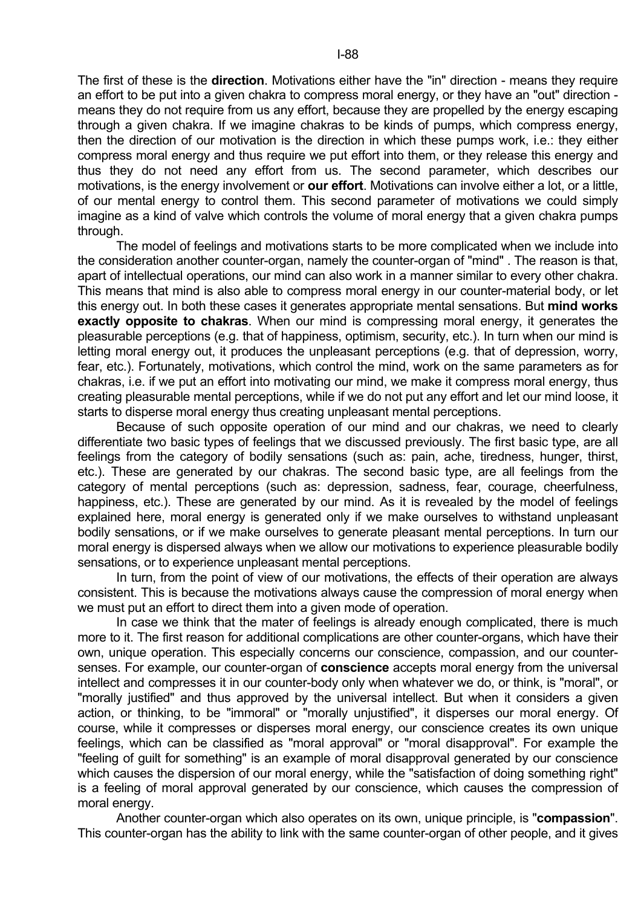The first of these is the **direction**. Motivations either have the "in" direction - means they require an effort to be put into a given chakra to compress moral energy, or they have an "out" direction means they do not require from us any effort, because they are propelled by the energy escaping through a given chakra. If we imagine chakras to be kinds of pumps, which compress energy, then the direction of our motivation is the direction in which these pumps work, i.e.: they either compress moral energy and thus require we put effort into them, or they release this energy and thus they do not need any effort from us. The second parameter, which describes our motivations, is the energy involvement or **our effort**. Motivations can involve either a lot, or a little, of our mental energy to control them. This second parameter of motivations we could simply imagine as a kind of valve which controls the volume of moral energy that a given chakra pumps through.

 The model of feelings and motivations starts to be more complicated when we include into the consideration another counter-organ, namely the counter-organ of "mind" . The reason is that, apart of intellectual operations, our mind can also work in a manner similar to every other chakra. This means that mind is also able to compress moral energy in our counter-material body, or let this energy out. In both these cases it generates appropriate mental sensations. But **mind works exactly opposite to chakras**. When our mind is compressing moral energy, it generates the pleasurable perceptions (e.g. that of happiness, optimism, security, etc.). In turn when our mind is letting moral energy out, it produces the unpleasant perceptions (e.g. that of depression, worry, fear, etc.). Fortunately, motivations, which control the mind, work on the same parameters as for chakras, i.e. if we put an effort into motivating our mind, we make it compress moral energy, thus creating pleasurable mental perceptions, while if we do not put any effort and let our mind loose, it starts to disperse moral energy thus creating unpleasant mental perceptions.

 Because of such opposite operation of our mind and our chakras, we need to clearly differentiate two basic types of feelings that we discussed previously. The first basic type, are all feelings from the category of bodily sensations (such as: pain, ache, tiredness, hunger, thirst, etc.). These are generated by our chakras. The second basic type, are all feelings from the category of mental perceptions (such as: depression, sadness, fear, courage, cheerfulness, happiness, etc.). These are generated by our mind. As it is revealed by the model of feelings explained here, moral energy is generated only if we make ourselves to withstand unpleasant bodily sensations, or if we make ourselves to generate pleasant mental perceptions. In turn our moral energy is dispersed always when we allow our motivations to experience pleasurable bodily sensations, or to experience unpleasant mental perceptions.

In turn, from the point of view of our motivations, the effects of their operation are always consistent. This is because the motivations always cause the compression of moral energy when we must put an effort to direct them into a given mode of operation.

In case we think that the mater of feelings is already enough complicated, there is much more to it. The first reason for additional complications are other counter-organs, which have their own, unique operation. This especially concerns our conscience, compassion, and our countersenses. For example, our counter-organ of **conscience** accepts moral energy from the universal intellect and compresses it in our counter-body only when whatever we do, or think, is "moral", or "morally justified" and thus approved by the universal intellect. But when it considers a given action, or thinking, to be "immoral" or "morally unjustified", it disperses our moral energy. Of course, while it compresses or disperses moral energy, our conscience creates its own unique feelings, which can be classified as "moral approval" or "moral disapproval". For example the "feeling of guilt for something" is an example of moral disapproval generated by our conscience which causes the dispersion of our moral energy, while the "satisfaction of doing something right" is a feeling of moral approval generated by our conscience, which causes the compression of moral energy.

 Another counter-organ which also operates on its own, unique principle, is "**compassion**". This counter-organ has the ability to link with the same counter-organ of other people, and it gives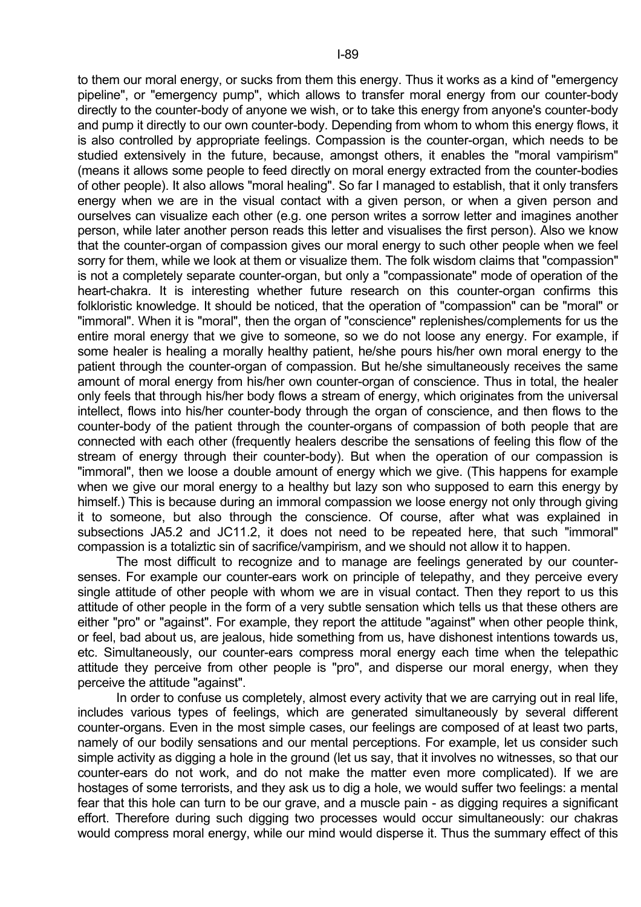to them our moral energy, or sucks from them this energy. Thus it works as a kind of "emergency pipeline", or "emergency pump", which allows to transfer moral energy from our counter-body directly to the counter-body of anyone we wish, or to take this energy from anyone's counter-body and pump it directly to our own counter-body. Depending from whom to whom this energy flows, it is also controlled by appropriate feelings. Compassion is the counter-organ, which needs to be studied extensively in the future, because, amongst others, it enables the "moral vampirism" (means it allows some people to feed directly on moral energy extracted from the counter-bodies of other people). It also allows "moral healing". So far I managed to establish, that it only transfers energy when we are in the visual contact with a given person, or when a given person and ourselves can visualize each other (e.g. one person writes a sorrow letter and imagines another person, while later another person reads this letter and visualises the first person). Also we know that the counter-organ of compassion gives our moral energy to such other people when we feel sorry for them, while we look at them or visualize them. The folk wisdom claims that "compassion" is not a completely separate counter-organ, but only a "compassionate" mode of operation of the heart-chakra. It is interesting whether future research on this counter-organ confirms this folkloristic knowledge. It should be noticed, that the operation of "compassion" can be "moral" or "immoral". When it is "moral", then the organ of "conscience" replenishes/complements for us the entire moral energy that we give to someone, so we do not loose any energy. For example, if some healer is healing a morally healthy patient, he/she pours his/her own moral energy to the patient through the counter-organ of compassion. But he/she simultaneously receives the same amount of moral energy from his/her own counter-organ of conscience. Thus in total, the healer only feels that through his/her body flows a stream of energy, which originates from the universal intellect, flows into his/her counter-body through the organ of conscience, and then flows to the counter-body of the patient through the counter-organs of compassion of both people that are connected with each other (frequently healers describe the sensations of feeling this flow of the stream of energy through their counter-body). But when the operation of our compassion is "immoral", then we loose a double amount of energy which we give. (This happens for example when we give our moral energy to a healthy but lazy son who supposed to earn this energy by himself.) This is because during an immoral compassion we loose energy not only through giving it to someone, but also through the conscience. Of course, after what was explained in subsections JA5.2 and JC11.2, it does not need to be repeated here, that such "immoral" compassion is a totaliztic sin of sacrifice/vampirism, and we should not allow it to happen.

 The most difficult to recognize and to manage are feelings generated by our countersenses. For example our counter-ears work on principle of telepathy, and they perceive every single attitude of other people with whom we are in visual contact. Then they report to us this attitude of other people in the form of a very subtle sensation which tells us that these others are either "pro" or "against". For example, they report the attitude "against" when other people think, or feel, bad about us, are jealous, hide something from us, have dishonest intentions towards us, etc. Simultaneously, our counter-ears compress moral energy each time when the telepathic attitude they perceive from other people is "pro", and disperse our moral energy, when they perceive the attitude "against".

 In order to confuse us completely, almost every activity that we are carrying out in real life, includes various types of feelings, which are generated simultaneously by several different counter-organs. Even in the most simple cases, our feelings are composed of at least two parts, namely of our bodily sensations and our mental perceptions. For example, let us consider such simple activity as digging a hole in the ground (let us say, that it involves no witnesses, so that our counter-ears do not work, and do not make the matter even more complicated). If we are hostages of some terrorists, and they ask us to dig a hole, we would suffer two feelings: a mental fear that this hole can turn to be our grave, and a muscle pain - as digging requires a significant effort. Therefore during such digging two processes would occur simultaneously: our chakras would compress moral energy, while our mind would disperse it. Thus the summary effect of this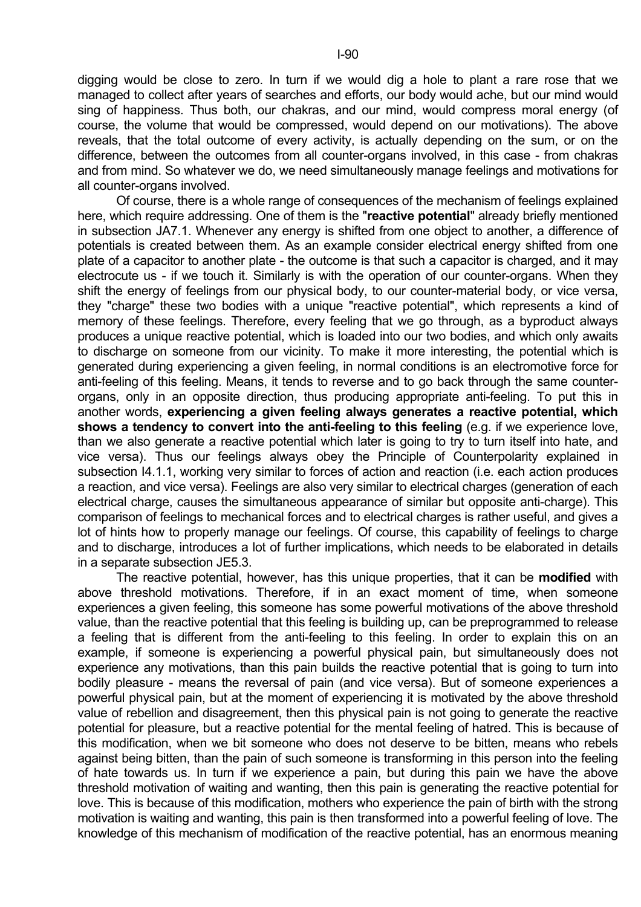digging would be close to zero. In turn if we would dig a hole to plant a rare rose that we managed to collect after years of searches and efforts, our body would ache, but our mind would sing of happiness. Thus both, our chakras, and our mind, would compress moral energy (of course, the volume that would be compressed, would depend on our motivations). The above reveals, that the total outcome of every activity, is actually depending on the sum, or on the difference, between the outcomes from all counter-organs involved, in this case - from chakras and from mind. So whatever we do, we need simultaneously manage feelings and motivations for all counter-organs involved.

 Of course, there is a whole range of consequences of the mechanism of feelings explained here, which require addressing. One of them is the "**reactive potential**" already briefly mentioned in subsection JA7.1. Whenever any energy is shifted from one object to another, a difference of potentials is created between them. As an example consider electrical energy shifted from one plate of a capacitor to another plate - the outcome is that such a capacitor is charged, and it may electrocute us - if we touch it. Similarly is with the operation of our counter-organs. When they shift the energy of feelings from our physical body, to our counter-material body, or vice versa, they "charge" these two bodies with a unique "reactive potential", which represents a kind of memory of these feelings. Therefore, every feeling that we go through, as a byproduct always produces a unique reactive potential, which is loaded into our two bodies, and which only awaits to discharge on someone from our vicinity. To make it more interesting, the potential which is generated during experiencing a given feeling, in normal conditions is an electromotive force for anti-feeling of this feeling. Means, it tends to reverse and to go back through the same counterorgans, only in an opposite direction, thus producing appropriate anti-feeling. To put this in another words, **experiencing a given feeling always generates a reactive potential, which shows a tendency to convert into the anti-feeling to this feeling** (e.g. if we experience love, than we also generate a reactive potential which later is going to try to turn itself into hate, and vice versa). Thus our feelings always obey the Principle of Counterpolarity explained in subsection I4.1.1, working very similar to forces of action and reaction (i.e. each action produces a reaction, and vice versa). Feelings are also very similar to electrical charges (generation of each electrical charge, causes the simultaneous appearance of similar but opposite anti-charge). This comparison of feelings to mechanical forces and to electrical charges is rather useful, and gives a lot of hints how to properly manage our feelings. Of course, this capability of feelings to charge and to discharge, introduces a lot of further implications, which needs to be elaborated in details in a separate subsection JE5.3.

 The reactive potential, however, has this unique properties, that it can be **modified** with above threshold motivations. Therefore, if in an exact moment of time, when someone experiences a given feeling, this someone has some powerful motivations of the above threshold value, than the reactive potential that this feeling is building up, can be preprogrammed to release a feeling that is different from the anti-feeling to this feeling. In order to explain this on an example, if someone is experiencing a powerful physical pain, but simultaneously does not experience any motivations, than this pain builds the reactive potential that is going to turn into bodily pleasure - means the reversal of pain (and vice versa). But of someone experiences a powerful physical pain, but at the moment of experiencing it is motivated by the above threshold value of rebellion and disagreement, then this physical pain is not going to generate the reactive potential for pleasure, but a reactive potential for the mental feeling of hatred. This is because of this modification, when we bit someone who does not deserve to be bitten, means who rebels against being bitten, than the pain of such someone is transforming in this person into the feeling of hate towards us. In turn if we experience a pain, but during this pain we have the above threshold motivation of waiting and wanting, then this pain is generating the reactive potential for love. This is because of this modification, mothers who experience the pain of birth with the strong motivation is waiting and wanting, this pain is then transformed into a powerful feeling of love. The knowledge of this mechanism of modification of the reactive potential, has an enormous meaning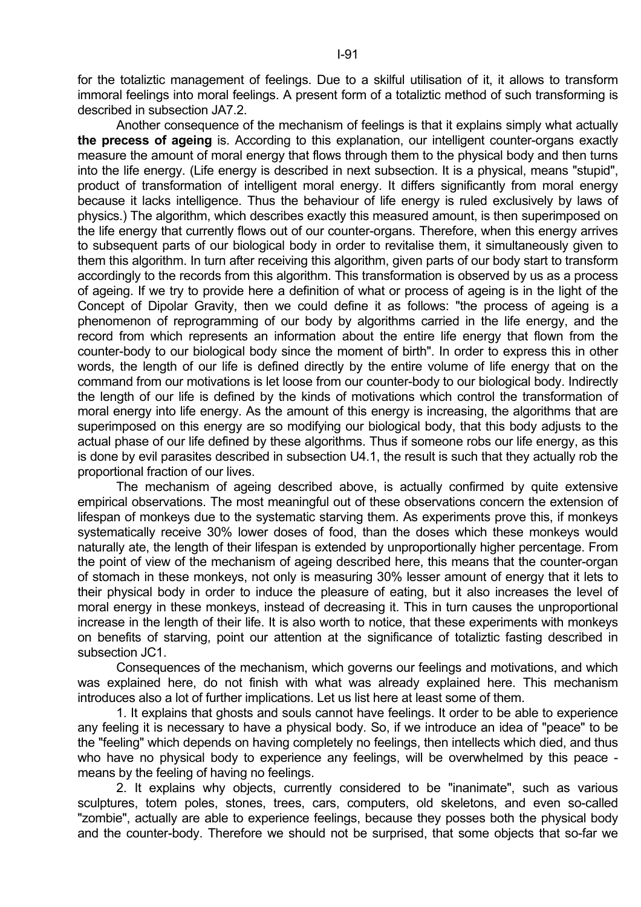for the totaliztic management of feelings. Due to a skilful utilisation of it, it allows to transform immoral feelings into moral feelings. A present form of a totaliztic method of such transforming is described in subsection JA7.2.

 Another consequence of the mechanism of feelings is that it explains simply what actually **the precess of ageing** is. According to this explanation, our intelligent counter-organs exactly measure the amount of moral energy that flows through them to the physical body and then turns into the life energy. (Life energy is described in next subsection. It is a physical, means "stupid", product of transformation of intelligent moral energy. It differs significantly from moral energy because it lacks intelligence. Thus the behaviour of life energy is ruled exclusively by laws of physics.) The algorithm, which describes exactly this measured amount, is then superimposed on the life energy that currently flows out of our counter-organs. Therefore, when this energy arrives to subsequent parts of our biological body in order to revitalise them, it simultaneously given to them this algorithm. In turn after receiving this algorithm, given parts of our body start to transform accordingly to the records from this algorithm. This transformation is observed by us as a process of ageing. If we try to provide here a definition of what or process of ageing is in the light of the Concept of Dipolar Gravity, then we could define it as follows: "the process of ageing is a phenomenon of reprogramming of our body by algorithms carried in the life energy, and the record from which represents an information about the entire life energy that flown from the counter-body to our biological body since the moment of birth". In order to express this in other words, the length of our life is defined directly by the entire volume of life energy that on the command from our motivations is let loose from our counter-body to our biological body. Indirectly the length of our life is defined by the kinds of motivations which control the transformation of moral energy into life energy. As the amount of this energy is increasing, the algorithms that are superimposed on this energy are so modifying our biological body, that this body adjusts to the actual phase of our life defined by these algorithms. Thus if someone robs our life energy, as this is done by evil parasites described in subsection U4.1, the result is such that they actually rob the proportional fraction of our lives.

 The mechanism of ageing described above, is actually confirmed by quite extensive empirical observations. The most meaningful out of these observations concern the extension of lifespan of monkeys due to the systematic starving them. As experiments prove this, if monkeys systematically receive 30% lower doses of food, than the doses which these monkeys would naturally ate, the length of their lifespan is extended by unproportionally higher percentage. From the point of view of the mechanism of ageing described here, this means that the counter-organ of stomach in these monkeys, not only is measuring 30% lesser amount of energy that it lets to their physical body in order to induce the pleasure of eating, but it also increases the level of moral energy in these monkeys, instead of decreasing it. This in turn causes the unproportional increase in the length of their life. It is also worth to notice, that these experiments with monkeys on benefits of starving, point our attention at the significance of totaliztic fasting described in subsection JC1.

 Consequences of the mechanism, which governs our feelings and motivations, and which was explained here, do not finish with what was already explained here. This mechanism introduces also a lot of further implications. Let us list here at least some of them.

 1. It explains that ghosts and souls cannot have feelings. It order to be able to experience any feeling it is necessary to have a physical body. So, if we introduce an idea of "peace" to be the "feeling" which depends on having completely no feelings, then intellects which died, and thus who have no physical body to experience any feelings, will be overwhelmed by this peace means by the feeling of having no feelings.

 2. It explains why objects, currently considered to be "inanimate", such as various sculptures, totem poles, stones, trees, cars, computers, old skeletons, and even so-called "zombie", actually are able to experience feelings, because they posses both the physical body and the counter-body. Therefore we should not be surprised, that some objects that so-far we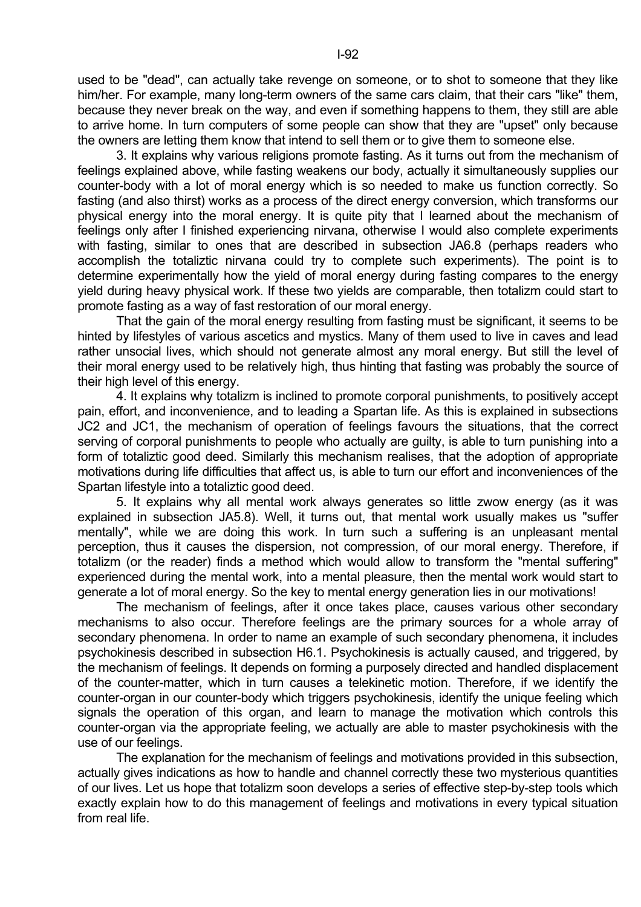used to be "dead", can actually take revenge on someone, or to shot to someone that they like him/her. For example, many long-term owners of the same cars claim, that their cars "like" them, because they never break on the way, and even if something happens to them, they still are able to arrive home. In turn computers of some people can show that they are "upset" only because the owners are letting them know that intend to sell them or to give them to someone else.

 3. It explains why various religions promote fasting. As it turns out from the mechanism of feelings explained above, while fasting weakens our body, actually it simultaneously supplies our counter-body with a lot of moral energy which is so needed to make us function correctly. So fasting (and also thirst) works as a process of the direct energy conversion, which transforms our physical energy into the moral energy. It is quite pity that I learned about the mechanism of feelings only after I finished experiencing nirvana, otherwise I would also complete experiments with fasting, similar to ones that are described in subsection JA6.8 (perhaps readers who accomplish the totaliztic nirvana could try to complete such experiments). The point is to determine experimentally how the yield of moral energy during fasting compares to the energy yield during heavy physical work. If these two yields are comparable, then totalizm could start to promote fasting as a way of fast restoration of our moral energy.

 That the gain of the moral energy resulting from fasting must be significant, it seems to be hinted by lifestyles of various ascetics and mystics. Many of them used to live in caves and lead rather unsocial lives, which should not generate almost any moral energy. But still the level of their moral energy used to be relatively high, thus hinting that fasting was probably the source of their high level of this energy.

 4. It explains why totalizm is inclined to promote corporal punishments, to positively accept pain, effort, and inconvenience, and to leading a Spartan life. As this is explained in subsections JC2 and JC1, the mechanism of operation of feelings favours the situations, that the correct serving of corporal punishments to people who actually are guilty, is able to turn punishing into a form of totaliztic good deed. Similarly this mechanism realises, that the adoption of appropriate motivations during life difficulties that affect us, is able to turn our effort and inconveniences of the Spartan lifestyle into a totaliztic good deed.

 5. It explains why all mental work always generates so little zwow energy (as it was explained in subsection JA5.8). Well, it turns out, that mental work usually makes us "suffer mentally", while we are doing this work. In turn such a suffering is an unpleasant mental perception, thus it causes the dispersion, not compression, of our moral energy. Therefore, if totalizm (or the reader) finds a method which would allow to transform the "mental suffering" experienced during the mental work, into a mental pleasure, then the mental work would start to generate a lot of moral energy. So the key to mental energy generation lies in our motivations!

 The mechanism of feelings, after it once takes place, causes various other secondary mechanisms to also occur. Therefore feelings are the primary sources for a whole array of secondary phenomena. In order to name an example of such secondary phenomena, it includes psychokinesis described in subsection H6.1. Psychokinesis is actually caused, and triggered, by the mechanism of feelings. It depends on forming a purposely directed and handled displacement of the counter-matter, which in turn causes a telekinetic motion. Therefore, if we identify the counter-organ in our counter-body which triggers psychokinesis, identify the unique feeling which signals the operation of this organ, and learn to manage the motivation which controls this counter-organ via the appropriate feeling, we actually are able to master psychokinesis with the use of our feelings.

 The explanation for the mechanism of feelings and motivations provided in this subsection, actually gives indications as how to handle and channel correctly these two mysterious quantities of our lives. Let us hope that totalizm soon develops a series of effective step-by-step tools which exactly explain how to do this management of feelings and motivations in every typical situation from real life.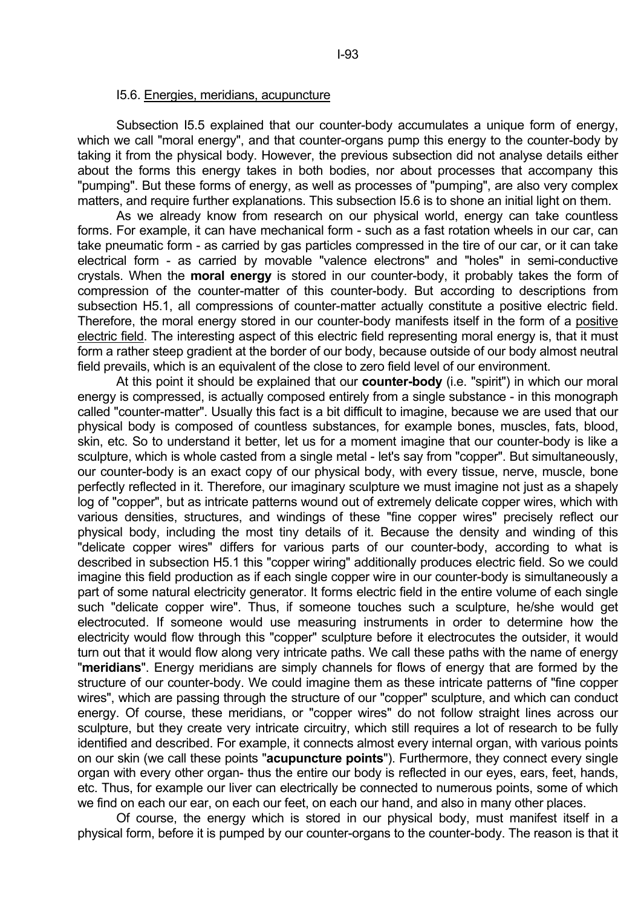#### I5.6. Energies, meridians, acupuncture

 Subsection I5.5 explained that our counter-body accumulates a unique form of energy, which we call "moral energy", and that counter-organs pump this energy to the counter-body by taking it from the physical body. However, the previous subsection did not analyse details either about the forms this energy takes in both bodies, nor about processes that accompany this "pumping". But these forms of energy, as well as processes of "pumping", are also very complex matters, and require further explanations. This subsection I5.6 is to shone an initial light on them.

 As we already know from research on our physical world, energy can take countless forms. For example, it can have mechanical form - such as a fast rotation wheels in our car, can take pneumatic form - as carried by gas particles compressed in the tire of our car, or it can take electrical form - as carried by movable "valence electrons" and "holes" in semi-conductive crystals. When the **moral energy** is stored in our counter-body, it probably takes the form of compression of the counter-matter of this counter-body. But according to descriptions from subsection H5.1, all compressions of counter-matter actually constitute a positive electric field. Therefore, the moral energy stored in our counter-body manifests itself in the form of a positive electric field. The interesting aspect of this electric field representing moral energy is, that it must form a rather steep gradient at the border of our body, because outside of our body almost neutral field prevails, which is an equivalent of the close to zero field level of our environment.

 At this point it should be explained that our **counter-body** (i.e. "spirit") in which our moral energy is compressed, is actually composed entirely from a single substance - in this monograph called "counter-matter". Usually this fact is a bit difficult to imagine, because we are used that our physical body is composed of countless substances, for example bones, muscles, fats, blood, skin, etc. So to understand it better, let us for a moment imagine that our counter-body is like a sculpture, which is whole casted from a single metal - let's say from "copper". But simultaneously, our counter-body is an exact copy of our physical body, with every tissue, nerve, muscle, bone perfectly reflected in it. Therefore, our imaginary sculpture we must imagine not just as a shapely log of "copper", but as intricate patterns wound out of extremely delicate copper wires, which with various densities, structures, and windings of these "fine copper wires" precisely reflect our physical body, including the most tiny details of it. Because the density and winding of this "delicate copper wires" differs for various parts of our counter-body, according to what is described in subsection H5.1 this "copper wiring" additionally produces electric field. So we could imagine this field production as if each single copper wire in our counter-body is simultaneously a part of some natural electricity generator. It forms electric field in the entire volume of each single such "delicate copper wire". Thus, if someone touches such a sculpture, he/she would get electrocuted. If someone would use measuring instruments in order to determine how the electricity would flow through this "copper" sculpture before it electrocutes the outsider, it would turn out that it would flow along very intricate paths. We call these paths with the name of energy "**meridians**". Energy meridians are simply channels for flows of energy that are formed by the structure of our counter-body. We could imagine them as these intricate patterns of "fine copper wires", which are passing through the structure of our "copper" sculpture, and which can conduct energy. Of course, these meridians, or "copper wires" do not follow straight lines across our sculpture, but they create very intricate circuitry, which still requires a lot of research to be fully identified and described. For example, it connects almost every internal organ, with various points on our skin (we call these points "**acupuncture points**"). Furthermore, they connect every single organ with every other organ- thus the entire our body is reflected in our eyes, ears, feet, hands, etc. Thus, for example our liver can electrically be connected to numerous points, some of which we find on each our ear, on each our feet, on each our hand, and also in many other places.

 Of course, the energy which is stored in our physical body, must manifest itself in a physical form, before it is pumped by our counter-organs to the counter-body. The reason is that it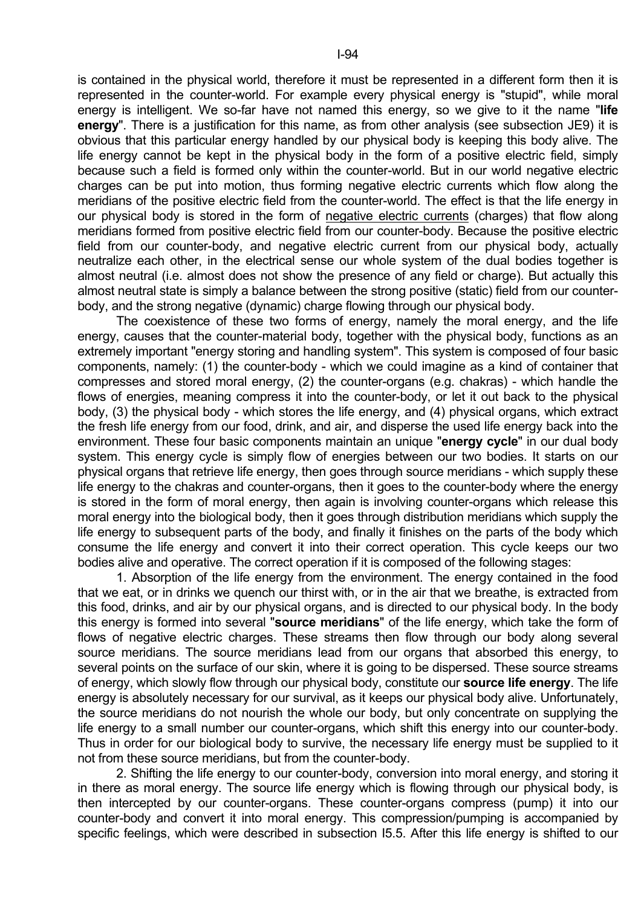is contained in the physical world, therefore it must be represented in a different form then it is represented in the counter-world. For example every physical energy is "stupid", while moral energy is intelligent. We so-far have not named this energy, so we give to it the name "**life energy**". There is a justification for this name, as from other analysis (see subsection JE9) it is obvious that this particular energy handled by our physical body is keeping this body alive. The life energy cannot be kept in the physical body in the form of a positive electric field, simply because such a field is formed only within the counter-world. But in our world negative electric charges can be put into motion, thus forming negative electric currents which flow along the meridians of the positive electric field from the counter-world. The effect is that the life energy in our physical body is stored in the form of negative electric currents (charges) that flow along meridians formed from positive electric field from our counter-body. Because the positive electric field from our counter-body, and negative electric current from our physical body, actually neutralize each other, in the electrical sense our whole system of the dual bodies together is almost neutral (i.e. almost does not show the presence of any field or charge). But actually this almost neutral state is simply a balance between the strong positive (static) field from our counterbody, and the strong negative (dynamic) charge flowing through our physical body.

 The coexistence of these two forms of energy, namely the moral energy, and the life energy, causes that the counter-material body, together with the physical body, functions as an extremely important "energy storing and handling system". This system is composed of four basic components, namely: (1) the counter-body - which we could imagine as a kind of container that compresses and stored moral energy, (2) the counter-organs (e.g. chakras) - which handle the flows of energies, meaning compress it into the counter-body, or let it out back to the physical body, (3) the physical body - which stores the life energy, and (4) physical organs, which extract the fresh life energy from our food, drink, and air, and disperse the used life energy back into the environment. These four basic components maintain an unique "**energy cycle**" in our dual body system. This energy cycle is simply flow of energies between our two bodies. It starts on our physical organs that retrieve life energy, then goes through source meridians - which supply these life energy to the chakras and counter-organs, then it goes to the counter-body where the energy is stored in the form of moral energy, then again is involving counter-organs which release this moral energy into the biological body, then it goes through distribution meridians which supply the life energy to subsequent parts of the body, and finally it finishes on the parts of the body which consume the life energy and convert it into their correct operation. This cycle keeps our two bodies alive and operative. The correct operation if it is composed of the following stages:

 1. Absorption of the life energy from the environment. The energy contained in the food that we eat, or in drinks we quench our thirst with, or in the air that we breathe, is extracted from this food, drinks, and air by our physical organs, and is directed to our physical body. In the body this energy is formed into several "**source meridians**" of the life energy, which take the form of flows of negative electric charges. These streams then flow through our body along several source meridians. The source meridians lead from our organs that absorbed this energy, to several points on the surface of our skin, where it is going to be dispersed. These source streams of energy, which slowly flow through our physical body, constitute our **source life energy**. The life energy is absolutely necessary for our survival, as it keeps our physical body alive. Unfortunately, the source meridians do not nourish the whole our body, but only concentrate on supplying the life energy to a small number our counter-organs, which shift this energy into our counter-body. Thus in order for our biological body to survive, the necessary life energy must be supplied to it not from these source meridians, but from the counter-body.

 2. Shifting the life energy to our counter-body, conversion into moral energy, and storing it in there as moral energy. The source life energy which is flowing through our physical body, is then intercepted by our counter-organs. These counter-organs compress (pump) it into our counter-body and convert it into moral energy. This compression/pumping is accompanied by specific feelings, which were described in subsection I5.5. After this life energy is shifted to our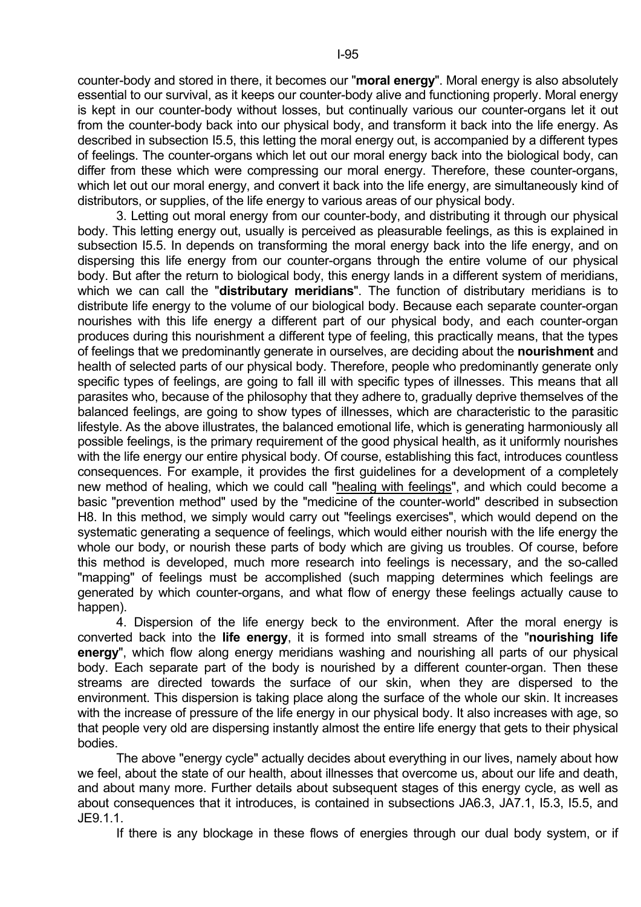counter-body and stored in there, it becomes our "**moral energy**". Moral energy is also absolutely essential to our survival, as it keeps our counter-body alive and functioning properly. Moral energy is kept in our counter-body without losses, but continually various our counter-organs let it out from the counter-body back into our physical body, and transform it back into the life energy. As described in subsection I5.5, this letting the moral energy out, is accompanied by a different types of feelings. The counter-organs which let out our moral energy back into the biological body, can differ from these which were compressing our moral energy. Therefore, these counter-organs, which let out our moral energy, and convert it back into the life energy, are simultaneously kind of distributors, or supplies, of the life energy to various areas of our physical body.

 3. Letting out moral energy from our counter-body, and distributing it through our physical body. This letting energy out, usually is perceived as pleasurable feelings, as this is explained in subsection I5.5. In depends on transforming the moral energy back into the life energy, and on dispersing this life energy from our counter-organs through the entire volume of our physical body. But after the return to biological body, this energy lands in a different system of meridians, which we can call the "**distributary meridians**". The function of distributary meridians is to distribute life energy to the volume of our biological body. Because each separate counter-organ nourishes with this life energy a different part of our physical body, and each counter-organ produces during this nourishment a different type of feeling, this practically means, that the types of feelings that we predominantly generate in ourselves, are deciding about the **nourishment** and health of selected parts of our physical body. Therefore, people who predominantly generate only specific types of feelings, are going to fall ill with specific types of illnesses. This means that all parasites who, because of the philosophy that they adhere to, gradually deprive themselves of the balanced feelings, are going to show types of illnesses, which are characteristic to the parasitic lifestyle. As the above illustrates, the balanced emotional life, which is generating harmoniously all possible feelings, is the primary requirement of the good physical health, as it uniformly nourishes with the life energy our entire physical body. Of course, establishing this fact, introduces countless consequences. For example, it provides the first guidelines for a development of a completely new method of healing, which we could call "healing with feelings", and which could become a basic "prevention method" used by the "medicine of the counter-world" described in subsection H8. In this method, we simply would carry out "feelings exercises", which would depend on the systematic generating a sequence of feelings, which would either nourish with the life energy the whole our body, or nourish these parts of body which are giving us troubles. Of course, before this method is developed, much more research into feelings is necessary, and the so-called "mapping" of feelings must be accomplished (such mapping determines which feelings are generated by which counter-organs, and what flow of energy these feelings actually cause to happen).

 4. Dispersion of the life energy beck to the environment. After the moral energy is converted back into the **life energy**, it is formed into small streams of the "**nourishing life energy**", which flow along energy meridians washing and nourishing all parts of our physical body. Each separate part of the body is nourished by a different counter-organ. Then these streams are directed towards the surface of our skin, when they are dispersed to the environment. This dispersion is taking place along the surface of the whole our skin. It increases with the increase of pressure of the life energy in our physical body. It also increases with age, so that people very old are dispersing instantly almost the entire life energy that gets to their physical bodies.

 The above "energy cycle" actually decides about everything in our lives, namely about how we feel, about the state of our health, about illnesses that overcome us, about our life and death, and about many more. Further details about subsequent stages of this energy cycle, as well as about consequences that it introduces, is contained in subsections JA6.3, JA7.1, I5.3, I5.5, and JE9.1.1.

If there is any blockage in these flows of energies through our dual body system, or if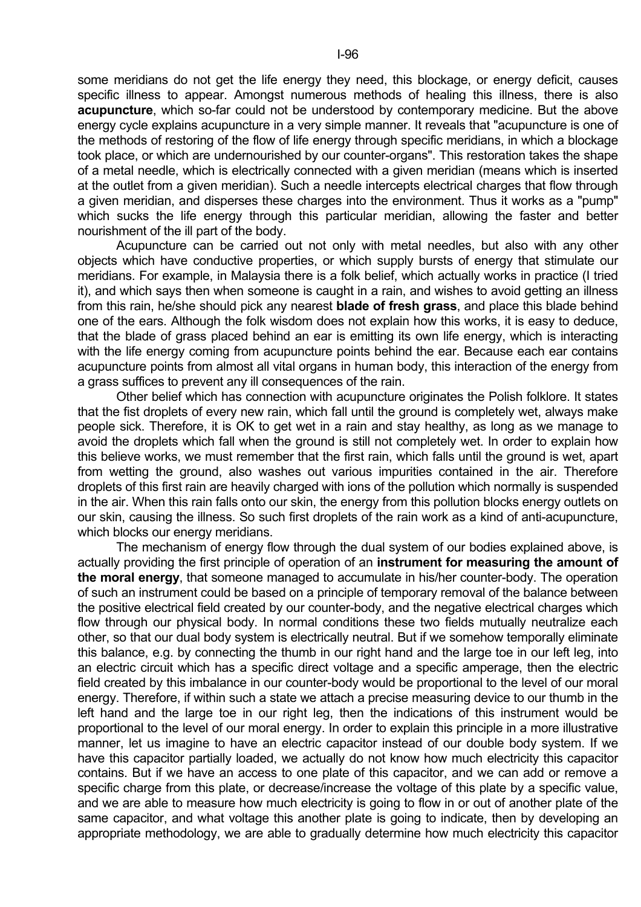some meridians do not get the life energy they need, this blockage, or energy deficit, causes specific illness to appear. Amongst numerous methods of healing this illness, there is also **acupuncture**, which so-far could not be understood by contemporary medicine. But the above energy cycle explains acupuncture in a very simple manner. It reveals that "acupuncture is one of the methods of restoring of the flow of life energy through specific meridians, in which a blockage took place, or which are undernourished by our counter-organs". This restoration takes the shape of a metal needle, which is electrically connected with a given meridian (means which is inserted at the outlet from a given meridian). Such a needle intercepts electrical charges that flow through a given meridian, and disperses these charges into the environment. Thus it works as a "pump" which sucks the life energy through this particular meridian, allowing the faster and better nourishment of the ill part of the body.

 Acupuncture can be carried out not only with metal needles, but also with any other objects which have conductive properties, or which supply bursts of energy that stimulate our meridians. For example, in Malaysia there is a folk belief, which actually works in practice (I tried it), and which says then when someone is caught in a rain, and wishes to avoid getting an illness from this rain, he/she should pick any nearest **blade of fresh grass**, and place this blade behind one of the ears. Although the folk wisdom does not explain how this works, it is easy to deduce, that the blade of grass placed behind an ear is emitting its own life energy, which is interacting with the life energy coming from acupuncture points behind the ear. Because each ear contains acupuncture points from almost all vital organs in human body, this interaction of the energy from a grass suffices to prevent any ill consequences of the rain.

 Other belief which has connection with acupuncture originates the Polish folklore. It states that the fist droplets of every new rain, which fall until the ground is completely wet, always make people sick. Therefore, it is OK to get wet in a rain and stay healthy, as long as we manage to avoid the droplets which fall when the ground is still not completely wet. In order to explain how this believe works, we must remember that the first rain, which falls until the ground is wet, apart from wetting the ground, also washes out various impurities contained in the air. Therefore droplets of this first rain are heavily charged with ions of the pollution which normally is suspended in the air. When this rain falls onto our skin, the energy from this pollution blocks energy outlets on our skin, causing the illness. So such first droplets of the rain work as a kind of anti-acupuncture, which blocks our energy meridians.

 The mechanism of energy flow through the dual system of our bodies explained above, is actually providing the first principle of operation of an **instrument for measuring the amount of the moral energy**, that someone managed to accumulate in his/her counter-body. The operation of such an instrument could be based on a principle of temporary removal of the balance between the positive electrical field created by our counter-body, and the negative electrical charges which flow through our physical body. In normal conditions these two fields mutually neutralize each other, so that our dual body system is electrically neutral. But if we somehow temporally eliminate this balance, e.g. by connecting the thumb in our right hand and the large toe in our left leg, into an electric circuit which has a specific direct voltage and a specific amperage, then the electric field created by this imbalance in our counter-body would be proportional to the level of our moral energy. Therefore, if within such a state we attach a precise measuring device to our thumb in the left hand and the large toe in our right leg, then the indications of this instrument would be proportional to the level of our moral energy. In order to explain this principle in a more illustrative manner, let us imagine to have an electric capacitor instead of our double body system. If we have this capacitor partially loaded, we actually do not know how much electricity this capacitor contains. But if we have an access to one plate of this capacitor, and we can add or remove a specific charge from this plate, or decrease/increase the voltage of this plate by a specific value, and we are able to measure how much electricity is going to flow in or out of another plate of the same capacitor, and what voltage this another plate is going to indicate, then by developing an appropriate methodology, we are able to gradually determine how much electricity this capacitor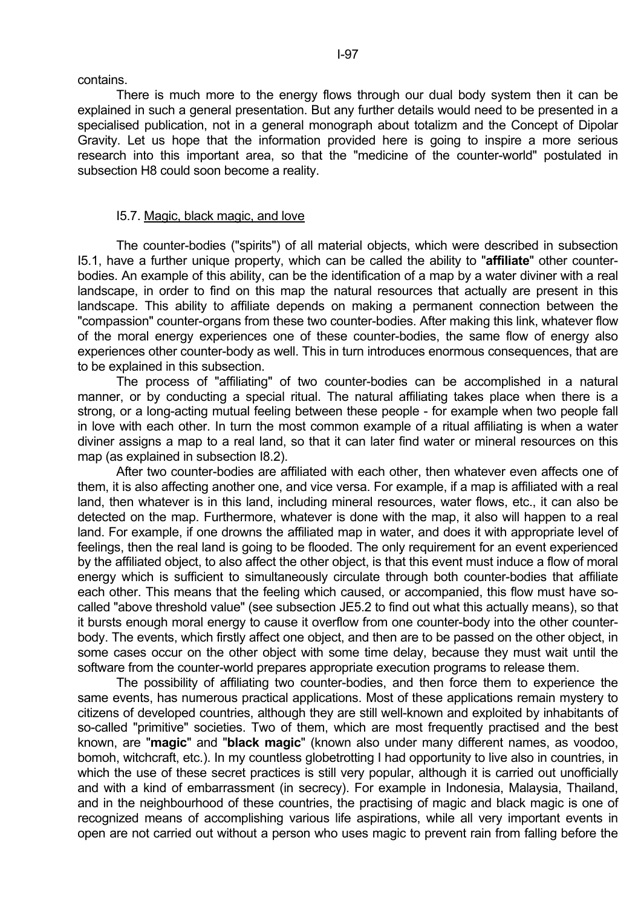contains.

 There is much more to the energy flows through our dual body system then it can be explained in such a general presentation. But any further details would need to be presented in a specialised publication, not in a general monograph about totalizm and the Concept of Dipolar Gravity. Let us hope that the information provided here is going to inspire a more serious research into this important area, so that the "medicine of the counter-world" postulated in subsection H8 could soon become a reality.

#### I5.7. Magic, black magic, and love

 The counter-bodies ("spirits") of all material objects, which were described in subsection I5.1, have a further unique property, which can be called the ability to "**affiliate**" other counterbodies. An example of this ability, can be the identification of a map by a water diviner with a real landscape, in order to find on this map the natural resources that actually are present in this landscape. This ability to affiliate depends on making a permanent connection between the "compassion" counter-organs from these two counter-bodies. After making this link, whatever flow of the moral energy experiences one of these counter-bodies, the same flow of energy also experiences other counter-body as well. This in turn introduces enormous consequences, that are to be explained in this subsection.

 The process of "affiliating" of two counter-bodies can be accomplished in a natural manner, or by conducting a special ritual. The natural affiliating takes place when there is a strong, or a long-acting mutual feeling between these people - for example when two people fall in love with each other. In turn the most common example of a ritual affiliating is when a water diviner assigns a map to a real land, so that it can later find water or mineral resources on this map (as explained in subsection I8.2).

 After two counter-bodies are affiliated with each other, then whatever even affects one of them, it is also affecting another one, and vice versa. For example, if a map is affiliated with a real land, then whatever is in this land, including mineral resources, water flows, etc., it can also be detected on the map. Furthermore, whatever is done with the map, it also will happen to a real land. For example, if one drowns the affiliated map in water, and does it with appropriate level of feelings, then the real land is going to be flooded. The only requirement for an event experienced by the affiliated object, to also affect the other object, is that this event must induce a flow of moral energy which is sufficient to simultaneously circulate through both counter-bodies that affiliate each other. This means that the feeling which caused, or accompanied, this flow must have socalled "above threshold value" (see subsection JE5.2 to find out what this actually means), so that it bursts enough moral energy to cause it overflow from one counter-body into the other counterbody. The events, which firstly affect one object, and then are to be passed on the other object, in some cases occur on the other object with some time delay, because they must wait until the software from the counter-world prepares appropriate execution programs to release them.

 The possibility of affiliating two counter-bodies, and then force them to experience the same events, has numerous practical applications. Most of these applications remain mystery to citizens of developed countries, although they are still well-known and exploited by inhabitants of so-called "primitive" societies. Two of them, which are most frequently practised and the best known, are "**magic**" and "**black magic**" (known also under many different names, as voodoo, bomoh, witchcraft, etc.). In my countless globetrotting I had opportunity to live also in countries, in which the use of these secret practices is still very popular, although it is carried out unofficially and with a kind of embarrassment (in secrecy). For example in Indonesia, Malaysia, Thailand, and in the neighbourhood of these countries, the practising of magic and black magic is one of recognized means of accomplishing various life aspirations, while all very important events in open are not carried out without a person who uses magic to prevent rain from falling before the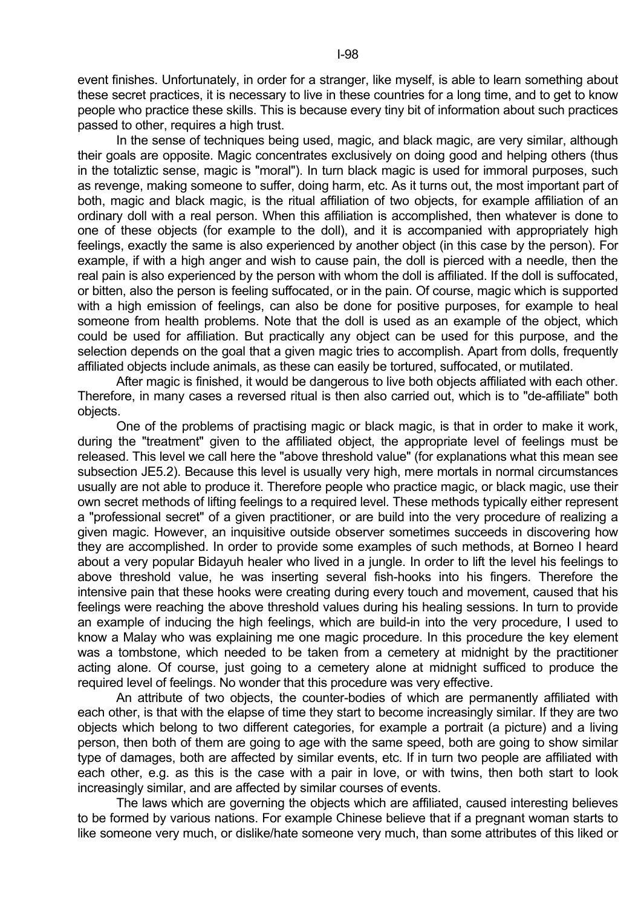event finishes. Unfortunately, in order for a stranger, like myself, is able to learn something about these secret practices, it is necessary to live in these countries for a long time, and to get to know people who practice these skills. This is because every tiny bit of information about such practices passed to other, requires a high trust.

In the sense of techniques being used, magic, and black magic, are very similar, although their goals are opposite. Magic concentrates exclusively on doing good and helping others (thus in the totaliztic sense, magic is "moral"). In turn black magic is used for immoral purposes, such as revenge, making someone to suffer, doing harm, etc. As it turns out, the most important part of both, magic and black magic, is the ritual affiliation of two objects, for example affiliation of an ordinary doll with a real person. When this affiliation is accomplished, then whatever is done to one of these objects (for example to the doll), and it is accompanied with appropriately high feelings, exactly the same is also experienced by another object (in this case by the person). For example, if with a high anger and wish to cause pain, the doll is pierced with a needle, then the real pain is also experienced by the person with whom the doll is affiliated. If the doll is suffocated, or bitten, also the person is feeling suffocated, or in the pain. Of course, magic which is supported with a high emission of feelings, can also be done for positive purposes, for example to heal someone from health problems. Note that the doll is used as an example of the object, which could be used for affiliation. But practically any object can be used for this purpose, and the selection depends on the goal that a given magic tries to accomplish. Apart from dolls, frequently affiliated objects include animals, as these can easily be tortured, suffocated, or mutilated.

 After magic is finished, it would be dangerous to live both objects affiliated with each other. Therefore, in many cases a reversed ritual is then also carried out, which is to "de-affiliate" both objects.

 One of the problems of practising magic or black magic, is that in order to make it work, during the "treatment" given to the affiliated object, the appropriate level of feelings must be released. This level we call here the "above threshold value" (for explanations what this mean see subsection JE5.2). Because this level is usually very high, mere mortals in normal circumstances usually are not able to produce it. Therefore people who practice magic, or black magic, use their own secret methods of lifting feelings to a required level. These methods typically either represent a "professional secret" of a given practitioner, or are build into the very procedure of realizing a given magic. However, an inquisitive outside observer sometimes succeeds in discovering how they are accomplished. In order to provide some examples of such methods, at Borneo I heard about a very popular Bidayuh healer who lived in a jungle. In order to lift the level his feelings to above threshold value, he was inserting several fish-hooks into his fingers. Therefore the intensive pain that these hooks were creating during every touch and movement, caused that his feelings were reaching the above threshold values during his healing sessions. In turn to provide an example of inducing the high feelings, which are build-in into the very procedure, I used to know a Malay who was explaining me one magic procedure. In this procedure the key element was a tombstone, which needed to be taken from a cemetery at midnight by the practitioner acting alone. Of course, just going to a cemetery alone at midnight sufficed to produce the required level of feelings. No wonder that this procedure was very effective.

 An attribute of two objects, the counter-bodies of which are permanently affiliated with each other, is that with the elapse of time they start to become increasingly similar. If they are two objects which belong to two different categories, for example a portrait (a picture) and a living person, then both of them are going to age with the same speed, both are going to show similar type of damages, both are affected by similar events, etc. If in turn two people are affiliated with each other, e.g. as this is the case with a pair in love, or with twins, then both start to look increasingly similar, and are affected by similar courses of events.

 The laws which are governing the objects which are affiliated, caused interesting believes to be formed by various nations. For example Chinese believe that if a pregnant woman starts to like someone very much, or dislike/hate someone very much, than some attributes of this liked or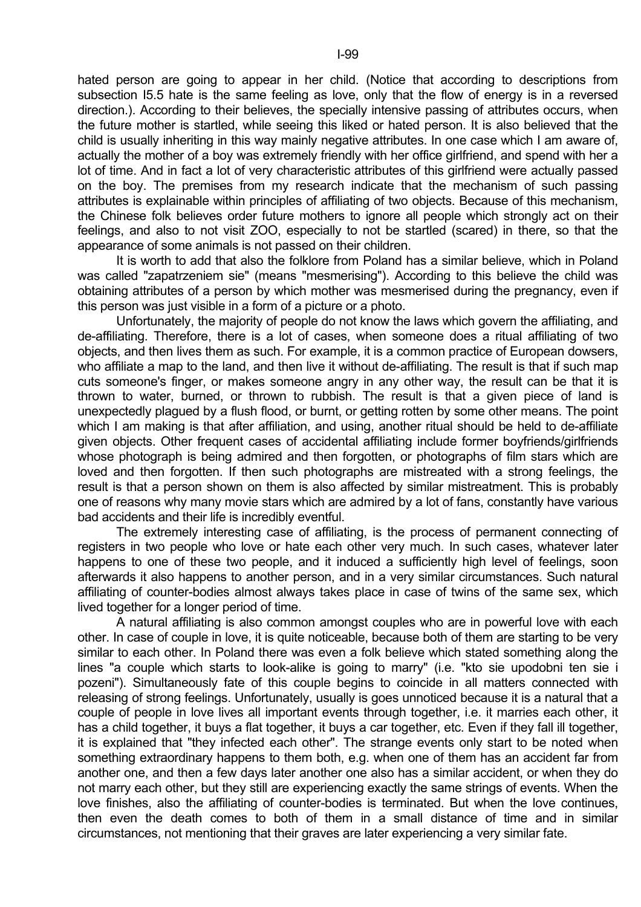hated person are going to appear in her child. (Notice that according to descriptions from subsection I5.5 hate is the same feeling as love, only that the flow of energy is in a reversed direction.). According to their believes, the specially intensive passing of attributes occurs, when the future mother is startled, while seeing this liked or hated person. It is also believed that the child is usually inheriting in this way mainly negative attributes. In one case which I am aware of, actually the mother of a boy was extremely friendly with her office girlfriend, and spend with her a lot of time. And in fact a lot of very characteristic attributes of this girlfriend were actually passed on the boy. The premises from my research indicate that the mechanism of such passing attributes is explainable within principles of affiliating of two objects. Because of this mechanism, the Chinese folk believes order future mothers to ignore all people which strongly act on their feelings, and also to not visit ZOO, especially to not be startled (scared) in there, so that the appearance of some animals is not passed on their children.

 It is worth to add that also the folklore from Poland has a similar believe, which in Poland was called "zapatrzeniem sie" (means "mesmerising"). According to this believe the child was obtaining attributes of a person by which mother was mesmerised during the pregnancy, even if this person was just visible in a form of a picture or a photo.

 Unfortunately, the majority of people do not know the laws which govern the affiliating, and de-affiliating. Therefore, there is a lot of cases, when someone does a ritual affiliating of two objects, and then lives them as such. For example, it is a common practice of European dowsers, who affiliate a map to the land, and then live it without de-affiliating. The result is that if such map cuts someone's finger, or makes someone angry in any other way, the result can be that it is thrown to water, burned, or thrown to rubbish. The result is that a given piece of land is unexpectedly plagued by a flush flood, or burnt, or getting rotten by some other means. The point which I am making is that after affiliation, and using, another ritual should be held to de-affiliate given objects. Other frequent cases of accidental affiliating include former boyfriends/girlfriends whose photograph is being admired and then forgotten, or photographs of film stars which are loved and then forgotten. If then such photographs are mistreated with a strong feelings, the result is that a person shown on them is also affected by similar mistreatment. This is probably one of reasons why many movie stars which are admired by a lot of fans, constantly have various bad accidents and their life is incredibly eventful.

 The extremely interesting case of affiliating, is the process of permanent connecting of registers in two people who love or hate each other very much. In such cases, whatever later happens to one of these two people, and it induced a sufficiently high level of feelings, soon afterwards it also happens to another person, and in a very similar circumstances. Such natural affiliating of counter-bodies almost always takes place in case of twins of the same sex, which lived together for a longer period of time.

 A natural affiliating is also common amongst couples who are in powerful love with each other. In case of couple in love, it is quite noticeable, because both of them are starting to be very similar to each other. In Poland there was even a folk believe which stated something along the lines "a couple which starts to look-alike is going to marry" (i.e. "kto sie upodobni ten sie i pozeni"). Simultaneously fate of this couple begins to coincide in all matters connected with releasing of strong feelings. Unfortunately, usually is goes unnoticed because it is a natural that a couple of people in love lives all important events through together, i.e. it marries each other, it has a child together, it buys a flat together, it buys a car together, etc. Even if they fall ill together, it is explained that "they infected each other". The strange events only start to be noted when something extraordinary happens to them both, e.g. when one of them has an accident far from another one, and then a few days later another one also has a similar accident, or when they do not marry each other, but they still are experiencing exactly the same strings of events. When the love finishes, also the affiliating of counter-bodies is terminated. But when the love continues, then even the death comes to both of them in a small distance of time and in similar circumstances, not mentioning that their graves are later experiencing a very similar fate.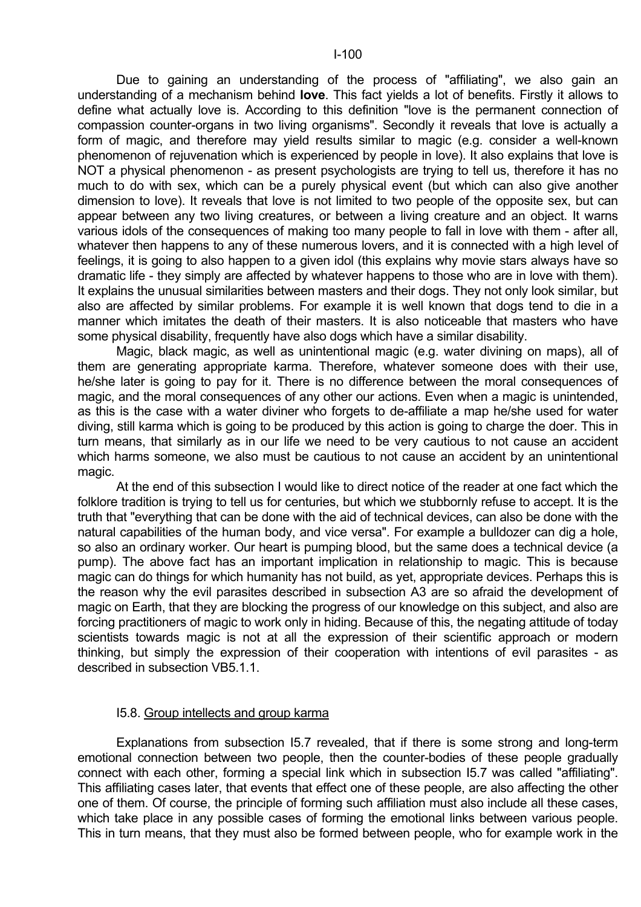Due to gaining an understanding of the process of "affiliating", we also gain an understanding of a mechanism behind **love**. This fact yields a lot of benefits. Firstly it allows to define what actually love is. According to this definition "love is the permanent connection of compassion counter-organs in two living organisms". Secondly it reveals that love is actually a form of magic, and therefore may yield results similar to magic (e.g. consider a well-known phenomenon of rejuvenation which is experienced by people in love). It also explains that love is NOT a physical phenomenon - as present psychologists are trying to tell us, therefore it has no much to do with sex, which can be a purely physical event (but which can also give another dimension to love). It reveals that love is not limited to two people of the opposite sex, but can appear between any two living creatures, or between a living creature and an object. It warns various idols of the consequences of making too many people to fall in love with them - after all, whatever then happens to any of these numerous lovers, and it is connected with a high level of feelings, it is going to also happen to a given idol (this explains why movie stars always have so dramatic life - they simply are affected by whatever happens to those who are in love with them). It explains the unusual similarities between masters and their dogs. They not only look similar, but also are affected by similar problems. For example it is well known that dogs tend to die in a manner which imitates the death of their masters. It is also noticeable that masters who have some physical disability, frequently have also dogs which have a similar disability.

 Magic, black magic, as well as unintentional magic (e.g. water divining on maps), all of them are generating appropriate karma. Therefore, whatever someone does with their use, he/she later is going to pay for it. There is no difference between the moral consequences of magic, and the moral consequences of any other our actions. Even when a magic is unintended, as this is the case with a water diviner who forgets to de-affiliate a map he/she used for water diving, still karma which is going to be produced by this action is going to charge the doer. This in turn means, that similarly as in our life we need to be very cautious to not cause an accident which harms someone, we also must be cautious to not cause an accident by an unintentional magic.

 At the end of this subsection I would like to direct notice of the reader at one fact which the folklore tradition is trying to tell us for centuries, but which we stubbornly refuse to accept. It is the truth that "everything that can be done with the aid of technical devices, can also be done with the natural capabilities of the human body, and vice versa". For example a bulldozer can dig a hole, so also an ordinary worker. Our heart is pumping blood, but the same does a technical device (a pump). The above fact has an important implication in relationship to magic. This is because magic can do things for which humanity has not build, as yet, appropriate devices. Perhaps this is the reason why the evil parasites described in subsection A3 are so afraid the development of magic on Earth, that they are blocking the progress of our knowledge on this subject, and also are forcing practitioners of magic to work only in hiding. Because of this, the negating attitude of today scientists towards magic is not at all the expression of their scientific approach or modern thinking, but simply the expression of their cooperation with intentions of evil parasites - as described in subsection VB5.1.1.

### I5.8. Group intellects and group karma

 Explanations from subsection I5.7 revealed, that if there is some strong and long-term emotional connection between two people, then the counter-bodies of these people gradually connect with each other, forming a special link which in subsection I5.7 was called "affiliating". This affiliating cases later, that events that effect one of these people, are also affecting the other one of them. Of course, the principle of forming such affiliation must also include all these cases, which take place in any possible cases of forming the emotional links between various people. This in turn means, that they must also be formed between people, who for example work in the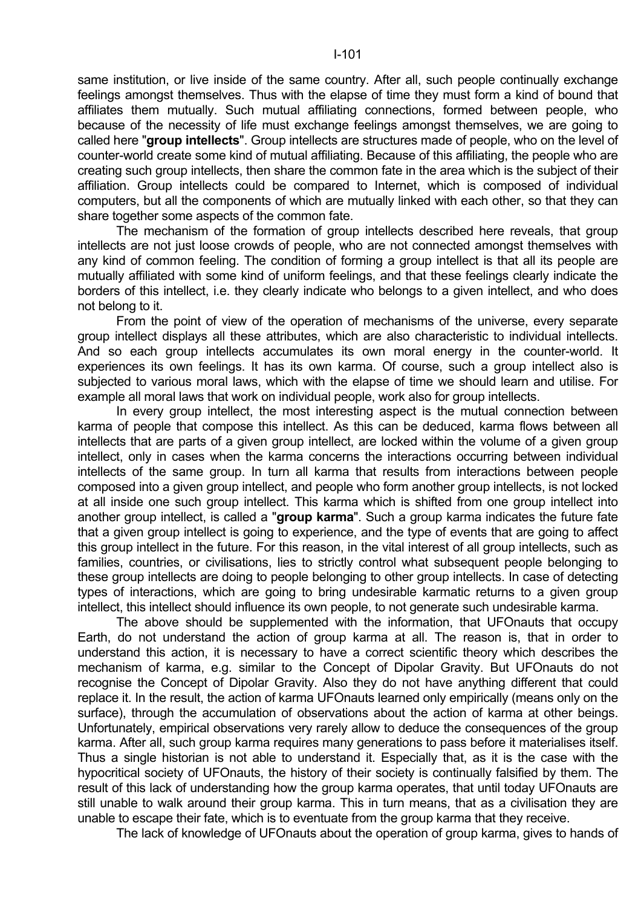same institution, or live inside of the same country. After all, such people continually exchange feelings amongst themselves. Thus with the elapse of time they must form a kind of bound that affiliates them mutually. Such mutual affiliating connections, formed between people, who because of the necessity of life must exchange feelings amongst themselves, we are going to called here "**group intellects**". Group intellects are structures made of people, who on the level of counter-world create some kind of mutual affiliating. Because of this affiliating, the people who are creating such group intellects, then share the common fate in the area which is the subject of their affiliation. Group intellects could be compared to Internet, which is composed of individual computers, but all the components of which are mutually linked with each other, so that they can share together some aspects of the common fate.

 The mechanism of the formation of group intellects described here reveals, that group intellects are not just loose crowds of people, who are not connected amongst themselves with any kind of common feeling. The condition of forming a group intellect is that all its people are mutually affiliated with some kind of uniform feelings, and that these feelings clearly indicate the borders of this intellect, i.e. they clearly indicate who belongs to a given intellect, and who does not belong to it.

 From the point of view of the operation of mechanisms of the universe, every separate group intellect displays all these attributes, which are also characteristic to individual intellects. And so each group intellects accumulates its own moral energy in the counter-world. It experiences its own feelings. It has its own karma. Of course, such a group intellect also is subjected to various moral laws, which with the elapse of time we should learn and utilise. For example all moral laws that work on individual people, work also for group intellects.

In every group intellect, the most interesting aspect is the mutual connection between karma of people that compose this intellect. As this can be deduced, karma flows between all intellects that are parts of a given group intellect, are locked within the volume of a given group intellect, only in cases when the karma concerns the interactions occurring between individual intellects of the same group. In turn all karma that results from interactions between people composed into a given group intellect, and people who form another group intellects, is not locked at all inside one such group intellect. This karma which is shifted from one group intellect into another group intellect, is called a "**group karma**". Such a group karma indicates the future fate that a given group intellect is going to experience, and the type of events that are going to affect this group intellect in the future. For this reason, in the vital interest of all group intellects, such as families, countries, or civilisations, lies to strictly control what subsequent people belonging to these group intellects are doing to people belonging to other group intellects. In case of detecting types of interactions, which are going to bring undesirable karmatic returns to a given group intellect, this intellect should influence its own people, to not generate such undesirable karma.

 The above should be supplemented with the information, that UFOnauts that occupy Earth, do not understand the action of group karma at all. The reason is, that in order to understand this action, it is necessary to have a correct scientific theory which describes the mechanism of karma, e.g. similar to the Concept of Dipolar Gravity. But UFOnauts do not recognise the Concept of Dipolar Gravity. Also they do not have anything different that could replace it. In the result, the action of karma UFOnauts learned only empirically (means only on the surface), through the accumulation of observations about the action of karma at other beings. Unfortunately, empirical observations very rarely allow to deduce the consequences of the group karma. After all, such group karma requires many generations to pass before it materialises itself. Thus a single historian is not able to understand it. Especially that, as it is the case with the hypocritical society of UFOnauts, the history of their society is continually falsified by them. The result of this lack of understanding how the group karma operates, that until today UFOnauts are still unable to walk around their group karma. This in turn means, that as a civilisation they are unable to escape their fate, which is to eventuate from the group karma that they receive.

The lack of knowledge of UFOnauts about the operation of group karma, gives to hands of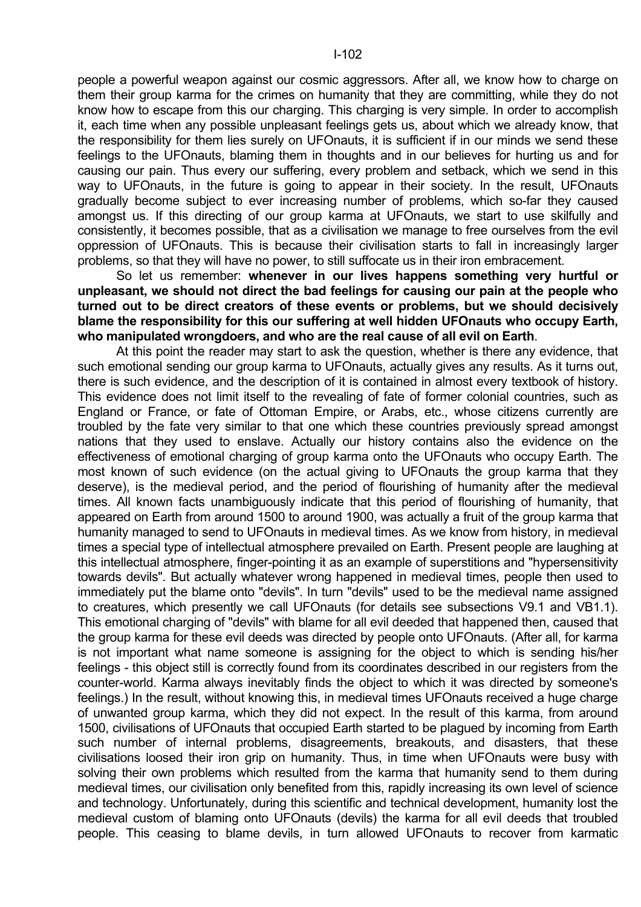people a powerful weapon against our cosmic aggressors. After all, we know how to charge on them their group karma for the crimes on humanity that they are committing, while they do not know how to escape from this our charging. This charging is very simple. In order to accomplish it, each time when any possible unpleasant feelings gets us, about which we already know, that the responsibility for them lies surely on UFOnauts, it is sufficient if in our minds we send these feelings to the UFOnauts, blaming them in thoughts and in our believes for hurting us and for causing our pain. Thus every our suffering, every problem and setback, which we send in this way to UFOnauts, in the future is going to appear in their society. In the result, UFOnauts gradually become subject to ever increasing number of problems, which so-far they caused amongst us. If this directing of our group karma at UFOnauts, we start to use skilfully and consistently, it becomes possible, that as a civilisation we manage to free ourselves from the evil oppression of UFOnauts. This is because their civilisation starts to fall in increasingly larger problems, so that they will have no power, to still suffocate us in their iron embracement.

 So let us remember: **whenever in our lives happens something very hurtful or unpleasant, we should not direct the bad feelings for causing our pain at the people who turned out to be direct creators of these events or problems, but we should decisively blame the responsibility for this our suffering at well hidden UFOnauts who occupy Earth, who manipulated wrongdoers, and who are the real cause of all evil on Earth**.

 At this point the reader may start to ask the question, whether is there any evidence, that such emotional sending our group karma to UFOnauts, actually gives any results. As it turns out, there is such evidence, and the description of it is contained in almost every textbook of history. This evidence does not limit itself to the revealing of fate of former colonial countries, such as England or France, or fate of Ottoman Empire, or Arabs, etc., whose citizens currently are troubled by the fate very similar to that one which these countries previously spread amongst nations that they used to enslave. Actually our history contains also the evidence on the effectiveness of emotional charging of group karma onto the UFOnauts who occupy Earth. The most known of such evidence (on the actual giving to UFOnauts the group karma that they deserve), is the medieval period, and the period of flourishing of humanity after the medieval times. All known facts unambiguously indicate that this period of flourishing of humanity, that appeared on Earth from around 1500 to around 1900, was actually a fruit of the group karma that humanity managed to send to UFOnauts in medieval times. As we know from history, in medieval times a special type of intellectual atmosphere prevailed on Earth. Present people are laughing at this intellectual atmosphere, finger-pointing it as an example of superstitions and "hypersensitivity towards devils". But actually whatever wrong happened in medieval times, people then used to immediately put the blame onto "devils". In turn "devils" used to be the medieval name assigned to creatures, which presently we call UFOnauts (for details see subsections V9.1 and VB1.1). This emotional charging of "devils" with blame for all evil deeded that happened then, caused that the group karma for these evil deeds was directed by people onto UFOnauts. (After all, for karma is not important what name someone is assigning for the object to which is sending his/her feelings - this object still is correctly found from its coordinates described in our registers from the counter-world. Karma always inevitably finds the object to which it was directed by someone's feelings.) In the result, without knowing this, in medieval times UFOnauts received a huge charge of unwanted group karma, which they did not expect. In the result of this karma, from around 1500, civilisations of UFOnauts that occupied Earth started to be plagued by incoming from Earth such number of internal problems, disagreements, breakouts, and disasters, that these civilisations loosed their iron grip on humanity. Thus, in time when UFOnauts were busy with solving their own problems which resulted from the karma that humanity send to them during medieval times, our civilisation only benefited from this, rapidly increasing its own level of science and technology. Unfortunately, during this scientific and technical development, humanity lost the medieval custom of blaming onto UFOnauts (devils) the karma for all evil deeds that troubled people. This ceasing to blame devils, in turn allowed UFOnauts to recover from karmatic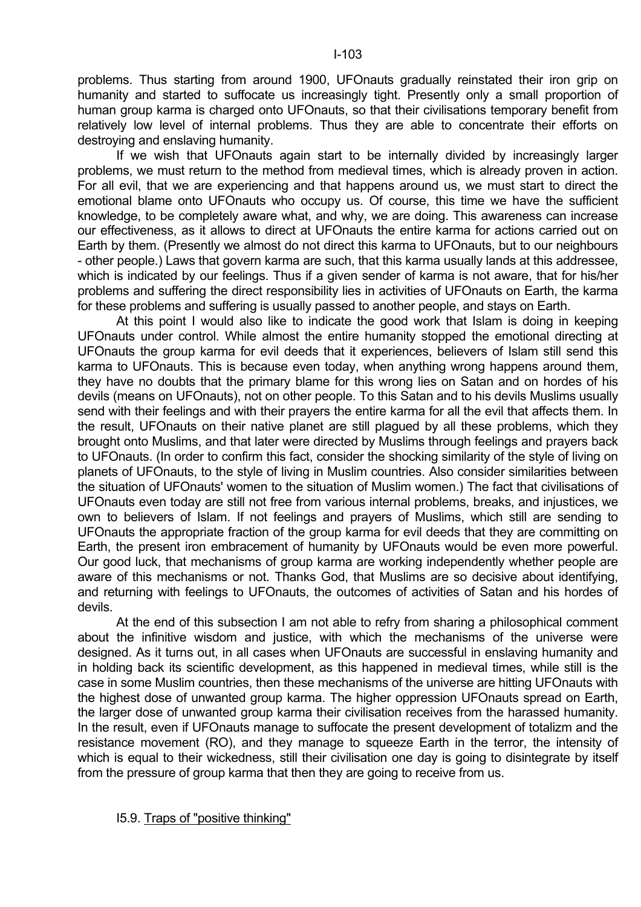problems. Thus starting from around 1900, UFOnauts gradually reinstated their iron grip on humanity and started to suffocate us increasingly tight. Presently only a small proportion of human group karma is charged onto UFOnauts, so that their civilisations temporary benefit from relatively low level of internal problems. Thus they are able to concentrate their efforts on destroying and enslaving humanity.

 If we wish that UFOnauts again start to be internally divided by increasingly larger problems, we must return to the method from medieval times, which is already proven in action. For all evil, that we are experiencing and that happens around us, we must start to direct the emotional blame onto UFOnauts who occupy us. Of course, this time we have the sufficient knowledge, to be completely aware what, and why, we are doing. This awareness can increase our effectiveness, as it allows to direct at UFOnauts the entire karma for actions carried out on Earth by them. (Presently we almost do not direct this karma to UFOnauts, but to our neighbours - other people.) Laws that govern karma are such, that this karma usually lands at this addressee, which is indicated by our feelings. Thus if a given sender of karma is not aware, that for his/her problems and suffering the direct responsibility lies in activities of UFOnauts on Earth, the karma for these problems and suffering is usually passed to another people, and stays on Earth.

 At this point I would also like to indicate the good work that Islam is doing in keeping UFOnauts under control. While almost the entire humanity stopped the emotional directing at UFOnauts the group karma for evil deeds that it experiences, believers of Islam still send this karma to UFOnauts. This is because even today, when anything wrong happens around them, they have no doubts that the primary blame for this wrong lies on Satan and on hordes of his devils (means on UFOnauts), not on other people. To this Satan and to his devils Muslims usually send with their feelings and with their prayers the entire karma for all the evil that affects them. In the result, UFOnauts on their native planet are still plagued by all these problems, which they brought onto Muslims, and that later were directed by Muslims through feelings and prayers back to UFOnauts. (In order to confirm this fact, consider the shocking similarity of the style of living on planets of UFOnauts, to the style of living in Muslim countries. Also consider similarities between the situation of UFOnauts' women to the situation of Muslim women.) The fact that civilisations of UFOnauts even today are still not free from various internal problems, breaks, and injustices, we own to believers of Islam. If not feelings and prayers of Muslims, which still are sending to UFOnauts the appropriate fraction of the group karma for evil deeds that they are committing on Earth, the present iron embracement of humanity by UFOnauts would be even more powerful. Our good luck, that mechanisms of group karma are working independently whether people are aware of this mechanisms or not. Thanks God, that Muslims are so decisive about identifying, and returning with feelings to UFOnauts, the outcomes of activities of Satan and his hordes of devils.

 At the end of this subsection I am not able to refry from sharing a philosophical comment about the infinitive wisdom and justice, with which the mechanisms of the universe were designed. As it turns out, in all cases when UFOnauts are successful in enslaving humanity and in holding back its scientific development, as this happened in medieval times, while still is the case in some Muslim countries, then these mechanisms of the universe are hitting UFOnauts with the highest dose of unwanted group karma. The higher oppression UFOnauts spread on Earth, the larger dose of unwanted group karma their civilisation receives from the harassed humanity. In the result, even if UFOnauts manage to suffocate the present development of totalizm and the resistance movement (RO), and they manage to squeeze Earth in the terror, the intensity of which is equal to their wickedness, still their civilisation one day is going to disintegrate by itself from the pressure of group karma that then they are going to receive from us.

### I5.9. Traps of "positive thinking"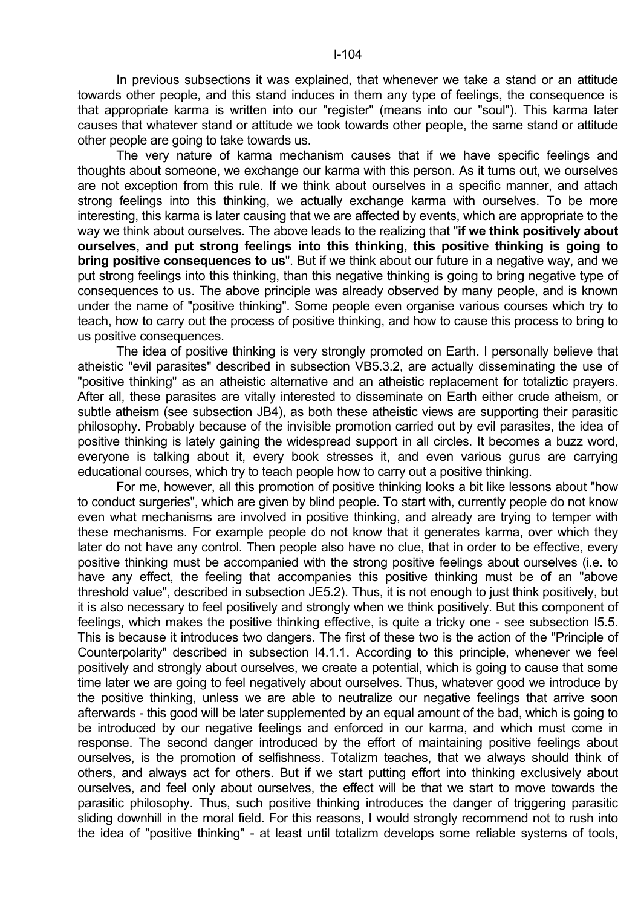In previous subsections it was explained, that whenever we take a stand or an attitude towards other people, and this stand induces in them any type of feelings, the consequence is that appropriate karma is written into our "register" (means into our "soul"). This karma later causes that whatever stand or attitude we took towards other people, the same stand or attitude other people are going to take towards us.

 The very nature of karma mechanism causes that if we have specific feelings and thoughts about someone, we exchange our karma with this person. As it turns out, we ourselves are not exception from this rule. If we think about ourselves in a specific manner, and attach strong feelings into this thinking, we actually exchange karma with ourselves. To be more interesting, this karma is later causing that we are affected by events, which are appropriate to the way we think about ourselves. The above leads to the realizing that "**if we think positively about ourselves, and put strong feelings into this thinking, this positive thinking is going to bring positive consequences to us**". But if we think about our future in a negative way, and we put strong feelings into this thinking, than this negative thinking is going to bring negative type of consequences to us. The above principle was already observed by many people, and is known under the name of "positive thinking". Some people even organise various courses which try to teach, how to carry out the process of positive thinking, and how to cause this process to bring to us positive consequences.

 The idea of positive thinking is very strongly promoted on Earth. I personally believe that atheistic "evil parasites" described in subsection VB5.3.2, are actually disseminating the use of "positive thinking" as an atheistic alternative and an atheistic replacement for totaliztic prayers. After all, these parasites are vitally interested to disseminate on Earth either crude atheism, or subtle atheism (see subsection JB4), as both these atheistic views are supporting their parasitic philosophy. Probably because of the invisible promotion carried out by evil parasites, the idea of positive thinking is lately gaining the widespread support in all circles. It becomes a buzz word, everyone is talking about it, every book stresses it, and even various gurus are carrying educational courses, which try to teach people how to carry out a positive thinking.

 For me, however, all this promotion of positive thinking looks a bit like lessons about "how to conduct surgeries", which are given by blind people. To start with, currently people do not know even what mechanisms are involved in positive thinking, and already are trying to temper with these mechanisms. For example people do not know that it generates karma, over which they later do not have any control. Then people also have no clue, that in order to be effective, every positive thinking must be accompanied with the strong positive feelings about ourselves (i.e. to have any effect, the feeling that accompanies this positive thinking must be of an "above threshold value", described in subsection JE5.2). Thus, it is not enough to just think positively, but it is also necessary to feel positively and strongly when we think positively. But this component of feelings, which makes the positive thinking effective, is quite a tricky one - see subsection I5.5. This is because it introduces two dangers. The first of these two is the action of the "Principle of Counterpolarity" described in subsection I4.1.1. According to this principle, whenever we feel positively and strongly about ourselves, we create a potential, which is going to cause that some time later we are going to feel negatively about ourselves. Thus, whatever good we introduce by the positive thinking, unless we are able to neutralize our negative feelings that arrive soon afterwards - this good will be later supplemented by an equal amount of the bad, which is going to be introduced by our negative feelings and enforced in our karma, and which must come in response. The second danger introduced by the effort of maintaining positive feelings about ourselves, is the promotion of selfishness. Totalizm teaches, that we always should think of others, and always act for others. But if we start putting effort into thinking exclusively about ourselves, and feel only about ourselves, the effect will be that we start to move towards the parasitic philosophy. Thus, such positive thinking introduces the danger of triggering parasitic sliding downhill in the moral field. For this reasons, I would strongly recommend not to rush into the idea of "positive thinking" - at least until totalizm develops some reliable systems of tools,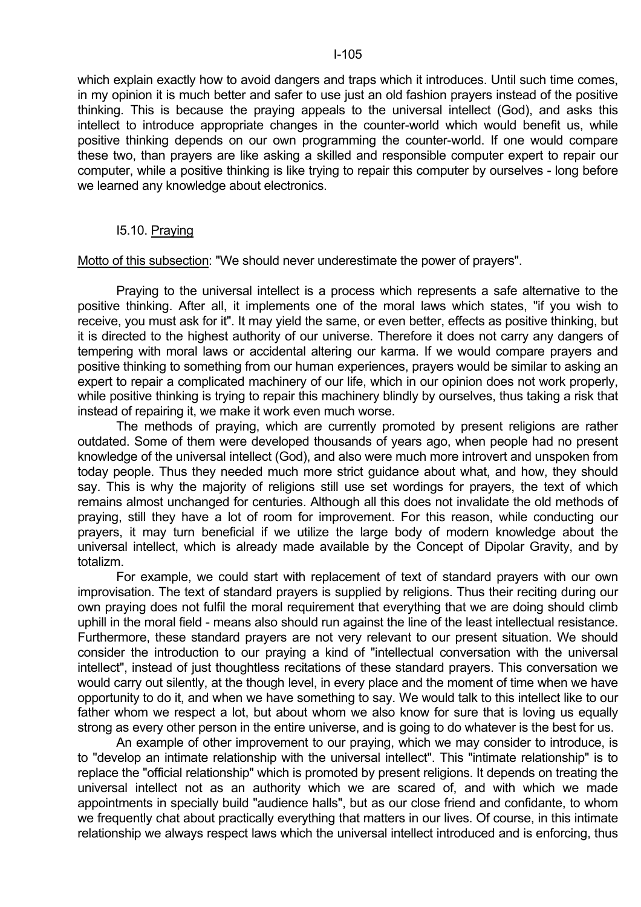which explain exactly how to avoid dangers and traps which it introduces. Until such time comes, in my opinion it is much better and safer to use just an old fashion prayers instead of the positive thinking. This is because the praying appeals to the universal intellect (God), and asks this intellect to introduce appropriate changes in the counter-world which would benefit us, while positive thinking depends on our own programming the counter-world. If one would compare these two, than prayers are like asking a skilled and responsible computer expert to repair our computer, while a positive thinking is like trying to repair this computer by ourselves - long before we learned any knowledge about electronics.

## I5.10. Praying

Motto of this subsection: "We should never underestimate the power of prayers".

 Praying to the universal intellect is a process which represents a safe alternative to the positive thinking. After all, it implements one of the moral laws which states, "if you wish to receive, you must ask for it". It may yield the same, or even better, effects as positive thinking, but it is directed to the highest authority of our universe. Therefore it does not carry any dangers of tempering with moral laws or accidental altering our karma. If we would compare prayers and positive thinking to something from our human experiences, prayers would be similar to asking an expert to repair a complicated machinery of our life, which in our opinion does not work properly, while positive thinking is trying to repair this machinery blindly by ourselves, thus taking a risk that instead of repairing it, we make it work even much worse.

 The methods of praying, which are currently promoted by present religions are rather outdated. Some of them were developed thousands of years ago, when people had no present knowledge of the universal intellect (God), and also were much more introvert and unspoken from today people. Thus they needed much more strict guidance about what, and how, they should say. This is why the majority of religions still use set wordings for prayers, the text of which remains almost unchanged for centuries. Although all this does not invalidate the old methods of praying, still they have a lot of room for improvement. For this reason, while conducting our prayers, it may turn beneficial if we utilize the large body of modern knowledge about the universal intellect, which is already made available by the Concept of Dipolar Gravity, and by totalizm.

 For example, we could start with replacement of text of standard prayers with our own improvisation. The text of standard prayers is supplied by religions. Thus their reciting during our own praying does not fulfil the moral requirement that everything that we are doing should climb uphill in the moral field - means also should run against the line of the least intellectual resistance. Furthermore, these standard prayers are not very relevant to our present situation. We should consider the introduction to our praying a kind of "intellectual conversation with the universal intellect", instead of just thoughtless recitations of these standard prayers. This conversation we would carry out silently, at the though level, in every place and the moment of time when we have opportunity to do it, and when we have something to say. We would talk to this intellect like to our father whom we respect a lot, but about whom we also know for sure that is loving us equally strong as every other person in the entire universe, and is going to do whatever is the best for us.

 An example of other improvement to our praying, which we may consider to introduce, is to "develop an intimate relationship with the universal intellect". This "intimate relationship" is to replace the "official relationship" which is promoted by present religions. It depends on treating the universal intellect not as an authority which we are scared of, and with which we made appointments in specially build "audience halls", but as our close friend and confidante, to whom we frequently chat about practically everything that matters in our lives. Of course, in this intimate relationship we always respect laws which the universal intellect introduced and is enforcing, thus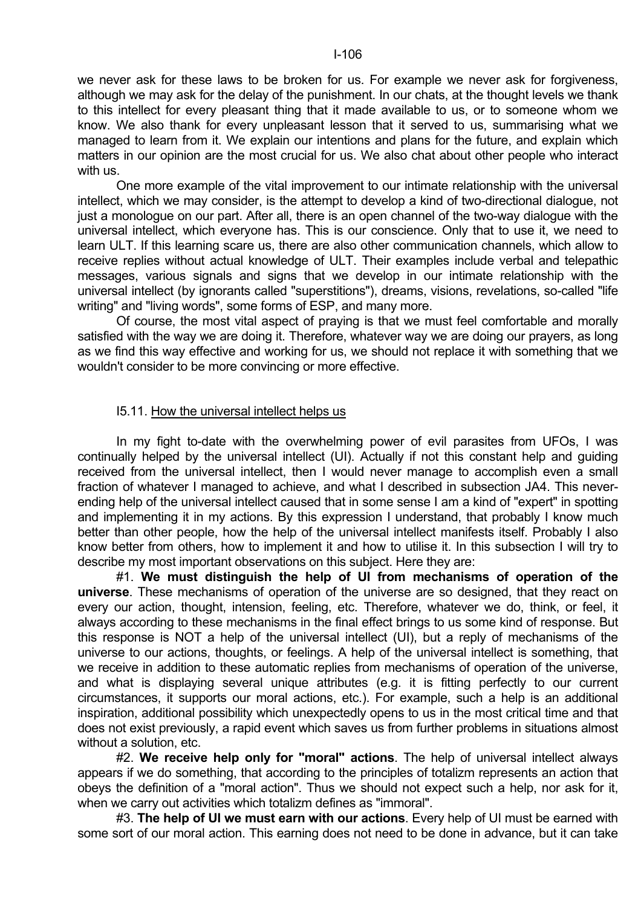we never ask for these laws to be broken for us. For example we never ask for forgiveness, although we may ask for the delay of the punishment. In our chats, at the thought levels we thank to this intellect for every pleasant thing that it made available to us, or to someone whom we know. We also thank for every unpleasant lesson that it served to us, summarising what we managed to learn from it. We explain our intentions and plans for the future, and explain which matters in our opinion are the most crucial for us. We also chat about other people who interact with us.

 One more example of the vital improvement to our intimate relationship with the universal intellect, which we may consider, is the attempt to develop a kind of two-directional dialogue, not just a monologue on our part. After all, there is an open channel of the two-way dialogue with the universal intellect, which everyone has. This is our conscience. Only that to use it, we need to learn ULT. If this learning scare us, there are also other communication channels, which allow to receive replies without actual knowledge of ULT. Their examples include verbal and telepathic messages, various signals and signs that we develop in our intimate relationship with the universal intellect (by ignorants called "superstitions"), dreams, visions, revelations, so-called "life writing" and "living words", some forms of ESP, and many more.

 Of course, the most vital aspect of praying is that we must feel comfortable and morally satisfied with the way we are doing it. Therefore, whatever way we are doing our prayers, as long as we find this way effective and working for us, we should not replace it with something that we wouldn't consider to be more convincing or more effective.

# I5.11. How the universal intellect helps us

 In my fight to-date with the overwhelming power of evil parasites from UFOs, I was continually helped by the universal intellect (UI). Actually if not this constant help and guiding received from the universal intellect, then I would never manage to accomplish even a small fraction of whatever I managed to achieve, and what I described in subsection JA4. This neverending help of the universal intellect caused that in some sense I am a kind of "expert" in spotting and implementing it in my actions. By this expression I understand, that probably I know much better than other people, how the help of the universal intellect manifests itself. Probably I also know better from others, how to implement it and how to utilise it. In this subsection I will try to describe my most important observations on this subject. Here they are:

 #1. **We must distinguish the help of UI from mechanisms of operation of the universe**. These mechanisms of operation of the universe are so designed, that they react on every our action, thought, intension, feeling, etc. Therefore, whatever we do, think, or feel, it always according to these mechanisms in the final effect brings to us some kind of response. But this response is NOT a help of the universal intellect (UI), but a reply of mechanisms of the universe to our actions, thoughts, or feelings. A help of the universal intellect is something, that we receive in addition to these automatic replies from mechanisms of operation of the universe, and what is displaying several unique attributes (e.g. it is fitting perfectly to our current circumstances, it supports our moral actions, etc.). For example, such a help is an additional inspiration, additional possibility which unexpectedly opens to us in the most critical time and that does not exist previously, a rapid event which saves us from further problems in situations almost without a solution, etc.

 #2. **We receive help only for "moral" actions**. The help of universal intellect always appears if we do something, that according to the principles of totalizm represents an action that obeys the definition of a "moral action". Thus we should not expect such a help, nor ask for it, when we carry out activities which totalizm defines as "immoral".

 #3. **The help of UI we must earn with our actions**. Every help of UI must be earned with some sort of our moral action. This earning does not need to be done in advance, but it can take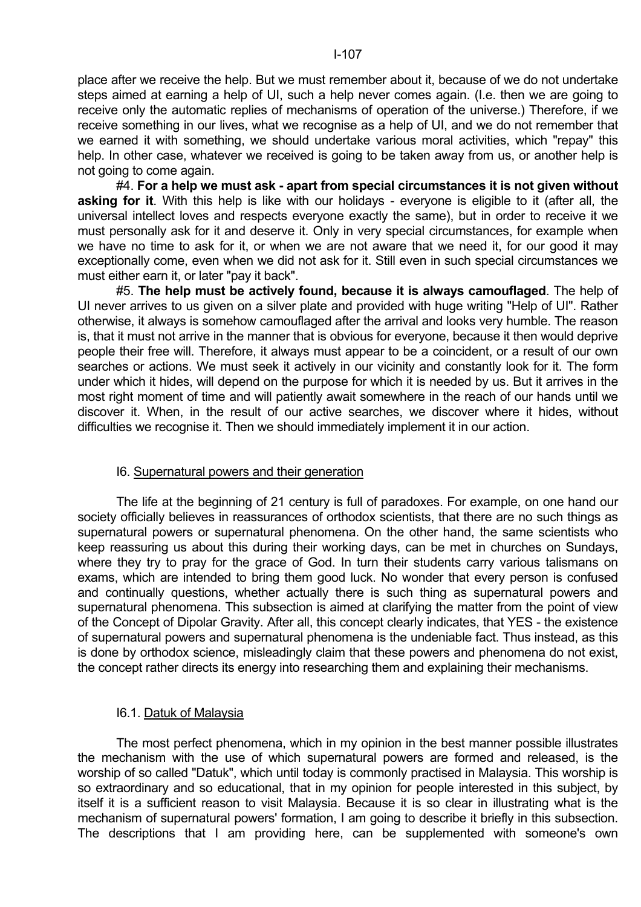place after we receive the help. But we must remember about it, because of we do not undertake steps aimed at earning a help of UI, such a help never comes again. (I.e. then we are going to receive only the automatic replies of mechanisms of operation of the universe.) Therefore, if we receive something in our lives, what we recognise as a help of UI, and we do not remember that we earned it with something, we should undertake various moral activities, which "repay" this help. In other case, whatever we received is going to be taken away from us, or another help is not going to come again.

 #4. **For a help we must ask - apart from special circumstances it is not given without asking for it**. With this help is like with our holidays - everyone is eligible to it (after all, the universal intellect loves and respects everyone exactly the same), but in order to receive it we must personally ask for it and deserve it. Only in very special circumstances, for example when we have no time to ask for it, or when we are not aware that we need it, for our good it may exceptionally come, even when we did not ask for it. Still even in such special circumstances we must either earn it, or later "pay it back".

 #5. **The help must be actively found, because it is always camouflaged**. The help of UI never arrives to us given on a silver plate and provided with huge writing "Help of UI". Rather otherwise, it always is somehow camouflaged after the arrival and looks very humble. The reason is, that it must not arrive in the manner that is obvious for everyone, because it then would deprive people their free will. Therefore, it always must appear to be a coincident, or a result of our own searches or actions. We must seek it actively in our vicinity and constantly look for it. The form under which it hides, will depend on the purpose for which it is needed by us. But it arrives in the most right moment of time and will patiently await somewhere in the reach of our hands until we discover it. When, in the result of our active searches, we discover where it hides, without difficulties we recognise it. Then we should immediately implement it in our action.

### I6. Supernatural powers and their generation

 The life at the beginning of 21 century is full of paradoxes. For example, on one hand our society officially believes in reassurances of orthodox scientists, that there are no such things as supernatural powers or supernatural phenomena. On the other hand, the same scientists who keep reassuring us about this during their working days, can be met in churches on Sundays, where they try to pray for the grace of God. In turn their students carry various talismans on exams, which are intended to bring them good luck. No wonder that every person is confused and continually questions, whether actually there is such thing as supernatural powers and supernatural phenomena. This subsection is aimed at clarifying the matter from the point of view of the Concept of Dipolar Gravity. After all, this concept clearly indicates, that YES - the existence of supernatural powers and supernatural phenomena is the undeniable fact. Thus instead, as this is done by orthodox science, misleadingly claim that these powers and phenomena do not exist, the concept rather directs its energy into researching them and explaining their mechanisms.

# I6.1. Datuk of Malaysia

 The most perfect phenomena, which in my opinion in the best manner possible illustrates the mechanism with the use of which supernatural powers are formed and released, is the worship of so called "Datuk", which until today is commonly practised in Malaysia. This worship is so extraordinary and so educational, that in my opinion for people interested in this subject, by itself it is a sufficient reason to visit Malaysia. Because it is so clear in illustrating what is the mechanism of supernatural powers' formation, I am going to describe it briefly in this subsection. The descriptions that I am providing here, can be supplemented with someone's own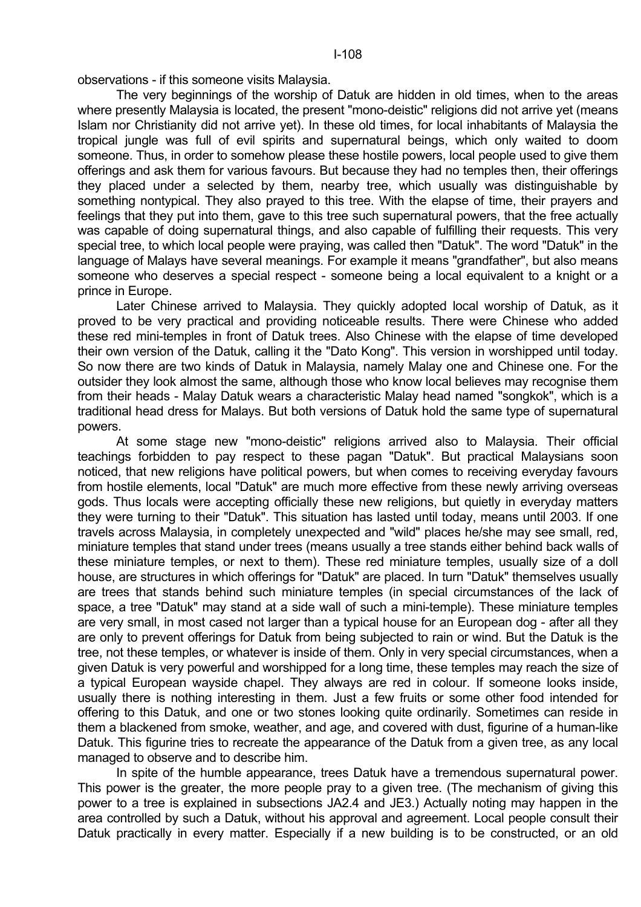observations - if this someone visits Malaysia.

 The very beginnings of the worship of Datuk are hidden in old times, when to the areas where presently Malaysia is located, the present "mono-deistic" religions did not arrive yet (means Islam nor Christianity did not arrive yet). In these old times, for local inhabitants of Malaysia the tropical jungle was full of evil spirits and supernatural beings, which only waited to doom someone. Thus, in order to somehow please these hostile powers, local people used to give them offerings and ask them for various favours. But because they had no temples then, their offerings they placed under a selected by them, nearby tree, which usually was distinguishable by something nontypical. They also prayed to this tree. With the elapse of time, their prayers and feelings that they put into them, gave to this tree such supernatural powers, that the free actually was capable of doing supernatural things, and also capable of fulfilling their requests. This very special tree, to which local people were praying, was called then "Datuk". The word "Datuk" in the language of Malays have several meanings. For example it means "grandfather", but also means someone who deserves a special respect - someone being a local equivalent to a knight or a prince in Europe.

 Later Chinese arrived to Malaysia. They quickly adopted local worship of Datuk, as it proved to be very practical and providing noticeable results. There were Chinese who added these red mini-temples in front of Datuk trees. Also Chinese with the elapse of time developed their own version of the Datuk, calling it the "Dato Kong". This version in worshipped until today. So now there are two kinds of Datuk in Malaysia, namely Malay one and Chinese one. For the outsider they look almost the same, although those who know local believes may recognise them from their heads - Malay Datuk wears a characteristic Malay head named "songkok", which is a traditional head dress for Malays. But both versions of Datuk hold the same type of supernatural powers.

 At some stage new "mono-deistic" religions arrived also to Malaysia. Their official teachings forbidden to pay respect to these pagan "Datuk". But practical Malaysians soon noticed, that new religions have political powers, but when comes to receiving everyday favours from hostile elements, local "Datuk" are much more effective from these newly arriving overseas gods. Thus locals were accepting officially these new religions, but quietly in everyday matters they were turning to their "Datuk". This situation has lasted until today, means until 2003. If one travels across Malaysia, in completely unexpected and "wild" places he/she may see small, red, miniature temples that stand under trees (means usually a tree stands either behind back walls of these miniature temples, or next to them). These red miniature temples, usually size of a doll house, are structures in which offerings for "Datuk" are placed. In turn "Datuk" themselves usually are trees that stands behind such miniature temples (in special circumstances of the lack of space, a tree "Datuk" may stand at a side wall of such a mini-temple). These miniature temples are very small, in most cased not larger than a typical house for an European dog - after all they are only to prevent offerings for Datuk from being subjected to rain or wind. But the Datuk is the tree, not these temples, or whatever is inside of them. Only in very special circumstances, when a given Datuk is very powerful and worshipped for a long time, these temples may reach the size of a typical European wayside chapel. They always are red in colour. If someone looks inside, usually there is nothing interesting in them. Just a few fruits or some other food intended for offering to this Datuk, and one or two stones looking quite ordinarily. Sometimes can reside in them a blackened from smoke, weather, and age, and covered with dust, figurine of a human-like Datuk. This figurine tries to recreate the appearance of the Datuk from a given tree, as any local managed to observe and to describe him.

 In spite of the humble appearance, trees Datuk have a tremendous supernatural power. This power is the greater, the more people pray to a given tree. (The mechanism of giving this power to a tree is explained in subsections JA2.4 and JE3.) Actually noting may happen in the area controlled by such a Datuk, without his approval and agreement. Local people consult their Datuk practically in every matter. Especially if a new building is to be constructed, or an old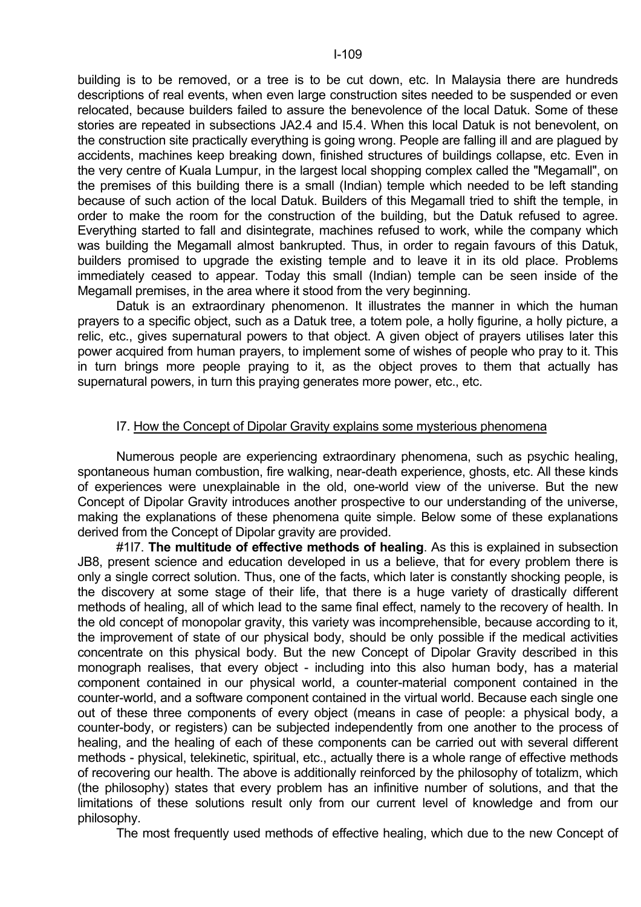building is to be removed, or a tree is to be cut down, etc. In Malaysia there are hundreds descriptions of real events, when even large construction sites needed to be suspended or even relocated, because builders failed to assure the benevolence of the local Datuk. Some of these stories are repeated in subsections JA2.4 and I5.4. When this local Datuk is not benevolent, on the construction site practically everything is going wrong. People are falling ill and are plagued by accidents, machines keep breaking down, finished structures of buildings collapse, etc. Even in the very centre of Kuala Lumpur, in the largest local shopping complex called the "Megamall", on the premises of this building there is a small (Indian) temple which needed to be left standing because of such action of the local Datuk. Builders of this Megamall tried to shift the temple, in order to make the room for the construction of the building, but the Datuk refused to agree. Everything started to fall and disintegrate, machines refused to work, while the company which was building the Megamall almost bankrupted. Thus, in order to regain favours of this Datuk, builders promised to upgrade the existing temple and to leave it in its old place. Problems immediately ceased to appear. Today this small (Indian) temple can be seen inside of the Megamall premises, in the area where it stood from the very beginning.

 Datuk is an extraordinary phenomenon. It illustrates the manner in which the human prayers to a specific object, such as a Datuk tree, a totem pole, a holly figurine, a holly picture, a relic, etc., gives supernatural powers to that object. A given object of prayers utilises later this power acquired from human prayers, to implement some of wishes of people who pray to it. This in turn brings more people praying to it, as the object proves to them that actually has supernatural powers, in turn this praying generates more power, etc., etc.

## I7. How the Concept of Dipolar Gravity explains some mysterious phenomena

 Numerous people are experiencing extraordinary phenomena, such as psychic healing, spontaneous human combustion, fire walking, near-death experience, ghosts, etc. All these kinds of experiences were unexplainable in the old, one-world view of the universe. But the new Concept of Dipolar Gravity introduces another prospective to our understanding of the universe, making the explanations of these phenomena quite simple. Below some of these explanations derived from the Concept of Dipolar gravity are provided.

 #1I7. **The multitude of effective methods of healing**. As this is explained in subsection JB8, present science and education developed in us a believe, that for every problem there is only a single correct solution. Thus, one of the facts, which later is constantly shocking people, is the discovery at some stage of their life, that there is a huge variety of drastically different methods of healing, all of which lead to the same final effect, namely to the recovery of health. In the old concept of monopolar gravity, this variety was incomprehensible, because according to it, the improvement of state of our physical body, should be only possible if the medical activities concentrate on this physical body. But the new Concept of Dipolar Gravity described in this monograph realises, that every object - including into this also human body, has a material component contained in our physical world, a counter-material component contained in the counter-world, and a software component contained in the virtual world. Because each single one out of these three components of every object (means in case of people: a physical body, a counter-body, or registers) can be subjected independently from one another to the process of healing, and the healing of each of these components can be carried out with several different methods - physical, telekinetic, spiritual, etc., actually there is a whole range of effective methods of recovering our health. The above is additionally reinforced by the philosophy of totalizm, which (the philosophy) states that every problem has an infinitive number of solutions, and that the limitations of these solutions result only from our current level of knowledge and from our philosophy.

The most frequently used methods of effective healing, which due to the new Concept of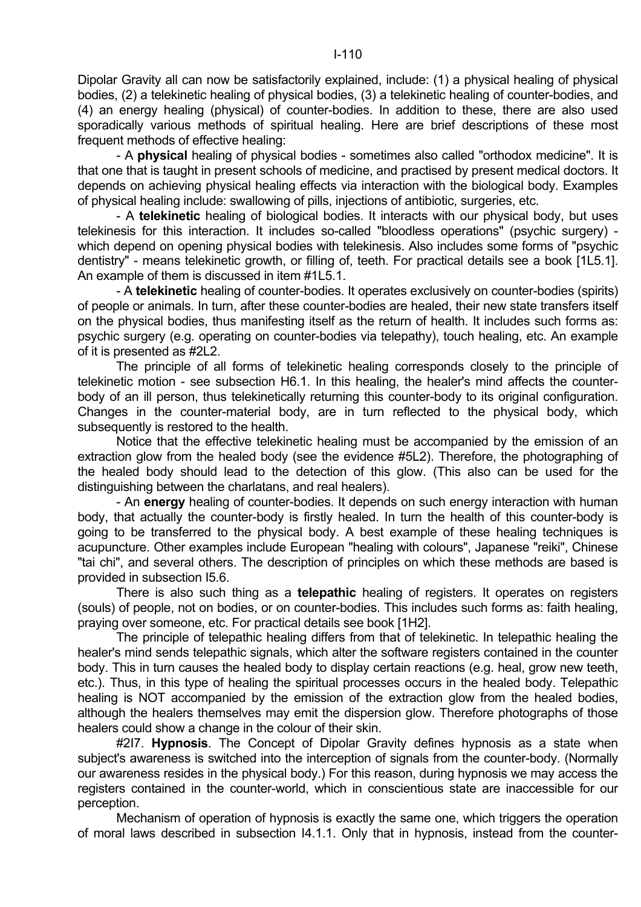Dipolar Gravity all can now be satisfactorily explained, include: (1) a physical healing of physical bodies, (2) a telekinetic healing of physical bodies, (3) a telekinetic healing of counter-bodies, and (4) an energy healing (physical) of counter-bodies. In addition to these, there are also used sporadically various methods of spiritual healing. Here are brief descriptions of these most frequent methods of effective healing:

 - A **physical** healing of physical bodies - sometimes also called "orthodox medicine". It is that one that is taught in present schools of medicine, and practised by present medical doctors. It depends on achieving physical healing effects via interaction with the biological body. Examples of physical healing include: swallowing of pills, injections of antibiotic, surgeries, etc.

 - A **telekinetic** healing of biological bodies. It interacts with our physical body, but uses telekinesis for this interaction. It includes so-called "bloodless operations" (psychic surgery) which depend on opening physical bodies with telekinesis. Also includes some forms of "psychic dentistry" - means telekinetic growth, or filling of, teeth. For practical details see a book [1L5.1]. An example of them is discussed in item #1L5.1.

 - A **telekinetic** healing of counter-bodies. It operates exclusively on counter-bodies (spirits) of people or animals. In turn, after these counter-bodies are healed, their new state transfers itself on the physical bodies, thus manifesting itself as the return of health. It includes such forms as: psychic surgery (e.g. operating on counter-bodies via telepathy), touch healing, etc. An example of it is presented as #2L2.

 The principle of all forms of telekinetic healing corresponds closely to the principle of telekinetic motion - see subsection H6.1. In this healing, the healer's mind affects the counterbody of an ill person, thus telekinetically returning this counter-body to its original configuration. Changes in the counter-material body, are in turn reflected to the physical body, which subsequently is restored to the health.

 Notice that the effective telekinetic healing must be accompanied by the emission of an extraction glow from the healed body (see the evidence #5L2). Therefore, the photographing of the healed body should lead to the detection of this glow. (This also can be used for the distinguishing between the charlatans, and real healers).

 - An **energy** healing of counter-bodies. It depends on such energy interaction with human body, that actually the counter-body is firstly healed. In turn the health of this counter-body is going to be transferred to the physical body. A best example of these healing techniques is acupuncture. Other examples include European "healing with colours", Japanese "reiki", Chinese "tai chi", and several others. The description of principles on which these methods are based is provided in subsection I5.6.

 There is also such thing as a **telepathic** healing of registers. It operates on registers (souls) of people, not on bodies, or on counter-bodies. This includes such forms as: faith healing, praying over someone, etc. For practical details see book [1H2].

 The principle of telepathic healing differs from that of telekinetic. In telepathic healing the healer's mind sends telepathic signals, which alter the software registers contained in the counter body. This in turn causes the healed body to display certain reactions (e.g. heal, grow new teeth, etc.). Thus, in this type of healing the spiritual processes occurs in the healed body. Telepathic healing is NOT accompanied by the emission of the extraction glow from the healed bodies, although the healers themselves may emit the dispersion glow. Therefore photographs of those healers could show a change in the colour of their skin.

 #2I7. **Hypnosis**. The Concept of Dipolar Gravity defines hypnosis as a state when subject's awareness is switched into the interception of signals from the counter-body. (Normally our awareness resides in the physical body.) For this reason, during hypnosis we may access the registers contained in the counter-world, which in conscientious state are inaccessible for our perception.

 Mechanism of operation of hypnosis is exactly the same one, which triggers the operation of moral laws described in subsection I4.1.1. Only that in hypnosis, instead from the counter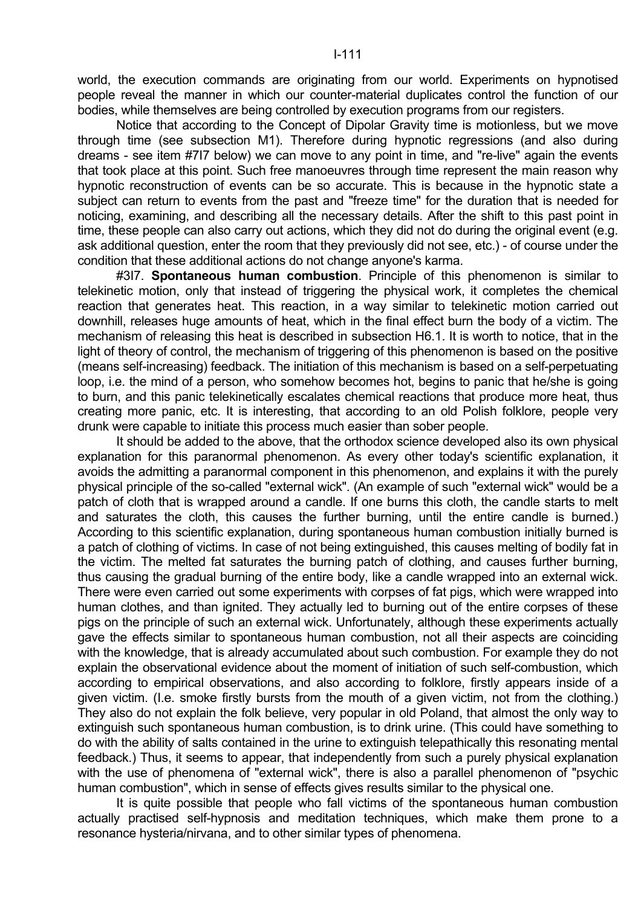world, the execution commands are originating from our world. Experiments on hypnotised people reveal the manner in which our counter-material duplicates control the function of our bodies, while themselves are being controlled by execution programs from our registers.

 Notice that according to the Concept of Dipolar Gravity time is motionless, but we move through time (see subsection M1). Therefore during hypnotic regressions (and also during dreams - see item #7I7 below) we can move to any point in time, and "re-live" again the events that took place at this point. Such free manoeuvres through time represent the main reason why hypnotic reconstruction of events can be so accurate. This is because in the hypnotic state a subject can return to events from the past and "freeze time" for the duration that is needed for noticing, examining, and describing all the necessary details. After the shift to this past point in time, these people can also carry out actions, which they did not do during the original event (e.g. ask additional question, enter the room that they previously did not see, etc.) - of course under the condition that these additional actions do not change anyone's karma.

 #3I7. **Spontaneous human combustion**. Principle of this phenomenon is similar to telekinetic motion, only that instead of triggering the physical work, it completes the chemical reaction that generates heat. This reaction, in a way similar to telekinetic motion carried out downhill, releases huge amounts of heat, which in the final effect burn the body of a victim. The mechanism of releasing this heat is described in subsection H6.1. It is worth to notice, that in the light of theory of control, the mechanism of triggering of this phenomenon is based on the positive (means self-increasing) feedback. The initiation of this mechanism is based on a self-perpetuating loop, i.e. the mind of a person, who somehow becomes hot, begins to panic that he/she is going to burn, and this panic telekinetically escalates chemical reactions that produce more heat, thus creating more panic, etc. It is interesting, that according to an old Polish folklore, people very drunk were capable to initiate this process much easier than sober people.

 It should be added to the above, that the orthodox science developed also its own physical explanation for this paranormal phenomenon. As every other today's scientific explanation, it avoids the admitting a paranormal component in this phenomenon, and explains it with the purely physical principle of the so-called "external wick". (An example of such "external wick" would be a patch of cloth that is wrapped around a candle. If one burns this cloth, the candle starts to melt and saturates the cloth, this causes the further burning, until the entire candle is burned.) According to this scientific explanation, during spontaneous human combustion initially burned is a patch of clothing of victims. In case of not being extinguished, this causes melting of bodily fat in the victim. The melted fat saturates the burning patch of clothing, and causes further burning, thus causing the gradual burning of the entire body, like a candle wrapped into an external wick. There were even carried out some experiments with corpses of fat pigs, which were wrapped into human clothes, and than ignited. They actually led to burning out of the entire corpses of these pigs on the principle of such an external wick. Unfortunately, although these experiments actually gave the effects similar to spontaneous human combustion, not all their aspects are coinciding with the knowledge, that is already accumulated about such combustion. For example they do not explain the observational evidence about the moment of initiation of such self-combustion, which according to empirical observations, and also according to folklore, firstly appears inside of a given victim. (I.e. smoke firstly bursts from the mouth of a given victim, not from the clothing.) They also do not explain the folk believe, very popular in old Poland, that almost the only way to extinguish such spontaneous human combustion, is to drink urine. (This could have something to do with the ability of salts contained in the urine to extinguish telepathically this resonating mental feedback.) Thus, it seems to appear, that independently from such a purely physical explanation with the use of phenomena of "external wick", there is also a parallel phenomenon of "psychic human combustion", which in sense of effects gives results similar to the physical one.

 It is quite possible that people who fall victims of the spontaneous human combustion actually practised self-hypnosis and meditation techniques, which make them prone to a resonance hysteria/nirvana, and to other similar types of phenomena.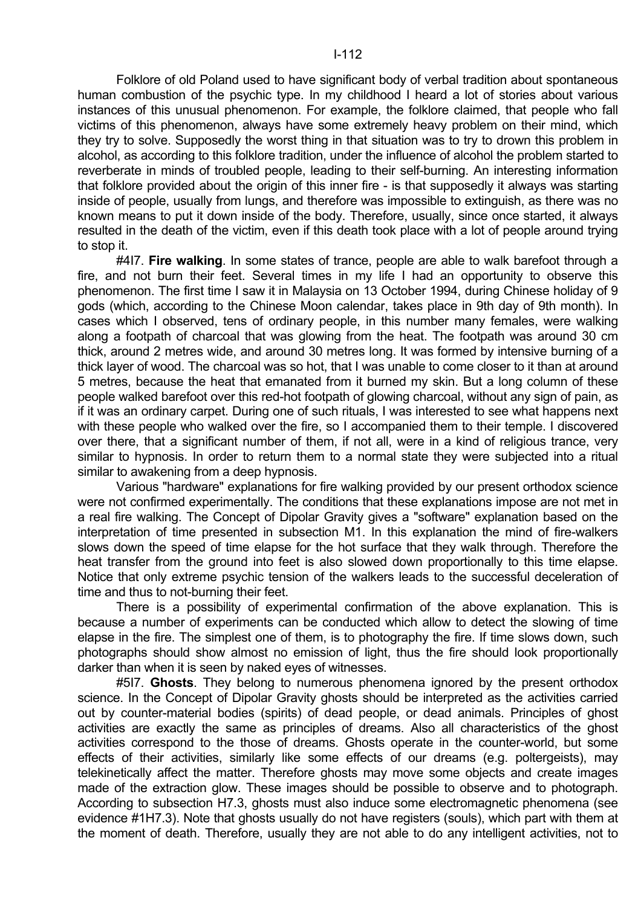Folklore of old Poland used to have significant body of verbal tradition about spontaneous human combustion of the psychic type. In my childhood I heard a lot of stories about various instances of this unusual phenomenon. For example, the folklore claimed, that people who fall victims of this phenomenon, always have some extremely heavy problem on their mind, which they try to solve. Supposedly the worst thing in that situation was to try to drown this problem in alcohol, as according to this folklore tradition, under the influence of alcohol the problem started to reverberate in minds of troubled people, leading to their self-burning. An interesting information that folklore provided about the origin of this inner fire - is that supposedly it always was starting inside of people, usually from lungs, and therefore was impossible to extinguish, as there was no known means to put it down inside of the body. Therefore, usually, since once started, it always resulted in the death of the victim, even if this death took place with a lot of people around trying to stop it.

 #4I7. **Fire walking**. In some states of trance, people are able to walk barefoot through a fire, and not burn their feet. Several times in my life I had an opportunity to observe this phenomenon. The first time I saw it in Malaysia on 13 October 1994, during Chinese holiday of 9 gods (which, according to the Chinese Moon calendar, takes place in 9th day of 9th month). In cases which I observed, tens of ordinary people, in this number many females, were walking along a footpath of charcoal that was glowing from the heat. The footpath was around 30 cm thick, around 2 metres wide, and around 30 metres long. It was formed by intensive burning of a thick layer of wood. The charcoal was so hot, that I was unable to come closer to it than at around 5 metres, because the heat that emanated from it burned my skin. But a long column of these people walked barefoot over this red-hot footpath of glowing charcoal, without any sign of pain, as if it was an ordinary carpet. During one of such rituals, I was interested to see what happens next with these people who walked over the fire, so I accompanied them to their temple. I discovered over there, that a significant number of them, if not all, were in a kind of religious trance, very similar to hypnosis. In order to return them to a normal state they were subjected into a ritual similar to awakening from a deep hypnosis.

 Various "hardware" explanations for fire walking provided by our present orthodox science were not confirmed experimentally. The conditions that these explanations impose are not met in a real fire walking. The Concept of Dipolar Gravity gives a "software" explanation based on the interpretation of time presented in subsection M1. In this explanation the mind of fire-walkers slows down the speed of time elapse for the hot surface that they walk through. Therefore the heat transfer from the ground into feet is also slowed down proportionally to this time elapse. Notice that only extreme psychic tension of the walkers leads to the successful deceleration of time and thus to not-burning their feet.

 There is a possibility of experimental confirmation of the above explanation. This is because a number of experiments can be conducted which allow to detect the slowing of time elapse in the fire. The simplest one of them, is to photography the fire. If time slows down, such photographs should show almost no emission of light, thus the fire should look proportionally darker than when it is seen by naked eyes of witnesses.

 #5I7. **Ghosts**. They belong to numerous phenomena ignored by the present orthodox science. In the Concept of Dipolar Gravity ghosts should be interpreted as the activities carried out by counter-material bodies (spirits) of dead people, or dead animals. Principles of ghost activities are exactly the same as principles of dreams. Also all characteristics of the ghost activities correspond to the those of dreams. Ghosts operate in the counter-world, but some effects of their activities, similarly like some effects of our dreams (e.g. poltergeists), may telekinetically affect the matter. Therefore ghosts may move some objects and create images made of the extraction glow. These images should be possible to observe and to photograph. According to subsection H7.3, ghosts must also induce some electromagnetic phenomena (see evidence #1H7.3). Note that ghosts usually do not have registers (souls), which part with them at the moment of death. Therefore, usually they are not able to do any intelligent activities, not to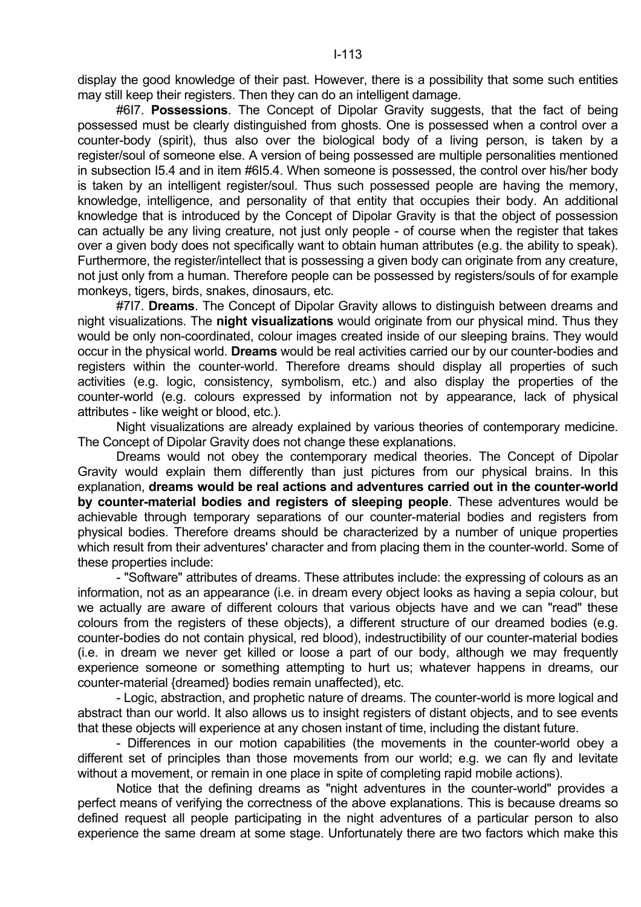display the good knowledge of their past. However, there is a possibility that some such entities may still keep their registers. Then they can do an intelligent damage.

 #6I7. **Possessions**. The Concept of Dipolar Gravity suggests, that the fact of being possessed must be clearly distinguished from ghosts. One is possessed when a control over a counter-body (spirit), thus also over the biological body of a living person, is taken by a register/soul of someone else. A version of being possessed are multiple personalities mentioned in subsection I5.4 and in item #6I5.4. When someone is possessed, the control over his/her body is taken by an intelligent register/soul. Thus such possessed people are having the memory, knowledge, intelligence, and personality of that entity that occupies their body. An additional knowledge that is introduced by the Concept of Dipolar Gravity is that the object of possession can actually be any living creature, not just only people - of course when the register that takes over a given body does not specifically want to obtain human attributes (e.g. the ability to speak). Furthermore, the register/intellect that is possessing a given body can originate from any creature, not just only from a human. Therefore people can be possessed by registers/souls of for example monkeys, tigers, birds, snakes, dinosaurs, etc.

 #7I7. **Dreams**. The Concept of Dipolar Gravity allows to distinguish between dreams and night visualizations. The **night visualizations** would originate from our physical mind. Thus they would be only non-coordinated, colour images created inside of our sleeping brains. They would occur in the physical world. **Dreams** would be real activities carried our by our counter-bodies and registers within the counter-world. Therefore dreams should display all properties of such activities (e.g. logic, consistency, symbolism, etc.) and also display the properties of the counter-world (e.g. colours expressed by information not by appearance, lack of physical attributes - like weight or blood, etc.).

 Night visualizations are already explained by various theories of contemporary medicine. The Concept of Dipolar Gravity does not change these explanations.

 Dreams would not obey the contemporary medical theories. The Concept of Dipolar Gravity would explain them differently than just pictures from our physical brains. In this explanation, **dreams would be real actions and adventures carried out in the counter-world by counter-material bodies and registers of sleeping people**. These adventures would be achievable through temporary separations of our counter-material bodies and registers from physical bodies. Therefore dreams should be characterized by a number of unique properties which result from their adventures' character and from placing them in the counter-world. Some of these properties include:

 - "Software" attributes of dreams. These attributes include: the expressing of colours as an information, not as an appearance (i.e. in dream every object looks as having a sepia colour, but we actually are aware of different colours that various objects have and we can "read" these colours from the registers of these objects), a different structure of our dreamed bodies (e.g. counter-bodies do not contain physical, red blood), indestructibility of our counter-material bodies (i.e. in dream we never get killed or loose a part of our body, although we may frequently experience someone or something attempting to hurt us; whatever happens in dreams, our counter-material {dreamed} bodies remain unaffected), etc.

 - Logic, abstraction, and prophetic nature of dreams. The counter-world is more logical and abstract than our world. It also allows us to insight registers of distant objects, and to see events that these objects will experience at any chosen instant of time, including the distant future.

 - Differences in our motion capabilities (the movements in the counter-world obey a different set of principles than those movements from our world; e.g. we can fly and levitate without a movement, or remain in one place in spite of completing rapid mobile actions).

 Notice that the defining dreams as "night adventures in the counter-world" provides a perfect means of verifying the correctness of the above explanations. This is because dreams so defined request all people participating in the night adventures of a particular person to also experience the same dream at some stage. Unfortunately there are two factors which make this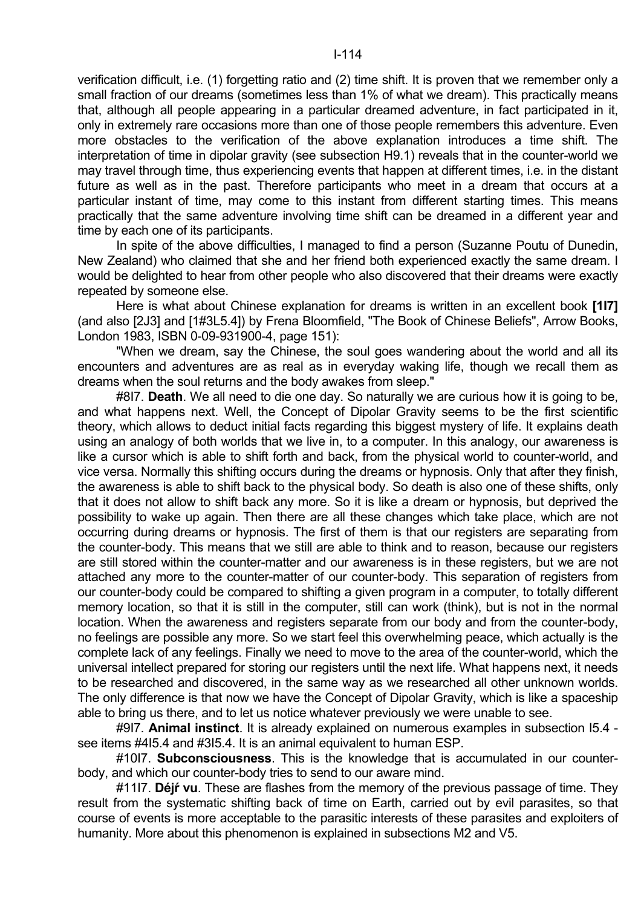verification difficult, i.e. (1) forgetting ratio and (2) time shift. It is proven that we remember only a small fraction of our dreams (sometimes less than 1% of what we dream). This practically means that, although all people appearing in a particular dreamed adventure, in fact participated in it, only in extremely rare occasions more than one of those people remembers this adventure. Even more obstacles to the verification of the above explanation introduces a time shift. The interpretation of time in dipolar gravity (see subsection H9.1) reveals that in the counter-world we may travel through time, thus experiencing events that happen at different times, i.e. in the distant future as well as in the past. Therefore participants who meet in a dream that occurs at a particular instant of time, may come to this instant from different starting times. This means practically that the same adventure involving time shift can be dreamed in a different year and time by each one of its participants.

 In spite of the above difficulties, I managed to find a person (Suzanne Poutu of Dunedin, New Zealand) who claimed that she and her friend both experienced exactly the same dream. I would be delighted to hear from other people who also discovered that their dreams were exactly repeated by someone else.

 Here is what about Chinese explanation for dreams is written in an excellent book **[1I7]** (and also [2J3] and [1#3L5.4]) by Frena Bloomfield, "The Book of Chinese Beliefs", Arrow Books, London 1983, ISBN 0-09-931900-4, page 151):

 "When we dream, say the Chinese, the soul goes wandering about the world and all its encounters and adventures are as real as in everyday waking life, though we recall them as dreams when the soul returns and the body awakes from sleep."

 #8I7. **Death**. We all need to die one day. So naturally we are curious how it is going to be, and what happens next. Well, the Concept of Dipolar Gravity seems to be the first scientific theory, which allows to deduct initial facts regarding this biggest mystery of life. It explains death using an analogy of both worlds that we live in, to a computer. In this analogy, our awareness is like a cursor which is able to shift forth and back, from the physical world to counter-world, and vice versa. Normally this shifting occurs during the dreams or hypnosis. Only that after they finish, the awareness is able to shift back to the physical body. So death is also one of these shifts, only that it does not allow to shift back any more. So it is like a dream or hypnosis, but deprived the possibility to wake up again. Then there are all these changes which take place, which are not occurring during dreams or hypnosis. The first of them is that our registers are separating from the counter-body. This means that we still are able to think and to reason, because our registers are still stored within the counter-matter and our awareness is in these registers, but we are not attached any more to the counter-matter of our counter-body. This separation of registers from our counter-body could be compared to shifting a given program in a computer, to totally different memory location, so that it is still in the computer, still can work (think), but is not in the normal location. When the awareness and registers separate from our body and from the counter-body, no feelings are possible any more. So we start feel this overwhelming peace, which actually is the complete lack of any feelings. Finally we need to move to the area of the counter-world, which the universal intellect prepared for storing our registers until the next life. What happens next, it needs to be researched and discovered, in the same way as we researched all other unknown worlds. The only difference is that now we have the Concept of Dipolar Gravity, which is like a spaceship able to bring us there, and to let us notice whatever previously we were unable to see.

 #9I7. **Animal instinct**. It is already explained on numerous examples in subsection I5.4 see items #4I5.4 and #3I5.4. It is an animal equivalent to human ESP.

 #10I7. **Subconsciousness**. This is the knowledge that is accumulated in our counterbody, and which our counter-body tries to send to our aware mind.

 #11I7. **Déjŕ vu**. These are flashes from the memory of the previous passage of time. They result from the systematic shifting back of time on Earth, carried out by evil parasites, so that course of events is more acceptable to the parasitic interests of these parasites and exploiters of humanity. More about this phenomenon is explained in subsections M2 and V5.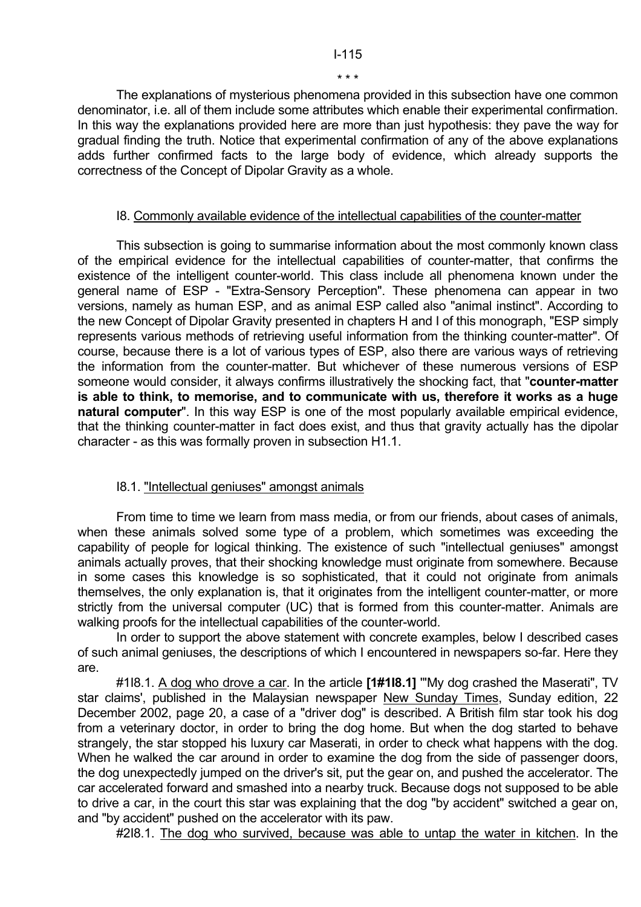$\star \star \star$ 

 The explanations of mysterious phenomena provided in this subsection have one common denominator, i.e. all of them include some attributes which enable their experimental confirmation. In this way the explanations provided here are more than just hypothesis: they pave the way for gradual finding the truth. Notice that experimental confirmation of any of the above explanations adds further confirmed facts to the large body of evidence, which already supports the correctness of the Concept of Dipolar Gravity as a whole.

# I8. Commonly available evidence of the intellectual capabilities of the counter-matter

 This subsection is going to summarise information about the most commonly known class of the empirical evidence for the intellectual capabilities of counter-matter, that confirms the existence of the intelligent counter-world. This class include all phenomena known under the general name of ESP - "Extra-Sensory Perception". These phenomena can appear in two versions, namely as human ESP, and as animal ESP called also "animal instinct". According to the new Concept of Dipolar Gravity presented in chapters H and I of this monograph, "ESP simply represents various methods of retrieving useful information from the thinking counter-matter". Of course, because there is a lot of various types of ESP, also there are various ways of retrieving the information from the counter-matter. But whichever of these numerous versions of ESP someone would consider, it always confirms illustratively the shocking fact, that "**counter-matter is able to think, to memorise, and to communicate with us, therefore it works as a huge natural computer**". In this way ESP is one of the most popularly available empirical evidence, that the thinking counter-matter in fact does exist, and thus that gravity actually has the dipolar character - as this was formally proven in subsection H1.1.

# I8.1. "Intellectual geniuses" amongst animals

 From time to time we learn from mass media, or from our friends, about cases of animals, when these animals solved some type of a problem, which sometimes was exceeding the capability of people for logical thinking. The existence of such "intellectual geniuses" amongst animals actually proves, that their shocking knowledge must originate from somewhere. Because in some cases this knowledge is so sophisticated, that it could not originate from animals themselves, the only explanation is, that it originates from the intelligent counter-matter, or more strictly from the universal computer (UC) that is formed from this counter-matter. Animals are walking proofs for the intellectual capabilities of the counter-world.

 In order to support the above statement with concrete examples, below I described cases of such animal geniuses, the descriptions of which I encountered in newspapers so-far. Here they are.

 #1I8.1. A dog who drove a car. In the article **[1#1I8.1]** '"My dog crashed the Maserati", TV star claims', published in the Malaysian newspaper New Sunday Times, Sunday edition, 22 December 2002, page 20, a case of a "driver dog" is described. A British film star took his dog from a veterinary doctor, in order to bring the dog home. But when the dog started to behave strangely, the star stopped his luxury car Maserati, in order to check what happens with the dog. When he walked the car around in order to examine the dog from the side of passenger doors, the dog unexpectedly jumped on the driver's sit, put the gear on, and pushed the accelerator. The car accelerated forward and smashed into a nearby truck. Because dogs not supposed to be able to drive a car, in the court this star was explaining that the dog "by accident" switched a gear on, and "by accident" pushed on the accelerator with its paw.

#2I8.1. The dog who survived, because was able to untap the water in kitchen. In the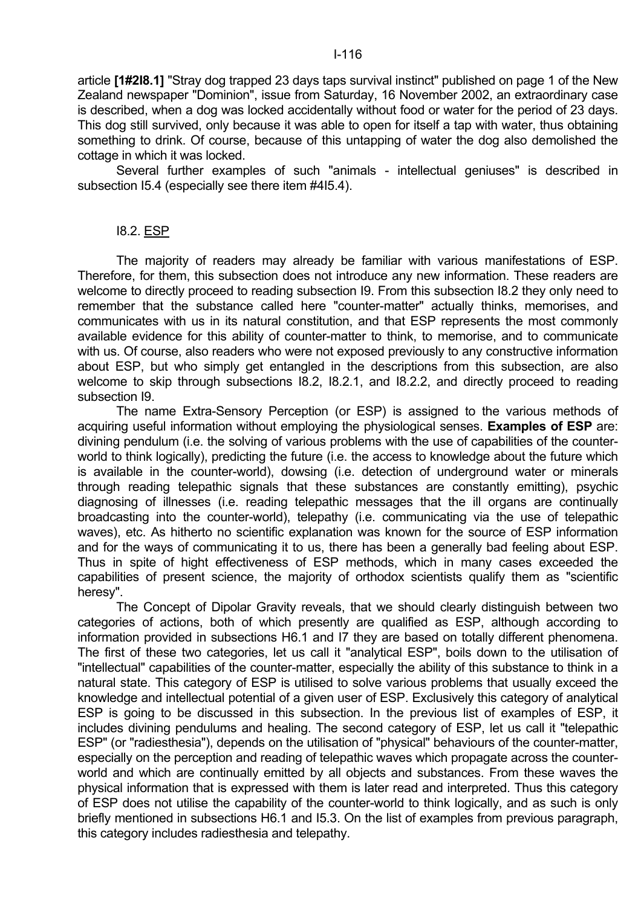article **[1#2I8.1]** "Stray dog trapped 23 days taps survival instinct" published on page 1 of the New Zealand newspaper "Dominion", issue from Saturday, 16 November 2002, an extraordinary case is described, when a dog was locked accidentally without food or water for the period of 23 days. This dog still survived, only because it was able to open for itself a tap with water, thus obtaining something to drink. Of course, because of this untapping of water the dog also demolished the cottage in which it was locked.

 Several further examples of such "animals - intellectual geniuses" is described in subsection I5.4 (especially see there item #4I5.4).

### I8.2. ESP

 The majority of readers may already be familiar with various manifestations of ESP. Therefore, for them, this subsection does not introduce any new information. These readers are welcome to directly proceed to reading subsection I9. From this subsection I8.2 they only need to remember that the substance called here "counter-matter" actually thinks, memorises, and communicates with us in its natural constitution, and that ESP represents the most commonly available evidence for this ability of counter-matter to think, to memorise, and to communicate with us. Of course, also readers who were not exposed previously to any constructive information about ESP, but who simply get entangled in the descriptions from this subsection, are also welcome to skip through subsections I8.2, I8.2.1, and I8.2.2, and directly proceed to reading subsection I9.

 The name Extra-Sensory Perception (or ESP) is assigned to the various methods of acquiring useful information without employing the physiological senses. **Examples of ESP** are: divining pendulum (i.e. the solving of various problems with the use of capabilities of the counterworld to think logically), predicting the future (i.e. the access to knowledge about the future which is available in the counter-world), dowsing (i.e. detection of underground water or minerals through reading telepathic signals that these substances are constantly emitting), psychic diagnosing of illnesses (i.e. reading telepathic messages that the ill organs are continually broadcasting into the counter-world), telepathy (i.e. communicating via the use of telepathic waves), etc. As hitherto no scientific explanation was known for the source of ESP information and for the ways of communicating it to us, there has been a generally bad feeling about ESP. Thus in spite of hight effectiveness of ESP methods, which in many cases exceeded the capabilities of present science, the majority of orthodox scientists qualify them as "scientific heresy".

 The Concept of Dipolar Gravity reveals, that we should clearly distinguish between two categories of actions, both of which presently are qualified as ESP, although according to information provided in subsections H6.1 and I7 they are based on totally different phenomena. The first of these two categories, let us call it "analytical ESP", boils down to the utilisation of "intellectual" capabilities of the counter-matter, especially the ability of this substance to think in a natural state. This category of ESP is utilised to solve various problems that usually exceed the knowledge and intellectual potential of a given user of ESP. Exclusively this category of analytical ESP is going to be discussed in this subsection. In the previous list of examples of ESP, it includes divining pendulums and healing. The second category of ESP, let us call it "telepathic ESP" (or "radiesthesia"), depends on the utilisation of "physical" behaviours of the counter-matter, especially on the perception and reading of telepathic waves which propagate across the counterworld and which are continually emitted by all objects and substances. From these waves the physical information that is expressed with them is later read and interpreted. Thus this category of ESP does not utilise the capability of the counter-world to think logically, and as such is only briefly mentioned in subsections H6.1 and I5.3. On the list of examples from previous paragraph, this category includes radiesthesia and telepathy.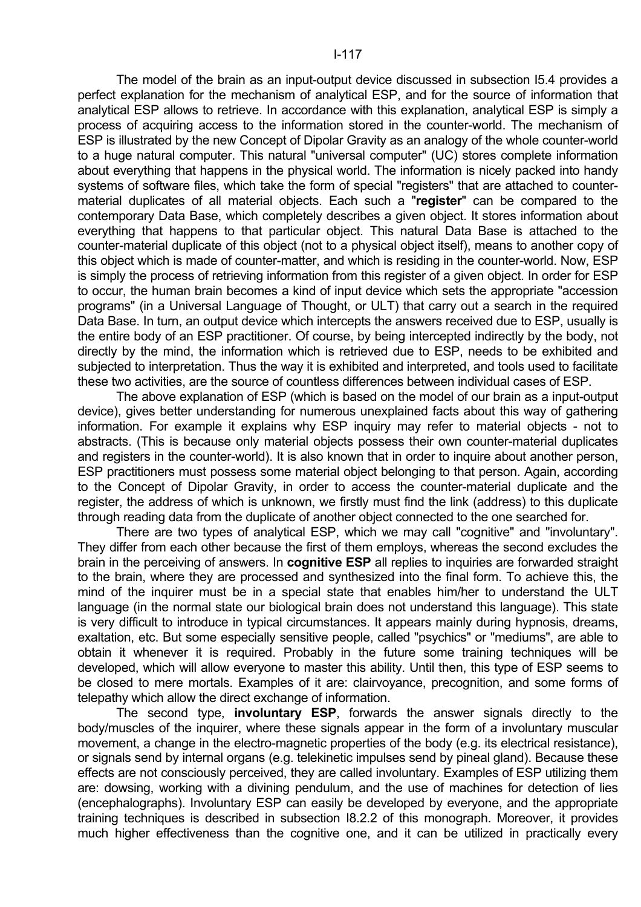The model of the brain as an input-output device discussed in subsection I5.4 provides a perfect explanation for the mechanism of analytical ESP, and for the source of information that analytical ESP allows to retrieve. In accordance with this explanation, analytical ESP is simply a process of acquiring access to the information stored in the counter-world. The mechanism of ESP is illustrated by the new Concept of Dipolar Gravity as an analogy of the whole counter-world to a huge natural computer. This natural "universal computer" (UC) stores complete information about everything that happens in the physical world. The information is nicely packed into handy systems of software files, which take the form of special "registers" that are attached to countermaterial duplicates of all material objects. Each such a "**register**" can be compared to the contemporary Data Base, which completely describes a given object. It stores information about everything that happens to that particular object. This natural Data Base is attached to the counter-material duplicate of this object (not to a physical object itself), means to another copy of this object which is made of counter-matter, and which is residing in the counter-world. Now, ESP is simply the process of retrieving information from this register of a given object. In order for ESP to occur, the human brain becomes a kind of input device which sets the appropriate "accession programs" (in a Universal Language of Thought, or ULT) that carry out a search in the required Data Base. In turn, an output device which intercepts the answers received due to ESP, usually is the entire body of an ESP practitioner. Of course, by being intercepted indirectly by the body, not directly by the mind, the information which is retrieved due to ESP, needs to be exhibited and subjected to interpretation. Thus the way it is exhibited and interpreted, and tools used to facilitate these two activities, are the source of countless differences between individual cases of ESP.

 The above explanation of ESP (which is based on the model of our brain as a input-output device), gives better understanding for numerous unexplained facts about this way of gathering information. For example it explains why ESP inquiry may refer to material objects - not to abstracts. (This is because only material objects possess their own counter-material duplicates and registers in the counter-world). It is also known that in order to inquire about another person, ESP practitioners must possess some material object belonging to that person. Again, according to the Concept of Dipolar Gravity, in order to access the counter-material duplicate and the register, the address of which is unknown, we firstly must find the link (address) to this duplicate through reading data from the duplicate of another object connected to the one searched for.

 There are two types of analytical ESP, which we may call "cognitive" and "involuntary". They differ from each other because the first of them employs, whereas the second excludes the brain in the perceiving of answers. In **cognitive ESP** all replies to inquiries are forwarded straight to the brain, where they are processed and synthesized into the final form. To achieve this, the mind of the inquirer must be in a special state that enables him/her to understand the ULT language (in the normal state our biological brain does not understand this language). This state is very difficult to introduce in typical circumstances. It appears mainly during hypnosis, dreams, exaltation, etc. But some especially sensitive people, called "psychics" or "mediums", are able to obtain it whenever it is required. Probably in the future some training techniques will be developed, which will allow everyone to master this ability. Until then, this type of ESP seems to be closed to mere mortals. Examples of it are: clairvoyance, precognition, and some forms of telepathy which allow the direct exchange of information.

 The second type, **involuntary ESP**, forwards the answer signals directly to the body/muscles of the inquirer, where these signals appear in the form of a involuntary muscular movement, a change in the electro-magnetic properties of the body (e.g. its electrical resistance), or signals send by internal organs (e.g. telekinetic impulses send by pineal gland). Because these effects are not consciously perceived, they are called involuntary. Examples of ESP utilizing them are: dowsing, working with a divining pendulum, and the use of machines for detection of lies (encephalographs). Involuntary ESP can easily be developed by everyone, and the appropriate training techniques is described in subsection I8.2.2 of this monograph. Moreover, it provides much higher effectiveness than the cognitive one, and it can be utilized in practically every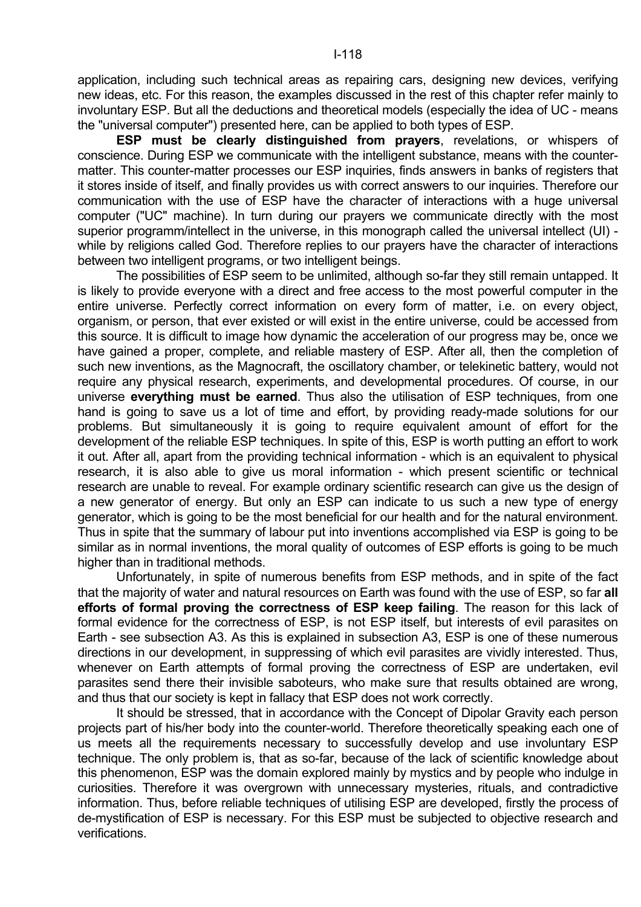application, including such technical areas as repairing cars, designing new devices, verifying new ideas, etc. For this reason, the examples discussed in the rest of this chapter refer mainly to involuntary ESP. But all the deductions and theoretical models (especially the idea of UC - means the "universal computer") presented here, can be applied to both types of ESP.

 **ESP must be clearly distinguished from prayers**, revelations, or whispers of conscience. During ESP we communicate with the intelligent substance, means with the countermatter. This counter-matter processes our ESP inquiries, finds answers in banks of registers that it stores inside of itself, and finally provides us with correct answers to our inquiries. Therefore our communication with the use of ESP have the character of interactions with a huge universal computer ("UC" machine). In turn during our prayers we communicate directly with the most superior programm/intellect in the universe, in this monograph called the universal intellect (UI) while by religions called God. Therefore replies to our prayers have the character of interactions between two intelligent programs, or two intelligent beings.

 The possibilities of ESP seem to be unlimited, although so-far they still remain untapped. It is likely to provide everyone with a direct and free access to the most powerful computer in the entire universe. Perfectly correct information on every form of matter, i.e. on every object, organism, or person, that ever existed or will exist in the entire universe, could be accessed from this source. It is difficult to image how dynamic the acceleration of our progress may be, once we have gained a proper, complete, and reliable mastery of ESP. After all, then the completion of such new inventions, as the Magnocraft, the oscillatory chamber, or telekinetic battery, would not require any physical research, experiments, and developmental procedures. Of course, in our universe **everything must be earned**. Thus also the utilisation of ESP techniques, from one hand is going to save us a lot of time and effort, by providing ready-made solutions for our problems. But simultaneously it is going to require equivalent amount of effort for the development of the reliable ESP techniques. In spite of this, ESP is worth putting an effort to work it out. After all, apart from the providing technical information - which is an equivalent to physical research, it is also able to give us moral information - which present scientific or technical research are unable to reveal. For example ordinary scientific research can give us the design of a new generator of energy. But only an ESP can indicate to us such a new type of energy generator, which is going to be the most beneficial for our health and for the natural environment. Thus in spite that the summary of labour put into inventions accomplished via ESP is going to be similar as in normal inventions, the moral quality of outcomes of ESP efforts is going to be much higher than in traditional methods.

 Unfortunately, in spite of numerous benefits from ESP methods, and in spite of the fact that the majority of water and natural resources on Earth was found with the use of ESP, so far **all efforts of formal proving the correctness of ESP keep failing**. The reason for this lack of formal evidence for the correctness of ESP, is not ESP itself, but interests of evil parasites on Earth - see subsection A3. As this is explained in subsection A3, ESP is one of these numerous directions in our development, in suppressing of which evil parasites are vividly interested. Thus, whenever on Earth attempts of formal proving the correctness of ESP are undertaken, evil parasites send there their invisible saboteurs, who make sure that results obtained are wrong, and thus that our society is kept in fallacy that ESP does not work correctly.

 It should be stressed, that in accordance with the Concept of Dipolar Gravity each person projects part of his/her body into the counter-world. Therefore theoretically speaking each one of us meets all the requirements necessary to successfully develop and use involuntary ESP technique. The only problem is, that as so-far, because of the lack of scientific knowledge about this phenomenon, ESP was the domain explored mainly by mystics and by people who indulge in curiosities. Therefore it was overgrown with unnecessary mysteries, rituals, and contradictive information. Thus, before reliable techniques of utilising ESP are developed, firstly the process of de-mystification of ESP is necessary. For this ESP must be subjected to objective research and verifications.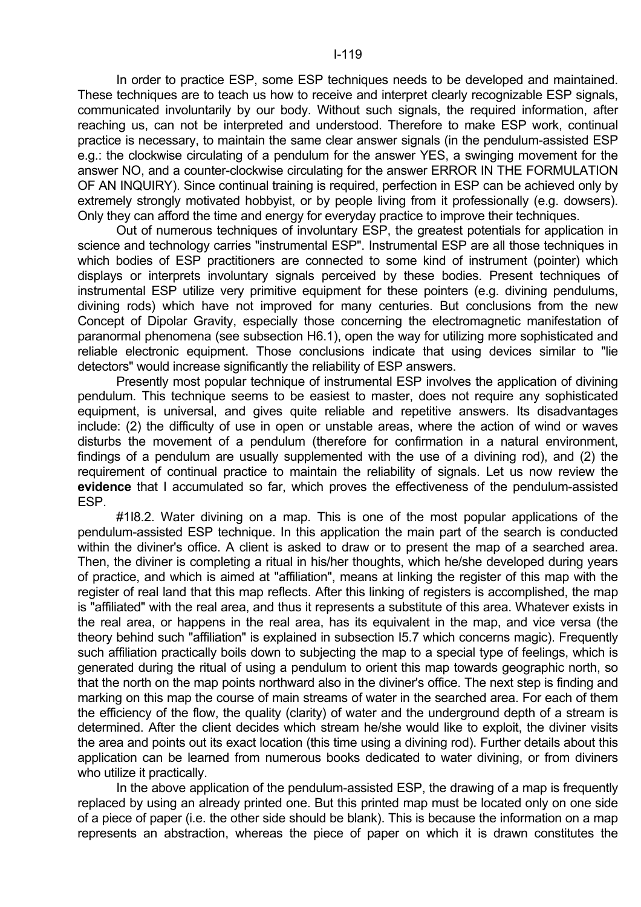In order to practice ESP, some ESP techniques needs to be developed and maintained. These techniques are to teach us how to receive and interpret clearly recognizable ESP signals, communicated involuntarily by our body. Without such signals, the required information, after reaching us, can not be interpreted and understood. Therefore to make ESP work, continual practice is necessary, to maintain the same clear answer signals (in the pendulum-assisted ESP e.g.: the clockwise circulating of a pendulum for the answer YES, a swinging movement for the answer NO, and a counter-clockwise circulating for the answer ERROR IN THE FORMULATION OF AN INQUIRY). Since continual training is required, perfection in ESP can be achieved only by extremely strongly motivated hobbyist, or by people living from it professionally (e.g. dowsers). Only they can afford the time and energy for everyday practice to improve their techniques.

 Out of numerous techniques of involuntary ESP, the greatest potentials for application in science and technology carries "instrumental ESP". Instrumental ESP are all those techniques in which bodies of ESP practitioners are connected to some kind of instrument (pointer) which displays or interprets involuntary signals perceived by these bodies. Present techniques of instrumental ESP utilize very primitive equipment for these pointers (e.g. divining pendulums, divining rods) which have not improved for many centuries. But conclusions from the new Concept of Dipolar Gravity, especially those concerning the electromagnetic manifestation of paranormal phenomena (see subsection H6.1), open the way for utilizing more sophisticated and reliable electronic equipment. Those conclusions indicate that using devices similar to "lie detectors" would increase significantly the reliability of ESP answers.

 Presently most popular technique of instrumental ESP involves the application of divining pendulum. This technique seems to be easiest to master, does not require any sophisticated equipment, is universal, and gives quite reliable and repetitive answers. Its disadvantages include: (2) the difficulty of use in open or unstable areas, where the action of wind or waves disturbs the movement of a pendulum (therefore for confirmation in a natural environment, findings of a pendulum are usually supplemented with the use of a divining rod), and (2) the requirement of continual practice to maintain the reliability of signals. Let us now review the **evidence** that I accumulated so far, which proves the effectiveness of the pendulum-assisted ESP.

 #1I8.2. Water divining on a map. This is one of the most popular applications of the pendulum-assisted ESP technique. In this application the main part of the search is conducted within the diviner's office. A client is asked to draw or to present the map of a searched area. Then, the diviner is completing a ritual in his/her thoughts, which he/she developed during years of practice, and which is aimed at "affiliation", means at linking the register of this map with the register of real land that this map reflects. After this linking of registers is accomplished, the map is "affiliated" with the real area, and thus it represents a substitute of this area. Whatever exists in the real area, or happens in the real area, has its equivalent in the map, and vice versa (the theory behind such "affiliation" is explained in subsection I5.7 which concerns magic). Frequently such affiliation practically boils down to subjecting the map to a special type of feelings, which is generated during the ritual of using a pendulum to orient this map towards geographic north, so that the north on the map points northward also in the diviner's office. The next step is finding and marking on this map the course of main streams of water in the searched area. For each of them the efficiency of the flow, the quality (clarity) of water and the underground depth of a stream is determined. After the client decides which stream he/she would like to exploit, the diviner visits the area and points out its exact location (this time using a divining rod). Further details about this application can be learned from numerous books dedicated to water divining, or from diviners who utilize it practically.

 In the above application of the pendulum-assisted ESP, the drawing of a map is frequently replaced by using an already printed one. But this printed map must be located only on one side of a piece of paper (i.e. the other side should be blank). This is because the information on a map represents an abstraction, whereas the piece of paper on which it is drawn constitutes the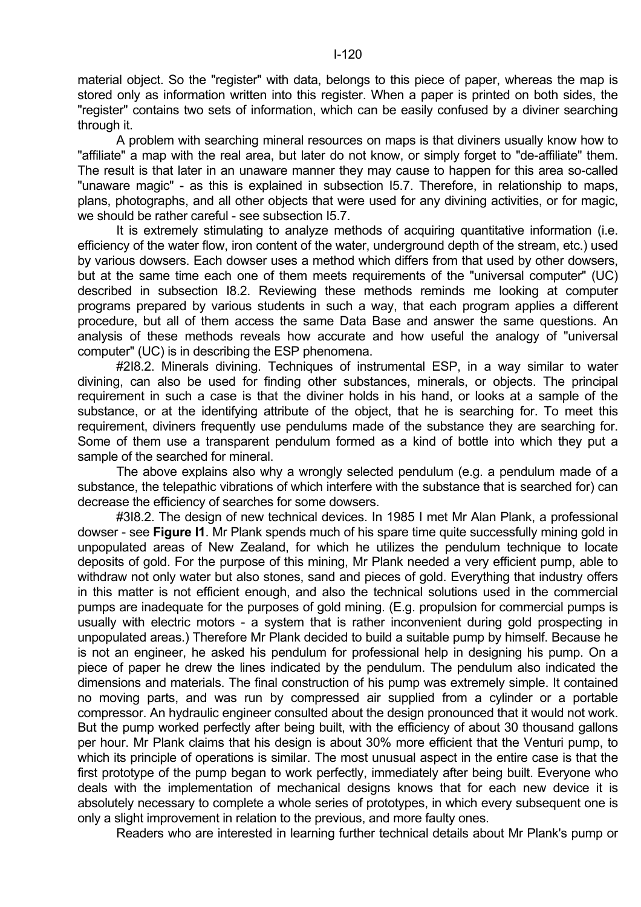material object. So the "register" with data, belongs to this piece of paper, whereas the map is stored only as information written into this register. When a paper is printed on both sides, the "register" contains two sets of information, which can be easily confused by a diviner searching through it.

 A problem with searching mineral resources on maps is that diviners usually know how to "affiliate" a map with the real area, but later do not know, or simply forget to "de-affiliate" them. The result is that later in an unaware manner they may cause to happen for this area so-called "unaware magic" - as this is explained in subsection I5.7. Therefore, in relationship to maps, plans, photographs, and all other objects that were used for any divining activities, or for magic, we should be rather careful - see subsection I5.7.

 It is extremely stimulating to analyze methods of acquiring quantitative information (i.e. efficiency of the water flow, iron content of the water, underground depth of the stream, etc.) used by various dowsers. Each dowser uses a method which differs from that used by other dowsers, but at the same time each one of them meets requirements of the "universal computer" (UC) described in subsection I8.2. Reviewing these methods reminds me looking at computer programs prepared by various students in such a way, that each program applies a different procedure, but all of them access the same Data Base and answer the same questions. An analysis of these methods reveals how accurate and how useful the analogy of "universal computer" (UC) is in describing the ESP phenomena.

 #2I8.2. Minerals divining. Techniques of instrumental ESP, in a way similar to water divining, can also be used for finding other substances, minerals, or objects. The principal requirement in such a case is that the diviner holds in his hand, or looks at a sample of the substance, or at the identifying attribute of the object, that he is searching for. To meet this requirement, diviners frequently use pendulums made of the substance they are searching for. Some of them use a transparent pendulum formed as a kind of bottle into which they put a sample of the searched for mineral.

 The above explains also why a wrongly selected pendulum (e.g. a pendulum made of a substance, the telepathic vibrations of which interfere with the substance that is searched for) can decrease the efficiency of searches for some dowsers.

 #3I8.2. The design of new technical devices. In 1985 I met Mr Alan Plank, a professional dowser - see **Figure I1**. Mr Plank spends much of his spare time quite successfully mining gold in unpopulated areas of New Zealand, for which he utilizes the pendulum technique to locate deposits of gold. For the purpose of this mining, Mr Plank needed a very efficient pump, able to withdraw not only water but also stones, sand and pieces of gold. Everything that industry offers in this matter is not efficient enough, and also the technical solutions used in the commercial pumps are inadequate for the purposes of gold mining. (E.g. propulsion for commercial pumps is usually with electric motors - a system that is rather inconvenient during gold prospecting in unpopulated areas.) Therefore Mr Plank decided to build a suitable pump by himself. Because he is not an engineer, he asked his pendulum for professional help in designing his pump. On a piece of paper he drew the lines indicated by the pendulum. The pendulum also indicated the dimensions and materials. The final construction of his pump was extremely simple. It contained no moving parts, and was run by compressed air supplied from a cylinder or a portable compressor. An hydraulic engineer consulted about the design pronounced that it would not work. But the pump worked perfectly after being built, with the efficiency of about 30 thousand gallons per hour. Mr Plank claims that his design is about 30% more efficient that the Venturi pump, to which its principle of operations is similar. The most unusual aspect in the entire case is that the first prototype of the pump began to work perfectly, immediately after being built. Everyone who deals with the implementation of mechanical designs knows that for each new device it is absolutely necessary to complete a whole series of prototypes, in which every subsequent one is only a slight improvement in relation to the previous, and more faulty ones.

Readers who are interested in learning further technical details about Mr Plank's pump or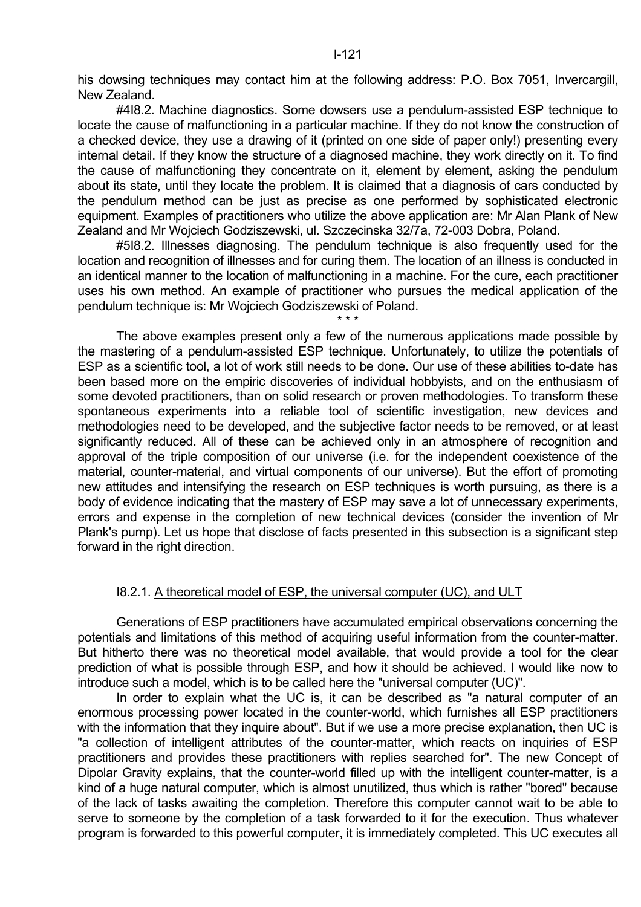his dowsing techniques may contact him at the following address: P.O. Box 7051, Invercargill, New Zealand.

 #4I8.2. Machine diagnostics. Some dowsers use a pendulum-assisted ESP technique to locate the cause of malfunctioning in a particular machine. If they do not know the construction of a checked device, they use a drawing of it (printed on one side of paper only!) presenting every internal detail. If they know the structure of a diagnosed machine, they work directly on it. To find the cause of malfunctioning they concentrate on it, element by element, asking the pendulum about its state, until they locate the problem. It is claimed that a diagnosis of cars conducted by the pendulum method can be just as precise as one performed by sophisticated electronic equipment. Examples of practitioners who utilize the above application are: Mr Alan Plank of New Zealand and Mr Wojciech Godziszewski, ul. Szczecinska 32/7a, 72-003 Dobra, Poland.

 #5I8.2. Illnesses diagnosing. The pendulum technique is also frequently used for the location and recognition of illnesses and for curing them. The location of an illness is conducted in an identical manner to the location of malfunctioning in a machine. For the cure, each practitioner uses his own method. An example of practitioner who pursues the medical application of the pendulum technique is: Mr Wojciech Godziszewski of Poland.

 $\star \star \star$  The above examples present only a few of the numerous applications made possible by the mastering of a pendulum-assisted ESP technique. Unfortunately, to utilize the potentials of ESP as a scientific tool, a lot of work still needs to be done. Our use of these abilities to-date has been based more on the empiric discoveries of individual hobbyists, and on the enthusiasm of some devoted practitioners, than on solid research or proven methodologies. To transform these spontaneous experiments into a reliable tool of scientific investigation, new devices and methodologies need to be developed, and the subjective factor needs to be removed, or at least significantly reduced. All of these can be achieved only in an atmosphere of recognition and approval of the triple composition of our universe (i.e. for the independent coexistence of the material, counter-material, and virtual components of our universe). But the effort of promoting new attitudes and intensifying the research on ESP techniques is worth pursuing, as there is a body of evidence indicating that the mastery of ESP may save a lot of unnecessary experiments, errors and expense in the completion of new technical devices (consider the invention of Mr Plank's pump). Let us hope that disclose of facts presented in this subsection is a significant step forward in the right direction.

### I8.2.1. A theoretical model of ESP, the universal computer (UC), and ULT

 Generations of ESP practitioners have accumulated empirical observations concerning the potentials and limitations of this method of acquiring useful information from the counter-matter. But hitherto there was no theoretical model available, that would provide a tool for the clear prediction of what is possible through ESP, and how it should be achieved. I would like now to introduce such a model, which is to be called here the "universal computer (UC)".

In order to explain what the UC is, it can be described as "a natural computer of an enormous processing power located in the counter-world, which furnishes all ESP practitioners with the information that they inquire about". But if we use a more precise explanation, then UC is "a collection of intelligent attributes of the counter-matter, which reacts on inquiries of ESP practitioners and provides these practitioners with replies searched for". The new Concept of Dipolar Gravity explains, that the counter-world filled up with the intelligent counter-matter, is a kind of a huge natural computer, which is almost unutilized, thus which is rather "bored" because of the lack of tasks awaiting the completion. Therefore this computer cannot wait to be able to serve to someone by the completion of a task forwarded to it for the execution. Thus whatever program is forwarded to this powerful computer, it is immediately completed. This UC executes all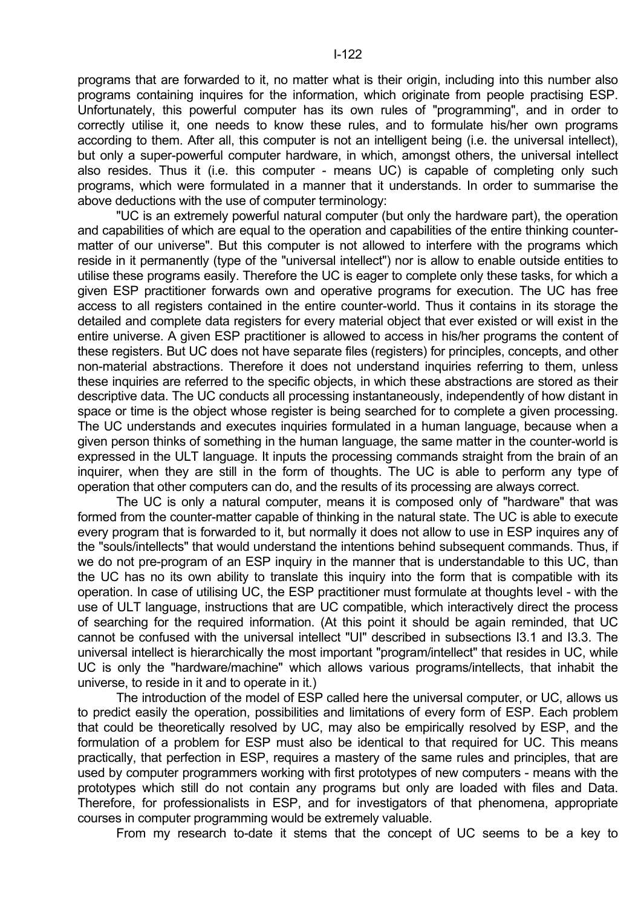programs that are forwarded to it, no matter what is their origin, including into this number also programs containing inquires for the information, which originate from people practising ESP. Unfortunately, this powerful computer has its own rules of "programming", and in order to correctly utilise it, one needs to know these rules, and to formulate his/her own programs according to them. After all, this computer is not an intelligent being (i.e. the universal intellect), but only a super-powerful computer hardware, in which, amongst others, the universal intellect also resides. Thus it (i.e. this computer - means UC) is capable of completing only such programs, which were formulated in a manner that it understands. In order to summarise the above deductions with the use of computer terminology:

 "UC is an extremely powerful natural computer (but only the hardware part), the operation and capabilities of which are equal to the operation and capabilities of the entire thinking countermatter of our universe". But this computer is not allowed to interfere with the programs which reside in it permanently (type of the "universal intellect") nor is allow to enable outside entities to utilise these programs easily. Therefore the UC is eager to complete only these tasks, for which a given ESP practitioner forwards own and operative programs for execution. The UC has free access to all registers contained in the entire counter-world. Thus it contains in its storage the detailed and complete data registers for every material object that ever existed or will exist in the entire universe. A given ESP practitioner is allowed to access in his/her programs the content of these registers. But UC does not have separate files (registers) for principles, concepts, and other non-material abstractions. Therefore it does not understand inquiries referring to them, unless these inquiries are referred to the specific objects, in which these abstractions are stored as their descriptive data. The UC conducts all processing instantaneously, independently of how distant in space or time is the object whose register is being searched for to complete a given processing. The UC understands and executes inquiries formulated in a human language, because when a given person thinks of something in the human language, the same matter in the counter-world is expressed in the ULT language. It inputs the processing commands straight from the brain of an inquirer, when they are still in the form of thoughts. The UC is able to perform any type of operation that other computers can do, and the results of its processing are always correct.

 The UC is only a natural computer, means it is composed only of "hardware" that was formed from the counter-matter capable of thinking in the natural state. The UC is able to execute every program that is forwarded to it, but normally it does not allow to use in ESP inquires any of the "souls/intellects" that would understand the intentions behind subsequent commands. Thus, if we do not pre-program of an ESP inquiry in the manner that is understandable to this UC, than the UC has no its own ability to translate this inquiry into the form that is compatible with its operation. In case of utilising UC, the ESP practitioner must formulate at thoughts level - with the use of ULT language, instructions that are UC compatible, which interactively direct the process of searching for the required information. (At this point it should be again reminded, that UC cannot be confused with the universal intellect "UI" described in subsections I3.1 and I3.3. The universal intellect is hierarchically the most important "program/intellect" that resides in UC, while UC is only the "hardware/machine" which allows various programs/intellects, that inhabit the universe, to reside in it and to operate in it.)

 The introduction of the model of ESP called here the universal computer, or UC, allows us to predict easily the operation, possibilities and limitations of every form of ESP. Each problem that could be theoretically resolved by UC, may also be empirically resolved by ESP, and the formulation of a problem for ESP must also be identical to that required for UC. This means practically, that perfection in ESP, requires a mastery of the same rules and principles, that are used by computer programmers working with first prototypes of new computers - means with the prototypes which still do not contain any programs but only are loaded with files and Data. Therefore, for professionalists in ESP, and for investigators of that phenomena, appropriate courses in computer programming would be extremely valuable.

From my research to-date it stems that the concept of UC seems to be a key to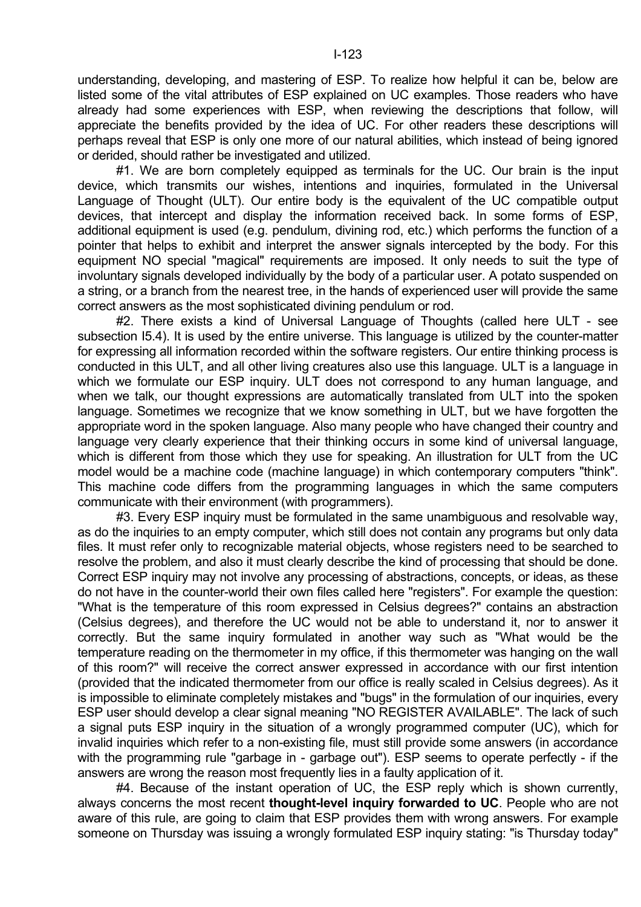understanding, developing, and mastering of ESP. To realize how helpful it can be, below are listed some of the vital attributes of ESP explained on UC examples. Those readers who have already had some experiences with ESP, when reviewing the descriptions that follow, will appreciate the benefits provided by the idea of UC. For other readers these descriptions will perhaps reveal that ESP is only one more of our natural abilities, which instead of being ignored or derided, should rather be investigated and utilized.

 #1. We are born completely equipped as terminals for the UC. Our brain is the input device, which transmits our wishes, intentions and inquiries, formulated in the Universal Language of Thought (ULT). Our entire body is the equivalent of the UC compatible output devices, that intercept and display the information received back. In some forms of ESP, additional equipment is used (e.g. pendulum, divining rod, etc.) which performs the function of a pointer that helps to exhibit and interpret the answer signals intercepted by the body. For this equipment NO special "magical" requirements are imposed. It only needs to suit the type of involuntary signals developed individually by the body of a particular user. A potato suspended on a string, or a branch from the nearest tree, in the hands of experienced user will provide the same correct answers as the most sophisticated divining pendulum or rod.

 #2. There exists a kind of Universal Language of Thoughts (called here ULT - see subsection I5.4). It is used by the entire universe. This language is utilized by the counter-matter for expressing all information recorded within the software registers. Our entire thinking process is conducted in this ULT, and all other living creatures also use this language. ULT is a language in which we formulate our ESP inquiry. ULT does not correspond to any human language, and when we talk, our thought expressions are automatically translated from ULT into the spoken language. Sometimes we recognize that we know something in ULT, but we have forgotten the appropriate word in the spoken language. Also many people who have changed their country and language very clearly experience that their thinking occurs in some kind of universal language, which is different from those which they use for speaking. An illustration for ULT from the UC model would be a machine code (machine language) in which contemporary computers "think". This machine code differs from the programming languages in which the same computers communicate with their environment (with programmers).

 #3. Every ESP inquiry must be formulated in the same unambiguous and resolvable way, as do the inquiries to an empty computer, which still does not contain any programs but only data files. It must refer only to recognizable material objects, whose registers need to be searched to resolve the problem, and also it must clearly describe the kind of processing that should be done. Correct ESP inquiry may not involve any processing of abstractions, concepts, or ideas, as these do not have in the counter-world their own files called here "registers". For example the question: "What is the temperature of this room expressed in Celsius degrees?" contains an abstraction (Celsius degrees), and therefore the UC would not be able to understand it, nor to answer it correctly. But the same inquiry formulated in another way such as "What would be the temperature reading on the thermometer in my office, if this thermometer was hanging on the wall of this room?" will receive the correct answer expressed in accordance with our first intention (provided that the indicated thermometer from our office is really scaled in Celsius degrees). As it is impossible to eliminate completely mistakes and "bugs" in the formulation of our inquiries, every ESP user should develop a clear signal meaning "NO REGISTER AVAILABLE". The lack of such a signal puts ESP inquiry in the situation of a wrongly programmed computer (UC), which for invalid inquiries which refer to a non-existing file, must still provide some answers (in accordance with the programming rule "garbage in - garbage out"). ESP seems to operate perfectly - if the answers are wrong the reason most frequently lies in a faulty application of it.

 #4. Because of the instant operation of UC, the ESP reply which is shown currently, always concerns the most recent **thought-level inquiry forwarded to UC**. People who are not aware of this rule, are going to claim that ESP provides them with wrong answers. For example someone on Thursday was issuing a wrongly formulated ESP inquiry stating: "is Thursday today"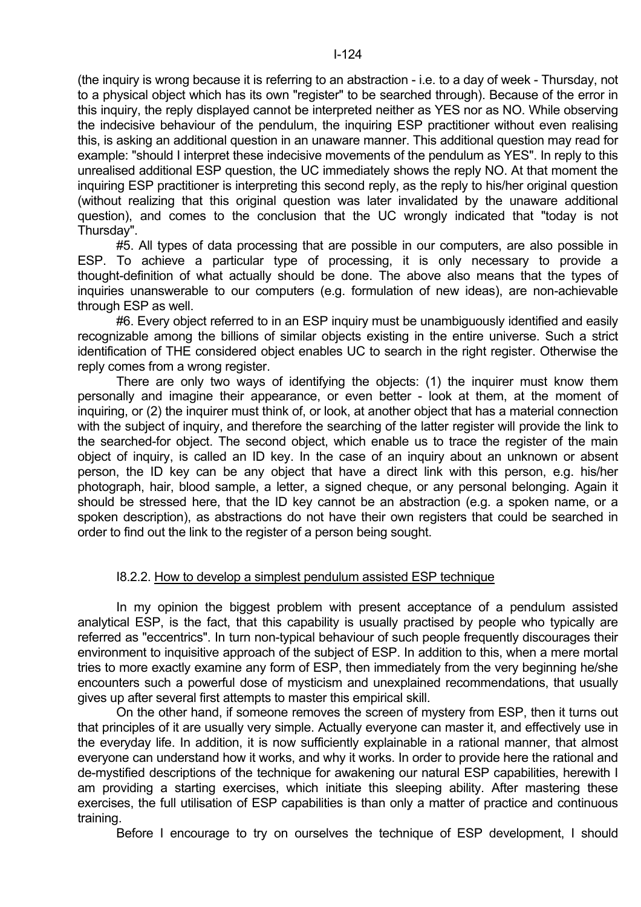(the inquiry is wrong because it is referring to an abstraction - i.e. to a day of week - Thursday, not to a physical object which has its own "register" to be searched through). Because of the error in this inquiry, the reply displayed cannot be interpreted neither as YES nor as NO. While observing the indecisive behaviour of the pendulum, the inquiring ESP practitioner without even realising this, is asking an additional question in an unaware manner. This additional question may read for example: "should I interpret these indecisive movements of the pendulum as YES". In reply to this unrealised additional ESP question, the UC immediately shows the reply NO. At that moment the inquiring ESP practitioner is interpreting this second reply, as the reply to his/her original question (without realizing that this original question was later invalidated by the unaware additional question), and comes to the conclusion that the UC wrongly indicated that "today is not Thursday".

 #5. All types of data processing that are possible in our computers, are also possible in ESP. To achieve a particular type of processing, it is only necessary to provide a thought-definition of what actually should be done. The above also means that the types of inquiries unanswerable to our computers (e.g. formulation of new ideas), are non-achievable through ESP as well.

 #6. Every object referred to in an ESP inquiry must be unambiguously identified and easily recognizable among the billions of similar objects existing in the entire universe. Such a strict identification of THE considered object enables UC to search in the right register. Otherwise the reply comes from a wrong register.

 There are only two ways of identifying the objects: (1) the inquirer must know them personally and imagine their appearance, or even better - look at them, at the moment of inquiring, or (2) the inquirer must think of, or look, at another object that has a material connection with the subject of inquiry, and therefore the searching of the latter register will provide the link to the searched-for object. The second object, which enable us to trace the register of the main object of inquiry, is called an ID key. In the case of an inquiry about an unknown or absent person, the ID key can be any object that have a direct link with this person, e.g. his/her photograph, hair, blood sample, a letter, a signed cheque, or any personal belonging. Again it should be stressed here, that the ID key cannot be an abstraction (e.g. a spoken name, or a spoken description), as abstractions do not have their own registers that could be searched in order to find out the link to the register of a person being sought.

### I8.2.2. How to develop a simplest pendulum assisted ESP technique

 In my opinion the biggest problem with present acceptance of a pendulum assisted analytical ESP, is the fact, that this capability is usually practised by people who typically are referred as "eccentrics". In turn non-typical behaviour of such people frequently discourages their environment to inquisitive approach of the subject of ESP. In addition to this, when a mere mortal tries to more exactly examine any form of ESP, then immediately from the very beginning he/she encounters such a powerful dose of mysticism and unexplained recommendations, that usually gives up after several first attempts to master this empirical skill.

 On the other hand, if someone removes the screen of mystery from ESP, then it turns out that principles of it are usually very simple. Actually everyone can master it, and effectively use in the everyday life. In addition, it is now sufficiently explainable in a rational manner, that almost everyone can understand how it works, and why it works. In order to provide here the rational and de-mystified descriptions of the technique for awakening our natural ESP capabilities, herewith I am providing a starting exercises, which initiate this sleeping ability. After mastering these exercises, the full utilisation of ESP capabilities is than only a matter of practice and continuous training.

Before I encourage to try on ourselves the technique of ESP development, I should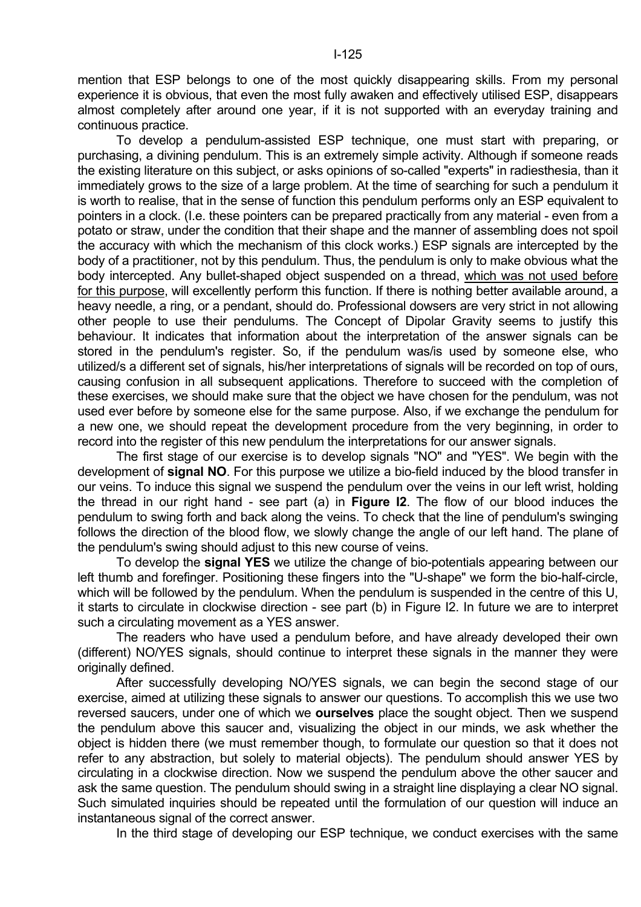mention that ESP belongs to one of the most quickly disappearing skills. From my personal experience it is obvious, that even the most fully awaken and effectively utilised ESP, disappears almost completely after around one year, if it is not supported with an everyday training and continuous practice.

 To develop a pendulum-assisted ESP technique, one must start with preparing, or purchasing, a divining pendulum. This is an extremely simple activity. Although if someone reads the existing literature on this subject, or asks opinions of so-called "experts" in radiesthesia, than it immediately grows to the size of a large problem. At the time of searching for such a pendulum it is worth to realise, that in the sense of function this pendulum performs only an ESP equivalent to pointers in a clock. (I.e. these pointers can be prepared practically from any material - even from a potato or straw, under the condition that their shape and the manner of assembling does not spoil the accuracy with which the mechanism of this clock works.) ESP signals are intercepted by the body of a practitioner, not by this pendulum. Thus, the pendulum is only to make obvious what the body intercepted. Any bullet-shaped object suspended on a thread, which was not used before for this purpose, will excellently perform this function. If there is nothing better available around, a heavy needle, a ring, or a pendant, should do. Professional dowsers are very strict in not allowing other people to use their pendulums. The Concept of Dipolar Gravity seems to justify this behaviour. It indicates that information about the interpretation of the answer signals can be stored in the pendulum's register. So, if the pendulum was/is used by someone else, who utilized/s a different set of signals, his/her interpretations of signals will be recorded on top of ours, causing confusion in all subsequent applications. Therefore to succeed with the completion of these exercises, we should make sure that the object we have chosen for the pendulum, was not used ever before by someone else for the same purpose. Also, if we exchange the pendulum for a new one, we should repeat the development procedure from the very beginning, in order to record into the register of this new pendulum the interpretations for our answer signals.

 The first stage of our exercise is to develop signals "NO" and "YES". We begin with the development of **signal NO**. For this purpose we utilize a bio-field induced by the blood transfer in our veins. To induce this signal we suspend the pendulum over the veins in our left wrist, holding the thread in our right hand - see part (a) in **Figure I2**. The flow of our blood induces the pendulum to swing forth and back along the veins. To check that the line of pendulum's swinging follows the direction of the blood flow, we slowly change the angle of our left hand. The plane of the pendulum's swing should adjust to this new course of veins.

 To develop the **signal YES** we utilize the change of bio-potentials appearing between our left thumb and forefinger. Positioning these fingers into the "U-shape" we form the bio-half-circle, which will be followed by the pendulum. When the pendulum is suspended in the centre of this U, it starts to circulate in clockwise direction - see part (b) in Figure I2. In future we are to interpret such a circulating movement as a YES answer.

 The readers who have used a pendulum before, and have already developed their own (different) NO/YES signals, should continue to interpret these signals in the manner they were originally defined.

 After successfully developing NO/YES signals, we can begin the second stage of our exercise, aimed at utilizing these signals to answer our questions. To accomplish this we use two reversed saucers, under one of which we **ourselves** place the sought object. Then we suspend the pendulum above this saucer and, visualizing the object in our minds, we ask whether the object is hidden there (we must remember though, to formulate our question so that it does not refer to any abstraction, but solely to material objects). The pendulum should answer YES by circulating in a clockwise direction. Now we suspend the pendulum above the other saucer and ask the same question. The pendulum should swing in a straight line displaying a clear NO signal. Such simulated inquiries should be repeated until the formulation of our question will induce an instantaneous signal of the correct answer.

In the third stage of developing our ESP technique, we conduct exercises with the same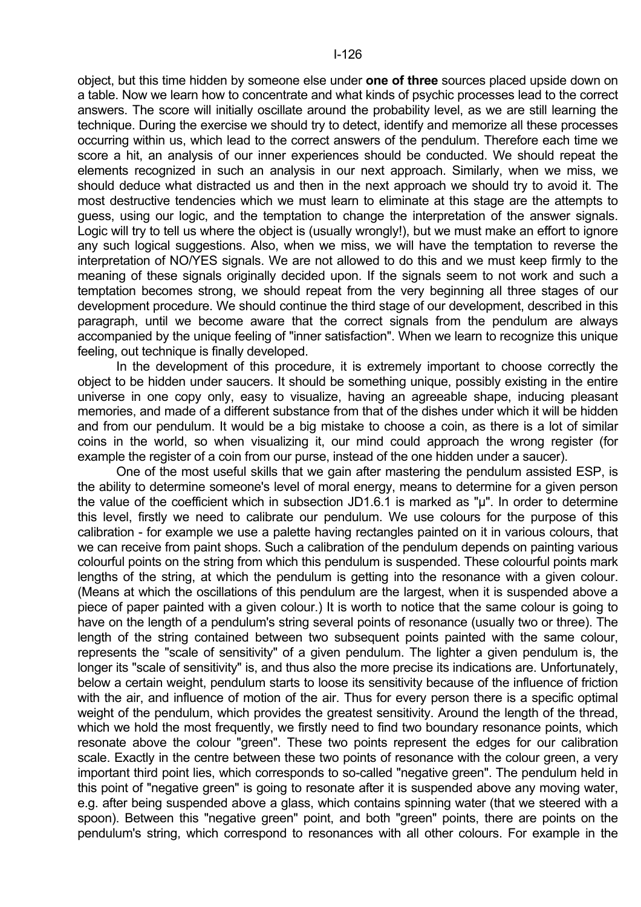object, but this time hidden by someone else under **one of three** sources placed upside down on a table. Now we learn how to concentrate and what kinds of psychic processes lead to the correct answers. The score will initially oscillate around the probability level, as we are still learning the technique. During the exercise we should try to detect, identify and memorize all these processes occurring within us, which lead to the correct answers of the pendulum. Therefore each time we score a hit, an analysis of our inner experiences should be conducted. We should repeat the elements recognized in such an analysis in our next approach. Similarly, when we miss, we should deduce what distracted us and then in the next approach we should try to avoid it. The most destructive tendencies which we must learn to eliminate at this stage are the attempts to guess, using our logic, and the temptation to change the interpretation of the answer signals. Logic will try to tell us where the object is (usually wrongly!), but we must make an effort to ignore any such logical suggestions. Also, when we miss, we will have the temptation to reverse the interpretation of NO/YES signals. We are not allowed to do this and we must keep firmly to the meaning of these signals originally decided upon. If the signals seem to not work and such a temptation becomes strong, we should repeat from the very beginning all three stages of our development procedure. We should continue the third stage of our development, described in this paragraph, until we become aware that the correct signals from the pendulum are always accompanied by the unique feeling of "inner satisfaction". When we learn to recognize this unique feeling, out technique is finally developed.

In the development of this procedure, it is extremely important to choose correctly the object to be hidden under saucers. It should be something unique, possibly existing in the entire universe in one copy only, easy to visualize, having an agreeable shape, inducing pleasant memories, and made of a different substance from that of the dishes under which it will be hidden and from our pendulum. It would be a big mistake to choose a coin, as there is a lot of similar coins in the world, so when visualizing it, our mind could approach the wrong register (for example the register of a coin from our purse, instead of the one hidden under a saucer).

 One of the most useful skills that we gain after mastering the pendulum assisted ESP, is the ability to determine someone's level of moral energy, means to determine for a given person the value of the coefficient which in subsection JD1.6.1 is marked as "µ". In order to determine this level, firstly we need to calibrate our pendulum. We use colours for the purpose of this calibration - for example we use a palette having rectangles painted on it in various colours, that we can receive from paint shops. Such a calibration of the pendulum depends on painting various colourful points on the string from which this pendulum is suspended. These colourful points mark lengths of the string, at which the pendulum is getting into the resonance with a given colour. (Means at which the oscillations of this pendulum are the largest, when it is suspended above a piece of paper painted with a given colour.) It is worth to notice that the same colour is going to have on the length of a pendulum's string several points of resonance (usually two or three). The length of the string contained between two subsequent points painted with the same colour, represents the "scale of sensitivity" of a given pendulum. The lighter a given pendulum is, the longer its "scale of sensitivity" is, and thus also the more precise its indications are. Unfortunately, below a certain weight, pendulum starts to loose its sensitivity because of the influence of friction with the air, and influence of motion of the air. Thus for every person there is a specific optimal weight of the pendulum, which provides the greatest sensitivity. Around the length of the thread, which we hold the most frequently, we firstly need to find two boundary resonance points, which resonate above the colour "green". These two points represent the edges for our calibration scale. Exactly in the centre between these two points of resonance with the colour green, a very important third point lies, which corresponds to so-called "negative green". The pendulum held in this point of "negative green" is going to resonate after it is suspended above any moving water, e.g. after being suspended above a glass, which contains spinning water (that we steered with a spoon). Between this "negative green" point, and both "green" points, there are points on the pendulum's string, which correspond to resonances with all other colours. For example in the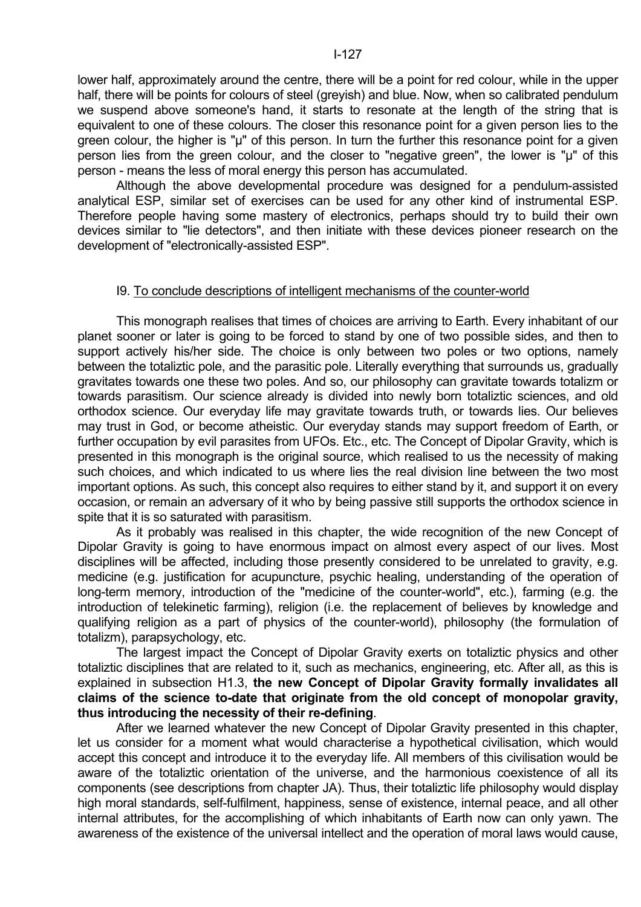lower half, approximately around the centre, there will be a point for red colour, while in the upper half, there will be points for colours of steel (greyish) and blue. Now, when so calibrated pendulum we suspend above someone's hand, it starts to resonate at the length of the string that is equivalent to one of these colours. The closer this resonance point for a given person lies to the green colour, the higher is "µ" of this person. In turn the further this resonance point for a given person lies from the green colour, and the closer to "negative green", the lower is "µ" of this person - means the less of moral energy this person has accumulated.

 Although the above developmental procedure was designed for a pendulum-assisted analytical ESP, similar set of exercises can be used for any other kind of instrumental ESP. Therefore people having some mastery of electronics, perhaps should try to build their own devices similar to "lie detectors", and then initiate with these devices pioneer research on the development of "electronically-assisted ESP".

#### I9. To conclude descriptions of intelligent mechanisms of the counter-world

 This monograph realises that times of choices are arriving to Earth. Every inhabitant of our planet sooner or later is going to be forced to stand by one of two possible sides, and then to support actively his/her side. The choice is only between two poles or two options, namely between the totaliztic pole, and the parasitic pole. Literally everything that surrounds us, gradually gravitates towards one these two poles. And so, our philosophy can gravitate towards totalizm or towards parasitism. Our science already is divided into newly born totaliztic sciences, and old orthodox science. Our everyday life may gravitate towards truth, or towards lies. Our believes may trust in God, or become atheistic. Our everyday stands may support freedom of Earth, or further occupation by evil parasites from UFOs. Etc., etc. The Concept of Dipolar Gravity, which is presented in this monograph is the original source, which realised to us the necessity of making such choices, and which indicated to us where lies the real division line between the two most important options. As such, this concept also requires to either stand by it, and support it on every occasion, or remain an adversary of it who by being passive still supports the orthodox science in spite that it is so saturated with parasitism.

 As it probably was realised in this chapter, the wide recognition of the new Concept of Dipolar Gravity is going to have enormous impact on almost every aspect of our lives. Most disciplines will be affected, including those presently considered to be unrelated to gravity, e.g. medicine (e.g. justification for acupuncture, psychic healing, understanding of the operation of long-term memory, introduction of the "medicine of the counter-world", etc.), farming (e.g. the introduction of telekinetic farming), religion (i.e. the replacement of believes by knowledge and qualifying religion as a part of physics of the counter-world), philosophy (the formulation of totalizm), parapsychology, etc.

 The largest impact the Concept of Dipolar Gravity exerts on totaliztic physics and other totaliztic disciplines that are related to it, such as mechanics, engineering, etc. After all, as this is explained in subsection H1.3, **the new Concept of Dipolar Gravity formally invalidates all claims of the science to-date that originate from the old concept of monopolar gravity, thus introducing the necessity of their re-defining**.

 After we learned whatever the new Concept of Dipolar Gravity presented in this chapter, let us consider for a moment what would characterise a hypothetical civilisation, which would accept this concept and introduce it to the everyday life. All members of this civilisation would be aware of the totaliztic orientation of the universe, and the harmonious coexistence of all its components (see descriptions from chapter JA). Thus, their totaliztic life philosophy would display high moral standards, self-fulfilment, happiness, sense of existence, internal peace, and all other internal attributes, for the accomplishing of which inhabitants of Earth now can only yawn. The awareness of the existence of the universal intellect and the operation of moral laws would cause,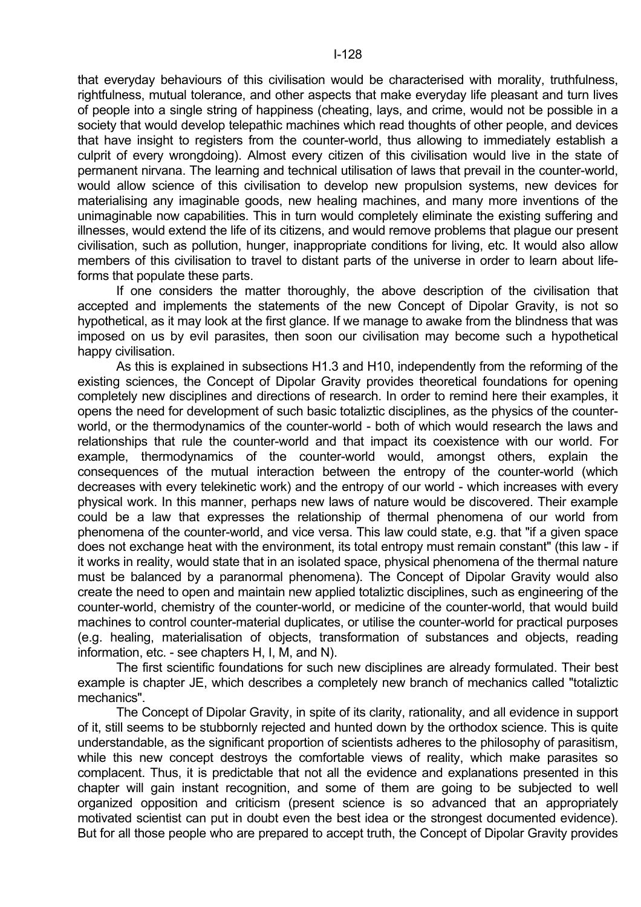that everyday behaviours of this civilisation would be characterised with morality, truthfulness, rightfulness, mutual tolerance, and other aspects that make everyday life pleasant and turn lives of people into a single string of happiness (cheating, lays, and crime, would not be possible in a society that would develop telepathic machines which read thoughts of other people, and devices that have insight to registers from the counter-world, thus allowing to immediately establish a culprit of every wrongdoing). Almost every citizen of this civilisation would live in the state of permanent nirvana. The learning and technical utilisation of laws that prevail in the counter-world, would allow science of this civilisation to develop new propulsion systems, new devices for materialising any imaginable goods, new healing machines, and many more inventions of the unimaginable now capabilities. This in turn would completely eliminate the existing suffering and illnesses, would extend the life of its citizens, and would remove problems that plague our present civilisation, such as pollution, hunger, inappropriate conditions for living, etc. It would also allow members of this civilisation to travel to distant parts of the universe in order to learn about lifeforms that populate these parts.

 If one considers the matter thoroughly, the above description of the civilisation that accepted and implements the statements of the new Concept of Dipolar Gravity, is not so hypothetical, as it may look at the first glance. If we manage to awake from the blindness that was imposed on us by evil parasites, then soon our civilisation may become such a hypothetical happy civilisation.

 As this is explained in subsections H1.3 and H10, independently from the reforming of the existing sciences, the Concept of Dipolar Gravity provides theoretical foundations for opening completely new disciplines and directions of research. In order to remind here their examples, it opens the need for development of such basic totaliztic disciplines, as the physics of the counterworld, or the thermodynamics of the counter-world - both of which would research the laws and relationships that rule the counter-world and that impact its coexistence with our world. For example, thermodynamics of the counter-world would, amongst others, explain the consequences of the mutual interaction between the entropy of the counter-world (which decreases with every telekinetic work) and the entropy of our world - which increases with every physical work. In this manner, perhaps new laws of nature would be discovered. Their example could be a law that expresses the relationship of thermal phenomena of our world from phenomena of the counter-world, and vice versa. This law could state, e.g. that "if a given space does not exchange heat with the environment, its total entropy must remain constant" (this law - if it works in reality, would state that in an isolated space, physical phenomena of the thermal nature must be balanced by a paranormal phenomena). The Concept of Dipolar Gravity would also create the need to open and maintain new applied totaliztic disciplines, such as engineering of the counter-world, chemistry of the counter-world, or medicine of the counter-world, that would build machines to control counter-material duplicates, or utilise the counter-world for practical purposes (e.g. healing, materialisation of objects, transformation of substances and objects, reading information, etc. - see chapters H, I, M, and N).

 The first scientific foundations for such new disciplines are already formulated. Their best example is chapter JE, which describes a completely new branch of mechanics called "totaliztic mechanics".

 The Concept of Dipolar Gravity, in spite of its clarity, rationality, and all evidence in support of it, still seems to be stubbornly rejected and hunted down by the orthodox science. This is quite understandable, as the significant proportion of scientists adheres to the philosophy of parasitism, while this new concept destroys the comfortable views of reality, which make parasites so complacent. Thus, it is predictable that not all the evidence and explanations presented in this chapter will gain instant recognition, and some of them are going to be subjected to well organized opposition and criticism (present science is so advanced that an appropriately motivated scientist can put in doubt even the best idea or the strongest documented evidence). But for all those people who are prepared to accept truth, the Concept of Dipolar Gravity provides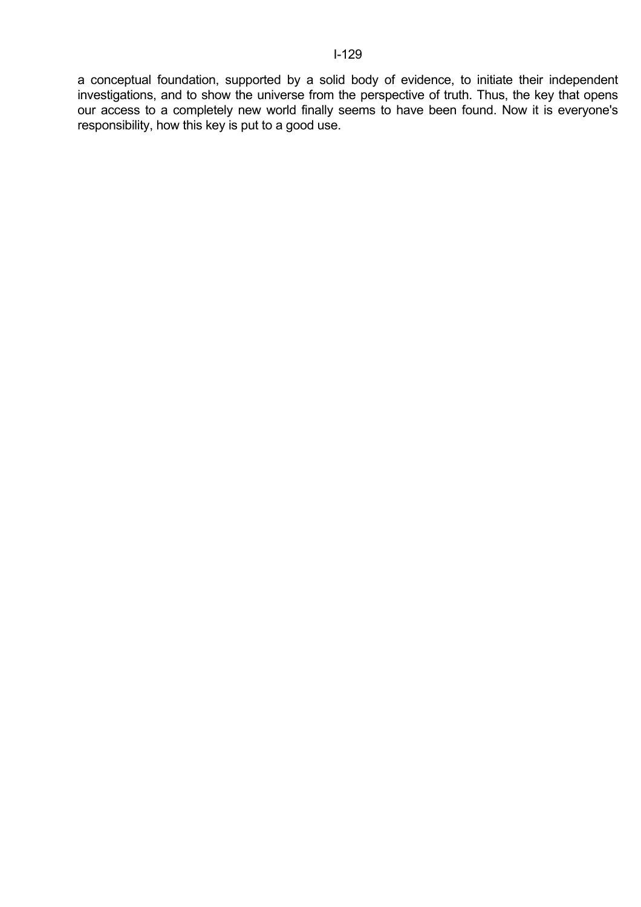a conceptual foundation, supported by a solid body of evidence, to initiate their independent investigations, and to show the universe from the perspective of truth. Thus, the key that opens our access to a completely new world finally seems to have been found. Now it is everyone's responsibility, how this key is put to a good use.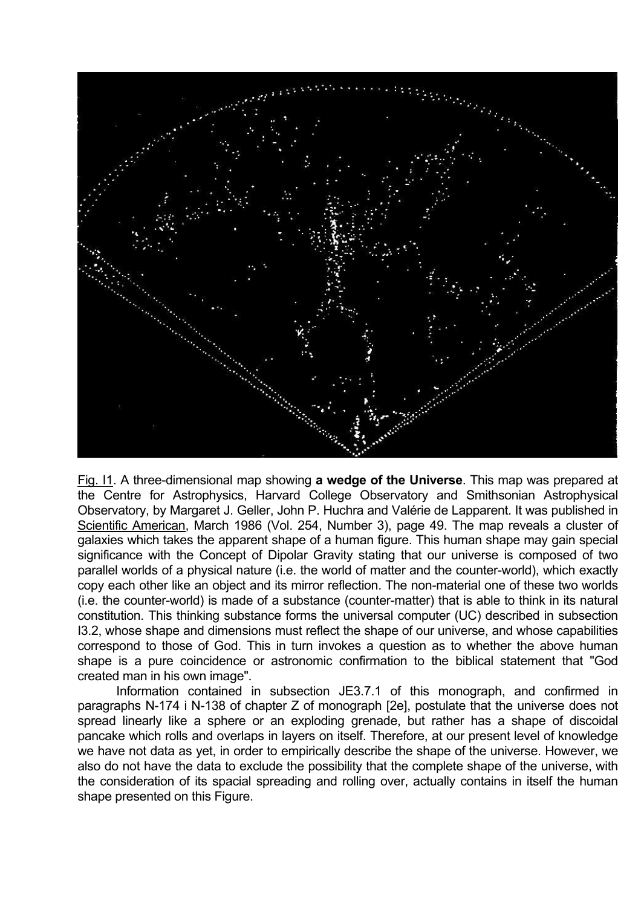

Fig. I1. A three-dimensional map showing **a wedge of the Universe**. This map was prepared at the Centre for Astrophysics, Harvard College Observatory and Smithsonian Astrophysical Observatory, by Margaret J. Geller, John P. Huchra and Valérie de Lapparent. It was published in Scientific American, March 1986 (Vol. 254, Number 3), page 49. The map reveals a cluster of galaxies which takes the apparent shape of a human figure. This human shape may gain special significance with the Concept of Dipolar Gravity stating that our universe is composed of two parallel worlds of a physical nature (i.e. the world of matter and the counter-world), which exactly copy each other like an object and its mirror reflection. The non-material one of these two worlds (i.e. the counter-world) is made of a substance (counter-matter) that is able to think in its natural constitution. This thinking substance forms the universal computer (UC) described in subsection I3.2, whose shape and dimensions must reflect the shape of our universe, and whose capabilities correspond to those of God. This in turn invokes a question as to whether the above human shape is a pure coincidence or astronomic confirmation to the biblical statement that "God created man in his own image".

 Information contained in subsection JE3.7.1 of this monograph, and confirmed in paragraphs N-174 i N-138 of chapter Z of monograph [2e], postulate that the universe does not spread linearly like a sphere or an exploding grenade, but rather has a shape of discoidal pancake which rolls and overlaps in layers on itself. Therefore, at our present level of knowledge we have not data as yet, in order to empirically describe the shape of the universe. However, we also do not have the data to exclude the possibility that the complete shape of the universe, with the consideration of its spacial spreading and rolling over, actually contains in itself the human shape presented on this Figure.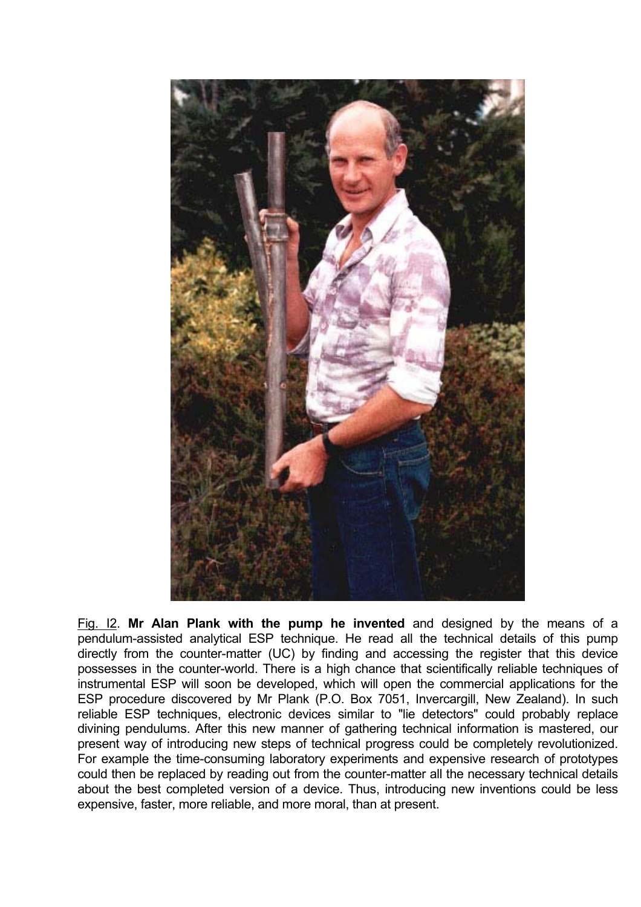

Fig. I2. **Mr Alan Plank with the pump he invented** and designed by the means of a pendulum-assisted analytical ESP technique. He read all the technical details of this pump directly from the counter-matter (UC) by finding and accessing the register that this device possesses in the counter-world. There is a high chance that scientifically reliable techniques of instrumental ESP will soon be developed, which will open the commercial applications for the ESP procedure discovered by Mr Plank (P.O. Box 7051, Invercargill, New Zealand). In such reliable ESP techniques, electronic devices similar to "lie detectors" could probably replace divining pendulums. After this new manner of gathering technical information is mastered, our present way of introducing new steps of technical progress could be completely revolutionized. For example the time-consuming laboratory experiments and expensive research of prototypes could then be replaced by reading out from the counter-matter all the necessary technical details about the best completed version of a device. Thus, introducing new inventions could be less expensive, faster, more reliable, and more moral, than at present.